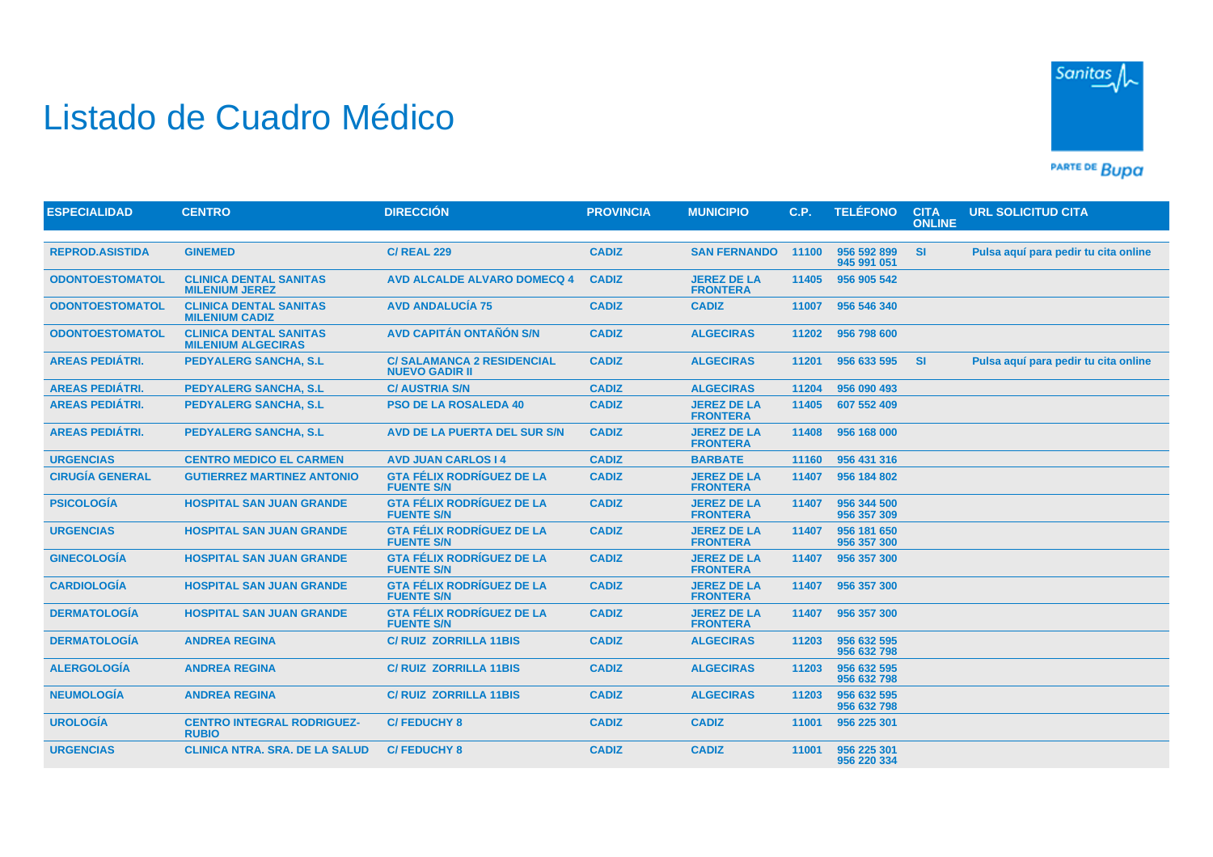## Listado de Cuadro Médico



PARTE DE BUDA

| <b>ESPECIALIDAD</b>    | <b>CENTRO</b>                                              | <b>DIRECCIÓN</b>                                          | <b>PROVINCIA</b> | <b>MUNICIPIO</b>                      | C.P.  | <b>TELÉFONO</b>            | <b>CITA</b><br><b>ONLINE</b> | <b>URL SOLICITUD CITA</b>            |
|------------------------|------------------------------------------------------------|-----------------------------------------------------------|------------------|---------------------------------------|-------|----------------------------|------------------------------|--------------------------------------|
|                        |                                                            |                                                           |                  |                                       |       |                            |                              |                                      |
| <b>REPROD.ASISTIDA</b> | <b>GINEMED</b>                                             | <b>C/ REAL 229</b>                                        | <b>CADIZ</b>     | <b>SAN FERNANDO</b>                   | 11100 | 956 592 899<br>945 991 051 | <b>SI</b>                    | Pulsa aguí para pedir tu cita online |
| <b>ODONTOESTOMATOL</b> | <b>CLINICA DENTAL SANITAS</b><br><b>MILENIUM JEREZ</b>     | <b>AVD ALCALDE ALVARO DOMECQ 4</b>                        | <b>CADIZ</b>     | <b>JEREZ DE LA</b><br><b>FRONTERA</b> | 11405 | 956 905 542                |                              |                                      |
| <b>ODONTOESTOMATOL</b> | <b>CLINICA DENTAL SANITAS</b><br><b>MILENIUM CADIZ</b>     | <b>AVD ANDALUCÍA 75</b>                                   | <b>CADIZ</b>     | <b>CADIZ</b>                          | 11007 | 956 546 340                |                              |                                      |
| <b>ODONTOESTOMATOL</b> | <b>CLINICA DENTAL SANITAS</b><br><b>MILENIUM ALGECIRAS</b> | <b>AVD CAPITÁN ONTAÑÓN S/N</b>                            | <b>CADIZ</b>     | <b>ALGECIRAS</b>                      | 11202 | 956 798 600                |                              |                                      |
| <b>AREAS PEDIÁTRI.</b> | <b>PEDYALERG SANCHA, S.L.</b>                              | <b>C/SALAMANCA 2 RESIDENCIAL</b><br><b>NUEVO GADIR II</b> | <b>CADIZ</b>     | <b>ALGECIRAS</b>                      | 11201 | 956 633 595                | <b>SI</b>                    | Pulsa aquí para pedir tu cita online |
| <b>AREAS PEDIÁTRI.</b> | <b>PEDYALERG SANCHA, S.L</b>                               | <b>C/ AUSTRIA S/N</b>                                     | <b>CADIZ</b>     | <b>ALGECIRAS</b>                      | 11204 | 956 090 493                |                              |                                      |
| <b>AREAS PEDIÁTRI.</b> | <b>PEDYALERG SANCHA, S.L.</b>                              | <b>PSO DE LA ROSALEDA 40</b>                              | <b>CADIZ</b>     | <b>JEREZ DE LA</b><br><b>FRONTERA</b> | 11405 | 607 552 409                |                              |                                      |
| <b>AREAS PEDIÁTRI.</b> | <b>PEDYALERG SANCHA, S.L.</b>                              | AVD DE LA PUERTA DEL SUR S/N                              | <b>CADIZ</b>     | <b>JEREZ DE LA</b><br><b>FRONTERA</b> | 11408 | 956 168 000                |                              |                                      |
| <b>URGENCIAS</b>       | <b>CENTRO MEDICO EL CARMEN</b>                             | <b>AVD JUAN CARLOS 14</b>                                 | <b>CADIZ</b>     | <b>BARBATE</b>                        | 11160 | 956 431 316                |                              |                                      |
| <b>CIRUGÍA GENERAL</b> | <b>GUTIERREZ MARTINEZ ANTONIO</b>                          | <b>GTA FÉLIX RODRÍGUEZ DE LA</b><br><b>FUENTE S/N</b>     | <b>CADIZ</b>     | <b>JEREZ DE LA</b><br><b>FRONTERA</b> | 11407 | 956 184 802                |                              |                                      |
| <b>PSICOLOGÍA</b>      | <b>HOSPITAL SAN JUAN GRANDE</b>                            | <b>GTA FÉLIX RODRÍGUEZ DE LA</b><br><b>FUENTE S/N</b>     | <b>CADIZ</b>     | <b>JEREZ DE LA</b><br><b>FRONTERA</b> | 11407 | 956 344 500<br>956 357 309 |                              |                                      |
| <b>URGENCIAS</b>       | <b>HOSPITAL SAN JUAN GRANDE</b>                            | <b>GTA FÉLIX RODRÍGUEZ DE LA</b><br><b>FUENTE S/N</b>     | <b>CADIZ</b>     | <b>JEREZ DE LA</b><br><b>FRONTERA</b> | 11407 | 956 181 650<br>956 357 300 |                              |                                      |
| <b>GINECOLOGÍA</b>     | <b>HOSPITAL SAN JUAN GRANDE</b>                            | <b>GTA FÉLIX RODRÍGUEZ DE LA</b><br><b>FUENTE S/N</b>     | <b>CADIZ</b>     | <b>JEREZ DE LA</b><br><b>FRONTERA</b> | 11407 | 956 357 300                |                              |                                      |
| <b>CARDIOLOGÍA</b>     | <b>HOSPITAL SAN JUAN GRANDE</b>                            | <b>GTA FÉLIX RODRÍGUEZ DE LA</b><br><b>FUENTE S/N</b>     | <b>CADIZ</b>     | <b>JEREZ DE LA</b><br><b>FRONTERA</b> |       | 11407 956 357 300          |                              |                                      |
| <b>DERMATOLOGÍA</b>    | <b>HOSPITAL SAN JUAN GRANDE</b>                            | <b>GTA FÉLIX RODRÍGUEZ DE LA</b><br><b>FUENTE S/N</b>     | <b>CADIZ</b>     | <b>JEREZ DE LA</b><br><b>FRONTERA</b> | 11407 | 956 357 300                |                              |                                      |
| <b>DERMATOLOGÍA</b>    | <b>ANDREA REGINA</b>                                       | <b>C/RUIZ ZORRILLA 11BIS</b>                              | <b>CADIZ</b>     | <b>ALGECIRAS</b>                      | 11203 | 956 632 595<br>956 632 798 |                              |                                      |
| <b>ALERGOLOGÍA</b>     | <b>ANDREA REGINA</b>                                       | <b>C/RUIZ ZORRILLA 11BIS</b>                              | <b>CADIZ</b>     | <b>ALGECIRAS</b>                      | 11203 | 956 632 595<br>956 632 798 |                              |                                      |
| <b>NEUMOLOGÍA</b>      | <b>ANDREA REGINA</b>                                       | <b>C/ RUIZ ZORRILLA 11BIS</b>                             | <b>CADIZ</b>     | <b>ALGECIRAS</b>                      | 11203 | 956 632 595<br>956 632 798 |                              |                                      |
| <b>UROLOGÍA</b>        | <b>CENTRO INTEGRAL RODRIGUEZ-</b><br><b>RUBIO</b>          | <b>C/FEDUCHY 8</b>                                        | <b>CADIZ</b>     | <b>CADIZ</b>                          | 11001 | 956 225 301                |                              |                                      |
| <b>URGENCIAS</b>       | <b>CLINICA NTRA. SRA. DE LA SALUD</b>                      | <b>C/FEDUCHY 8</b>                                        | <b>CADIZ</b>     | <b>CADIZ</b>                          | 11001 | 956 225 301<br>956 220 334 |                              |                                      |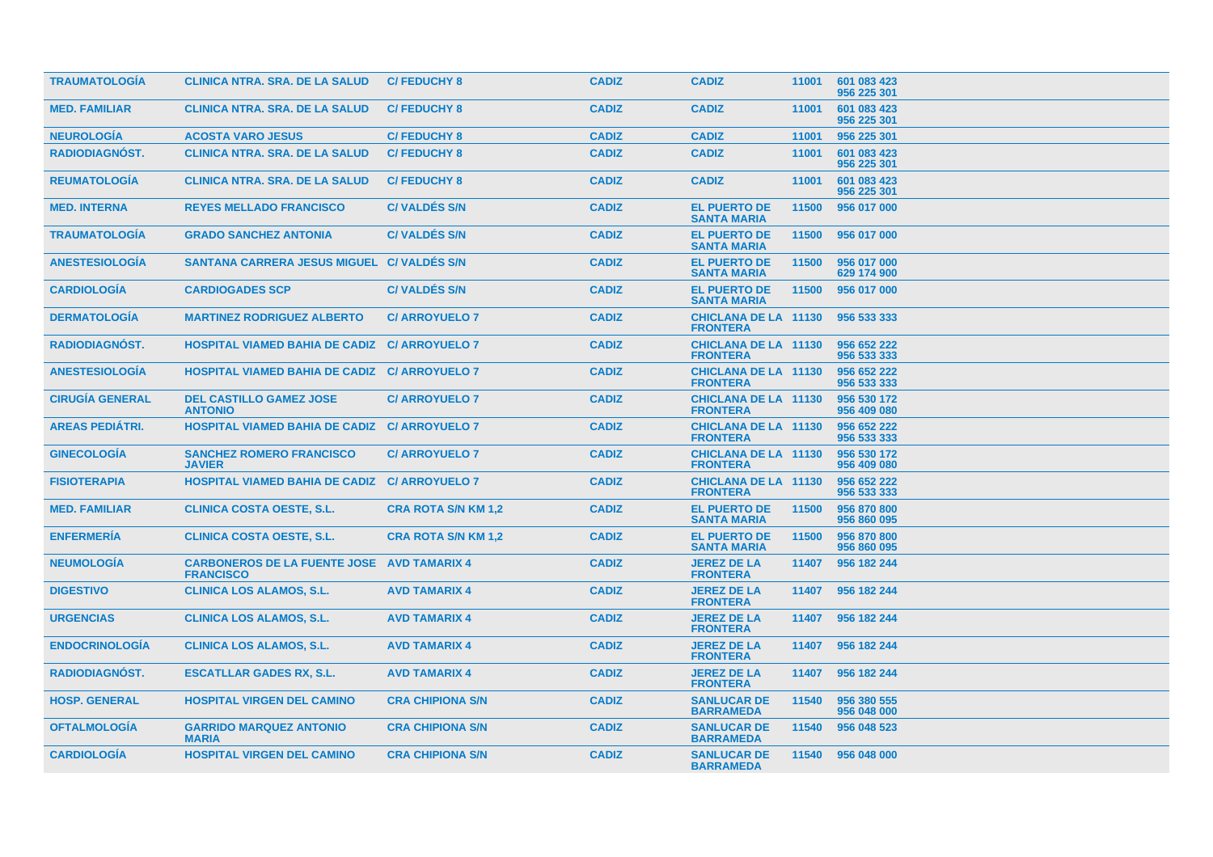| <b>TRAUMATOLOGIA</b>   | <b>CLINICA NTRA. SRA. DE LA SALUD</b>                                 | <b>C/FEDUCHY 8</b>         | <b>CADIZ</b> | <b>CADIZ</b>                                   | 11001 | 601 083 423<br>956 225 301 |
|------------------------|-----------------------------------------------------------------------|----------------------------|--------------|------------------------------------------------|-------|----------------------------|
| <b>MED. FAMILIAR</b>   | <b>CLINICA NTRA. SRA. DE LA SALUD</b>                                 | <b>C/FEDUCHY 8</b>         | <b>CADIZ</b> | <b>CADIZ</b>                                   | 11001 | 601 083 423<br>956 225 301 |
| <b>NEUROLOGÍA</b>      | <b>ACOSTA VARO JESUS</b>                                              | <b>C/FEDUCHY 8</b>         | <b>CADIZ</b> | <b>CADIZ</b>                                   | 11001 | 956 225 301                |
| RADIODIAGNÓST.         | <b>CLINICA NTRA, SRA, DE LA SALUD</b>                                 | <b>C/FEDUCHY 8</b>         | <b>CADIZ</b> | <b>CADIZ</b>                                   | 11001 | 601 083 423<br>956 225 301 |
| <b>REUMATOLOGÍA</b>    | <b>CLINICA NTRA, SRA, DE LA SALUD</b>                                 | <b>C/FEDUCHY 8</b>         | <b>CADIZ</b> | <b>CADIZ</b>                                   | 11001 | 601 083 423<br>956 225 301 |
| <b>MED. INTERNA</b>    | <b>REYES MELLADO FRANCISCO</b>                                        | <b>C/VALDES S/N</b>        | <b>CADIZ</b> | <b>EL PUERTO DE</b><br><b>SANTA MARIA</b>      | 11500 | 956 017 000                |
| <b>TRAUMATOLOGIA</b>   | <b>GRADO SANCHEZ ANTONIA</b>                                          | <b>C/VALDES S/N</b>        | <b>CADIZ</b> | <b>EL PUERTO DE</b><br><b>SANTA MARIA</b>      | 11500 | 956 017 000                |
| <b>ANESTESIOLOGIA</b>  | SANTANA CARRERA JESUS MIGUEL C/ VALDES S/N                            |                            | <b>CADIZ</b> | <b>EL PUERTO DE</b><br><b>SANTA MARIA</b>      | 11500 | 956 017 000<br>629 174 900 |
| <b>CARDIOLOGÍA</b>     | <b>CARDIOGADES SCP</b>                                                | <b>C/VALDES S/N</b>        | <b>CADIZ</b> | <b>EL PUERTO DE</b><br><b>SANTA MARIA</b>      | 11500 | 956 017 000                |
| <b>DERMATOLOGIA</b>    | <b>MARTINEZ RODRIGUEZ ALBERTO</b>                                     | <b>C/ ARROYUELO 7</b>      | <b>CADIZ</b> | <b>CHICLANA DE LA 11130</b><br><b>FRONTERA</b> |       | 956 533 333                |
| <b>RADIODIAGNOST.</b>  | <b>HOSPITAL VIAMED BAHIA DE CADIZ C/ ARROYUELO 7</b>                  |                            | <b>CADIZ</b> | <b>CHICLANA DE LA 11130</b><br><b>FRONTERA</b> |       | 956 652 222<br>956 533 333 |
| <b>ANESTESIOLOGIA</b>  | <b>HOSPITAL VIAMED BAHIA DE CADIZ C/ ARROYUELO 7</b>                  |                            | <b>CADIZ</b> | <b>CHICLANA DE LA 11130</b><br><b>FRONTERA</b> |       | 956 652 222<br>956 533 333 |
| <b>CIRUGIA GENERAL</b> | <b>DEL CASTILLO GAMEZ JOSE</b><br><b>ANTONIO</b>                      | <b>C/ ARROYUELO 7</b>      | <b>CADIZ</b> | <b>CHICLANA DE LA 11130</b><br><b>FRONTERA</b> |       | 956 530 172<br>956 409 080 |
| <b>AREAS PEDIATRI.</b> | <b>HOSPITAL VIAMED BAHIA DE CADIZ C/ ARROYUELO 7</b>                  |                            | <b>CADIZ</b> | <b>CHICLANA DE LA 11130</b><br><b>FRONTERA</b> |       | 956 652 222<br>956 533 333 |
| <b>GINECOLOGIA</b>     | <b>SANCHEZ ROMERO FRANCISCO</b><br><b>JAVIER</b>                      | <b>C/ARROYUELO 7</b>       | <b>CADIZ</b> | <b>CHICLANA DE LA 11130</b><br><b>FRONTERA</b> |       | 956 530 172<br>956 409 080 |
| <b>FISIOTERAPIA</b>    | <b>HOSPITAL VIAMED BAHIA DE CADIZ C/ ARROYUELO 7</b>                  |                            | <b>CADIZ</b> | <b>CHICLANA DE LA 11130</b><br><b>FRONTERA</b> |       | 956 652 222<br>956 533 333 |
| <b>MED. FAMILIAR</b>   | <b>CLINICA COSTA OESTE, S.L.</b>                                      | <b>CRA ROTA S/N KM 1,2</b> | <b>CADIZ</b> | <b>EL PUERTO DE</b><br><b>SANTA MARIA</b>      | 11500 | 956 870 800<br>956 860 095 |
| <b>ENFERMERIA</b>      | <b>CLINICA COSTA OESTE, S.L.</b>                                      | <b>CRA ROTA S/N KM 1,2</b> | <b>CADIZ</b> | <b>EL PUERTO DE</b><br><b>SANTA MARIA</b>      | 11500 | 956 870 800<br>956 860 095 |
| <b>NEUMOLOGÍA</b>      | <b>CARBONEROS DE LA FUENTE JOSE AVD TAMARIX 4</b><br><b>FRANCISCO</b> |                            | <b>CADIZ</b> | <b>JEREZ DE LA</b><br><b>FRONTERA</b>          | 11407 | 956 182 244                |
| <b>DIGESTIVO</b>       | <b>CLINICA LOS ALAMOS, S.L.</b>                                       | <b>AVD TAMARIX 4</b>       | <b>CADIZ</b> | <b>JEREZ DE LA</b><br><b>FRONTERA</b>          | 11407 | 956 182 244                |
| <b>URGENCIAS</b>       | <b>CLINICA LOS ALAMOS, S.L.</b>                                       | <b>AVD TAMARIX 4</b>       | <b>CADIZ</b> | <b>JEREZ DE LA</b><br><b>FRONTERA</b>          | 11407 | 956 182 244                |
| <b>ENDOCRINOLOGIA</b>  | <b>CLINICA LOS ALAMOS, S.L.</b>                                       | <b>AVD TAMARIX 4</b>       | <b>CADIZ</b> | <b>JEREZ DE LA</b><br><b>FRONTERA</b>          | 11407 | 956 182 244                |
| <b>RADIODIAGNOST.</b>  | <b>ESCATLLAR GADES RX, S.L.</b>                                       | <b>AVD TAMARIX 4</b>       | <b>CADIZ</b> | <b>JEREZ DE LA</b><br><b>FRONTERA</b>          | 11407 | 956 182 244                |
| <b>HOSP. GENERAL</b>   | <b>HOSPITAL VIRGEN DEL CAMINO</b>                                     | <b>CRA CHIPIONA S/N</b>    | <b>CADIZ</b> | <b>SANLUCAR DE</b><br><b>BARRAMEDA</b>         | 11540 | 956 380 555<br>956 048 000 |
| <b>OFTALMOLOGIA</b>    | <b>GARRIDO MARQUEZ ANTONIO</b><br><b>MARIA</b>                        | <b>CRA CHIPIONA S/N</b>    | <b>CADIZ</b> | <b>SANLUCAR DE</b><br><b>BARRAMEDA</b>         | 11540 | 956 048 523                |
| <b>CARDIOLOGIA</b>     | <b>HOSPITAL VIRGEN DEL CAMINO</b>                                     | <b>CRA CHIPIONA S/N</b>    | <b>CADIZ</b> | <b>SANLUCAR DE</b><br><b>BARRAMEDA</b>         |       | 11540 956 048 000          |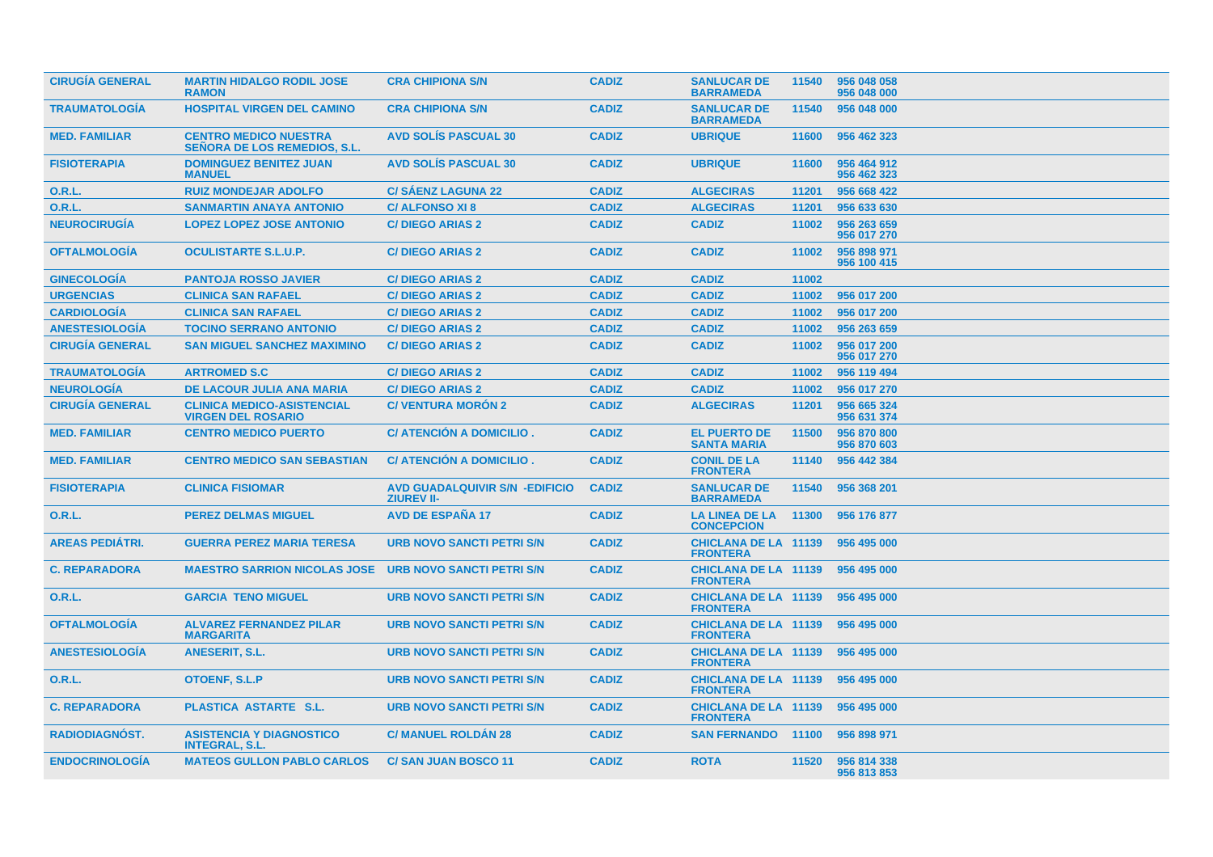| <b>CIRUGIA GENERAL</b> | <b>MARTIN HIDALGO RODIL JOSE</b><br><b>RAMON</b>                    | <b>CRA CHIPIONA S/N</b>                                    | <b>CADIZ</b> | <b>SANLUCAR DE</b><br><b>BARRAMEDA</b>         | 11540 | 956 048 058<br>956 048 000 |
|------------------------|---------------------------------------------------------------------|------------------------------------------------------------|--------------|------------------------------------------------|-------|----------------------------|
| <b>TRAUMATOLOGÍA</b>   | <b>HOSPITAL VIRGEN DEL CAMINO</b>                                   | <b>CRA CHIPIONA S/N</b>                                    | <b>CADIZ</b> | <b>SANLUCAR DE</b><br><b>BARRAMEDA</b>         | 11540 | 956 048 000                |
| <b>MED. FAMILIAR</b>   | <b>CENTRO MEDICO NUESTRA</b><br><b>SEÑORA DE LOS REMEDIOS, S.L.</b> | <b>AVD SOLIS PASCUAL 30</b>                                | <b>CADIZ</b> | <b>UBRIQUE</b>                                 | 11600 | 956 462 323                |
| <b>FISIOTERAPIA</b>    | <b>DOMINGUEZ BENITEZ JUAN</b><br><b>MANUEL</b>                      | <b>AVD SOLIS PASCUAL 30</b>                                | <b>CADIZ</b> | <b>UBRIQUE</b>                                 | 11600 | 956 464 912<br>956 462 323 |
| O.R.L.                 | <b>RUIZ MONDEJAR ADOLFO</b>                                         | <b>C/SÁENZ LAGUNA 22</b>                                   | <b>CADIZ</b> | <b>ALGECIRAS</b>                               | 11201 | 956 668 422                |
| <b>O.R.L.</b>          | <b>SANMARTIN ANAYA ANTONIO</b>                                      | <b>C/ALFONSO XI8</b>                                       | <b>CADIZ</b> | <b>ALGECIRAS</b>                               | 11201 | 956 633 630                |
| <b>NEUROCIRUGÍA</b>    | <b>LOPEZ LOPEZ JOSE ANTONIO</b>                                     | <b>C/DIEGO ARIAS 2</b>                                     | <b>CADIZ</b> | <b>CADIZ</b>                                   | 11002 | 956 263 659<br>956 017 270 |
| <b>OFTALMOLOGIA</b>    | <b>OCULISTARTE S.L.U.P.</b>                                         | <b>C/DIEGO ARIAS 2</b>                                     | <b>CADIZ</b> | <b>CADIZ</b>                                   | 11002 | 956 898 971<br>956 100 415 |
| <b>GINECOLOGIA</b>     | <b>PANTOJA ROSSO JAVIER</b>                                         | <b>C/DIEGO ARIAS 2</b>                                     | <b>CADIZ</b> | <b>CADIZ</b>                                   | 11002 |                            |
| <b>URGENCIAS</b>       | <b>CLINICA SAN RAFAEL</b>                                           | <b>C/DIEGO ARIAS 2</b>                                     | <b>CADIZ</b> | <b>CADIZ</b>                                   | 11002 | 956 017 200                |
| <b>CARDIOLOGÍA</b>     | <b>CLINICA SAN RAFAEL</b>                                           | <b>C/DIEGO ARIAS 2</b>                                     | <b>CADIZ</b> | <b>CADIZ</b>                                   | 11002 | 956 017 200                |
| <b>ANESTESIOLOGÍA</b>  | <b>TOCINO SERRANO ANTONIO</b>                                       | <b>C/DIEGO ARIAS 2</b>                                     | <b>CADIZ</b> | <b>CADIZ</b>                                   | 11002 | 956 263 659                |
| <b>CIRUGÍA GENERAL</b> | <b>SAN MIGUEL SANCHEZ MAXIMINO</b>                                  | <b>C/DIEGO ARIAS 2</b>                                     | <b>CADIZ</b> | <b>CADIZ</b>                                   | 11002 | 956 017 200<br>956 017 270 |
| <b>TRAUMATOLOGIA</b>   | <b>ARTROMED S.C</b>                                                 | <b>C/DIEGO ARIAS 2</b>                                     | <b>CADIZ</b> | <b>CADIZ</b>                                   | 11002 | 956 119 494                |
| <b>NEUROLOGÍA</b>      | DE LACOUR JULIA ANA MARIA                                           | <b>C/DIEGO ARIAS 2</b>                                     | <b>CADIZ</b> | <b>CADIZ</b>                                   | 11002 | 956 017 270                |
| <b>CIRUGÍA GENERAL</b> | <b>CLINICA MEDICO-ASISTENCIAL</b><br><b>VIRGEN DEL ROSARIO</b>      | <b>C/VENTURA MORÓN 2</b>                                   | <b>CADIZ</b> | <b>ALGECIRAS</b>                               | 11201 | 956 665 324<br>956 631 374 |
| <b>MED. FAMILIAR</b>   | <b>CENTRO MEDICO PUERTO</b>                                         | C/ ATENCIÓN A DOMICILIO.                                   | <b>CADIZ</b> | <b>EL PUERTO DE</b><br><b>SANTA MARIA</b>      | 11500 | 956 870 800<br>956 870 603 |
| <b>MED. FAMILIAR</b>   | <b>CENTRO MEDICO SAN SEBASTIAN</b>                                  | <b>C/ ATENCION A DOMICILIO.</b>                            | <b>CADIZ</b> | <b>CONIL DE LA</b><br><b>FRONTERA</b>          | 11140 | 956 442 384                |
| <b>FISIOTERAPIA</b>    | <b>CLINICA FISIOMAR</b>                                             | <b>AVD GUADALQUIVIR S/N -EDIFICIO</b><br><b>ZIUREV II-</b> | <b>CADIZ</b> | <b>SANLUCAR DE</b><br><b>BARRAMEDA</b>         | 11540 | 956 368 201                |
| <b>O.R.L.</b>          | <b>PEREZ DELMAS MIGUEL</b>                                          | <b>AVD DE ESPAÑA 17</b>                                    | <b>CADIZ</b> | <b>LA LINEA DE LA</b><br><b>CONCEPCION</b>     | 11300 | 956 176 877                |
| <b>AREAS PEDIATRI.</b> | <b>GUERRA PEREZ MARIA TERESA</b>                                    | <b>URB NOVO SANCTI PETRI S/N</b>                           | <b>CADIZ</b> | <b>CHICLANA DE LA 11139</b><br><b>FRONTERA</b> |       | 956 495 000                |
| <b>C. REPARADORA</b>   | <b>MAESTRO SARRION NICOLAS JOSE</b>                                 | <b>URB NOVO SANCTI PETRI S/N</b>                           | <b>CADIZ</b> | <b>CHICLANA DE LA 11139</b><br><b>FRONTERA</b> |       | 956 495 000                |
| <b>O.R.L.</b>          | <b>GARCIA TENO MIGUEL</b>                                           | <b>URB NOVO SANCTI PETRI S/N</b>                           | <b>CADIZ</b> | <b>CHICLANA DE LA 11139</b><br><b>FRONTERA</b> |       | 956 495 000                |
| <b>OFTALMOLOGIA</b>    | <b>ALVAREZ FERNANDEZ PILAR</b><br><b>MARGARITA</b>                  | <b>URB NOVO SANCTI PETRI S/N</b>                           | <b>CADIZ</b> | <b>CHICLANA DE LA 11139</b><br><b>FRONTERA</b> |       | 956 495 000                |
| <b>ANESTESIOLOGÍA</b>  | <b>ANESERIT, S.L.</b>                                               | <b>URB NOVO SANCTI PETRI S/N</b>                           | <b>CADIZ</b> | <b>CHICLANA DE LA 11139</b><br><b>FRONTERA</b> |       | 956 495 000                |
| <b>O.R.L.</b>          | <b>OTOENF, S.L.P</b>                                                | <b>URB NOVO SANCTI PETRI S/N</b>                           | <b>CADIZ</b> | <b>CHICLANA DE LA 11139</b><br><b>FRONTERA</b> |       | 956 495 000                |
| <b>C. REPARADORA</b>   | PLASTICA ASTARTE S.L.                                               | <b>URB NOVO SANCTI PETRI S/N</b>                           | <b>CADIZ</b> | <b>CHICLANA DE LA 11139</b><br><b>FRONTERA</b> |       | 956 495 000                |
| <b>RADIODIAGNOST.</b>  | <b>ASISTENCIA Y DIAGNOSTICO</b><br><b>INTEGRAL, S.L.</b>            | <b>C/ MANUEL ROLDAN 28</b>                                 | <b>CADIZ</b> | <b>SAN FERNANDO 11100</b>                      |       | 956 898 971                |
| <b>ENDOCRINOLOGIA</b>  | <b>MATEOS GULLON PABLO CARLOS</b>                                   | <b>C/SAN JUAN BOSCO 11</b>                                 | <b>CADIZ</b> | <b>ROTA</b>                                    | 11520 | 956 814 338<br>956 813 853 |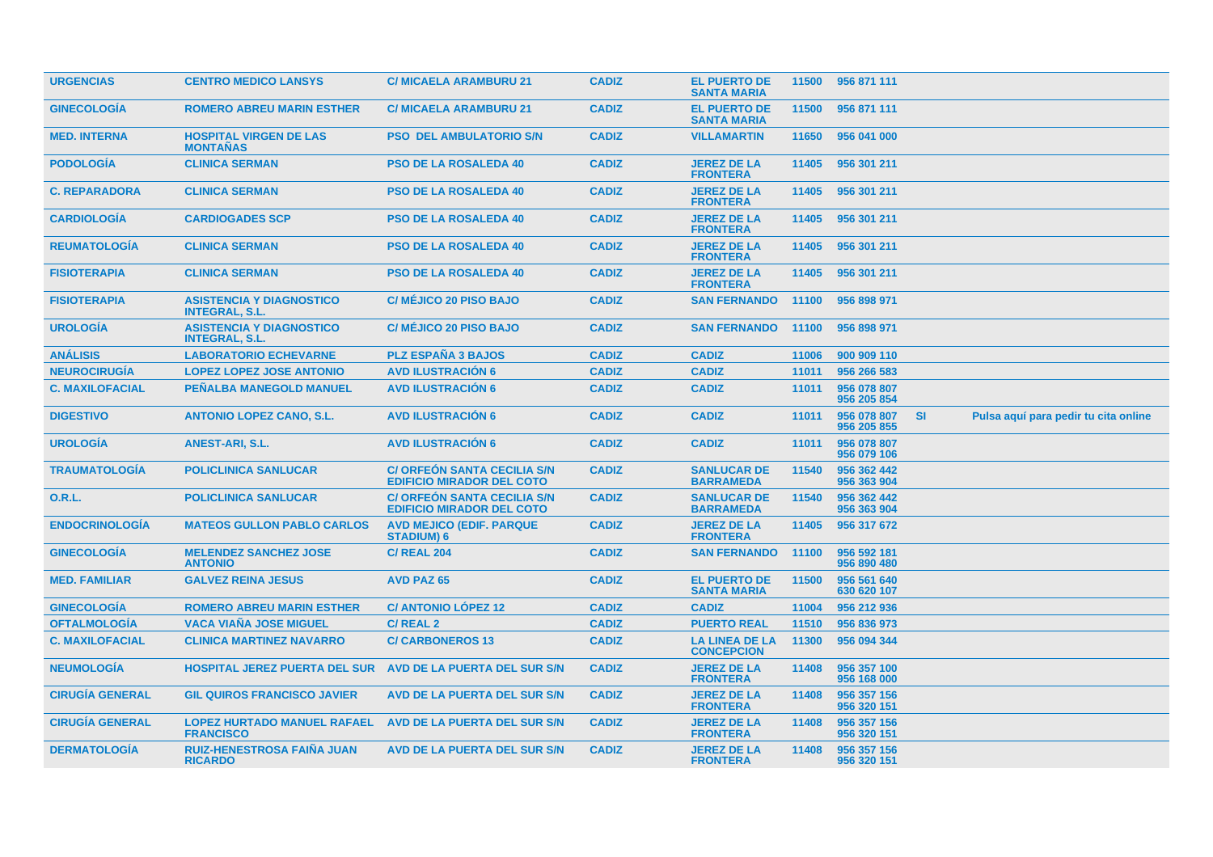| <b>URGENCIAS</b>       | <b>CENTRO MEDICO LANSYS</b>                              | <b>C/ MICAELA ARAMBURU 21</b>                                          | <b>CADIZ</b> | <b>EL PUERTO DE</b><br><b>SANTA MARIA</b>  | 11500 | 956 871 111                |           |                                      |
|------------------------|----------------------------------------------------------|------------------------------------------------------------------------|--------------|--------------------------------------------|-------|----------------------------|-----------|--------------------------------------|
| <b>GINECOLOGÍA</b>     | <b>ROMERO ABREU MARIN ESTHER</b>                         | <b>C/ MICAELA ARAMBURU 21</b>                                          | <b>CADIZ</b> | <b>EL PUERTO DE</b><br><b>SANTA MARIA</b>  | 11500 | 956 871 111                |           |                                      |
| <b>MED. INTERNA</b>    | <b>HOSPITAL VIRGEN DE LAS</b><br><b>MONTAÑAS</b>         | <b>PSO DEL AMBULATORIO S/N</b>                                         | <b>CADIZ</b> | <b>VILLAMARTIN</b>                         | 11650 | 956 041 000                |           |                                      |
| <b>PODOLOGÍA</b>       | <b>CLINICA SERMAN</b>                                    | <b>PSO DE LA ROSALEDA 40</b>                                           | <b>CADIZ</b> | <b>JEREZ DE LA</b><br><b>FRONTERA</b>      | 11405 | 956 301 211                |           |                                      |
| <b>C. REPARADORA</b>   | <b>CLINICA SERMAN</b>                                    | <b>PSO DE LA ROSALEDA 40</b>                                           | <b>CADIZ</b> | <b>JEREZ DE LA</b><br><b>FRONTERA</b>      | 11405 | 956 301 211                |           |                                      |
| <b>CARDIOLOGIA</b>     | <b>CARDIOGADES SCP</b>                                   | <b>PSO DE LA ROSALEDA 40</b>                                           | <b>CADIZ</b> | <b>JEREZ DE LA</b><br><b>FRONTERA</b>      | 11405 | 956 301 211                |           |                                      |
| <b>REUMATOLOGÍA</b>    | <b>CLINICA SERMAN</b>                                    | <b>PSO DE LA ROSALEDA 40</b>                                           | <b>CADIZ</b> | <b>JEREZ DE LA</b><br><b>FRONTERA</b>      | 11405 | 956 301 211                |           |                                      |
| <b>FISIOTERAPIA</b>    | <b>CLINICA SERMAN</b>                                    | <b>PSO DE LA ROSALEDA 40</b>                                           | <b>CADIZ</b> | <b>JEREZ DE LA</b><br><b>FRONTERA</b>      | 11405 | 956 301 211                |           |                                      |
| <b>FISIOTERAPIA</b>    | <b>ASISTENCIA Y DIAGNOSTICO</b><br><b>INTEGRAL, S.L.</b> | <b>C/ MÉJICO 20 PISO BAJO</b>                                          | <b>CADIZ</b> | <b>SAN FERNANDO</b>                        | 11100 | 956 898 971                |           |                                      |
| <b>UROLOGÍA</b>        | <b>ASISTENCIA Y DIAGNOSTICO</b><br><b>INTEGRAL, S.L.</b> | <b>C/ MÉJICO 20 PISO BAJO</b>                                          | <b>CADIZ</b> | <b>SAN FERNANDO</b>                        | 11100 | 956 898 971                |           |                                      |
| <b>ANÁLISIS</b>        | <b>LABORATORIO ECHEVARNE</b>                             | <b>PLZ ESPAÑA 3 BAJOS</b>                                              | <b>CADIZ</b> | <b>CADIZ</b>                               | 11006 | 900 909 110                |           |                                      |
| <b>NEUROCIRUGÍA</b>    | <b>LOPEZ LOPEZ JOSE ANTONIO</b>                          | <b>AVD ILUSTRACIÓN 6</b>                                               | <b>CADIZ</b> | <b>CADIZ</b>                               | 11011 | 956 266 583                |           |                                      |
| <b>C. MAXILOFACIAL</b> | PEÑALBA MANEGOLD MANUEL                                  | <b>AVD ILUSTRACIÓN 6</b>                                               | <b>CADIZ</b> | <b>CADIZ</b>                               | 11011 | 956 078 807<br>956 205 854 |           |                                      |
| <b>DIGESTIVO</b>       | <b>ANTONIO LOPEZ CANO, S.L.</b>                          | <b>AVD ILUSTRACIÓN 6</b>                                               | <b>CADIZ</b> | <b>CADIZ</b>                               | 11011 | 956 078 807<br>956 205 855 | <b>SI</b> | Pulsa aquí para pedir tu cita online |
| <b>UROLOGIA</b>        | ANEST-ARI, S.L.                                          | <b>AVD ILUSTRACION 6</b>                                               | <b>CADIZ</b> | <b>CADIZ</b>                               | 11011 | 956 078 807<br>956 079 106 |           |                                      |
| <b>TRAUMATOLOGÍA</b>   | <b>POLICLINICA SANLUCAR</b>                              | <b>C/ ORFEON SANTA CECILIA S/N</b><br><b>EDIFICIO MIRADOR DEL COTO</b> | <b>CADIZ</b> | <b>SANLUCAR DE</b><br><b>BARRAMEDA</b>     | 11540 | 956 362 442<br>956 363 904 |           |                                      |
| 0.R.L.                 | <b>POLICLINICA SANLUCAR</b>                              | <b>C/ ORFEON SANTA CECILIA S/N</b><br><b>EDIFICIO MIRADOR DEL COTO</b> | <b>CADIZ</b> | <b>SANLUCAR DE</b><br><b>BARRAMEDA</b>     | 11540 | 956 362 442<br>956 363 904 |           |                                      |
| <b>ENDOCRINOLOGIA</b>  | <b>MATEOS GULLON PABLO CARLOS</b>                        | <b>AVD MEJICO (EDIF. PARQUE)</b><br><b>STADIUM) 6</b>                  | <b>CADIZ</b> | <b>JEREZ DE LA</b><br><b>FRONTERA</b>      | 11405 | 956 317 672                |           |                                      |
| <b>GINECOLOGÍA</b>     | <b>MELENDEZ SANCHEZ JOSE</b><br><b>ANTONIO</b>           | <b>C/ REAL 204</b>                                                     | <b>CADIZ</b> | <b>SAN FERNANDO</b>                        | 11100 | 956 592 181<br>956 890 480 |           |                                      |
| <b>MED. FAMILIAR</b>   | <b>GALVEZ REINA JESUS</b>                                | <b>AVD PAZ 65</b>                                                      | <b>CADIZ</b> | <b>EL PUERTO DE</b><br><b>SANTA MARIA</b>  | 11500 | 956 561 640<br>630 620 107 |           |                                      |
| <b>GINECOLOGÍA</b>     | <b>ROMERO ABREU MARIN ESTHER</b>                         | <b>C/ ANTONIO LÓPEZ 12</b>                                             | <b>CADIZ</b> | <b>CADIZ</b>                               | 11004 | 956 212 936                |           |                                      |
| <b>OFTALMOLOGÍA</b>    | <b>VACA VIAÑA JOSE MIGUEL</b>                            | C/REAL 2                                                               | <b>CADIZ</b> | <b>PUERTO REAL</b>                         | 11510 | 956 836 973                |           |                                      |
| <b>C. MAXILOFACIAL</b> | <b>CLINICA MARTINEZ NAVARRO</b>                          | <b>C/CARBONEROS 13</b>                                                 | <b>CADIZ</b> | <b>LA LINEA DE LA</b><br><b>CONCEPCION</b> | 11300 | 956 094 344                |           |                                      |
| <b>NEUMOLOGIA</b>      | <b>HOSPITAL JEREZ PUERTA DEL SUR</b>                     | AVD DE LA PUERTA DEL SUR S/N                                           | <b>CADIZ</b> | <b>JEREZ DE LA</b><br><b>FRONTERA</b>      | 11408 | 956 357 100<br>956 168 000 |           |                                      |
| <b>CIRUGÍA GENERAL</b> | <b>GIL QUIROS FRANCISCO JAVIER</b>                       | AVD DE LA PUERTA DEL SUR S/N                                           | <b>CADIZ</b> | <b>JEREZ DE LA</b><br><b>FRONTERA</b>      | 11408 | 956 357 156<br>956 320 151 |           |                                      |
| <b>CIRUGÍA GENERAL</b> | <b>LOPEZ HURTADO MANUEL RAFAEL</b><br><b>FRANCISCO</b>   | AVD DE LA PUERTA DEL SUR S/N                                           | <b>CADIZ</b> | <b>JEREZ DE LA</b><br><b>FRONTERA</b>      | 11408 | 956 357 156<br>956 320 151 |           |                                      |
| <b>DERMATOLOGÍA</b>    | <b>RUIZ-HENESTROSA FAIÑA JUAN</b><br><b>RICARDO</b>      | <b>AVD DE LA PUERTA DEL SUR S/N</b>                                    | <b>CADIZ</b> | <b>JEREZ DE LA</b><br><b>FRONTERA</b>      | 11408 | 956 357 156<br>956 320 151 |           |                                      |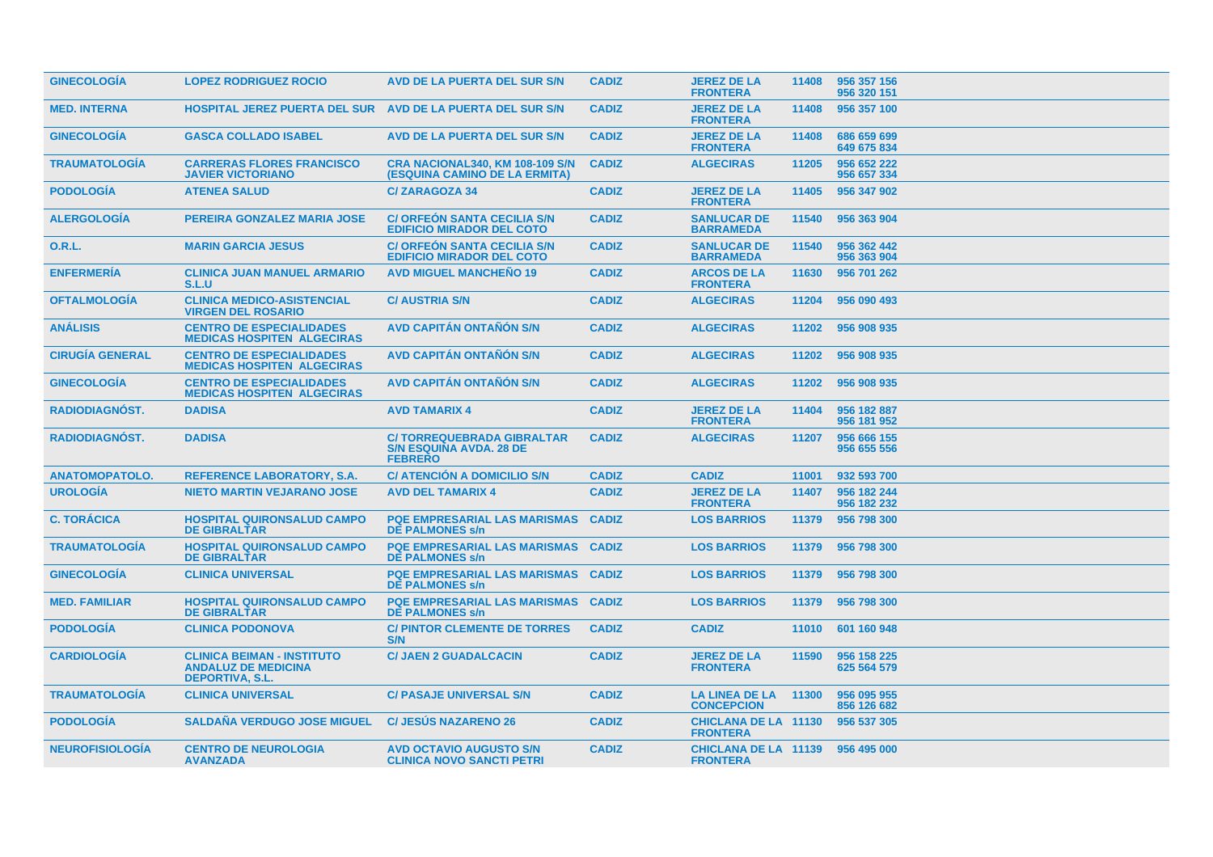| <b>GINECOLOGIA</b>     | <b>LOPEZ RODRIGUEZ ROCIO</b>                                                              | AVD DE LA PUERTA DEL SUR S/N                                                         | <b>CADIZ</b> | <b>JEREZ DE LA</b><br><b>FRONTERA</b>               | 11408 | 956 357 156<br>956 320 151 |
|------------------------|-------------------------------------------------------------------------------------------|--------------------------------------------------------------------------------------|--------------|-----------------------------------------------------|-------|----------------------------|
| <b>MED. INTERNA</b>    | <b>HOSPITAL JEREZ PUERTA DEL SUR AVD DE LA PUERTA DEL SUR S/N</b>                         |                                                                                      | <b>CADIZ</b> | <b>JEREZ DE LA</b><br><b>FRONTERA</b>               | 11408 | 956 357 100                |
| <b>GINECOLOGIA</b>     | <b>GASCA COLLADO ISABEL</b>                                                               | AVD DE LA PUERTA DEL SUR S/N                                                         | <b>CADIZ</b> | <b>JEREZ DE LA</b><br><b>FRONTERA</b>               | 11408 | 686 659 699<br>649 675 834 |
| <b>TRAUMATOLOGIA</b>   | <b>CARRERAS FLORES FRANCISCO</b><br><b>JAVIER VICTORIANO</b>                              | <b>CRA NACIONAL340, KM 108-109 S/N</b><br>(ESQUINA CAMINO DE LA ERMITA)              | <b>CADIZ</b> | <b>ALGECIRAS</b>                                    | 11205 | 956 652 222<br>956 657 334 |
| <b>PODOLOGÍA</b>       | <b>ATENEA SALUD</b>                                                                       | <b>C/ZARAGOZA 34</b>                                                                 | <b>CADIZ</b> | <b>JEREZ DE LA</b><br><b>FRONTERA</b>               | 11405 | 956 347 902                |
| <b>ALERGOLOGIA</b>     | PEREIRA GONZALEZ MARIA JOSE                                                               | <b>C/ ORFEON SANTA CECILIA S/N</b><br><b>EDIFICIO MIRADOR DEL COTO</b>               | <b>CADIZ</b> | <b>SANLUCAR DE</b><br><b>BARRAMEDA</b>              | 11540 | 956 363 904                |
| <b>O.R.L.</b>          | <b>MARIN GARCIA JESUS</b>                                                                 | <b>C/ ORFEON SANTA CECILIA S/N</b><br><b>EDIFICIO MIRADOR DEL COTO</b>               | <b>CADIZ</b> | <b>SANLUCAR DE</b><br><b>BARRAMEDA</b>              | 11540 | 956 362 442<br>956 363 904 |
| <b>ENFERMERÍA</b>      | <b>CLINICA JUAN MANUEL ARMARIO</b><br>S.L.U                                               | <b>AVD MIGUEL MANCHEÑO 19</b>                                                        | <b>CADIZ</b> | <b>ARCOS DE LA</b><br><b>FRONTERA</b>               | 11630 | 956 701 262                |
| <b>OFTALMOLOGÍA</b>    | <b>CLINICA MEDICO-ASISTENCIAL</b><br><b>VIRGEN DEL ROSARIO</b>                            | <b>C/ AUSTRIA S/N</b>                                                                | <b>CADIZ</b> | <b>ALGECIRAS</b>                                    | 11204 | 956 090 493                |
| <b>ANÁLISIS</b>        | <b>CENTRO DE ESPECIALIDADES</b><br><b>MEDICAS HOSPITEN ALGECIRAS</b>                      | <b>AVD CAPITAN ONTANON S/N</b>                                                       | <b>CADIZ</b> | <b>ALGECIRAS</b>                                    | 11202 | 956 908 935                |
| <b>CIRUGÍA GENERAL</b> | <b>CENTRO DE ESPECIALIDADES</b><br><b>MEDICAS HOSPITEN ALGECIRAS</b>                      | <b>AVD CAPITÁN ONTAÑÓN S/N</b>                                                       | <b>CADIZ</b> | <b>ALGECIRAS</b>                                    | 11202 | 956 908 935                |
| <b>GINECOLOGIA</b>     | <b>CENTRO DE ESPECIALIDADES</b><br><b>MEDICAS HOSPITEN ALGECIRAS</b>                      | <b>AVD CAPITÁN ONTAÑÓN S/N</b>                                                       | <b>CADIZ</b> | <b>ALGECIRAS</b>                                    | 11202 | 956 908 935                |
| RADIODIAGNÓST.         | <b>DADISA</b>                                                                             | <b>AVD TAMARIX 4</b>                                                                 | <b>CADIZ</b> | <b>JEREZ DE LA</b><br><b>FRONTERA</b>               | 11404 | 956 182 887<br>956 181 952 |
| <b>RADIODIAGNOST.</b>  | <b>DADISA</b>                                                                             | <b>C/TORREQUEBRADA GIBRALTAR</b><br><b>S/N ESQUINA AVDA. 28 DE</b><br><b>FEBRERO</b> | <b>CADIZ</b> | <b>ALGECIRAS</b>                                    | 11207 | 956 666 155<br>956 655 556 |
| <b>ANATOMOPATOLO.</b>  | <b>REFERENCE LABORATORY, S.A.</b>                                                         | <b>C/ ATENCION A DOMICILIO S/N</b>                                                   | <b>CADIZ</b> | <b>CADIZ</b>                                        | 11001 | 932 593 700                |
| <b>UROLOGÍA</b>        | <b>NIETO MARTIN VEJARANO JOSE</b>                                                         | <b>AVD DEL TAMARIX 4</b>                                                             | <b>CADIZ</b> | <b>JEREZ DE LA</b><br><b>FRONTERA</b>               | 11407 | 956 182 244<br>956 182 232 |
| <b>C. TORÁCICA</b>     | <b>HOSPITAL QUIRONSALUD CAMPO</b><br><b>DE GIBRALTAR</b>                                  | <b>PQE EMPRESARIAL LAS MARISMAS</b><br><b>DE PALMONES s/n</b>                        | <b>CADIZ</b> | <b>LOS BARRIOS</b>                                  | 11379 | 956 798 300                |
| <b>TRAUMATOLOGIA</b>   | <b>HOSPITAL QUIRONSALUD CAMPO</b><br><b>DE GIBRALTAR</b>                                  | <b>PQE EMPRESARIAL LAS MARISMAS CADIZ</b><br><b>DE PALMONES s/n</b>                  |              | <b>LOS BARRIOS</b>                                  | 11379 | 956 798 300                |
| <b>GINECOLOGIA</b>     | <b>CLINICA UNIVERSAL</b>                                                                  | <b>PQE EMPRESARIAL LAS MARISMAS CADIZ</b><br><b>DE PALMONES s/n</b>                  |              | <b>LOS BARRIOS</b>                                  | 11379 | 956 798 300                |
| <b>MED. FAMILIAR</b>   | <b>HOSPITAL QUIRONSALUD CAMPO</b><br><b>DE GIBRALTAR</b>                                  | <b>PQE EMPRESARIAL LAS MARISMAS CADIZ</b><br><b>DE PALMONES s/n</b>                  |              | <b>LOS BARRIOS</b>                                  | 11379 | 956 798 300                |
| <b>PODOLOGIA</b>       | <b>CLINICA PODONOVA</b>                                                                   | <b>C/PINTOR CLEMENTE DE TORRES</b><br>S/N                                            | <b>CADIZ</b> | <b>CADIZ</b>                                        | 11010 | 601 160 948                |
| <b>CARDIOLOGIA</b>     | <b>CLINICA BEIMAN - INSTITUTO</b><br><b>ANDALUZ DE MEDICINA</b><br><b>DEPORTIVA, S.L.</b> | <b>C/ JAEN 2 GUADALCACIN</b>                                                         | <b>CADIZ</b> | <b>JEREZ DE LA</b><br><b>FRONTERA</b>               | 11590 | 956 158 225<br>625 564 579 |
| <b>TRAUMATOLOGIA</b>   | <b>CLINICA UNIVERSAL</b>                                                                  | <b>C/ PASAJE UNIVERSAL S/N</b>                                                       | <b>CADIZ</b> | <b>LA LINEA DE LA</b><br><b>CONCEPCION</b>          | 11300 | 956 095 955<br>856 126 682 |
| <b>PODOLOGIA</b>       | <b>SALDAÑA VERDUGO JOSE MIGUEL</b>                                                        | <b>C/ JESUS NAZARENO 26</b>                                                          | <b>CADIZ</b> | <b>CHICLANA DE LA 11130</b><br><b>FRONTERA</b>      |       | 956 537 305                |
| <b>NEUROFISIOLOGIA</b> | <b>CENTRO DE NEUROLOGIA</b><br><b>AVANZADA</b>                                            | <b>AVD OCTAVIO AUGUSTO S/N</b><br><b>CLINICA NOVO SANCTI PETRI</b>                   | <b>CADIZ</b> | CHICLANA DE LA 11139 956 495 000<br><b>FRONTERA</b> |       |                            |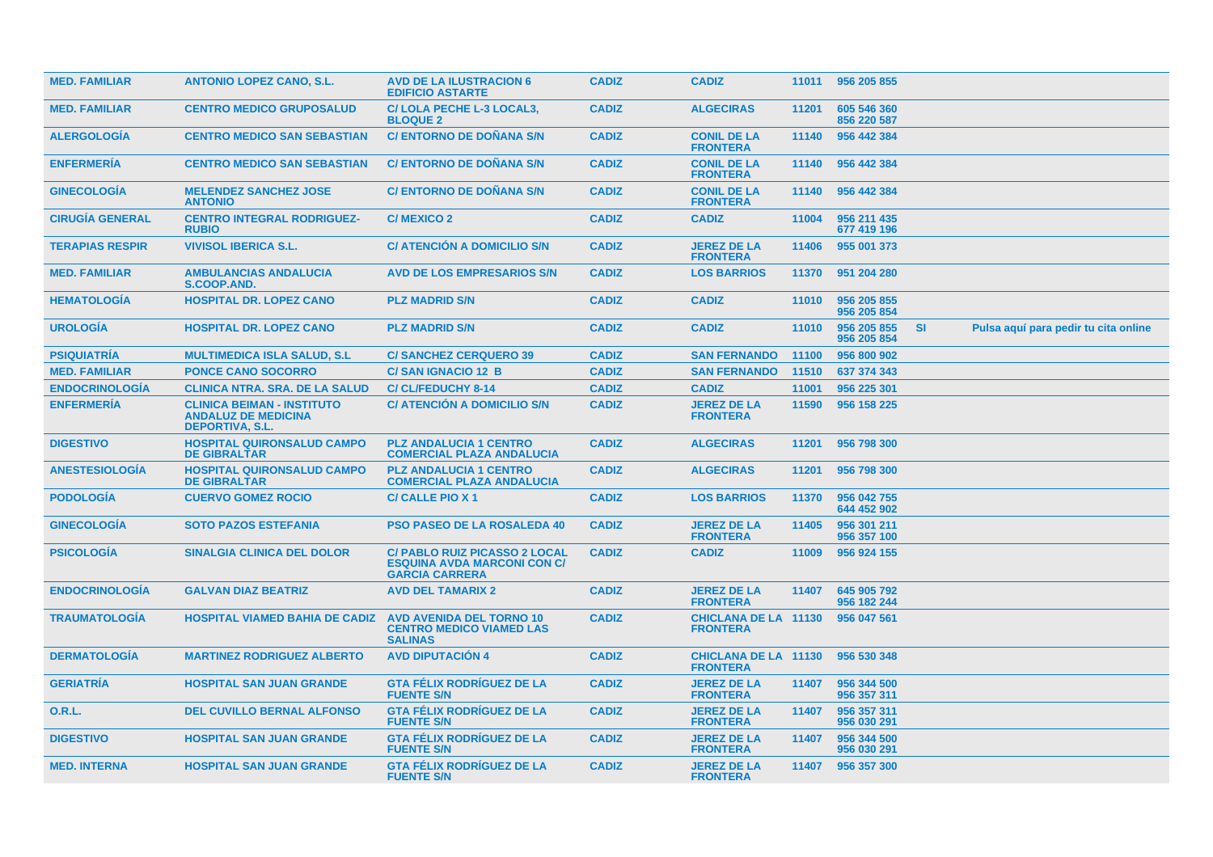| <b>MED. FAMILIAR</b>   | <b>ANTONIO LOPEZ CANO, S.L.</b>                                                           | <b>AVD DE LA ILUSTRACION 6</b><br><b>EDIFICIO ASTARTE</b>                                           | <b>CADIZ</b> | <b>CADIZ</b>                                   |       | 11011 956 205 855          |           |                                      |  |
|------------------------|-------------------------------------------------------------------------------------------|-----------------------------------------------------------------------------------------------------|--------------|------------------------------------------------|-------|----------------------------|-----------|--------------------------------------|--|
| <b>MED. FAMILIAR</b>   | <b>CENTRO MEDICO GRUPOSALUD</b>                                                           | C/LOLA PECHE L-3 LOCAL3,<br><b>BLOQUE 2</b>                                                         | <b>CADIZ</b> | <b>ALGECIRAS</b>                               | 11201 | 605 546 360<br>856 220 587 |           |                                      |  |
| <b>ALERGOLOGIA</b>     | <b>CENTRO MEDICO SAN SEBASTIAN</b>                                                        | <b>C/ ENTORNO DE DOÑANA S/N</b>                                                                     | <b>CADIZ</b> | <b>CONIL DE LA</b><br><b>FRONTERA</b>          | 11140 | 956 442 384                |           |                                      |  |
| <b>ENFERMERIA</b>      | <b>CENTRO MEDICO SAN SEBASTIAN</b>                                                        | <b>C/ ENTORNO DE DOÑANA S/N</b>                                                                     | <b>CADIZ</b> | <b>CONIL DE LA</b><br><b>FRONTERA</b>          | 11140 | 956 442 384                |           |                                      |  |
| <b>GINECOLOGIA</b>     | <b>MELENDEZ SANCHEZ JOSE</b><br><b>ANTONIO</b>                                            | <b>C/ ENTORNO DE DOÑANA S/N</b>                                                                     | <b>CADIZ</b> | <b>CONIL DE LA</b><br><b>FRONTERA</b>          | 11140 | 956 442 384                |           |                                      |  |
| <b>CIRUGIA GENERAL</b> | <b>CENTRO INTEGRAL RODRIGUEZ-</b><br><b>RUBIO</b>                                         | C/MEXICO 2                                                                                          | <b>CADIZ</b> | <b>CADIZ</b>                                   | 11004 | 956 211 435<br>677 419 196 |           |                                      |  |
| <b>TERAPIAS RESPIR</b> | <b>VIVISOL IBERICA S.L.</b>                                                               | <b>C/ ATENCION A DOMICILIO S/N</b>                                                                  | <b>CADIZ</b> | <b>JEREZ DE LA</b><br><b>FRONTERA</b>          | 11406 | 955 001 373                |           |                                      |  |
| <b>MED. FAMILIAR</b>   | <b>AMBULANCIAS ANDALUCIA</b><br>S.COOP.AND.                                               | <b>AVD DE LOS EMPRESARIOS S/N</b>                                                                   | <b>CADIZ</b> | <b>LOS BARRIOS</b>                             | 11370 | 951 204 280                |           |                                      |  |
| <b>HEMATOLOGIA</b>     | <b>HOSPITAL DR. LOPEZ CANO</b>                                                            | <b>PLZ MADRID S/N</b>                                                                               | <b>CADIZ</b> | <b>CADIZ</b>                                   | 11010 | 956 205 855<br>956 205 854 |           |                                      |  |
| <b>UROLOGÍA</b>        | <b>HOSPITAL DR. LOPEZ CANO</b>                                                            | <b>PLZ MADRID S/N</b>                                                                               | <b>CADIZ</b> | <b>CADIZ</b>                                   | 11010 | 956 205 855<br>956 205 854 | <b>SI</b> | Pulsa aquí para pedir tu cita online |  |
| <b>PSIQUIATRIA</b>     | <b>MULTIMEDICA ISLA SALUD, S.L.</b>                                                       | <b>C/SANCHEZ CERQUERO 39</b>                                                                        | <b>CADIZ</b> | <b>SAN FERNANDO</b>                            | 11100 | 956 800 902                |           |                                      |  |
| <b>MED. FAMILIAR</b>   | <b>PONCE CANO SOCORRO</b>                                                                 | <b>C/SAN IGNACIO 12 B</b>                                                                           | <b>CADIZ</b> | <b>SAN FERNANDO</b>                            | 11510 | 637 374 343                |           |                                      |  |
| <b>ENDOCRINOLOGIA</b>  | <b>CLINICA NTRA. SRA. DE LA SALUD</b>                                                     | <b>C/CL/FEDUCHY 8-14</b>                                                                            | <b>CADIZ</b> | <b>CADIZ</b>                                   | 11001 | 956 225 301                |           |                                      |  |
| <b>ENFERMERÍA</b>      | <b>CLINICA BEIMAN - INSTITUTO</b><br><b>ANDALUZ DE MEDICINA</b><br><b>DEPORTIVA, S.L.</b> | <b>C/ ATENCIÓN A DOMICILIO S/N</b>                                                                  | <b>CADIZ</b> | <b>JEREZ DE LA</b><br><b>FRONTERA</b>          | 11590 | 956 158 225                |           |                                      |  |
| <b>DIGESTIVO</b>       | <b>HOSPITAL QUIRONSALUD CAMPO</b><br><b>DE GIBRALTAR</b>                                  | <b>PLZ ANDALUCIA 1 CENTRO</b><br><b>COMERCIAL PLAZA ANDALUCIA</b>                                   | <b>CADIZ</b> | <b>ALGECIRAS</b>                               | 11201 | 956 798 300                |           |                                      |  |
| <b>ANESTESIOLOGÍA</b>  | <b>HOSPITAL QUIRONSALUD CAMPO</b><br><b>DE GIBRALTAR</b>                                  | <b>PLZ ANDALUCIA 1 CENTRO</b><br><b>COMERCIAL PLAZA ANDALUCIA</b>                                   | <b>CADIZ</b> | <b>ALGECIRAS</b>                               | 11201 | 956 798 300                |           |                                      |  |
| <b>PODOLOGIA</b>       | <b>CUERVO GOMEZ ROCIO</b>                                                                 | <b>C/ CALLE PIO X 1</b>                                                                             | <b>CADIZ</b> | <b>LOS BARRIOS</b>                             | 11370 | 956 042 755<br>644 452 902 |           |                                      |  |
| <b>GINECOLOGÍA</b>     | <b>SOTO PAZOS ESTEFANIA</b>                                                               | <b>PSO PASEO DE LA ROSALEDA 40</b>                                                                  | <b>CADIZ</b> | <b>JEREZ DE LA</b><br><b>FRONTERA</b>          | 11405 | 956 301 211<br>956 357 100 |           |                                      |  |
| <b>PSICOLOGIA</b>      | <b>SINALGIA CLINICA DEL DOLOR</b>                                                         | <b>C/ PABLO RUIZ PICASSO 2 LOCAL</b><br><b>ESQUINA AVDA MARCONI CON C/</b><br><b>GARCIA CARRERA</b> | <b>CADIZ</b> | <b>CADIZ</b>                                   | 11009 | 956 924 155                |           |                                      |  |
| <b>ENDOCRINOLOGIA</b>  | <b>GALVAN DIAZ BEATRIZ</b>                                                                | <b>AVD DEL TAMARIX 2</b>                                                                            | <b>CADIZ</b> | <b>JEREZ DE LA</b><br><b>FRONTERA</b>          | 11407 | 645 905 792<br>956 182 244 |           |                                      |  |
| <b>TRAUMATOLOGIA</b>   | <b>HOSPITAL VIAMED BAHIA DE CADIZ</b>                                                     | <b>AVD AVENIDA DEL TORNO 10</b><br><b>CENTRO MEDICO VIAMED LAS</b><br><b>SALINAS</b>                | <b>CADIZ</b> | <b>CHICLANA DE LA 11130</b><br><b>FRONTERA</b> |       | 956 047 561                |           |                                      |  |
| <b>DERMATOLOGIA</b>    | <b>MARTINEZ RODRIGUEZ ALBERTO</b>                                                         | <b>AVD DIPUTACION 4</b>                                                                             | <b>CADIZ</b> | <b>CHICLANA DE LA 11130</b><br><b>FRONTERA</b> |       | 956 530 348                |           |                                      |  |
| <b>GERIATRÍA</b>       | <b>HOSPITAL SAN JUAN GRANDE</b>                                                           | <b>GTA FÉLIX RODRÍGUEZ DE LA</b><br><b>FUENTE S/N</b>                                               | <b>CADIZ</b> | <b>JEREZ DE LA</b><br><b>FRONTERA</b>          | 11407 | 956 344 500<br>956 357 311 |           |                                      |  |
| 0.R.L.                 | <b>DEL CUVILLO BERNAL ALFONSO</b>                                                         | <b>GTA FÉLIX RODRÍGUEZ DE LA</b><br><b>FUENTE S/N</b>                                               | <b>CADIZ</b> | <b>JEREZ DE LA</b><br><b>FRONTERA</b>          | 11407 | 956 357 311<br>956 030 291 |           |                                      |  |
| <b>DIGESTIVO</b>       | <b>HOSPITAL SAN JUAN GRANDE</b>                                                           | <b>GTA FÉLIX RODRÍGUEZ DE LA</b><br><b>FUENTE S/N</b>                                               | <b>CADIZ</b> | <b>JEREZ DE LA</b><br><b>FRONTERA</b>          | 11407 | 956 344 500<br>956 030 291 |           |                                      |  |
| <b>MED. INTERNA</b>    | <b>HOSPITAL SAN JUAN GRANDE</b>                                                           | <b>GTA FÉLIX RODRÍGUEZ DE LA</b><br><b>FUENTE S/N</b>                                               | <b>CADIZ</b> | <b>JEREZ DE LA</b><br><b>FRONTERA</b>          | 11407 | 956 357 300                |           |                                      |  |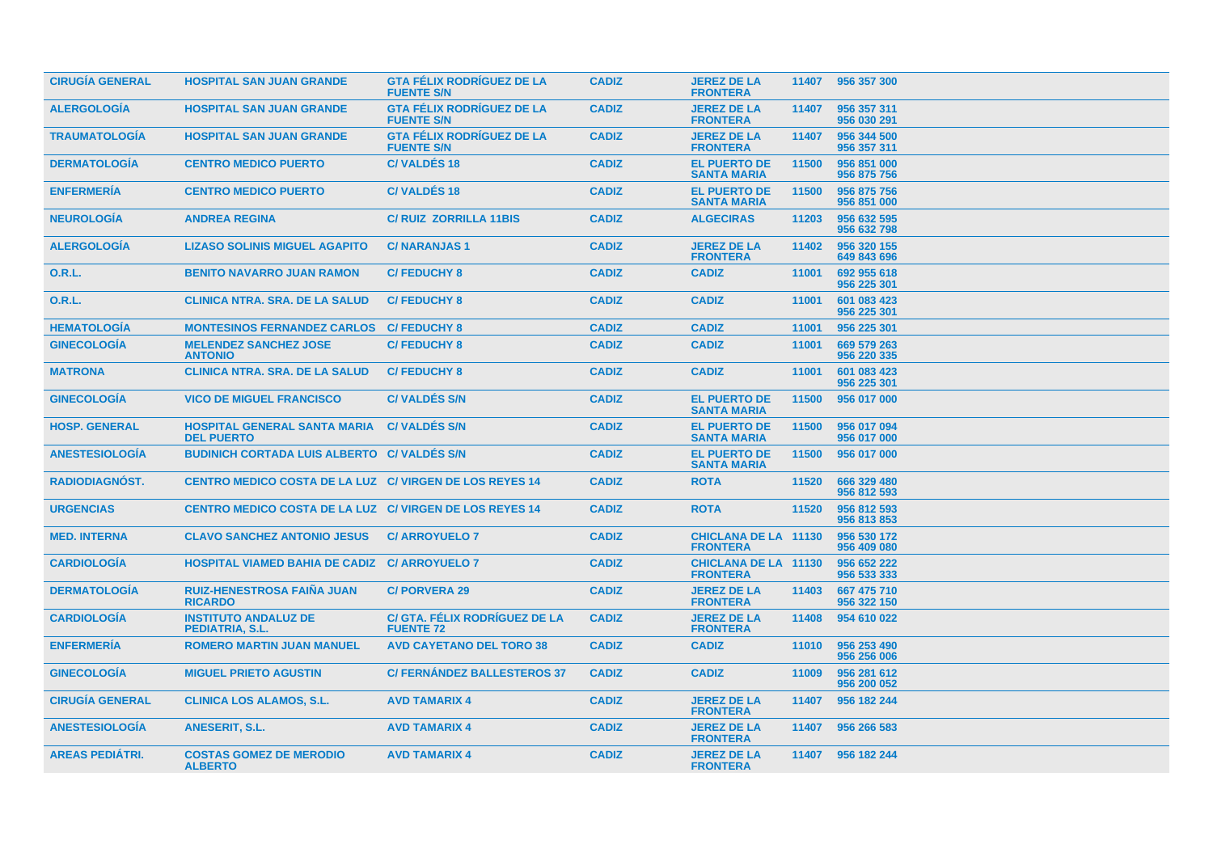| <b>CIRUGÍA GENERAL</b> | <b>HOSPITAL SAN JUAN GRANDE</b>                                | <b>GTA FÉLIX RODRIGUEZ DE LA</b><br><b>FUENTE S/N</b> | <b>CADIZ</b> | <b>JEREZ DE LA</b><br><b>FRONTERA</b>          |       | 11407 956 357 300          |
|------------------------|----------------------------------------------------------------|-------------------------------------------------------|--------------|------------------------------------------------|-------|----------------------------|
| <b>ALERGOLOGIA</b>     | <b>HOSPITAL SAN JUAN GRANDE</b>                                | <b>GTA FÉLIX RODRIGUEZ DE LA</b><br><b>FUENTE S/N</b> | <b>CADIZ</b> | <b>JEREZ DE LA</b><br><b>FRONTERA</b>          | 11407 | 956 357 311<br>956 030 291 |
| <b>TRAUMATOLOGIA</b>   | <b>HOSPITAL SAN JUAN GRANDE</b>                                | <b>GTA FÉLIX RODRÍGUEZ DE LA</b><br><b>FUENTE S/N</b> | <b>CADIZ</b> | <b>JEREZ DE LA</b><br><b>FRONTERA</b>          | 11407 | 956 344 500<br>956 357 311 |
| <b>DERMATOLOGÍA</b>    | <b>CENTRO MEDICO PUERTO</b>                                    | <b>C/VALDÉS 18</b>                                    | <b>CADIZ</b> | <b>EL PUERTO DE</b><br><b>SANTA MARIA</b>      | 11500 | 956 851 000<br>956 875 756 |
| <b>ENFERMERÍA</b>      | <b>CENTRO MEDICO PUERTO</b>                                    | <b>C/VALDÉS 18</b>                                    | <b>CADIZ</b> | <b>EL PUERTO DE</b><br><b>SANTA MARIA</b>      | 11500 | 956 875 756<br>956 851 000 |
| <b>NEUROLOGÍA</b>      | <b>ANDREA REGINA</b>                                           | <b>C/ RUIZ ZORRILLA 11BIS</b>                         | <b>CADIZ</b> | <b>ALGECIRAS</b>                               | 11203 | 956 632 595<br>956 632 798 |
| <b>ALERGOLOGÍA</b>     | <b>LIZASO SOLINIS MIGUEL AGAPITO</b>                           | <b>C/NARANJAS1</b>                                    | <b>CADIZ</b> | <b>JEREZ DE LA</b><br><b>FRONTERA</b>          | 11402 | 956 320 155<br>649 843 696 |
| 0.R.L.                 | <b>BENITO NAVARRO JUAN RAMON</b>                               | <b>C/FEDUCHY 8</b>                                    | <b>CADIZ</b> | <b>CADIZ</b>                                   | 11001 | 692 955 618<br>956 225 301 |
| <b>O.R.L.</b>          | <b>CLINICA NTRA, SRA, DE LA SALUD</b>                          | <b>C/FEDUCHY 8</b>                                    | <b>CADIZ</b> | <b>CADIZ</b>                                   | 11001 | 601 083 423<br>956 225 301 |
| <b>HEMATOLOGÍA</b>     | <b>MONTESINOS FERNANDEZ CARLOS C/ FEDUCHY 8</b>                |                                                       | <b>CADIZ</b> | <b>CADIZ</b>                                   | 11001 | 956 225 301                |
| <b>GINECOLOGÍA</b>     | <b>MELENDEZ SANCHEZ JOSE</b><br><b>ANTONIO</b>                 | <b>C/FEDUCHY 8</b>                                    | <b>CADIZ</b> | <b>CADIZ</b>                                   | 11001 | 669 579 263<br>956 220 335 |
| <b>MATRONA</b>         | <b>CLINICA NTRA, SRA, DE LA SALUD</b>                          | <b>C/FEDUCHY 8</b>                                    | <b>CADIZ</b> | <b>CADIZ</b>                                   | 11001 | 601 083 423<br>956 225 301 |
| <b>GINECOLOGIA</b>     | <b>VICO DE MIGUEL FRANCISCO</b>                                | <b>C/VALDES S/N</b>                                   | <b>CADIZ</b> | <b>EL PUERTO DE</b><br><b>SANTA MARIA</b>      | 11500 | 956 017 000                |
| <b>HOSP. GENERAL</b>   | <b>HOSPITAL GENERAL SANTA MARIA</b><br><b>DEL PUERTO</b>       | <b>C/VALDÉS S/N</b>                                   | <b>CADIZ</b> | <b>EL PUERTO DE</b><br><b>SANTA MARIA</b>      | 11500 | 956 017 094<br>956 017 000 |
| <b>ANESTESIOLOGIA</b>  | <b>BUDINICH CORTADA LUIS ALBERTO C/ VALDÉS S/N</b>             |                                                       | <b>CADIZ</b> | <b>EL PUERTO DE</b><br><b>SANTA MARIA</b>      | 11500 | 956 017 000                |
| RADIODIAGNÓST.         | CENTRO MEDICO COSTA DE LA LUZ C/ VIRGEN DE LOS REYES 14        |                                                       | <b>CADIZ</b> | <b>ROTA</b>                                    | 11520 | 666 329 480<br>956 812 593 |
| <b>URGENCIAS</b>       | <b>CENTRO MEDICO COSTA DE LA LUZ C/ VIRGEN DE LOS REYES 14</b> |                                                       | <b>CADIZ</b> | <b>ROTA</b>                                    | 11520 | 956 812 593<br>956 813 853 |
| <b>MED. INTERNA</b>    | <b>CLAVO SANCHEZ ANTONIO JESUS</b>                             | <b>C/ARROYUELO 7</b>                                  | <b>CADIZ</b> | <b>CHICLANA DE LA 11130</b><br><b>FRONTERA</b> |       | 956 530 172<br>956 409 080 |
| <b>CARDIOLOGÍA</b>     | <b>HOSPITAL VIAMED BAHIA DE CADIZ C/ ARROYUELO 7</b>           |                                                       | <b>CADIZ</b> | <b>CHICLANA DE LA 11130</b><br><b>FRONTERA</b> |       | 956 652 222<br>956 533 333 |
| <b>DERMATOLOGÍA</b>    | <b>RUIZ-HENESTROSA FAIÑA JUAN</b><br><b>RICARDO</b>            | <b>C/PORVERA 29</b>                                   | <b>CADIZ</b> | <b>JEREZ DE LA</b><br><b>FRONTERA</b>          | 11403 | 667 475 710<br>956 322 150 |
| <b>CARDIOLOGIA</b>     | <b>INSTITUTO ANDALUZ DE</b><br>PEDIATRIA, S.L.                 | C/ GTA. FÉLIX RODRÍGUEZ DE LA<br><b>FUENTE 72</b>     | <b>CADIZ</b> | <b>JEREZ DE LA</b><br><b>FRONTERA</b>          | 11408 | 954 610 022                |
| <b>ENFERMERÍA</b>      | <b>ROMERO MARTIN JUAN MANUEL</b>                               | <b>AVD CAYETANO DEL TORO 38</b>                       | <b>CADIZ</b> | <b>CADIZ</b>                                   | 11010 | 956 253 490<br>956 256 006 |
| <b>GINECOLOGIA</b>     | <b>MIGUEL PRIETO AGUSTIN</b>                                   | <b>C/FERNANDEZ BALLESTEROS 37</b>                     | <b>CADIZ</b> | <b>CADIZ</b>                                   | 11009 | 956 281 612<br>956 200 052 |
| <b>CIRUGIA GENERAL</b> | <b>CLINICA LOS ALAMOS, S.L.</b>                                | <b>AVD TAMARIX 4</b>                                  | <b>CADIZ</b> | <b>JEREZ DE LA</b><br><b>FRONTERA</b>          | 11407 | 956 182 244                |
| <b>ANESTESIOLOGÍA</b>  | <b>ANESERIT, S.L.</b>                                          | <b>AVD TAMARIX 4</b>                                  | <b>CADIZ</b> | <b>JEREZ DE LA</b><br><b>FRONTERA</b>          | 11407 | 956 266 583                |
| <b>AREAS PEDIÁTRI.</b> | <b>COSTAS GOMEZ DE MERODIO</b><br><b>ALBERTO</b>               | <b>AVD TAMARIX 4</b>                                  | <b>CADIZ</b> | <b>JEREZ DE LA</b><br><b>FRONTERA</b>          |       | 11407 956 182 244          |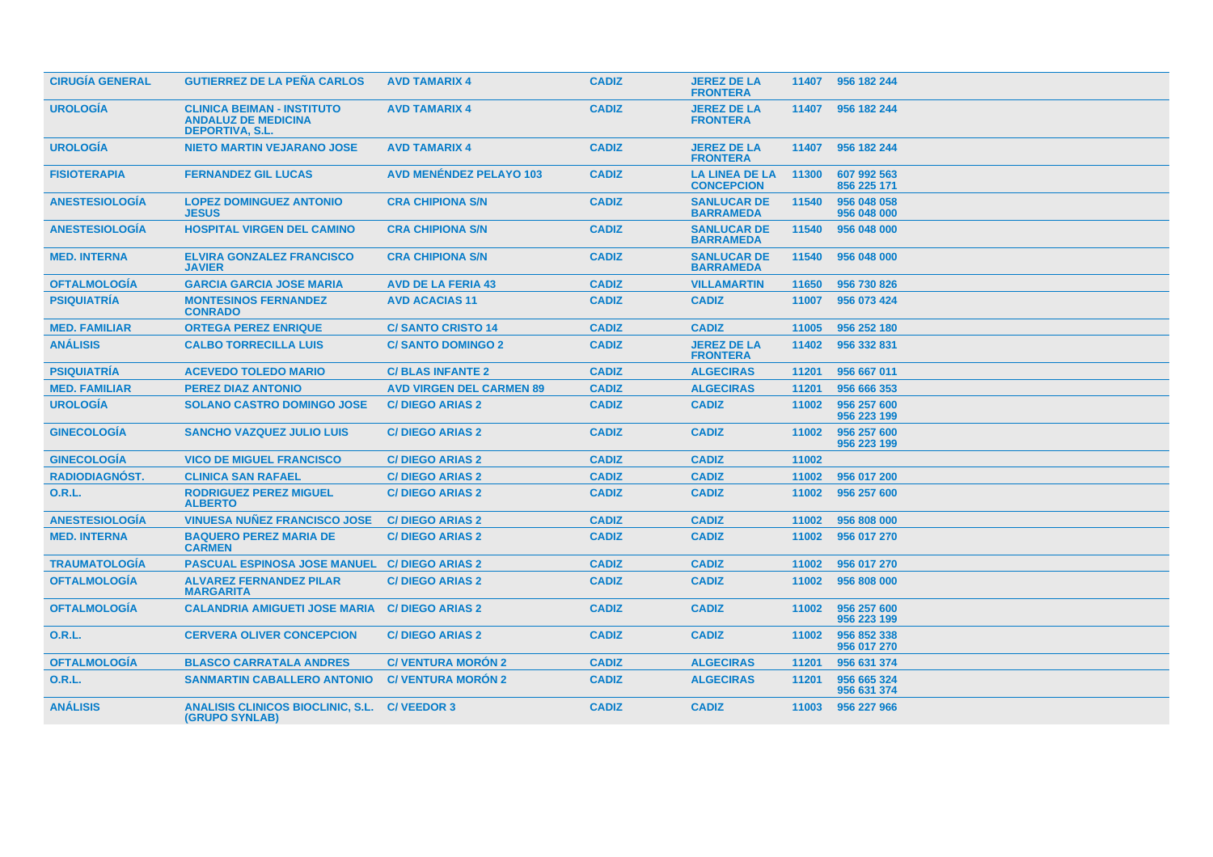| <b>CIRUGÍA GENERAL</b> | <b>GUTIERREZ DE LA PEÑA CARLOS</b>                                                        | <b>AVD TAMARIX 4</b>            | <b>CADIZ</b> | <b>JEREZ DE LA</b><br><b>FRONTERA</b>      |       | 11407 956 182 244          |
|------------------------|-------------------------------------------------------------------------------------------|---------------------------------|--------------|--------------------------------------------|-------|----------------------------|
| <b>UROLOGÍA</b>        | <b>CLINICA BEIMAN - INSTITUTO</b><br><b>ANDALUZ DE MEDICINA</b><br><b>DEPORTIVA, S.L.</b> | <b>AVD TAMARIX 4</b>            | <b>CADIZ</b> | <b>JEREZ DE LA</b><br><b>FRONTERA</b>      |       | 11407 956 182 244          |
| <b>UROLOGÍA</b>        | <b>NIETO MARTIN VEJARANO JOSE</b>                                                         | <b>AVD TAMARIX 4</b>            | <b>CADIZ</b> | <b>JEREZ DE LA</b><br><b>FRONTERA</b>      | 11407 | 956 182 244                |
| <b>FISIOTERAPIA</b>    | <b>FERNANDEZ GIL LUCAS</b>                                                                | <b>AVD MENÉNDEZ PELAYO 103</b>  | <b>CADIZ</b> | <b>LA LINEA DE LA</b><br><b>CONCEPCION</b> | 11300 | 607 992 563<br>856 225 171 |
| <b>ANESTESIOLOGIA</b>  | <b>LOPEZ DOMINGUEZ ANTONIO</b><br><b>JESUS</b>                                            | <b>CRA CHIPIONA S/N</b>         | <b>CADIZ</b> | <b>SANLUCAR DE</b><br><b>BARRAMEDA</b>     | 11540 | 956 048 058<br>956 048 000 |
| <b>ANESTESIOLOGIA</b>  | <b>HOSPITAL VIRGEN DEL CAMINO</b>                                                         | <b>CRA CHIPIONA S/N</b>         | <b>CADIZ</b> | <b>SANLUCAR DE</b><br><b>BARRAMEDA</b>     | 11540 | 956 048 000                |
| <b>MED. INTERNA</b>    | <b>ELVIRA GONZALEZ FRANCISCO</b><br><b>JAVIER</b>                                         | <b>CRA CHIPIONA S/N</b>         | <b>CADIZ</b> | <b>SANLUCAR DE</b><br><b>BARRAMEDA</b>     | 11540 | 956 048 000                |
| <b>OFTALMOLOGIA</b>    | <b>GARCIA GARCIA JOSE MARIA</b>                                                           | <b>AVD DE LA FERIA 43</b>       | <b>CADIZ</b> | <b>VILLAMARTIN</b>                         | 11650 | 956 730 826                |
| <b>PSIQUIATRÍA</b>     | <b>MONTESINOS FERNANDEZ</b><br><b>CONRADO</b>                                             | <b>AVD ACACIAS 11</b>           | <b>CADIZ</b> | <b>CADIZ</b>                               | 11007 | 956 073 424                |
| <b>MED. FAMILIAR</b>   | <b>ORTEGA PEREZ ENRIQUE</b>                                                               | <b>C/SANTO CRISTO 14</b>        | <b>CADIZ</b> | <b>CADIZ</b>                               | 11005 | 956 252 180                |
| <b>ANÁLISIS</b>        | <b>CALBO TORRECILLA LUIS</b>                                                              | <b>C/SANTO DOMINGO 2</b>        | <b>CADIZ</b> | <b>JEREZ DE LA</b><br><b>FRONTERA</b>      | 11402 | 956 332 831                |
| <b>PSIQUIATRÍA</b>     | <b>ACEVEDO TOLEDO MARIO</b>                                                               | <b>C/BLAS INFANTE 2</b>         | <b>CADIZ</b> | <b>ALGECIRAS</b>                           | 11201 | 956 667 011                |
| <b>MED. FAMILIAR</b>   | <b>PEREZ DIAZ ANTONIO</b>                                                                 | <b>AVD VIRGEN DEL CARMEN 89</b> | <b>CADIZ</b> | <b>ALGECIRAS</b>                           | 11201 | 956 666 353                |
| <b>UROLOGÍA</b>        | <b>SOLANO CASTRO DOMINGO JOSE</b>                                                         | <b>C/DIEGO ARIAS 2</b>          | <b>CADIZ</b> | <b>CADIZ</b>                               | 11002 | 956 257 600<br>956 223 199 |
| <b>GINECOLOGIA</b>     | <b>SANCHO VAZQUEZ JULIO LUIS</b>                                                          | <b>C/DIEGO ARIAS 2</b>          | <b>CADIZ</b> | <b>CADIZ</b>                               | 11002 | 956 257 600<br>956 223 199 |
| <b>GINECOLOGÍA</b>     | <b>VICO DE MIGUEL FRANCISCO</b>                                                           | <b>C/DIEGO ARIAS 2</b>          | <b>CADIZ</b> | <b>CADIZ</b>                               | 11002 |                            |
| RADIODIAGNÓST.         | <b>CLINICA SAN RAFAEL</b>                                                                 | <b>C/DIEGO ARIAS 2</b>          | <b>CADIZ</b> | <b>CADIZ</b>                               | 11002 | 956 017 200                |
| 0.R.L.                 | <b>RODRIGUEZ PEREZ MIGUEL</b><br><b>ALBERTO</b>                                           | <b>C/DIEGO ARIAS 2</b>          | <b>CADIZ</b> | <b>CADIZ</b>                               | 11002 | 956 257 600                |
| <b>ANESTESIOLOGÍA</b>  | <b>VINUESA NUÑEZ FRANCISCO JOSE</b>                                                       | <b>C/DIEGO ARIAS 2</b>          | <b>CADIZ</b> | <b>CADIZ</b>                               | 11002 | 956 808 000                |
| <b>MED. INTERNA</b>    | <b>BAQUERO PEREZ MARIA DE</b><br><b>CARMEN</b>                                            | <b>C/DIEGO ARIAS 2</b>          | <b>CADIZ</b> | <b>CADIZ</b>                               | 11002 | 956 017 270                |
| <b>TRAUMATOLOGÍA</b>   | <b>PASCUAL ESPINOSA JOSE MANUEL C/ DIEGO ARIAS 2</b>                                      |                                 | <b>CADIZ</b> | <b>CADIZ</b>                               | 11002 | 956 017 270                |
| <b>OFTALMOLOGÍA</b>    | <b>ALVAREZ FERNANDEZ PILAR</b><br><b>MARGARITA</b>                                        | <b>C/DIEGO ARIAS 2</b>          | <b>CADIZ</b> | <b>CADIZ</b>                               | 11002 | 956 808 000                |
| <b>OFTALMOLOGÍA</b>    | <b>CALANDRIA AMIGUETI JOSE MARIA</b>                                                      | <b>C/DIEGO ARIAS 2</b>          | <b>CADIZ</b> | <b>CADIZ</b>                               | 11002 | 956 257 600<br>956 223 199 |
| <b>O.R.L.</b>          | <b>CERVERA OLIVER CONCEPCION</b>                                                          | <b>C/DIEGO ARIAS 2</b>          | <b>CADIZ</b> | <b>CADIZ</b>                               | 11002 | 956 852 338<br>956 017 270 |
| <b>OFTALMOLOGÍA</b>    | <b>BLASCO CARRATALA ANDRES</b>                                                            | <b>C/ VENTURA MORÓN 2</b>       | <b>CADIZ</b> | <b>ALGECIRAS</b>                           | 11201 | 956 631 374                |
| 0.R.L.                 | <b>SANMARTIN CABALLERO ANTONIO</b>                                                        | <b>C/VENTURA MORÓN 2</b>        | <b>CADIZ</b> | <b>ALGECIRAS</b>                           | 11201 | 956 665 324<br>956 631 374 |
| <b>ANÁLISIS</b>        | ANALISIS CLINICOS BIOCLINIC, S.L. C/ VEEDOR 3<br><b>(GRUPO SYNLAB)</b>                    |                                 | <b>CADIZ</b> | <b>CADIZ</b>                               | 11003 | 956 227 966                |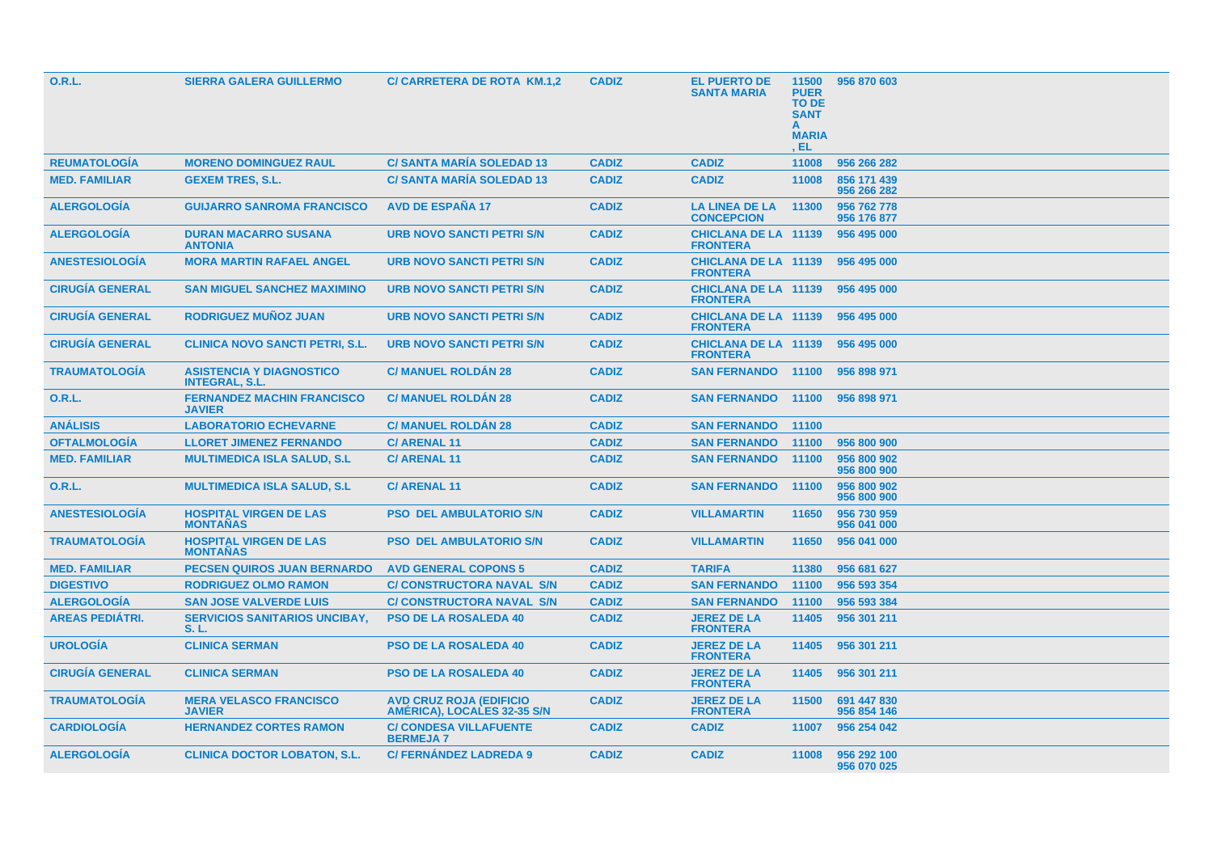| 0.R.L.                 | <b>SIERRA GALERA GUILLERMO</b>                           | C/ CARRETERA DE ROTA KM.1,2                                   | <b>CADIZ</b> | <b>EL PUERTO DE</b><br><b>SANTA MARIA</b>      | 11500<br><b>PUER</b><br><b>TO DE</b><br><b>SANT</b><br><b>MARIA</b><br>, EL | 956 870 603                |
|------------------------|----------------------------------------------------------|---------------------------------------------------------------|--------------|------------------------------------------------|-----------------------------------------------------------------------------|----------------------------|
| <b>REUMATOLOGÍA</b>    | <b>MORENO DOMINGUEZ RAUL</b>                             | <b>C/ SANTA MARÍA SOLEDAD 13</b>                              | <b>CADIZ</b> | <b>CADIZ</b>                                   | 11008                                                                       | 956 266 282                |
| <b>MED. FAMILIAR</b>   | <b>GEXEM TRES, S.L.</b>                                  | <b>C/ SANTA MARIA SOLEDAD 13</b>                              | <b>CADIZ</b> | <b>CADIZ</b>                                   | 11008                                                                       | 856 171 439<br>956 266 282 |
| <b>ALERGOLOGIA</b>     | <b>GUIJARRO SANROMA FRANCISCO</b>                        | <b>AVD DE ESPAÑA 17</b>                                       | <b>CADIZ</b> | <b>LA LINEA DE LA</b><br><b>CONCEPCION</b>     | 11300                                                                       | 956 762 778<br>956 176 877 |
| <b>ALERGOLOGIA</b>     | <b>DURAN MACARRO SUSANA</b><br><b>ANTONIA</b>            | <b>URB NOVO SANCTI PETRI S/N</b>                              | <b>CADIZ</b> | <b>CHICLANA DE LA 11139</b><br><b>FRONTERA</b> |                                                                             | 956 495 000                |
| <b>ANESTESIOLOGIA</b>  | <b>MORA MARTIN RAFAEL ANGEL</b>                          | URB NOVO SANCTI PETRI S/N                                     | <b>CADIZ</b> | <b>CHICLANA DE LA 11139</b><br><b>FRONTERA</b> |                                                                             | 956 495 000                |
| <b>CIRUGIA GENERAL</b> | <b>SAN MIGUEL SANCHEZ MAXIMINO</b>                       | URB NOVO SANCTI PETRI S/N                                     | <b>CADIZ</b> | <b>CHICLANA DE LA 11139</b><br><b>FRONTERA</b> |                                                                             | 956 495 000                |
| <b>CIRUGÍA GENERAL</b> | <b>RODRIGUEZ MUÑOZ JUAN</b>                              | <b>URB NOVO SANCTI PETRI S/N</b>                              | <b>CADIZ</b> | <b>CHICLANA DE LA 11139</b><br><b>FRONTERA</b> |                                                                             | 956 495 000                |
| <b>CIRUGÍA GENERAL</b> | <b>CLINICA NOVO SANCTI PETRI, S.L.</b>                   | URB NOVO SANCTI PETRI S/N                                     | <b>CADIZ</b> | <b>CHICLANA DE LA 11139</b><br><b>FRONTERA</b> |                                                                             | 956 495 000                |
| <b>TRAUMATOLOGIA</b>   | <b>ASISTENCIA Y DIAGNOSTICO</b><br><b>INTEGRAL, S.L.</b> | <b>C/ MANUEL ROLDAN 28</b>                                    | <b>CADIZ</b> | <b>SAN FERNANDO 11100</b>                      |                                                                             | 956 898 971                |
| <b>O.R.L.</b>          | <b>FERNANDEZ MACHIN FRANCISCO</b><br><b>JAVIER</b>       | <b>C/ MANUEL ROLDAN 28</b>                                    | <b>CADIZ</b> | <b>SAN FERNANDO</b>                            | 11100                                                                       | 956 898 971                |
| <b>ANÁLISIS</b>        | <b>LABORATORIO ECHEVARNE</b>                             | <b>C/ MANUEL ROLDAN 28</b>                                    | <b>CADIZ</b> | <b>SAN FERNANDO</b>                            | 11100                                                                       |                            |
| <b>OFTALMOLOGIA</b>    | <b>LLORET JIMENEZ FERNANDO</b>                           | <b>C/ ARENAL 11</b>                                           | <b>CADIZ</b> | <b>SAN FERNANDO</b>                            | 11100                                                                       | 956 800 900                |
| <b>MED. FAMILIAR</b>   | <b>MULTIMEDICA ISLA SALUD, S.L.</b>                      | <b>C/ARENAL11</b>                                             | <b>CADIZ</b> | <b>SAN FERNANDO</b>                            | 11100                                                                       | 956 800 902<br>956 800 900 |
| 0.R.L.                 | <b>MULTIMEDICA ISLA SALUD, S.L.</b>                      | <b>C/ARENAL11</b>                                             | <b>CADIZ</b> | <b>SAN FERNANDO</b>                            | 11100                                                                       | 956 800 902<br>956 800 900 |
| <b>ANESTESIOLOGÍA</b>  | <b>HOSPITAL VIRGEN DE LAS</b><br><b>MONTAÑAS</b>         | <b>PSO DEL AMBULATORIO S/N</b>                                | <b>CADIZ</b> | <b>VILLAMARTIN</b>                             | 11650                                                                       | 956 730 959<br>956 041 000 |
| <b>TRAUMATOLOGÍA</b>   | <b>HOSPITAL VIRGEN DE LAS</b><br><b>MONTAÑAS</b>         | <b>PSO DEL AMBULATORIO S/N</b>                                | <b>CADIZ</b> | <b>VILLAMARTIN</b>                             | 11650                                                                       | 956 041 000                |
| <b>MED. FAMILIAR</b>   | <b>PECSEN QUIROS JUAN BERNARDO</b>                       | <b>AVD GENERAL COPONS 5</b>                                   | <b>CADIZ</b> | <b>TARIFA</b>                                  | 11380                                                                       | 956 681 627                |
| <b>DIGESTIVO</b>       | <b>RODRIGUEZ OLMO RAMON</b>                              | <b>C/ CONSTRUCTORA NAVAL S/N</b>                              | <b>CADIZ</b> | <b>SAN FERNANDO</b>                            | 11100                                                                       | 956 593 354                |
| <b>ALERGOLOGIA</b>     | <b>SAN JOSE VALVERDE LUIS</b>                            | <b>C/ CONSTRUCTORA NAVAL S/N</b>                              | <b>CADIZ</b> | <b>SAN FERNANDO</b>                            | 11100                                                                       | 956 593 384                |
| <b>AREAS PEDIÁTRI.</b> | <b>SERVICIOS SANITARIOS UNCIBAY,</b><br>S. L.            | <b>PSO DE LA ROSALEDA 40</b>                                  | <b>CADIZ</b> | <b>JEREZ DE LA</b><br><b>FRONTERA</b>          | 11405                                                                       | 956 301 211                |
| <b>UROLOGIA</b>        | <b>CLINICA SERMAN</b>                                    | <b>PSO DE LA ROSALEDA 40</b>                                  | <b>CADIZ</b> | <b>JEREZ DE LA</b><br><b>FRONTERA</b>          | 11405                                                                       | 956 301 211                |
| <b>CIRUGÍA GENERAL</b> | <b>CLINICA SERMAN</b>                                    | <b>PSO DE LA ROSALEDA 40</b>                                  | <b>CADIZ</b> | <b>JEREZ DE LA</b><br><b>FRONTERA</b>          | 11405                                                                       | 956 301 211                |
| <b>TRAUMATOLOGIA</b>   | <b>MERA VELASCO FRANCISCO</b><br><b>JAVIER</b>           | <b>AVD CRUZ ROJA (EDIFICIO</b><br>AMÉRICA), LOCALES 32-35 S/N | <b>CADIZ</b> | <b>JEREZ DE LA</b><br><b>FRONTERA</b>          | 11500                                                                       | 691 447 830<br>956 854 146 |
| <b>CARDIOLOGIA</b>     | <b>HERNANDEZ CORTES RAMON</b>                            | <b>C/ CONDESA VILLAFUENTE</b><br><b>BERMEJA7</b>              | <b>CADIZ</b> | <b>CADIZ</b>                                   | 11007                                                                       | 956 254 042                |
| <b>ALERGOLOGIA</b>     | <b>CLINICA DOCTOR LOBATON, S.L.</b>                      | <b>C/FERNÁNDEZ LADREDA 9</b>                                  | <b>CADIZ</b> | <b>CADIZ</b>                                   | 11008                                                                       | 956 292 100<br>956 070 025 |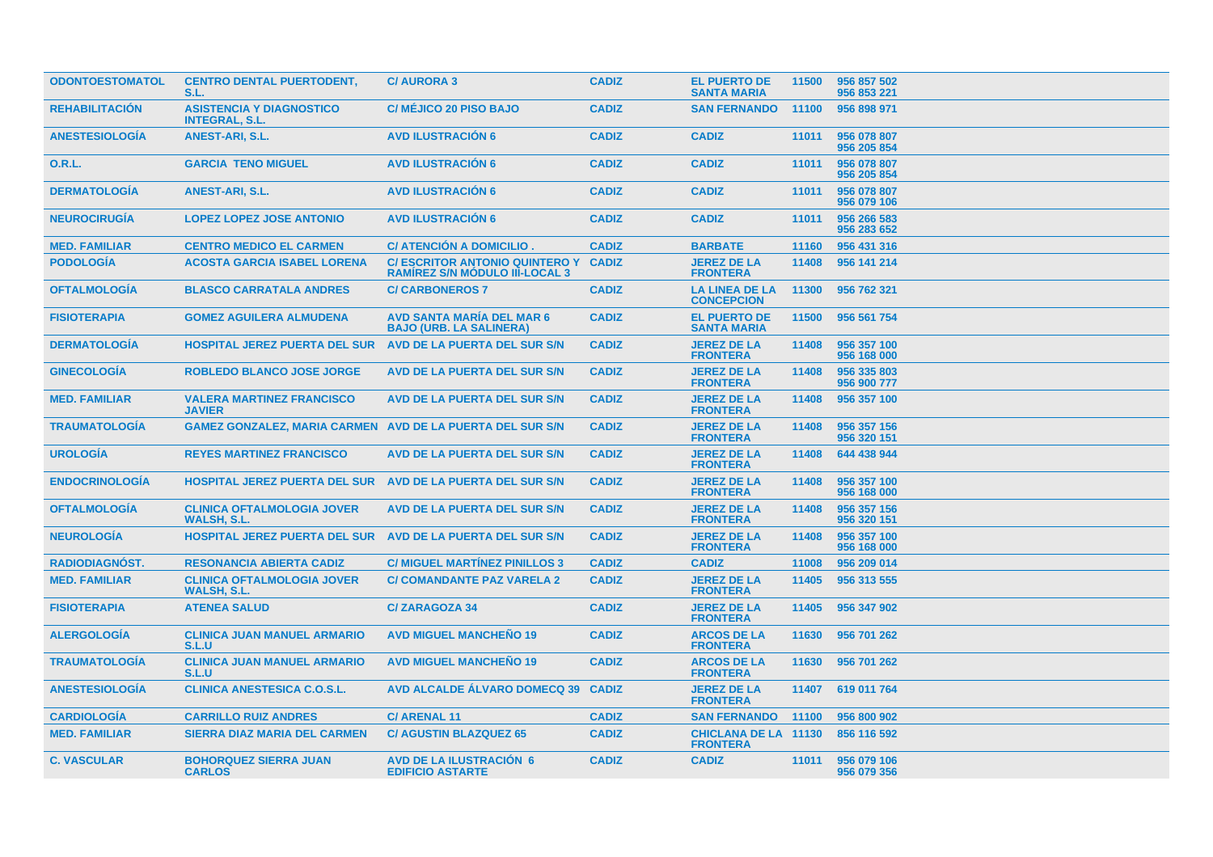| <b>ODONTOESTOMATOL</b> | <b>CENTRO DENTAL PUERTODENT,</b><br>S.L.                          | <b>C/AURORA 3</b>                                                             | <b>CADIZ</b> | <b>EL PUERTO DE</b><br><b>SANTA MARIA</b>      | 11500 | 956 857 502<br>956 853 221 |
|------------------------|-------------------------------------------------------------------|-------------------------------------------------------------------------------|--------------|------------------------------------------------|-------|----------------------------|
| <b>REHABILITACIÓN</b>  | <b>ASISTENCIA Y DIAGNOSTICO</b><br><b>INTEGRAL, S.L.</b>          | <b>C/ MÉJICO 20 PISO BAJO</b>                                                 | <b>CADIZ</b> | <b>SAN FERNANDO</b>                            | 11100 | 956 898 971                |
| <b>ANESTESIOLOGIA</b>  | <b>ANEST-ARI, S.L.</b>                                            | <b>AVD ILUSTRACION 6</b>                                                      | <b>CADIZ</b> | <b>CADIZ</b>                                   | 11011 | 956 078 807<br>956 205 854 |
| <b>O.R.L.</b>          | <b>GARCIA TENO MIGUEL</b>                                         | <b>AVD ILUSTRACIÓN 6</b>                                                      | <b>CADIZ</b> | <b>CADIZ</b>                                   | 11011 | 956 078 807<br>956 205 854 |
| <b>DERMATOLOGÍA</b>    | <b>ANEST-ARI, S.L.</b>                                            | <b>AVD ILUSTRACIÓN 6</b>                                                      | <b>CADIZ</b> | <b>CADIZ</b>                                   | 11011 | 956 078 807<br>956 079 106 |
| <b>NEUROCIRUGÍA</b>    | <b>LOPEZ LOPEZ JOSE ANTONIO</b>                                   | <b>AVD ILUSTRACION 6</b>                                                      | <b>CADIZ</b> | <b>CADIZ</b>                                   | 11011 | 956 266 583<br>956 283 652 |
| <b>MED. FAMILIAR</b>   | <b>CENTRO MEDICO EL CARMEN</b>                                    | C/ ATENCIÓN A DOMICILIO.                                                      | <b>CADIZ</b> | <b>BARBATE</b>                                 | 11160 | 956 431 316                |
| <b>PODOLOGÍA</b>       | <b>ACOSTA GARCIA ISABEL LORENA</b>                                | C/ ESCRITOR ANTONIO QUINTERO Y CADIZ<br><b>RAMIREZ S/N MODULO III-LOCAL 3</b> |              | <b>JEREZ DE LA</b><br><b>FRONTERA</b>          | 11408 | 956 141 214                |
| <b>OFTALMOLOGÍA</b>    | <b>BLASCO CARRATALA ANDRES</b>                                    | <b>C/CARBONEROS 7</b>                                                         | <b>CADIZ</b> | LA LINEA DE LA<br><b>CONCEPCION</b>            | 11300 | 956 762 321                |
| <b>FISIOTERAPIA</b>    | <b>GOMEZ AGUILERA ALMUDENA</b>                                    | <b>AVD SANTA MARIA DEL MAR 6</b><br><b>BAJO (URB. LA SALINERA)</b>            | <b>CADIZ</b> | <b>EL PUERTO DE</b><br><b>SANTA MARIA</b>      | 11500 | 956 561 754                |
| <b>DERMATOLOGÍA</b>    | <b>HOSPITAL JEREZ PUERTA DEL SUR</b>                              | AVD DE LA PUERTA DEL SUR S/N                                                  | <b>CADIZ</b> | <b>JEREZ DE LA</b><br><b>FRONTERA</b>          | 11408 | 956 357 100<br>956 168 000 |
| <b>GINECOLOGIA</b>     | <b>ROBLEDO BLANCO JOSE JORGE</b>                                  | AVD DE LA PUERTA DEL SUR S/N                                                  | <b>CADIZ</b> | <b>JEREZ DE LA</b><br><b>FRONTERA</b>          | 11408 | 956 335 803<br>956 900 777 |
| <b>MED. FAMILIAR</b>   | <b>VALERA MARTINEZ FRANCISCO</b><br><b>JAVIER</b>                 | AVD DE LA PUERTA DEL SUR S/N                                                  | <b>CADIZ</b> | <b>JEREZ DE LA</b><br><b>FRONTERA</b>          | 11408 | 956 357 100                |
| <b>TRAUMATOLOGIA</b>   | <b>GAMEZ GONZALEZ, MARIA CARMEN AVD DE LA PUERTA DEL SUR S/N</b>  |                                                                               | <b>CADIZ</b> | <b>JEREZ DE LA</b><br><b>FRONTERA</b>          | 11408 | 956 357 156<br>956 320 151 |
| <b>UROLOGÍA</b>        | <b>REYES MARTINEZ FRANCISCO</b>                                   | AVD DE LA PUERTA DEL SUR S/N                                                  | <b>CADIZ</b> | <b>JEREZ DE LA</b><br><b>FRONTERA</b>          | 11408 | 644 438 944                |
| <b>ENDOCRINOLOGIA</b>  | <b>HOSPITAL JEREZ PUERTA DEL SUR AVD DE LA PUERTA DEL SUR S/N</b> |                                                                               | <b>CADIZ</b> | <b>JEREZ DE LA</b><br><b>FRONTERA</b>          | 11408 | 956 357 100<br>956 168 000 |
| <b>OFTALMOLOGÍA</b>    | <b>CLINICA OFTALMOLOGIA JOVER</b><br><b>WALSH, S.L.</b>           | AVD DE LA PUERTA DEL SUR S/N                                                  | <b>CADIZ</b> | <b>JEREZ DE LA</b><br><b>FRONTERA</b>          | 11408 | 956 357 156<br>956 320 151 |
| <b>NEUROLOGIA</b>      | HOSPITAL JEREZ PUERTA DEL SUR AVD DE LA PUERTA DEL SUR S/N        |                                                                               | <b>CADIZ</b> | <b>JEREZ DE LA</b><br><b>FRONTERA</b>          | 11408 | 956 357 100<br>956 168 000 |
| <b>RADIODIAGNÓST.</b>  | <b>RESONANCIA ABIERTA CADIZ</b>                                   | <b>C/ MIGUEL MARTINEZ PINILLOS 3</b>                                          | <b>CADIZ</b> | <b>CADIZ</b>                                   | 11008 | 956 209 014                |
| <b>MED. FAMILIAR</b>   | <b>CLINICA OFTALMOLOGIA JOVER</b><br><b>WALSH, S.L.</b>           | <b>C/ COMANDANTE PAZ VARELA 2</b>                                             | <b>CADIZ</b> | <b>JEREZ DE LA</b><br><b>FRONTERA</b>          | 11405 | 956 313 555                |
| <b>FISIOTERAPIA</b>    | <b>ATENEA SALUD</b>                                               | <b>C/ZARAGOZA 34</b>                                                          | <b>CADIZ</b> | <b>JEREZ DE LA</b><br><b>FRONTERA</b>          | 11405 | 956 347 902                |
| <b>ALERGOLOGÍA</b>     | <b>CLINICA JUAN MANUEL ARMARIO</b><br>S.L.U                       | <b>AVD MIGUEL MANCHEÑO 19</b>                                                 | <b>CADIZ</b> | <b>ARCOS DE LA</b><br><b>FRONTERA</b>          | 11630 | 956 701 262                |
| <b>TRAUMATOLOGIA</b>   | <b>CLINICA JUAN MANUEL ARMARIO</b><br>S.L.U                       | <b>AVD MIGUEL MANCHEÑO 19</b>                                                 | <b>CADIZ</b> | <b>ARCOS DE LA</b><br><b>FRONTERA</b>          | 11630 | 956 701 262                |
| <b>ANESTESIOLOGÍA</b>  | <b>CLINICA ANESTESICA C.O.S.L.</b>                                | AVD ALCALDE ALVARO DOMECQ 39 CADIZ                                            |              | <b>JEREZ DE LA</b><br><b>FRONTERA</b>          | 11407 | 619 011 764                |
| <b>CARDIOLOGIA</b>     | <b>CARRILLO RUIZ ANDRES</b>                                       | <b>C/ARENAL11</b>                                                             | <b>CADIZ</b> | <b>SAN FERNANDO 11100</b>                      |       | 956 800 902                |
| <b>MED. FAMILIAR</b>   | <b>SIERRA DIAZ MARIA DEL CARMEN</b>                               | <b>C/ AGUSTIN BLAZQUEZ 65</b>                                                 | <b>CADIZ</b> | <b>CHICLANA DE LA 11130</b><br><b>FRONTERA</b> |       | 856 116 592                |
| <b>C. VASCULAR</b>     | <b>BOHORQUEZ SIERRA JUAN</b><br><b>CARLOS</b>                     | <b>AVD DE LA ILUSTRACIÓN 6</b><br><b>EDIFICIO ASTARTE</b>                     | <b>CADIZ</b> | <b>CADIZ</b>                                   | 11011 | 956 079 106<br>956 079 356 |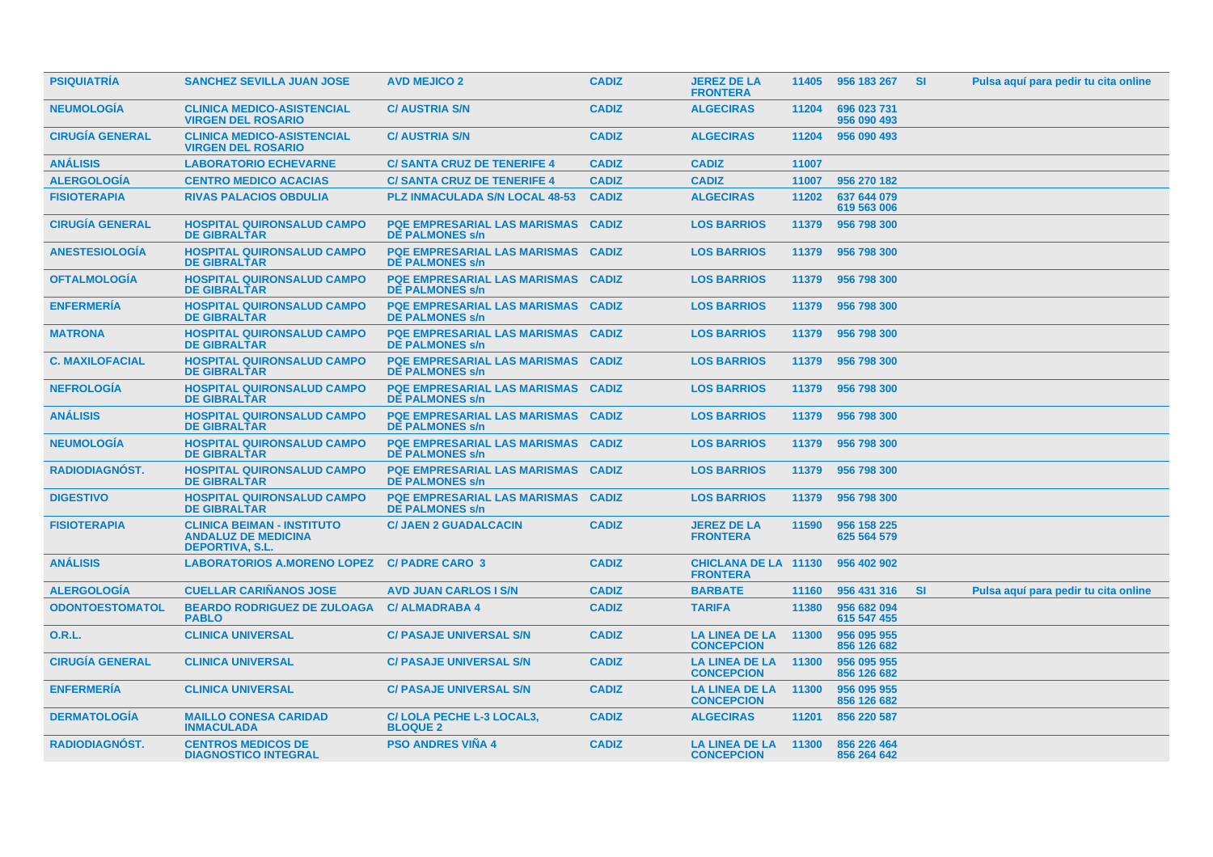| <b>PSIQUIATRIA</b>     | <b>SANCHEZ SEVILLA JUAN JOSE</b>                                                          | <b>AVD MEJICO 2</b>                                                 | <b>CADIZ</b> | <b>JEREZ DE LA</b><br><b>FRONTERA</b>          |       | 11405 956 183 267 SI       |           | Pulsa aquí para pedir tu cita online |
|------------------------|-------------------------------------------------------------------------------------------|---------------------------------------------------------------------|--------------|------------------------------------------------|-------|----------------------------|-----------|--------------------------------------|
| <b>NEUMOLOGIA</b>      | <b>CLINICA MEDICO-ASISTENCIAL</b><br><b>VIRGEN DEL ROSARIO</b>                            | <b>C/ AUSTRIA S/N</b>                                               | <b>CADIZ</b> | <b>ALGECIRAS</b>                               | 11204 | 696 023 731<br>956 090 493 |           |                                      |
| <b>CIRUGIA GENERAL</b> | <b>CLINICA MEDICO-ASISTENCIAL</b><br><b>VIRGEN DEL ROSARIO</b>                            | <b>C/ AUSTRIA S/N</b>                                               | <b>CADIZ</b> | <b>ALGECIRAS</b>                               | 11204 | 956 090 493                |           |                                      |
| <b>ANÁLISIS</b>        | <b>LABORATORIO ECHEVARNE</b>                                                              | <b>C/SANTA CRUZ DE TENERIFE 4</b>                                   | <b>CADIZ</b> | <b>CADIZ</b>                                   | 11007 |                            |           |                                      |
| <b>ALERGOLOGIA</b>     | <b>CENTRO MEDICO ACACIAS</b>                                                              | <b>C/ SANTA CRUZ DE TENERIFE 4</b>                                  | <b>CADIZ</b> | <b>CADIZ</b>                                   | 11007 | 956 270 182                |           |                                      |
| <b>FISIOTERAPIA</b>    | <b>RIVAS PALACIOS OBDULIA</b>                                                             | <b>PLZ INMACULADA S/N LOCAL 48-53</b>                               | <b>CADIZ</b> | <b>ALGECIRAS</b>                               | 11202 | 637 644 079<br>619 563 006 |           |                                      |
| <b>CIRUGÍA GENERAL</b> | <b>HOSPITAL QUIRONSALUD CAMPO</b><br><b>DE GIBRALTAR</b>                                  | <b>PQE EMPRESARIAL LAS MARISMAS</b><br><b>DE PALMONES s/n</b>       | <b>CADIZ</b> | <b>LOS BARRIOS</b>                             | 11379 | 956 798 300                |           |                                      |
| <b>ANESTESIOLOGIA</b>  | <b>HOSPITAL QUIRONSALUD CAMPO</b><br><b>DE GIBRALTAR</b>                                  | <b>PQE EMPRESARIAL LAS MARISMAS</b><br><b>DE PALMONES s/n</b>       | <b>CADIZ</b> | <b>LOS BARRIOS</b>                             | 11379 | 956 798 300                |           |                                      |
| <b>OFTALMOLOGIA</b>    | <b>HOSPITAL QUIRONSALUD CAMPO</b><br><b>DE GIBRALTAR</b>                                  | <b>PQE EMPRESARIAL LAS MARISMAS</b><br><b>DE PALMONES s/n</b>       | <b>CADIZ</b> | <b>LOS BARRIOS</b>                             | 11379 | 956 798 300                |           |                                      |
| <b>ENFERMERÍA</b>      | <b>HOSPITAL QUIRONSALUD CAMPO</b><br><b>DE GIBRALTAR</b>                                  | <b>PQE EMPRESARIAL LAS MARISMAS</b><br><b>DE PALMONES s/n</b>       | <b>CADIZ</b> | <b>LOS BARRIOS</b>                             | 11379 | 956 798 300                |           |                                      |
| <b>MATRONA</b>         | <b>HOSPITAL QUIRONSALUD CAMPO</b><br><b>DE GIBRALTAR</b>                                  | <b>PQE EMPRESARIAL LAS MARISMAS</b><br><b>DE PALMONES s/n</b>       | <b>CADIZ</b> | <b>LOS BARRIOS</b>                             | 11379 | 956 798 300                |           |                                      |
| <b>C. MAXILOFACIAL</b> | <b>HOSPITAL QUIRONSALUD CAMPO</b><br><b>DE GIBRALTAR</b>                                  | <b>PQE EMPRESARIAL LAS MARISMAS</b><br><b>DE PALMONES s/n</b>       | <b>CADIZ</b> | <b>LOS BARRIOS</b>                             | 11379 | 956 798 300                |           |                                      |
| <b>NEFROLOGÍA</b>      | <b>HOSPITAL QUIRONSALUD CAMPO</b><br><b>DE GIBRALTAR</b>                                  | <b>PQE EMPRESARIAL LAS MARISMAS</b><br><b>DE PALMONES s/n</b>       | <b>CADIZ</b> | <b>LOS BARRIOS</b>                             | 11379 | 956 798 300                |           |                                      |
| <b>ANÁLISIS</b>        | <b>HOSPITAL QUIRONSALUD CAMPO</b><br><b>DE GIBRALTAR</b>                                  | <b>PQE EMPRESARIAL LAS MARISMAS CADIZ</b><br><b>DE PALMONES s/n</b> |              | <b>LOS BARRIOS</b>                             |       | 11379 956 798 300          |           |                                      |
| <b>NEUMOLOGIA</b>      | <b>HOSPITAL QUIRONSALUD CAMPO</b><br><b>DE GIBRALTAR</b>                                  | <b>PQE EMPRESARIAL LAS MARISMAS</b><br><b>DE PALMONES s/n</b>       | <b>CADIZ</b> | <b>LOS BARRIOS</b>                             | 11379 | 956 798 300                |           |                                      |
| <b>RADIODIAGNOST.</b>  | <b>HOSPITAL QUIRONSALUD CAMPO</b><br><b>DE GIBRALTAR</b>                                  | <b>PQE EMPRESARIAL LAS MARISMAS</b><br><b>DE PALMONES s/n</b>       | <b>CADIZ</b> | <b>LOS BARRIOS</b>                             |       | 11379 956 798 300          |           |                                      |
| <b>DIGESTIVO</b>       | <b>HOSPITAL QUIRONSALUD CAMPO</b><br><b>DE GIBRALTAR</b>                                  | <b>PQE EMPRESARIAL LAS MARISMAS</b><br><b>DE PALMONES s/n</b>       | <b>CADIZ</b> | <b>LOS BARRIOS</b>                             | 11379 | 956 798 300                |           |                                      |
| <b>FISIOTERAPIA</b>    | <b>CLINICA BEIMAN - INSTITUTO</b><br><b>ANDALUZ DE MEDICINA</b><br><b>DEPORTIVA, S.L.</b> | <b>C/ JAEN 2 GUADALCACIN</b>                                        | <b>CADIZ</b> | <b>JEREZ DE LA</b><br><b>FRONTERA</b>          | 11590 | 956 158 225<br>625 564 579 |           |                                      |
| <b>ANÁLISIS</b>        | <b>LABORATORIOS A.MORENO LOPEZ</b>                                                        | <b>C/PADRE CARO 3</b>                                               | <b>CADIZ</b> | <b>CHICLANA DE LA 11130</b><br><b>FRONTERA</b> |       | 956 402 902                |           |                                      |
| <b>ALERGOLOGÍA</b>     | <b>CUELLAR CARIÑANOS JOSE</b>                                                             | <b>AVD JUAN CARLOS I S/N</b>                                        | <b>CADIZ</b> | <b>BARBATE</b>                                 | 11160 | 956 431 316                | <b>SI</b> | Pulsa aquí para pedir tu cita online |
| <b>ODONTOESTOMATOL</b> | <b>BEARDO RODRIGUEZ DE ZULOAGA</b><br><b>PABLO</b>                                        | <b>C/ALMADRABA4</b>                                                 | <b>CADIZ</b> | <b>TARIFA</b>                                  | 11380 | 956 682 094<br>615 547 455 |           |                                      |
| O.R.L.                 | <b>CLINICA UNIVERSAL</b>                                                                  | <b>C/ PASAJE UNIVERSAL S/N</b>                                      | <b>CADIZ</b> | <b>LA LINEA DE LA</b><br><b>CONCEPCION</b>     | 11300 | 956 095 955<br>856 126 682 |           |                                      |
| <b>CIRUGÍA GENERAL</b> | <b>CLINICA UNIVERSAL</b>                                                                  | <b>C/ PASAJE UNIVERSAL S/N</b>                                      | <b>CADIZ</b> | LA LINEA DE LA 11300<br><b>CONCEPCION</b>      |       | 956 095 955<br>856 126 682 |           |                                      |
| <b>ENFERMERIA</b>      | <b>CLINICA UNIVERSAL</b>                                                                  | <b>C/ PASAJE UNIVERSAL S/N</b>                                      | <b>CADIZ</b> | LA LINEA DE LA<br><b>CONCEPCION</b>            | 11300 | 956 095 955<br>856 126 682 |           |                                      |
| <b>DERMATOLOGIA</b>    | <b>MAILLO CONESA CARIDAD</b><br><b>INMACULADA</b>                                         | C/LOLA PECHE L-3 LOCAL3,<br><b>BLOQUE 2</b>                         | <b>CADIZ</b> | <b>ALGECIRAS</b>                               | 11201 | 856 220 587                |           |                                      |
| <b>RADIODIAGNOST.</b>  | <b>CENTROS MEDICOS DE</b><br><b>DIAGNOSTICO INTEGRAL</b>                                  | <b>PSO ANDRES VIÑA 4</b>                                            | <b>CADIZ</b> | LA LINEA DE LA 11300<br><b>CONCEPCION</b>      |       | 856 226 464<br>856 264 642 |           |                                      |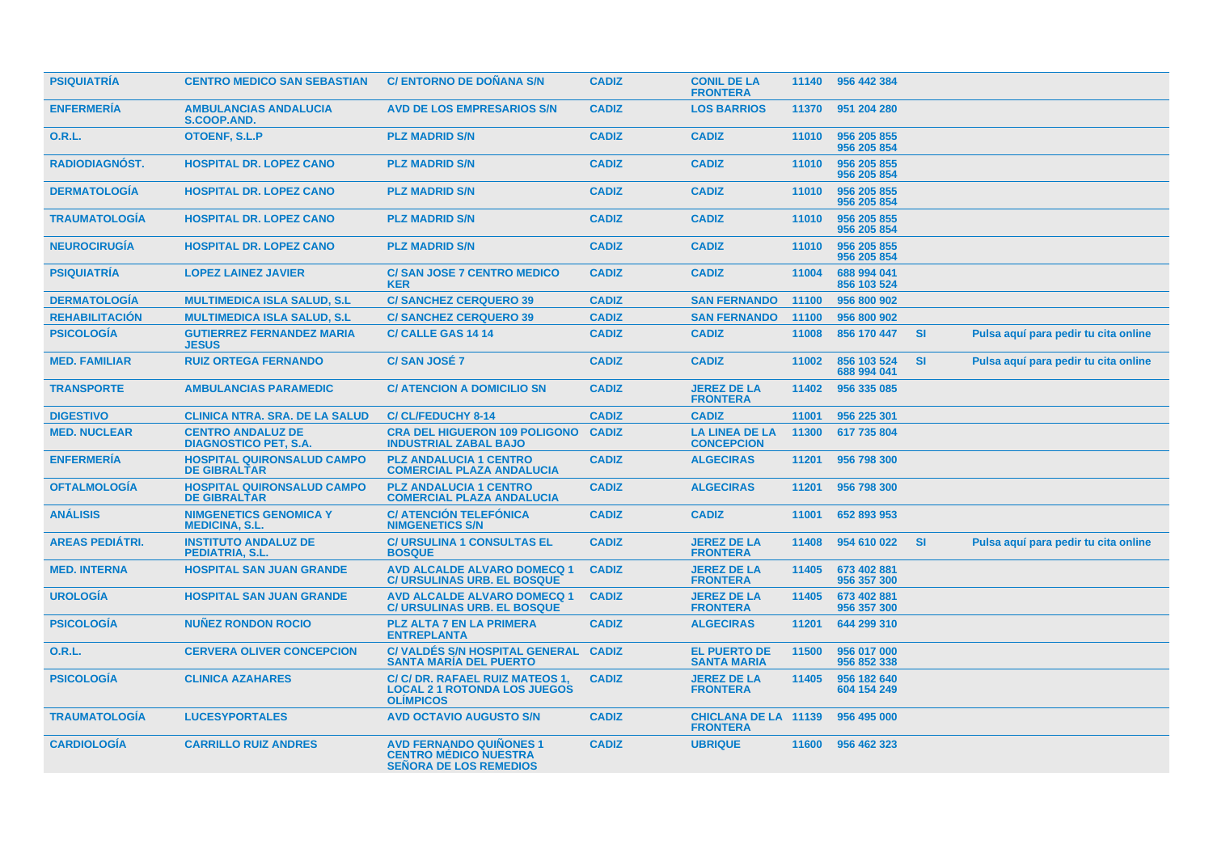| <b>PSIQUIATRIA</b>     | <b>CENTRO MEDICO SAN SEBASTIAN</b>                       | <b>C/ ENTORNO DE DOÑANA S/N</b>                                                                 | <b>CADIZ</b> | <b>CONIL DE LA</b><br><b>FRONTERA</b>          |       | 11140 956 442 384          |           |                                      |
|------------------------|----------------------------------------------------------|-------------------------------------------------------------------------------------------------|--------------|------------------------------------------------|-------|----------------------------|-----------|--------------------------------------|
| <b>ENFERMERÍA</b>      | <b>AMBULANCIAS ANDALUCIA</b><br><b>S.COOP.AND.</b>       | <b>AVD DE LOS EMPRESARIOS S/N</b>                                                               | <b>CADIZ</b> | <b>LOS BARRIOS</b>                             | 11370 | 951 204 280                |           |                                      |
| <b>O.R.L.</b>          | <b>OTOENF, S.L.P</b>                                     | <b>PLZ MADRID S/N</b>                                                                           | <b>CADIZ</b> | <b>CADIZ</b>                                   | 11010 | 956 205 855<br>956 205 854 |           |                                      |
| RADIODIAGNÓST.         | <b>HOSPITAL DR. LOPEZ CANO</b>                           | <b>PLZ MADRID S/N</b>                                                                           | <b>CADIZ</b> | <b>CADIZ</b>                                   | 11010 | 956 205 855<br>956 205 854 |           |                                      |
| <b>DERMATOLOGÍA</b>    | <b>HOSPITAL DR. LOPEZ CANO</b>                           | <b>PLZ MADRID S/N</b>                                                                           | <b>CADIZ</b> | <b>CADIZ</b>                                   | 11010 | 956 205 855<br>956 205 854 |           |                                      |
| <b>TRAUMATOLOGÍA</b>   | <b>HOSPITAL DR. LOPEZ CANO</b>                           | <b>PLZ MADRID S/N</b>                                                                           | <b>CADIZ</b> | <b>CADIZ</b>                                   | 11010 | 956 205 855<br>956 205 854 |           |                                      |
| <b>NEUROCIRUGÍA</b>    | <b>HOSPITAL DR. LOPEZ CANO</b>                           | <b>PLZ MADRID S/N</b>                                                                           | <b>CADIZ</b> | <b>CADIZ</b>                                   | 11010 | 956 205 855<br>956 205 854 |           |                                      |
| <b>PSIQUIATRÍA</b>     | <b>LOPEZ LAINEZ JAVIER</b>                               | <b>C/SAN JOSE 7 CENTRO MEDICO</b><br><b>KER</b>                                                 | <b>CADIZ</b> | <b>CADIZ</b>                                   | 11004 | 688 994 041<br>856 103 524 |           |                                      |
| <b>DERMATOLOGÍA</b>    | <b>MULTIMEDICA ISLA SALUD, S.L.</b>                      | <b>C/SANCHEZ CERQUERO 39</b>                                                                    | <b>CADIZ</b> | <b>SAN FERNANDO</b>                            | 11100 | 956 800 902                |           |                                      |
| <b>REHABILITACIÓN</b>  | <b>MULTIMEDICA ISLA SALUD, S.L.</b>                      | <b>C/SANCHEZ CERQUERO 39</b>                                                                    | <b>CADIZ</b> | <b>SAN FERNANDO</b>                            | 11100 | 956 800 902                |           |                                      |
| <b>PSICOLOGÍA</b>      | <b>GUTIERREZ FERNANDEZ MARIA</b><br><b>JESUS</b>         | <b>C/CALLE GAS 14 14</b>                                                                        | <b>CADIZ</b> | <b>CADIZ</b>                                   | 11008 | 856 170 447                | <b>SI</b> | Pulsa aquí para pedir tu cita online |
| <b>MED. FAMILIAR</b>   | <b>RUIZ ORTEGA FERNANDO</b>                              | <b>C/SAN JOSÉ 7</b>                                                                             | <b>CADIZ</b> | <b>CADIZ</b>                                   | 11002 | 856 103 524<br>688 994 041 | <b>SI</b> | Pulsa aquí para pedir tu cita online |
| <b>TRANSPORTE</b>      | <b>AMBULANCIAS PARAMEDIC</b>                             | <b>C/ ATENCION A DOMICILIO SN</b>                                                               | <b>CADIZ</b> | <b>JEREZ DE LA</b><br><b>FRONTERA</b>          | 11402 | 956 335 085                |           |                                      |
| <b>DIGESTIVO</b>       | <b>CLINICA NTRA. SRA. DE LA SALUD</b>                    | <b>C/CL/FEDUCHY 8-14</b>                                                                        | <b>CADIZ</b> | <b>CADIZ</b>                                   | 11001 | 956 225 301                |           |                                      |
| <b>MED. NUCLEAR</b>    | <b>CENTRO ANDALUZ DE</b><br><b>DIAGNOSTICO PET, S.A.</b> | <b>CRA DEL HIGUERON 109 POLIGONO</b><br><b>INDUSTRIAL ZABAL BAJO</b>                            | <b>CADIZ</b> | <b>LA LINEA DE LA</b><br><b>CONCEPCION</b>     | 11300 | 617 735 804                |           |                                      |
| <b>ENFERMERIA</b>      | <b>HOSPITAL QUIRONSALUD CAMPO</b><br><b>DE GIBRALTAR</b> | <b>PLZ ANDALUCIA 1 CENTRO</b><br><b>COMERCIAL PLAZA ANDALUCIA</b>                               | <b>CADIZ</b> | <b>ALGECIRAS</b>                               | 11201 | 956 798 300                |           |                                      |
| <b>OFTALMOLOGÍA</b>    | <b>HOSPITAL QUIRONSALUD CAMPO</b><br><b>DE GIBRALTAR</b> | <b>PLZ ANDALUCIA 1 CENTRO</b><br><b>COMERCIAL PLAZA ANDALUCIA</b>                               | <b>CADIZ</b> | <b>ALGECIRAS</b>                               | 11201 | 956 798 300                |           |                                      |
| <b>ANÁLISIS</b>        | <b>NIMGENETICS GENOMICA Y</b><br><b>MEDICINA, S.L.</b>   | <b>C/ ATENCIÓN TELEFÓNICA</b><br><b>NIMGENETICS S/N</b>                                         | <b>CADIZ</b> | <b>CADIZ</b>                                   | 11001 | 652 893 953                |           |                                      |
| <b>AREAS PEDIÁTRI.</b> | <b>INSTITUTO ANDALUZ DE</b><br>PEDIATRIA, S.L.           | <b>C/ URSULINA 1 CONSULTAS EL</b><br><b>BOSQUE</b>                                              | <b>CADIZ</b> | <b>JEREZ DE LA</b><br><b>FRONTERA</b>          | 11408 | 954 610 022                | <b>SI</b> | Pulsa aquí para pedir tu cita online |
| <b>MED. INTERNA</b>    | <b>HOSPITAL SAN JUAN GRANDE</b>                          | <b>AVD ALCALDE ALVARO DOMECQ 1</b><br><b>C/ URSULINAS URB. EL BOSQUE</b>                        | <b>CADIZ</b> | <b>JEREZ DE LA</b><br><b>FRONTERA</b>          | 11405 | 673 402 881<br>956 357 300 |           |                                      |
| <b>UROLOGÍA</b>        | <b>HOSPITAL SAN JUAN GRANDE</b>                          | <b>AVD ALCALDE ALVARO DOMECQ 1</b><br><b>C/ URSULINAS URB. EL BOSQUE</b>                        | <b>CADIZ</b> | <b>JEREZ DE LA</b><br><b>FRONTERA</b>          | 11405 | 673 402 881<br>956 357 300 |           |                                      |
| <b>PSICOLOGÍA</b>      | <b>NUNEZ RONDON ROCIO</b>                                | PLZ ALTA 7 EN LA PRIMERA<br><b>ENTREPLANTA</b>                                                  | <b>CADIZ</b> | <b>ALGECIRAS</b>                               | 11201 | 644 299 310                |           |                                      |
| <b>O.R.L.</b>          | <b>CERVERA OLIVER CONCEPCION</b>                         | C/ VALDÉS S/N HOSPITAL GENERAL<br><b>SANTA MARÍA DEL PUERTO</b>                                 | <b>CADIZ</b> | <b>EL PUERTO DE</b><br><b>SANTA MARIA</b>      | 11500 | 956 017 000<br>956 852 338 |           |                                      |
| <b>PSICOLOGÍA</b>      | <b>CLINICA AZAHARES</b>                                  | C/ C/ DR. RAFAEL RUIZ MATEOS 1,<br><b>LOCAL 2 1 ROTONDA LOS JUEGOS</b><br><b>OLIMPICOS</b>      | <b>CADIZ</b> | <b>JEREZ DE LA</b><br><b>FRONTERA</b>          | 11405 | 956 182 640<br>604 154 249 |           |                                      |
| <b>TRAUMATOLOGÍA</b>   | <b>LUCESYPORTALES</b>                                    | <b>AVD OCTAVIO AUGUSTO S/N</b>                                                                  | <b>CADIZ</b> | <b>CHICLANA DE LA 11139</b><br><b>FRONTERA</b> |       | 956 495 000                |           |                                      |
| <b>CARDIOLOGIA</b>     | <b>CARRILLO RUIZ ANDRES</b>                              | <b>AVD FERNANDO QUINONES 1</b><br><b>CENTRO MÉDICO NUESTRA</b><br><b>SEÑORA DE LOS REMEDIOS</b> | <b>CADIZ</b> | <b>UBRIQUE</b>                                 | 11600 | 956 462 323                |           |                                      |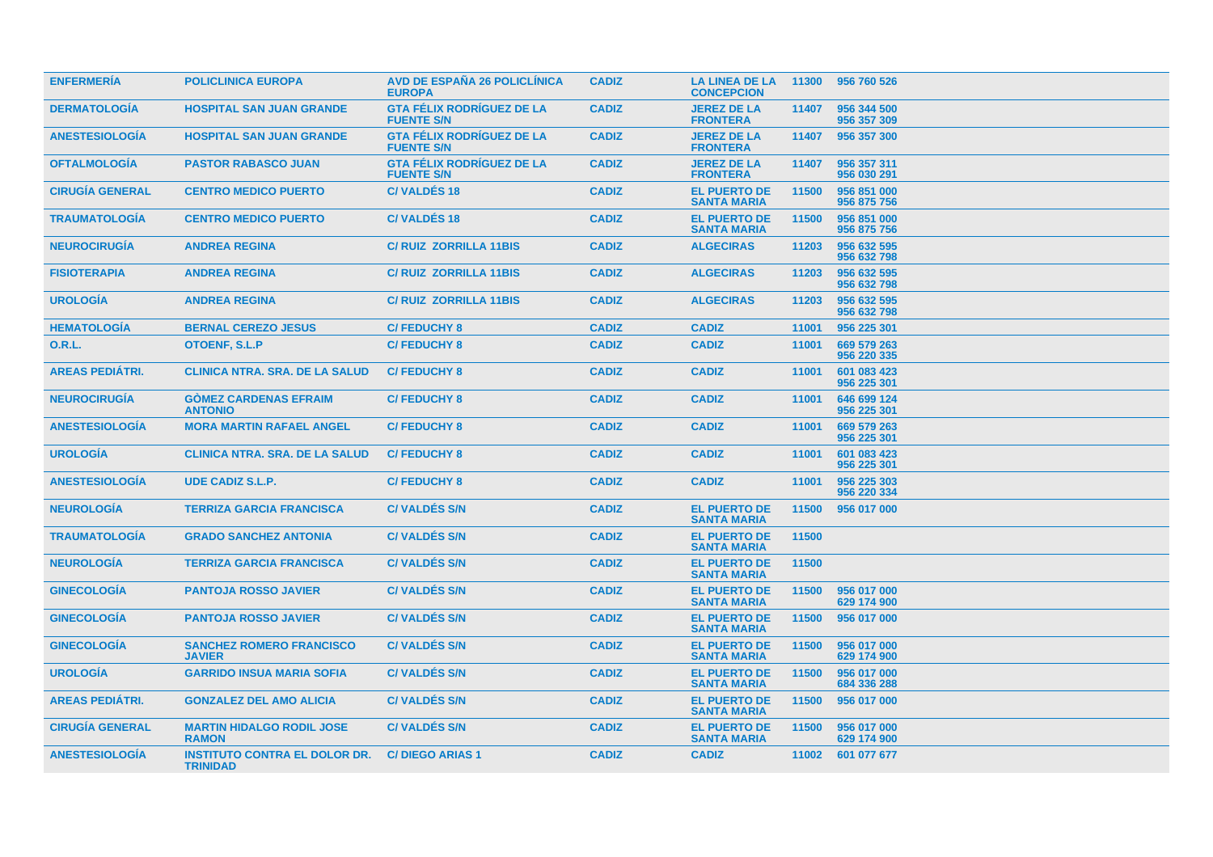| <b>ENFERMERIA</b>      | <b>POLICLINICA EUROPA</b>                               | <b>AVD DE ESPAÑA 26 POLICLÍNICA</b><br><b>EUROPA</b>  | <b>CADIZ</b> | <b>LA LINEA DE LA</b><br><b>CONCEPCION</b> | 11300 | 956 760 526                |
|------------------------|---------------------------------------------------------|-------------------------------------------------------|--------------|--------------------------------------------|-------|----------------------------|
| <b>DERMATOLOGIA</b>    | <b>HOSPITAL SAN JUAN GRANDE</b>                         | <b>GTA FÉLIX RODRIGUEZ DE LA</b><br><b>FUENTE S/N</b> | <b>CADIZ</b> | <b>JEREZ DE LA</b><br><b>FRONTERA</b>      | 11407 | 956 344 500<br>956 357 309 |
| <b>ANESTESIOLOGÍA</b>  | <b>HOSPITAL SAN JUAN GRANDE</b>                         | <b>GTA FÉLIX RODRÍGUEZ DE LA</b><br><b>FUENTE S/N</b> | <b>CADIZ</b> | <b>JEREZ DE LA</b><br><b>FRONTERA</b>      | 11407 | 956 357 300                |
| <b>OFTALMOLOGÍA</b>    | <b>PASTOR RABASCO JUAN</b>                              | <b>GTA FÉLIX RODRÍGUEZ DE LA</b><br><b>FUENTE S/N</b> | <b>CADIZ</b> | <b>JEREZ DE LA</b><br><b>FRONTERA</b>      | 11407 | 956 357 311<br>956 030 291 |
| <b>CIRUGÍA GENERAL</b> | <b>CENTRO MEDICO PUERTO</b>                             | <b>C/VALDÉS 18</b>                                    | <b>CADIZ</b> | <b>EL PUERTO DE</b><br><b>SANTA MARIA</b>  | 11500 | 956 851 000<br>956 875 756 |
| <b>TRAUMATOLOGÍA</b>   | <b>CENTRO MEDICO PUERTO</b>                             | <b>C/VALDÉS 18</b>                                    | <b>CADIZ</b> | <b>EL PUERTO DE</b><br><b>SANTA MARIA</b>  | 11500 | 956 851 000<br>956 875 756 |
| <b>NEUROCIRUGÍA</b>    | <b>ANDREA REGINA</b>                                    | <b>C/ RUIZ ZORRILLA 11BIS</b>                         | <b>CADIZ</b> | <b>ALGECIRAS</b>                           | 11203 | 956 632 595<br>956 632 798 |
| <b>FISIOTERAPIA</b>    | <b>ANDREA REGINA</b>                                    | <b>C/ RUIZ ZORRILLA 11BIS</b>                         | <b>CADIZ</b> | <b>ALGECIRAS</b>                           | 11203 | 956 632 595<br>956 632 798 |
| <b>UROLOGÍA</b>        | <b>ANDREA REGINA</b>                                    | <b>C/ RUIZ ZORRILLA 11BIS</b>                         | <b>CADIZ</b> | <b>ALGECIRAS</b>                           | 11203 | 956 632 595<br>956 632 798 |
| <b>HEMATOLOGÍA</b>     | <b>BERNAL CEREZO JESUS</b>                              | <b>C/FEDUCHY 8</b>                                    | <b>CADIZ</b> | <b>CADIZ</b>                               | 11001 | 956 225 301                |
| O.R.L.                 | <b>OTOENF, S.L.P</b>                                    | <b>C/FEDUCHY 8</b>                                    | <b>CADIZ</b> | <b>CADIZ</b>                               | 11001 | 669 579 263<br>956 220 335 |
| <b>AREAS PEDIÁTRI.</b> | <b>CLINICA NTRA, SRA, DE LA SALUD</b>                   | <b>C/FEDUCHY 8</b>                                    | <b>CADIZ</b> | <b>CADIZ</b>                               | 11001 | 601 083 423<br>956 225 301 |
| <b>NEUROCIRUGIA</b>    | <b>GOMEZ CARDENAS EFRAIM</b><br><b>ANTONIO</b>          | <b>C/FEDUCHY 8</b>                                    | <b>CADIZ</b> | <b>CADIZ</b>                               | 11001 | 646 699 124<br>956 225 301 |
| <b>ANESTESIOLOGIA</b>  | <b>MORA MARTIN RAFAEL ANGEL</b>                         | <b>C/FEDUCHY 8</b>                                    | <b>CADIZ</b> | <b>CADIZ</b>                               | 11001 | 669 579 263<br>956 225 301 |
| <b>UROLOGÍA</b>        | <b>CLINICA NTRA, SRA, DE LA SALUD</b>                   | <b>C/FEDUCHY 8</b>                                    | <b>CADIZ</b> | <b>CADIZ</b>                               | 11001 | 601 083 423<br>956 225 301 |
| <b>ANESTESIOLOGIA</b>  | <b>UDE CADIZ S.L.P.</b>                                 | <b>C/FEDUCHY 8</b>                                    | <b>CADIZ</b> | <b>CADIZ</b>                               | 11001 | 956 225 303<br>956 220 334 |
| <b>NEUROLOGIA</b>      | <b>TERRIZA GARCIA FRANCISCA</b>                         | <b>C/VALDES S/N</b>                                   | <b>CADIZ</b> | <b>EL PUERTO DE</b><br><b>SANTA MARIA</b>  | 11500 | 956 017 000                |
| <b>TRAUMATOLOGÍA</b>   | <b>GRADO SANCHEZ ANTONIA</b>                            | <b>C/VALDÉS S/N</b>                                   | <b>CADIZ</b> | <b>EL PUERTO DE</b><br><b>SANTA MARIA</b>  | 11500 |                            |
| <b>NEUROLOGÍA</b>      | <b>TERRIZA GARCIA FRANCISCA</b>                         | <b>C/VALDES S/N</b>                                   | <b>CADIZ</b> | <b>EL PUERTO DE</b><br><b>SANTA MARIA</b>  | 11500 |                            |
| <b>GINECOLOGIA</b>     | <b>PANTOJA ROSSO JAVIER</b>                             | <b>C/VALDES S/N</b>                                   | <b>CADIZ</b> | <b>EL PUERTO DE</b><br><b>SANTA MARIA</b>  | 11500 | 956 017 000<br>629 174 900 |
| <b>GINECOLOGÍA</b>     | <b>PANTOJA ROSSO JAVIER</b>                             | <b>C/VALDES S/N</b>                                   | <b>CADIZ</b> | <b>EL PUERTO DE</b><br><b>SANTA MARIA</b>  | 11500 | 956 017 000                |
| <b>GINECOLOGIA</b>     | <b>SANCHEZ ROMERO FRANCISCO</b><br><b>JAVIER</b>        | <b>C/VALDES S/N</b>                                   | <b>CADIZ</b> | <b>EL PUERTO DE</b><br><b>SANTA MARIA</b>  | 11500 | 956 017 000<br>629 174 900 |
| <b>UROLOGÍA</b>        | <b>GARRIDO INSUA MARIA SOFIA</b>                        | <b>C/VALDES S/N</b>                                   | <b>CADIZ</b> | <b>EL PUERTO DE</b><br><b>SANTA MARIA</b>  | 11500 | 956 017 000<br>684 336 288 |
| <b>AREAS PEDIÁTRI.</b> | <b>GONZALEZ DEL AMO ALICIA</b>                          | <b>C/VALDES S/N</b>                                   | <b>CADIZ</b> | <b>EL PUERTO DE</b><br><b>SANTA MARIA</b>  | 11500 | 956 017 000                |
| <b>CIRUGIA GENERAL</b> | <b>MARTIN HIDALGO RODIL JOSE</b><br><b>RAMON</b>        | <b>C/VALDES S/N</b>                                   | <b>CADIZ</b> | <b>EL PUERTO DE</b><br><b>SANTA MARIA</b>  | 11500 | 956 017 000<br>629 174 900 |
| <b>ANESTESIOLOGIA</b>  | <b>INSTITUTO CONTRA EL DOLOR DR.</b><br><b>TRINIDAD</b> | <b>C/DIEGO ARIAS 1</b>                                | <b>CADIZ</b> | <b>CADIZ</b>                               | 11002 | 601 077 677                |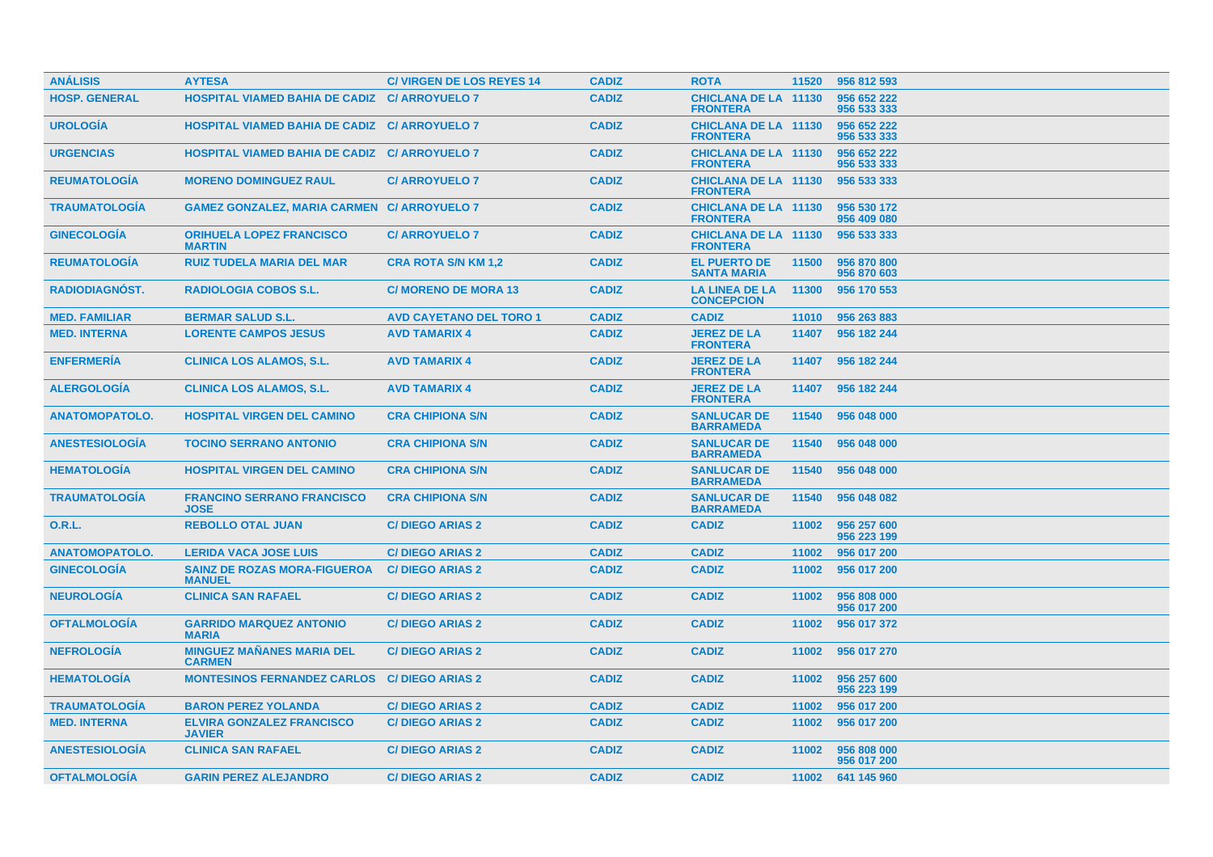| <b>ANÁLISIS</b>       | <b>AYTESA</b>                                        | <b>C/ VIRGEN DE LOS REYES 14</b> | <b>CADIZ</b> | <b>ROTA</b>                                    | 11520 | 956 812 593                |
|-----------------------|------------------------------------------------------|----------------------------------|--------------|------------------------------------------------|-------|----------------------------|
| <b>HOSP. GENERAL</b>  | <b>HOSPITAL VIAMED BAHIA DE CADIZ C/ ARROYUELO 7</b> |                                  | <b>CADIZ</b> | <b>CHICLANA DE LA 11130</b><br><b>FRONTERA</b> |       | 956 652 222<br>956 533 333 |
| <b>UROLOGIA</b>       | <b>HOSPITAL VIAMED BAHIA DE CADIZ C/ ARROYUELO 7</b> |                                  | <b>CADIZ</b> | <b>CHICLANA DE LA 11130</b><br><b>FRONTERA</b> |       | 956 652 222<br>956 533 333 |
| <b>URGENCIAS</b>      | <b>HOSPITAL VIAMED BAHIA DE CADIZ C/ ARROYUELO 7</b> |                                  | <b>CADIZ</b> | <b>CHICLANA DE LA 11130</b><br><b>FRONTERA</b> |       | 956 652 222<br>956 533 333 |
| <b>REUMATOLOGIA</b>   | <b>MORENO DOMINGUEZ RAUL</b>                         | <b>C/ ARROYUELO 7</b>            | <b>CADIZ</b> | <b>CHICLANA DE LA 11130</b><br><b>FRONTERA</b> |       | 956 533 333                |
| <b>TRAUMATOLOGIA</b>  | <b>GAMEZ GONZALEZ, MARIA CARMEN C/ ARROYUELO 7</b>   |                                  | <b>CADIZ</b> | <b>CHICLANA DE LA 11130</b><br><b>FRONTERA</b> |       | 956 530 172<br>956 409 080 |
| <b>GINECOLOGIA</b>    | <b>ORIHUELA LOPEZ FRANCISCO</b><br><b>MARTIN</b>     | <b>C/ ARROYUELO 7</b>            | <b>CADIZ</b> | <b>CHICLANA DE LA 11130</b><br><b>FRONTERA</b> |       | 956 533 333                |
| <b>REUMATOLOGIA</b>   | <b>RUIZ TUDELA MARIA DEL MAR</b>                     | <b>CRA ROTA S/N KM 1,2</b>       | <b>CADIZ</b> | <b>EL PUERTO DE</b><br><b>SANTA MARIA</b>      | 11500 | 956 870 800<br>956 870 603 |
| <b>RADIODIAGNOST.</b> | <b>RADIOLOGIA COBOS S.L.</b>                         | <b>C/ MORENO DE MORA 13</b>      | <b>CADIZ</b> | <b>LA LINEA DE LA</b><br><b>CONCEPCION</b>     | 11300 | 956 170 553                |
| <b>MED. FAMILIAR</b>  | <b>BERMAR SALUD S.L.</b>                             | <b>AVD CAYETANO DEL TORO 1</b>   | <b>CADIZ</b> | <b>CADIZ</b>                                   | 11010 | 956 263 883                |
| <b>MED. INTERNA</b>   | <b>LORENTE CAMPOS JESUS</b>                          | <b>AVD TAMARIX 4</b>             | <b>CADIZ</b> | <b>JEREZ DE LA</b><br><b>FRONTERA</b>          | 11407 | 956 182 244                |
| <b>ENFERMERIA</b>     | <b>CLINICA LOS ALAMOS, S.L.</b>                      | <b>AVD TAMARIX 4</b>             | <b>CADIZ</b> | <b>JEREZ DE LA</b><br><b>FRONTERA</b>          | 11407 | 956 182 244                |
| <b>ALERGOLOGIA</b>    | <b>CLINICA LOS ALAMOS, S.L.</b>                      | <b>AVD TAMARIX 4</b>             | <b>CADIZ</b> | <b>JEREZ DE LA</b><br><b>FRONTERA</b>          | 11407 | 956 182 244                |
| <b>ANATOMOPATOLO.</b> | <b>HOSPITAL VIRGEN DEL CAMINO</b>                    | <b>CRA CHIPIONA S/N</b>          | <b>CADIZ</b> | <b>SANLUCAR DE</b><br><b>BARRAMEDA</b>         | 11540 | 956 048 000                |
| <b>ANESTESIOLOGIA</b> | <b>TOCINO SERRANO ANTONIO</b>                        | <b>CRA CHIPIONA S/N</b>          | <b>CADIZ</b> | <b>SANLUCAR DE</b><br><b>BARRAMEDA</b>         | 11540 | 956 048 000                |
| <b>HEMATOLOGIA</b>    | <b>HOSPITAL VIRGEN DEL CAMINO</b>                    | <b>CRA CHIPIONA S/N</b>          | <b>CADIZ</b> | <b>SANLUCAR DE</b><br><b>BARRAMEDA</b>         | 11540 | 956 048 000                |
| <b>TRAUMATOLOGÍA</b>  | <b>FRANCINO SERRANO FRANCISCO</b><br><b>JOSE</b>     | <b>CRA CHIPIONA S/N</b>          | <b>CADIZ</b> | <b>SANLUCAR DE</b><br><b>BARRAMEDA</b>         | 11540 | 956 048 082                |
| 0.R.L.                | <b>REBOLLO OTAL JUAN</b>                             | <b>C/DIEGO ARIAS 2</b>           | <b>CADIZ</b> | <b>CADIZ</b>                                   | 11002 | 956 257 600<br>956 223 199 |
| <b>ANATOMOPATOLO.</b> | <b>LERIDA VACA JOSE LUIS</b>                         | <b>C/DIEGO ARIAS 2</b>           | <b>CADIZ</b> | <b>CADIZ</b>                                   | 11002 | 956 017 200                |
| <b>GINECOLOGÍA</b>    | <b>SAINZ DE ROZAS MORA-FIGUEROA</b><br><b>MANUEL</b> | <b>C/DIEGO ARIAS 2</b>           | <b>CADIZ</b> | <b>CADIZ</b>                                   | 11002 | 956 017 200                |
| <b>NEUROLOGIA</b>     | <b>CLINICA SAN RAFAEL</b>                            | <b>C/DIEGO ARIAS 2</b>           | <b>CADIZ</b> | <b>CADIZ</b>                                   | 11002 | 956 808 000<br>956 017 200 |
| <b>OFTALMOLOGÍA</b>   | <b>GARRIDO MARQUEZ ANTONIO</b><br><b>MARIA</b>       | <b>C/DIEGO ARIAS 2</b>           | <b>CADIZ</b> | <b>CADIZ</b>                                   | 11002 | 956 017 372                |
| <b>NEFROLOGÍA</b>     | <b>MINGUEZ MAÑANES MARIA DEL</b><br><b>CARMEN</b>    | <b>C/DIEGO ARIAS 2</b>           | <b>CADIZ</b> | <b>CADIZ</b>                                   | 11002 | 956 017 270                |
| <b>HEMATOLOGÍA</b>    | <b>MONTESINOS FERNANDEZ CARLOS C/ DIEGO ARIAS 2</b>  |                                  | <b>CADIZ</b> | <b>CADIZ</b>                                   | 11002 | 956 257 600<br>956 223 199 |
| <b>TRAUMATOLOGIA</b>  | <b>BARON PEREZ YOLANDA</b>                           | <b>C/DIEGO ARIAS 2</b>           | <b>CADIZ</b> | <b>CADIZ</b>                                   | 11002 | 956 017 200                |
| <b>MED. INTERNA</b>   | <b>ELVIRA GONZALEZ FRANCISCO</b><br><b>JAVIER</b>    | <b>C/DIEGO ARIAS 2</b>           | <b>CADIZ</b> | <b>CADIZ</b>                                   | 11002 | 956 017 200                |
| <b>ANESTESIOLOGIA</b> | <b>CLINICA SAN RAFAEL</b>                            | <b>C/DIEGO ARIAS 2</b>           | <b>CADIZ</b> | <b>CADIZ</b>                                   | 11002 | 956 808 000<br>956 017 200 |
| <b>OFTALMOLOGÍA</b>   | <b>GARIN PEREZ ALEJANDRO</b>                         | <b>C/DIEGO ARIAS 2</b>           | <b>CADIZ</b> | <b>CADIZ</b>                                   |       | 11002 641 145 960          |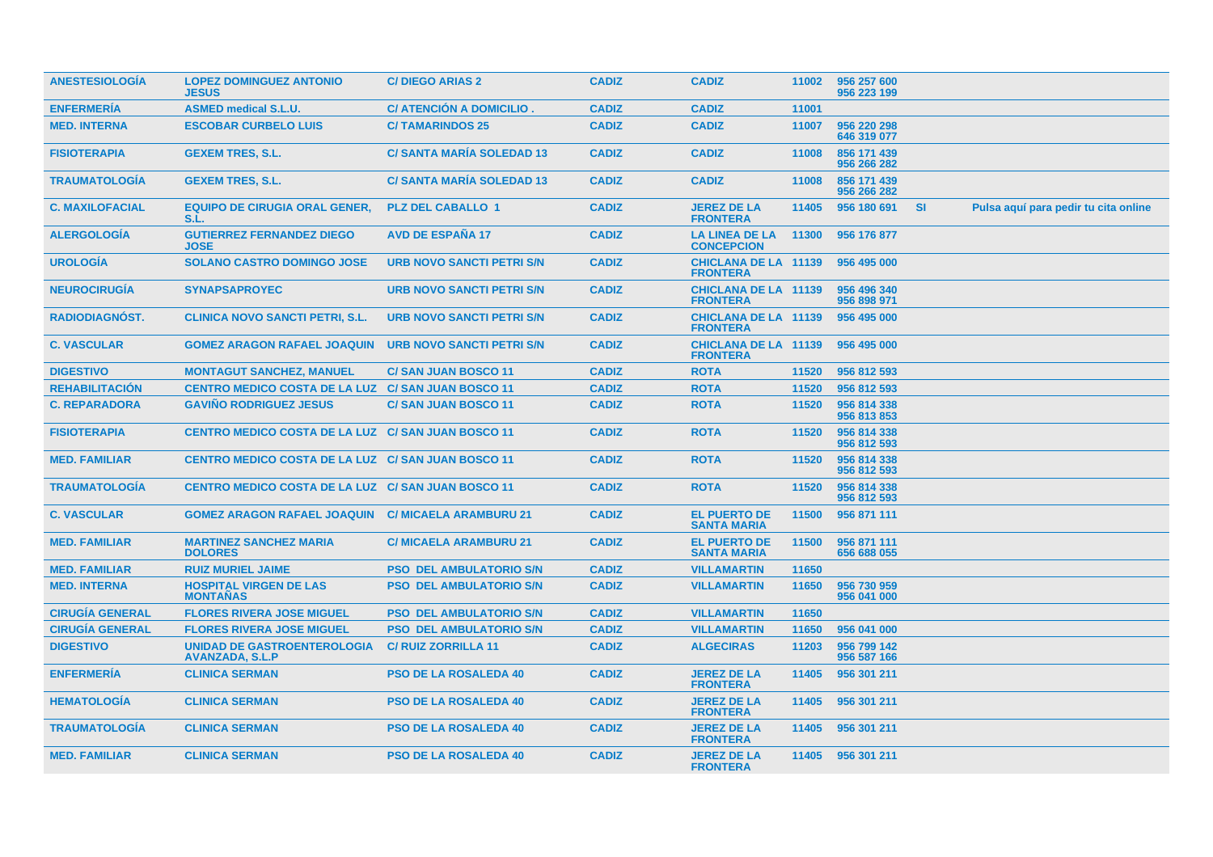| <b>ANESTESIOLOGIA</b>  | <b>LOPEZ DOMINGUEZ ANTONIO</b><br><b>JESUS</b>               | <b>C/DIEGO ARIAS 2</b>           | <b>CADIZ</b> | <b>CADIZ</b>                                   | 11002 | 956 257 600<br>956 223 199 |           |                                      |
|------------------------|--------------------------------------------------------------|----------------------------------|--------------|------------------------------------------------|-------|----------------------------|-----------|--------------------------------------|
| <b>ENFERMERIA</b>      | <b>ASMED medical S.L.U.</b>                                  | C/ ATENCION A DOMICILIO.         | <b>CADIZ</b> | <b>CADIZ</b>                                   | 11001 |                            |           |                                      |
| <b>MED. INTERNA</b>    | <b>ESCOBAR CURBELO LUIS</b>                                  | <b>C/TAMARINDOS 25</b>           | <b>CADIZ</b> | <b>CADIZ</b>                                   | 11007 | 956 220 298<br>646 319 077 |           |                                      |
| <b>FISIOTERAPIA</b>    | <b>GEXEM TRES, S.L.</b>                                      | <b>C/ SANTA MARIA SOLEDAD 13</b> | <b>CADIZ</b> | <b>CADIZ</b>                                   | 11008 | 856 171 439<br>956 266 282 |           |                                      |
| <b>TRAUMATOLOGIA</b>   | <b>GEXEM TRES, S.L.</b>                                      | <b>C/SANTA MARIA SOLEDAD 13</b>  | <b>CADIZ</b> | <b>CADIZ</b>                                   | 11008 | 856 171 439<br>956 266 282 |           |                                      |
| <b>C. MAXILOFACIAL</b> | <b>EQUIPO DE CIRUGIA ORAL GENER,</b><br>S.L.                 | <b>PLZ DEL CABALLO 1</b>         | <b>CADIZ</b> | <b>JEREZ DE LA</b><br><b>FRONTERA</b>          | 11405 | 956 180 691                | <b>SI</b> | Pulsa aquí para pedir tu cita online |
| <b>ALERGOLOGÍA</b>     | <b>GUTIERREZ FERNANDEZ DIEGO</b><br><b>JOSE</b>              | <b>AVD DE ESPAÑA 17</b>          | <b>CADIZ</b> | <b>LA LINEA DE LA</b><br><b>CONCEPCION</b>     | 11300 | 956 176 877                |           |                                      |
| <b>UROLOGÍA</b>        | <b>SOLANO CASTRO DOMINGO JOSE</b>                            | <b>URB NOVO SANCTI PETRI S/N</b> | <b>CADIZ</b> | <b>CHICLANA DE LA 11139</b><br><b>FRONTERA</b> |       | 956 495 000                |           |                                      |
| <b>NEUROCIRUGIA</b>    | <b>SYNAPSAPROYEC</b>                                         | <b>URB NOVO SANCTI PETRI S/N</b> | <b>CADIZ</b> | <b>CHICLANA DE LA 11139</b><br><b>FRONTERA</b> |       | 956 496 340<br>956 898 971 |           |                                      |
| <b>RADIODIAGNÓST.</b>  | <b>CLINICA NOVO SANCTI PETRI, S.L.</b>                       | <b>URB NOVO SANCTI PETRI S/N</b> | <b>CADIZ</b> | <b>CHICLANA DE LA 11139</b><br><b>FRONTERA</b> |       | 956 495 000                |           |                                      |
| <b>C. VASCULAR</b>     | <b>GOMEZ ARAGON RAFAEL JOAQUIN</b>                           | URB NOVO SANCTI PETRI S/N        | <b>CADIZ</b> | <b>CHICLANA DE LA 11139</b><br><b>FRONTERA</b> |       | 956 495 000                |           |                                      |
| <b>DIGESTIVO</b>       | <b>MONTAGUT SANCHEZ, MANUEL</b>                              | <b>C/SAN JUAN BOSCO 11</b>       | <b>CADIZ</b> | <b>ROTA</b>                                    | 11520 | 956 812 593                |           |                                      |
| <b>REHABILITACIÓN</b>  | <b>CENTRO MEDICO COSTA DE LA LUZ C/ SAN JUAN BOSCO 11</b>    |                                  | <b>CADIZ</b> | <b>ROTA</b>                                    | 11520 | 956 812 593                |           |                                      |
| <b>C. REPARADORA</b>   | <b>GAVINO RODRIGUEZ JESUS</b>                                | <b>C/SAN JUAN BOSCO 11</b>       | <b>CADIZ</b> | <b>ROTA</b>                                    | 11520 | 956 814 338<br>956 813 853 |           |                                      |
| <b>FISIOTERAPIA</b>    | <b>CENTRO MEDICO COSTA DE LA LUZ C/ SAN JUAN BOSCO 11</b>    |                                  | <b>CADIZ</b> | <b>ROTA</b>                                    | 11520 | 956 814 338<br>956 812 593 |           |                                      |
| <b>MED. FAMILIAR</b>   | <b>CENTRO MEDICO COSTA DE LA LUZ C/ SAN JUAN BOSCO 11</b>    |                                  | <b>CADIZ</b> | <b>ROTA</b>                                    | 11520 | 956 814 338<br>956 812 593 |           |                                      |
| <b>TRAUMATOLOGIA</b>   | <b>CENTRO MEDICO COSTA DE LA LUZ C/ SAN JUAN BOSCO 11</b>    |                                  | <b>CADIZ</b> | <b>ROTA</b>                                    | 11520 | 956 814 338<br>956 812 593 |           |                                      |
| <b>C. VASCULAR</b>     | <b>GOMEZ ARAGON RAFAEL JOAQUIN C/ MICAELA ARAMBURU 21</b>    |                                  | <b>CADIZ</b> | <b>EL PUERTO DE</b><br><b>SANTA MARIA</b>      | 11500 | 956 871 111                |           |                                      |
| <b>MED. FAMILIAR</b>   | <b>MARTINEZ SANCHEZ MARIA</b><br><b>DOLORES</b>              | <b>C/ MICAELA ARAMBURU 21</b>    | <b>CADIZ</b> | <b>EL PUERTO DE</b><br><b>SANTA MARIA</b>      | 11500 | 956 871 111<br>656 688 055 |           |                                      |
| <b>MED. FAMILIAR</b>   | <b>RUIZ MURIEL JAIME</b>                                     | <b>PSO DEL AMBULATORIO S/N</b>   | <b>CADIZ</b> | <b>VILLAMARTIN</b>                             | 11650 |                            |           |                                      |
| <b>MED. INTERNA</b>    | <b>HOSPITAL VIRGEN DE LAS</b><br><b>MONTAÑAS</b>             | <b>PSO DEL AMBULATORIO S/N</b>   | <b>CADIZ</b> | <b>VILLAMARTIN</b>                             | 11650 | 956 730 959<br>956 041 000 |           |                                      |
| <b>CIRUGIA GENERAL</b> | <b>FLORES RIVERA JOSE MIGUEL</b>                             | <b>PSO DEL AMBULATORIO S/N</b>   | <b>CADIZ</b> | <b>VILLAMARTIN</b>                             | 11650 |                            |           |                                      |
| <b>CIRUGÍA GENERAL</b> | <b>FLORES RIVERA JOSE MIGUEL</b>                             | <b>PSO DEL AMBULATORIO S/N</b>   | <b>CADIZ</b> | <b>VILLAMARTIN</b>                             | 11650 | 956 041 000                |           |                                      |
| <b>DIGESTIVO</b>       | <b>UNIDAD DE GASTROENTEROLOGIA</b><br><b>AVANZADA, S.L.P</b> | <b>C/ RUIZ ZORRILLA 11</b>       | <b>CADIZ</b> | <b>ALGECIRAS</b>                               | 11203 | 956 799 142<br>956 587 166 |           |                                      |
| <b>ENFERMERÍA</b>      | <b>CLINICA SERMAN</b>                                        | <b>PSO DE LA ROSALEDA 40</b>     | <b>CADIZ</b> | <b>JEREZ DE LA</b><br><b>FRONTERA</b>          | 11405 | 956 301 211                |           |                                      |
| <b>HEMATOLOGIA</b>     | <b>CLINICA SERMAN</b>                                        | <b>PSO DE LA ROSALEDA 40</b>     | <b>CADIZ</b> | <b>JEREZ DE LA</b><br><b>FRONTERA</b>          | 11405 | 956 301 211                |           |                                      |
| <b>TRAUMATOLOGIA</b>   | <b>CLINICA SERMAN</b>                                        | <b>PSO DE LA ROSALEDA 40</b>     | <b>CADIZ</b> | <b>JEREZ DE LA</b><br><b>FRONTERA</b>          | 11405 | 956 301 211                |           |                                      |
| <b>MED. FAMILIAR</b>   | <b>CLINICA SERMAN</b>                                        | <b>PSO DE LA ROSALEDA 40</b>     | <b>CADIZ</b> | <b>JEREZ DE LA</b><br><b>FRONTERA</b>          |       | 11405 956 301 211          |           |                                      |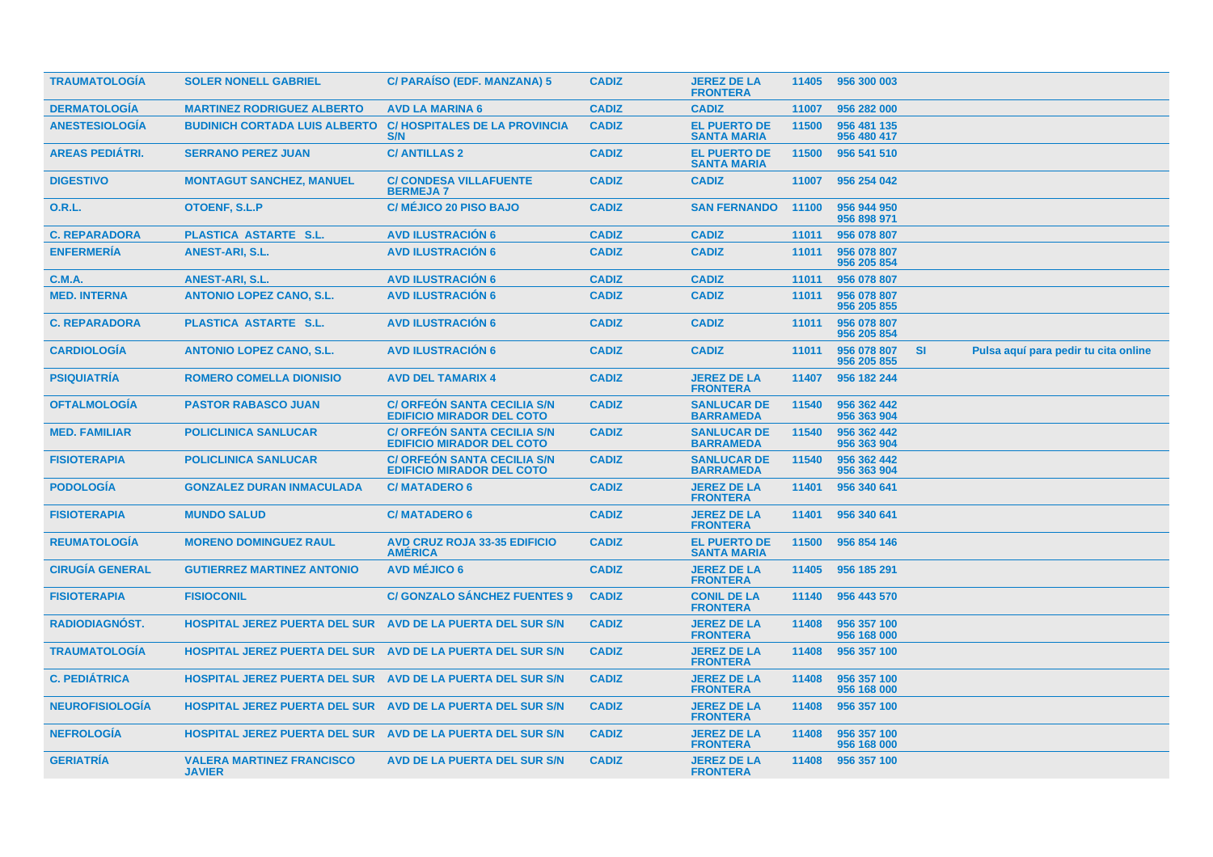| <b>TRAUMATOLOGIA</b>   | <b>SOLER NONELL GABRIEL</b>                                       | C/ PARAISO (EDF. MANZANA) 5                                            | <b>CADIZ</b> | <b>JEREZ DE LA</b><br><b>FRONTERA</b>     |       | 11405 956 300 003          |           |                                      |  |
|------------------------|-------------------------------------------------------------------|------------------------------------------------------------------------|--------------|-------------------------------------------|-------|----------------------------|-----------|--------------------------------------|--|
| <b>DERMATOLOGÍA</b>    | <b>MARTINEZ RODRIGUEZ ALBERTO</b>                                 | <b>AVD LA MARINA 6</b>                                                 | <b>CADIZ</b> | <b>CADIZ</b>                              | 11007 | 956 282 000                |           |                                      |  |
| <b>ANESTESIOLOGÍA</b>  | <b>BUDINICH CORTADA LUIS ALBERTO</b>                              | <b>C/HOSPITALES DE LA PROVINCIA</b><br><b>S/N</b>                      | <b>CADIZ</b> | <b>EL PUERTO DE</b><br><b>SANTA MARIA</b> | 11500 | 956 481 135<br>956 480 417 |           |                                      |  |
| <b>AREAS PEDIÁTRI.</b> | <b>SERRANO PEREZ JUAN</b>                                         | <b>C/ANTILLAS 2</b>                                                    | <b>CADIZ</b> | <b>EL PUERTO DE</b><br><b>SANTA MARIA</b> | 11500 | 956 541 510                |           |                                      |  |
| <b>DIGESTIVO</b>       | <b>MONTAGUT SANCHEZ, MANUEL</b>                                   | <b>C/ CONDESA VILLAFUENTE</b><br><b>BERMEJA7</b>                       | <b>CADIZ</b> | <b>CADIZ</b>                              | 11007 | 956 254 042                |           |                                      |  |
| <b>O.R.L.</b>          | <b>OTOENF, S.L.P</b>                                              | <b>C/ MÉJICO 20 PISO BAJO</b>                                          | <b>CADIZ</b> | <b>SAN FERNANDO</b>                       | 11100 | 956 944 950<br>956 898 971 |           |                                      |  |
| <b>C. REPARADORA</b>   | PLASTICA ASTARTE S.L.                                             | <b>AVD ILUSTRACIÓN 6</b>                                               | <b>CADIZ</b> | <b>CADIZ</b>                              | 11011 | 956 078 807                |           |                                      |  |
| <b>ENFERMERIA</b>      | <b>ANEST-ARI, S.L.</b>                                            | <b>AVD ILUSTRACION 6</b>                                               | <b>CADIZ</b> | <b>CADIZ</b>                              | 11011 | 956 078 807<br>956 205 854 |           |                                      |  |
| C.M.A.                 | <b>ANEST-ARI, S.L.</b>                                            | <b>AVD ILUSTRACIÓN 6</b>                                               | <b>CADIZ</b> | <b>CADIZ</b>                              | 11011 | 956 078 807                |           |                                      |  |
| <b>MED. INTERNA</b>    | <b>ANTONIO LOPEZ CANO, S.L.</b>                                   | <b>AVD ILUSTRACIÓN 6</b>                                               | <b>CADIZ</b> | <b>CADIZ</b>                              | 11011 | 956 078 807<br>956 205 855 |           |                                      |  |
| <b>C. REPARADORA</b>   | PLASTICA ASTARTE S.L.                                             | <b>AVD ILUSTRACION 6</b>                                               | <b>CADIZ</b> | <b>CADIZ</b>                              | 11011 | 956 078 807<br>956 205 854 |           |                                      |  |
| <b>CARDIOLOGÍA</b>     | <b>ANTONIO LOPEZ CANO, S.L.</b>                                   | <b>AVD ILUSTRACIÓN 6</b>                                               | <b>CADIZ</b> | <b>CADIZ</b>                              | 11011 | 956 078 807<br>956 205 855 | <b>SI</b> | Pulsa aquí para pedir tu cita online |  |
| <b>PSIQUIATRÍA</b>     | <b>ROMERO COMELLA DIONISIO</b>                                    | <b>AVD DEL TAMARIX 4</b>                                               | <b>CADIZ</b> | <b>JEREZ DE LA</b><br><b>FRONTERA</b>     | 11407 | 956 182 244                |           |                                      |  |
| <b>OFTALMOLOGIA</b>    | <b>PASTOR RABASCO JUAN</b>                                        | <b>C/ ORFEON SANTA CECILIA S/N</b><br><b>EDIFICIO MIRADOR DEL COTO</b> | <b>CADIZ</b> | <b>SANLUCAR DE</b><br><b>BARRAMEDA</b>    | 11540 | 956 362 442<br>956 363 904 |           |                                      |  |
| <b>MED. FAMILIAR</b>   | <b>POLICLINICA SANLUCAR</b>                                       | <b>C/ ORFEÓN SANTA CECILIA S/N</b><br><b>EDIFICIO MIRADOR DEL COTO</b> | <b>CADIZ</b> | <b>SANLUCAR DE</b><br><b>BARRAMEDA</b>    | 11540 | 956 362 442<br>956 363 904 |           |                                      |  |
| <b>FISIOTERAPIA</b>    | <b>POLICLINICA SANLUCAR</b>                                       | <b>C/ ORFEON SANTA CECILIA S/N</b><br><b>EDIFICIO MIRADOR DEL COTO</b> | <b>CADIZ</b> | <b>SANLUCAR DE</b><br><b>BARRAMEDA</b>    | 11540 | 956 362 442<br>956 363 904 |           |                                      |  |
| <b>PODOLOGIA</b>       | <b>GONZALEZ DURAN INMACULADA</b>                                  | <b>C/MATADERO 6</b>                                                    | <b>CADIZ</b> | <b>JEREZ DE LA</b><br><b>FRONTERA</b>     | 11401 | 956 340 641                |           |                                      |  |
| <b>FISIOTERAPIA</b>    | <b>MUNDO SALUD</b>                                                | <b>C/MATADERO 6</b>                                                    | <b>CADIZ</b> | <b>JEREZ DE LA</b><br><b>FRONTERA</b>     | 11401 | 956 340 641                |           |                                      |  |
| <b>REUMATOLOGIA</b>    | <b>MORENO DOMINGUEZ RAUL</b>                                      | <b>AVD CRUZ ROJA 33-35 EDIFICIO</b><br><b>AMERICA</b>                  | <b>CADIZ</b> | <b>EL PUERTO DE</b><br><b>SANTA MARIA</b> | 11500 | 956 854 146                |           |                                      |  |
| <b>CIRUGÍA GENERAL</b> | <b>GUTIERREZ MARTINEZ ANTONIO</b>                                 | <b>AVD MÉJICO 6</b>                                                    | <b>CADIZ</b> | <b>JEREZ DE LA</b><br><b>FRONTERA</b>     | 11405 | 956 185 291                |           |                                      |  |
| <b>FISIOTERAPIA</b>    | <b>FISIOCONIL</b>                                                 | <b>C/ GONZALO SÁNCHEZ FUENTES 9</b>                                    | <b>CADIZ</b> | <b>CONIL DE LA</b><br><b>FRONTERA</b>     | 11140 | 956 443 570                |           |                                      |  |
| <b>RADIODIAGNOST.</b>  | <b>HOSPITAL JEREZ PUERTA DEL SUR</b>                              | AVD DE LA PUERTA DEL SUR S/N                                           | <b>CADIZ</b> | <b>JEREZ DE LA</b><br><b>FRONTERA</b>     | 11408 | 956 357 100<br>956 168 000 |           |                                      |  |
| <b>TRAUMATOLOGÍA</b>   | <b>HOSPITAL JEREZ PUERTA DEL SUR AVD DE LA PUERTA DEL SUR S/N</b> |                                                                        | <b>CADIZ</b> | <b>JEREZ DE LA</b><br><b>FRONTERA</b>     | 11408 | 956 357 100                |           |                                      |  |
| <b>C. PEDIÁTRICA</b>   | HOSPITAL JEREZ PUERTA DEL SUR AVD DE LA PUERTA DEL SUR S/N        |                                                                        | <b>CADIZ</b> | <b>JEREZ DE LA</b><br><b>FRONTERA</b>     | 11408 | 956 357 100<br>956 168 000 |           |                                      |  |
| <b>NEUROFISIOLOGIA</b> | <b>HOSPITAL JEREZ PUERTA DEL SUR AVD DE LA PUERTA DEL SUR S/N</b> |                                                                        | <b>CADIZ</b> | <b>JEREZ DE LA</b><br><b>FRONTERA</b>     | 11408 | 956 357 100                |           |                                      |  |
| <b>NEFROLOGIA</b>      | HOSPITAL JEREZ PUERTA DEL SUR AVD DE LA PUERTA DEL SUR S/N        |                                                                        | <b>CADIZ</b> | <b>JEREZ DE LA</b><br><b>FRONTERA</b>     | 11408 | 956 357 100<br>956 168 000 |           |                                      |  |
| <b>GERIATRIA</b>       | <b>VALERA MARTINEZ FRANCISCO</b><br><b>JAVIER</b>                 | AVD DE LA PUERTA DEL SUR S/N                                           | <b>CADIZ</b> | <b>JEREZ DE LA</b><br><b>FRONTERA</b>     | 11408 | 956 357 100                |           |                                      |  |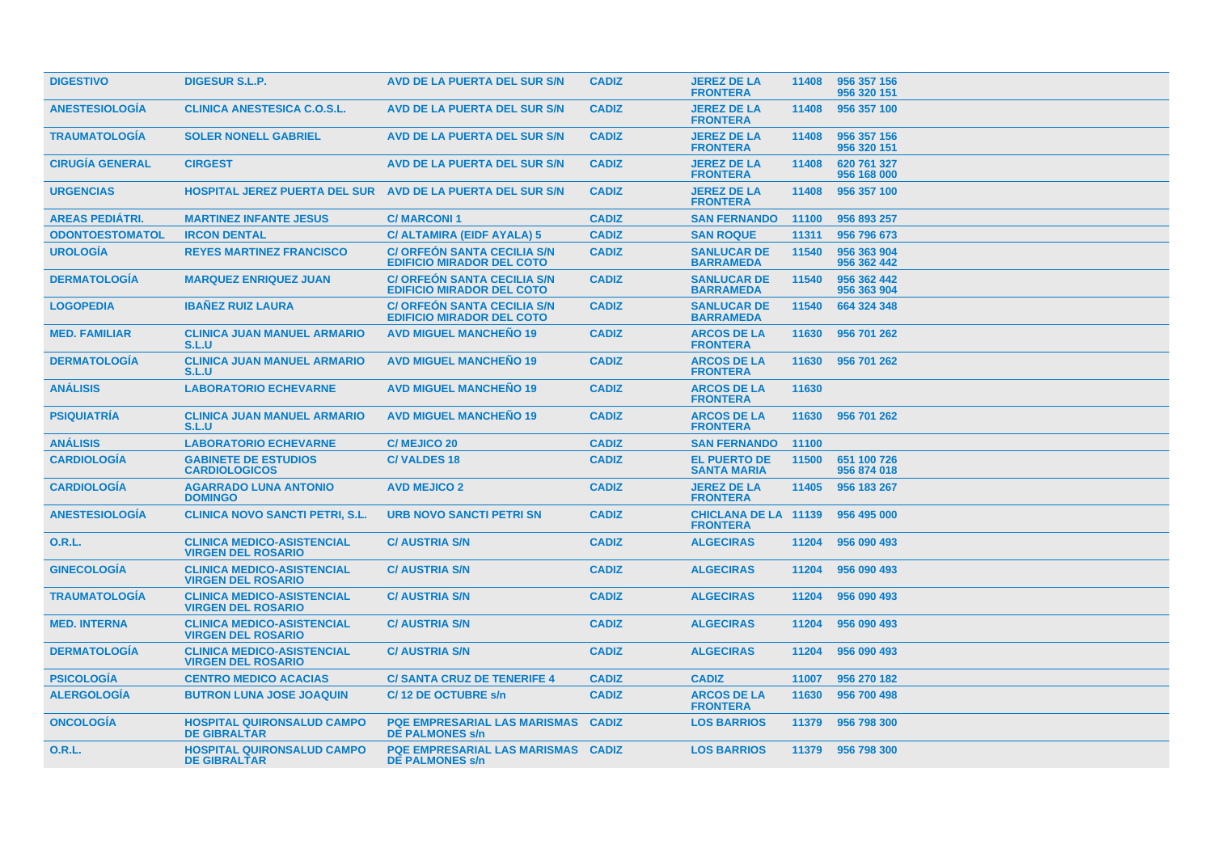| <b>DIGESTIVO</b>       | <b>DIGESUR S.L.P.</b>                                          | AVD DE LA PUERTA DEL SUR S/N                                           | <b>CADIZ</b> | <b>JEREZ DE LA</b><br><b>FRONTERA</b>          | 11408 | 956 357 156<br>956 320 151 |
|------------------------|----------------------------------------------------------------|------------------------------------------------------------------------|--------------|------------------------------------------------|-------|----------------------------|
| <b>ANESTESIOLOGIA</b>  | <b>CLINICA ANESTESICA C.O.S.L.</b>                             | AVD DE LA PUERTA DEL SUR S/N                                           | <b>CADIZ</b> | <b>JEREZ DE LA</b><br><b>FRONTERA</b>          | 11408 | 956 357 100                |
| <b>TRAUMATOLOGIA</b>   | <b>SOLER NONELL GABRIEL</b>                                    | AVD DE LA PUERTA DEL SUR S/N                                           | <b>CADIZ</b> | <b>JEREZ DE LA</b><br><b>FRONTERA</b>          | 11408 | 956 357 156<br>956 320 151 |
| <b>CIRUGÍA GENERAL</b> | <b>CIRGEST</b>                                                 | AVD DE LA PUERTA DEL SUR S/N                                           | <b>CADIZ</b> | <b>JEREZ DE LA</b><br><b>FRONTERA</b>          | 11408 | 620 761 327<br>956 168 000 |
| <b>URGENCIAS</b>       | <b>HOSPITAL JEREZ PUERTA DEL SUR</b>                           | AVD DE LA PUERTA DEL SUR S/N                                           | <b>CADIZ</b> | <b>JEREZ DE LA</b><br><b>FRONTERA</b>          | 11408 | 956 357 100                |
| <b>AREAS PEDIÁTRI.</b> | <b>MARTINEZ INFANTE JESUS</b>                                  | <b>C/MARCONI1</b>                                                      | <b>CADIZ</b> | <b>SAN FERNANDO</b>                            | 11100 | 956 893 257                |
| <b>ODONTOESTOMATOL</b> | <b>IRCON DENTAL</b>                                            | C/ ALTAMIRA (EIDF AYALA) 5                                             | <b>CADIZ</b> | <b>SAN ROQUE</b>                               | 11311 | 956 796 673                |
| <b>UROLOGÍA</b>        | <b>REYES MARTINEZ FRANCISCO</b>                                | <b>C/ ORFEON SANTA CECILIA S/N</b><br><b>EDIFICIO MIRADOR DEL COTO</b> | <b>CADIZ</b> | <b>SANLUCAR DE</b><br><b>BARRAMEDA</b>         | 11540 | 956 363 904<br>956 362 442 |
| <b>DERMATOLOGÍA</b>    | <b>MARQUEZ ENRIQUEZ JUAN</b>                                   | <b>C/ORFEON SANTA CECILIA S/N</b><br><b>EDIFICIO MIRADOR DEL COTO</b>  | <b>CADIZ</b> | <b>SANLUCAR DE</b><br><b>BARRAMEDA</b>         | 11540 | 956 362 442<br>956 363 904 |
| <b>LOGOPEDIA</b>       | <b>IBAÑEZ RUIZ LAURA</b>                                       | <b>C/ ORFEON SANTA CECILIA S/N</b><br><b>EDIFICIO MIRADOR DEL COTO</b> | <b>CADIZ</b> | <b>SANLUCAR DE</b><br><b>BARRAMEDA</b>         | 11540 | 664 324 348                |
| <b>MED. FAMILIAR</b>   | <b>CLINICA JUAN MANUEL ARMARIO</b><br>S.L.U                    | <b>AVD MIGUEL MANCHEÑO 19</b>                                          | <b>CADIZ</b> | <b>ARCOS DE LA</b><br><b>FRONTERA</b>          | 11630 | 956 701 262                |
| <b>DERMATOLOGIA</b>    | <b>CLINICA JUAN MANUEL ARMARIO</b><br>S.L.U                    | <b>AVD MIGUEL MANCHENO 19</b>                                          | <b>CADIZ</b> | <b>ARCOS DE LA</b><br><b>FRONTERA</b>          | 11630 | 956 701 262                |
| <b>ANÁLISIS</b>        | <b>LABORATORIO ECHEVARNE</b>                                   | <b>AVD MIGUEL MANCHENO 19</b>                                          | <b>CADIZ</b> | <b>ARCOS DE LA</b><br><b>FRONTERA</b>          | 11630 |                            |
| <b>PSIQUIATRIA</b>     | <b>CLINICA JUAN MANUEL ARMARIO</b><br>S.L.U                    | <b>AVD MIGUEL MANCHENO 19</b>                                          | <b>CADIZ</b> | <b>ARCOS DE LA</b><br><b>FRONTERA</b>          | 11630 | 956 701 262                |
| <b>ANÁLISIS</b>        | <b>LABORATORIO ECHEVARNE</b>                                   | <b>C/ MEJICO 20</b>                                                    | <b>CADIZ</b> | <b>SAN FERNANDO</b>                            | 11100 |                            |
| <b>CARDIOLOGÍA</b>     | <b>GABINETE DE ESTUDIOS</b><br><b>CARDIOLOGICOS</b>            | <b>C/VALDES 18</b>                                                     | <b>CADIZ</b> | <b>EL PUERTO DE</b><br><b>SANTA MARIA</b>      | 11500 | 651 100 726<br>956 874 018 |
| <b>CARDIOLOGIA</b>     | <b>AGARRADO LUNA ANTONIO</b><br><b>DOMINGO</b>                 | <b>AVD MEJICO 2</b>                                                    | <b>CADIZ</b> | <b>JEREZ DE LA</b><br><b>FRONTERA</b>          | 11405 | 956 183 267                |
| <b>ANESTESIOLOGÍA</b>  | <b>CLINICA NOVO SANCTI PETRI, S.L.</b>                         | <b>URB NOVO SANCTI PETRI SN</b>                                        | <b>CADIZ</b> | <b>CHICLANA DE LA 11139</b><br><b>FRONTERA</b> |       | 956 495 000                |
| <b>O.R.L.</b>          | <b>CLINICA MEDICO-ASISTENCIAL</b><br><b>VIRGEN DEL ROSARIO</b> | <b>C/AUSTRIA S/N</b>                                                   | <b>CADIZ</b> | <b>ALGECIRAS</b>                               | 11204 | 956 090 493                |
| <b>GINECOLOGÍA</b>     | <b>CLINICA MEDICO-ASISTENCIAL</b><br><b>VIRGEN DEL ROSARIO</b> | <b>C/AUSTRIA S/N</b>                                                   | <b>CADIZ</b> | <b>ALGECIRAS</b>                               | 11204 | 956 090 493                |
| <b>TRAUMATOLOGIA</b>   | <b>CLINICA MEDICO-ASISTENCIAL</b><br><b>VIRGEN DEL ROSARIO</b> | <b>C/ AUSTRIA S/N</b>                                                  | <b>CADIZ</b> | <b>ALGECIRAS</b>                               | 11204 | 956 090 493                |
| <b>MED. INTERNA</b>    | <b>CLINICA MEDICO-ASISTENCIAL</b><br><b>VIRGEN DEL ROSARIO</b> | <b>C/AUSTRIA S/N</b>                                                   | <b>CADIZ</b> | <b>ALGECIRAS</b>                               | 11204 | 956 090 493                |
| <b>DERMATOLOGÍA</b>    | <b>CLINICA MEDICO-ASISTENCIAL</b><br><b>VIRGEN DEL ROSARIO</b> | <b>C/AUSTRIA S/N</b>                                                   | <b>CADIZ</b> | <b>ALGECIRAS</b>                               | 11204 | 956 090 493                |
| <b>PSICOLOGIA</b>      | <b>CENTRO MEDICO ACACIAS</b>                                   | <b>C/SANTA CRUZ DE TENERIFE 4</b>                                      | <b>CADIZ</b> | <b>CADIZ</b>                                   | 11007 | 956 270 182                |
| <b>ALERGOLOGIA</b>     | <b>BUTRON LUNA JOSE JOAQUIN</b>                                | C/12 DE OCTUBRE s/n                                                    | <b>CADIZ</b> | <b>ARCOS DE LA</b><br><b>FRONTERA</b>          | 11630 | 956 700 498                |
| <b>ONCOLOGIA</b>       | <b>HOSPITAL QUIRONSALUD CAMPO</b><br><b>DE GIBRALTAR</b>       | <b>PQE EMPRESARIAL LAS MARISMAS</b><br><b>DE PALMONES s/n</b>          | <b>CADIZ</b> | <b>LOS BARRIOS</b>                             | 11379 | 956 798 300                |
| <b>O.R.L.</b>          | <b>HOSPITAL QUIRONSALUD CAMPO</b><br><b>DE GIBRALTAR</b>       | <b>POE EMPRESARIAL LAS MARISMAS</b><br><b>DE PALMONES s/n</b>          | <b>CADIZ</b> | <b>LOS BARRIOS</b>                             | 11379 | 956 798 300                |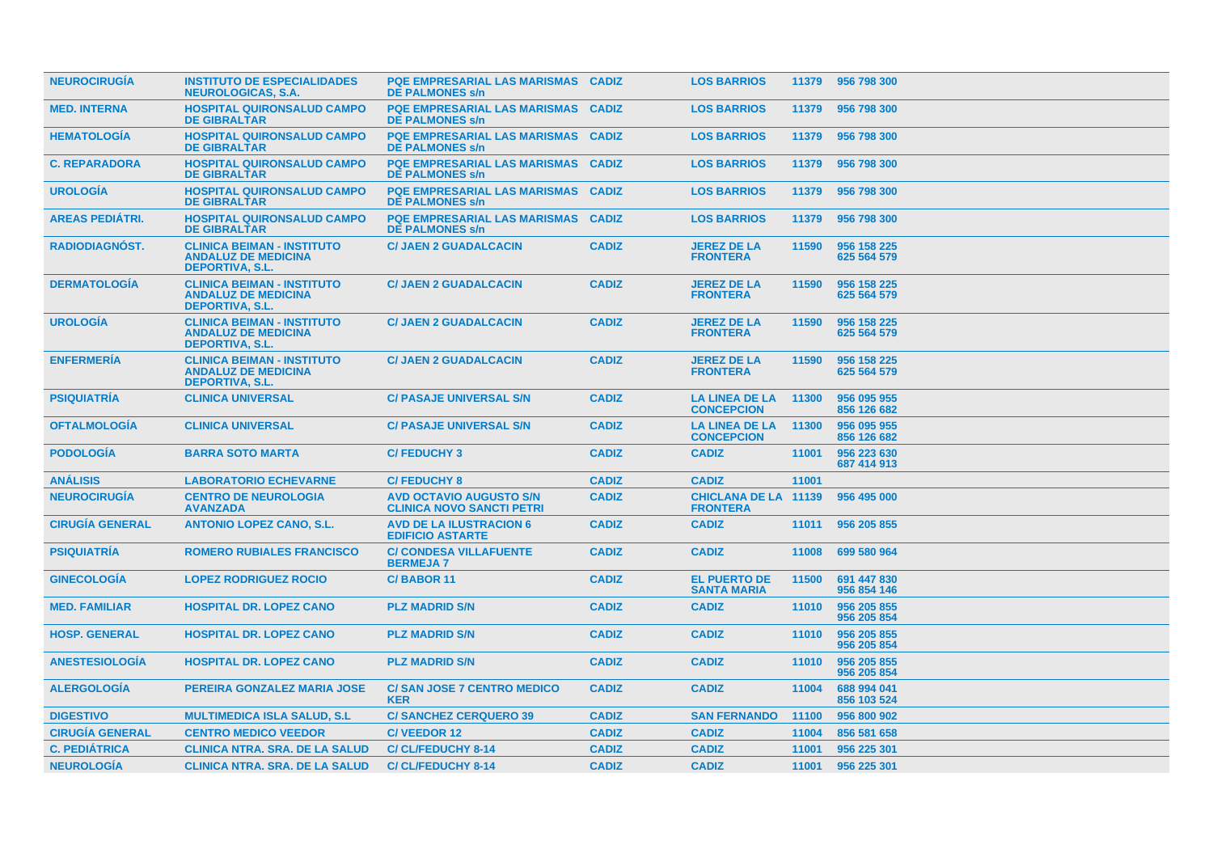| <b>NEUROCIRUGIA</b>    | <b>INSTITUTO DE ESPECIALIDADES</b><br><b>NEUROLOGICAS, S.A.</b>                           | <b>PQE EMPRESARIAL LAS MARISMAS CADIZ</b><br><b>DE PALMONES s/n</b> |              | <b>LOS BARRIOS</b>                             | 11379 | 956 798 300                |
|------------------------|-------------------------------------------------------------------------------------------|---------------------------------------------------------------------|--------------|------------------------------------------------|-------|----------------------------|
| <b>MED. INTERNA</b>    | <b>HOSPITAL QUIRONSALUD CAMPO</b><br><b>DE GIBRALTAR</b>                                  | <b>PQE EMPRESARIAL LAS MARISMAS</b><br><b>DE PALMONES s/n</b>       | <b>CADIZ</b> | <b>LOS BARRIOS</b>                             | 11379 | 956 798 300                |
| <b>HEMATOLOGIA</b>     | <b>HOSPITAL QUIRONSALUD CAMPO</b><br><b>DE GIBRALTAR</b>                                  | <b>PQE EMPRESARIAL LAS MARISMAS</b><br><b>DE PALMONES s/n</b>       | <b>CADIZ</b> | <b>LOS BARRIOS</b>                             | 11379 | 956 798 300                |
| <b>C. REPARADORA</b>   | <b>HOSPITAL QUIRONSALUD CAMPO</b><br><b>DE GIBRALTAR</b>                                  | <b>PQE EMPRESARIAL LAS MARISMAS</b><br><b>DE PALMONES s/n</b>       | <b>CADIZ</b> | <b>LOS BARRIOS</b>                             | 11379 | 956 798 300                |
| <b>UROLOGIA</b>        | <b>HOSPITAL QUIRONSALUD CAMPO</b><br><b>DE GIBRALTAR</b>                                  | <b>PQE EMPRESARIAL LAS MARISMAS</b><br><b>DE PALMONES s/n</b>       | <b>CADIZ</b> | <b>LOS BARRIOS</b>                             | 11379 | 956 798 300                |
| <b>AREAS PEDIÁTRI.</b> | <b>HOSPITAL QUIRONSALUD CAMPO</b><br><b>DE GIBRALTAR</b>                                  | <b>PQE EMPRESARIAL LAS MARISMAS</b><br><b>DE PALMONES s/n</b>       | <b>CADIZ</b> | <b>LOS BARRIOS</b>                             | 11379 | 956 798 300                |
| <b>RADIODIAGNOST.</b>  | <b>CLINICA BEIMAN - INSTITUTO</b><br><b>ANDALUZ DE MEDICINA</b><br><b>DEPORTIVA, S.L.</b> | <b>C/ JAEN 2 GUADALCACIN</b>                                        | <b>CADIZ</b> | <b>JEREZ DE LA</b><br><b>FRONTERA</b>          | 11590 | 956 158 225<br>625 564 579 |
| <b>DERMATOLOGÍA</b>    | <b>CLINICA BEIMAN - INSTITUTO</b><br><b>ANDALUZ DE MEDICINA</b><br><b>DEPORTIVA, S.L.</b> | <b>C/ JAEN 2 GUADALCACIN</b>                                        | <b>CADIZ</b> | <b>JEREZ DE LA</b><br><b>FRONTERA</b>          | 11590 | 956 158 225<br>625 564 579 |
| <b>UROLOGIA</b>        | <b>CLINICA BEIMAN - INSTITUTO</b><br><b>ANDALUZ DE MEDICINA</b><br><b>DEPORTIVA, S.L.</b> | <b>C/ JAEN 2 GUADALCACIN</b>                                        | <b>CADIZ</b> | <b>JEREZ DE LA</b><br><b>FRONTERA</b>          | 11590 | 956 158 225<br>625 564 579 |
| <b>ENFERMERÍA</b>      | <b>CLINICA BEIMAN - INSTITUTO</b><br><b>ANDALUZ DE MEDICINA</b><br><b>DEPORTIVA, S.L.</b> | <b>C/ JAEN 2 GUADALCACIN</b>                                        | <b>CADIZ</b> | <b>JEREZ DE LA</b><br><b>FRONTERA</b>          | 11590 | 956 158 225<br>625 564 579 |
| <b>PSIQUIATRÍA</b>     | <b>CLINICA UNIVERSAL</b>                                                                  | <b>C/ PASAJE UNIVERSAL S/N</b>                                      | <b>CADIZ</b> | <b>LA LINEA DE LA</b><br><b>CONCEPCION</b>     | 11300 | 956 095 955<br>856 126 682 |
| <b>OFTALMOLOGIA</b>    | <b>CLINICA UNIVERSAL</b>                                                                  | <b>C/ PASAJE UNIVERSAL S/N</b>                                      | <b>CADIZ</b> | <b>LA LINEA DE LA</b><br><b>CONCEPCION</b>     | 11300 | 956 095 955<br>856 126 682 |
| <b>PODOLOGÍA</b>       | <b>BARRA SOTO MARTA</b>                                                                   | <b>C/FEDUCHY3</b>                                                   | <b>CADIZ</b> | <b>CADIZ</b>                                   | 11001 | 956 223 630<br>687 414 913 |
| <b>ANÁLISIS</b>        | <b>LABORATORIO ECHEVARNE</b>                                                              | <b>C/FEDUCHY 8</b>                                                  | <b>CADIZ</b> | <b>CADIZ</b>                                   | 11001 |                            |
| <b>NEUROCIRUGIA</b>    | <b>CENTRO DE NEUROLOGIA</b><br><b>AVANZADA</b>                                            | <b>AVD OCTAVIO AUGUSTO S/N</b><br><b>CLINICA NOVO SANCTI PETRI</b>  | <b>CADIZ</b> | <b>CHICLANA DE LA 11139</b><br><b>FRONTERA</b> |       | 956 495 000                |
| <b>CIRUGIA GENERAL</b> | <b>ANTONIO LOPEZ CANO, S.L.</b>                                                           | <b>AVD DE LA ILUSTRACION 6</b><br><b>EDIFICIO ASTARTE</b>           | <b>CADIZ</b> | <b>CADIZ</b>                                   | 11011 | 956 205 855                |
| <b>PSIQUIATRIA</b>     | <b>ROMERO RUBIALES FRANCISCO</b>                                                          | <b>C/ CONDESA VILLAFUENTE</b><br><b>BERMEJA7</b>                    | <b>CADIZ</b> | <b>CADIZ</b>                                   | 11008 | 699 580 964                |
| <b>GINECOLOGIA</b>     | <b>LOPEZ RODRIGUEZ ROCIO</b>                                                              | <b>C/BABOR 11</b>                                                   | <b>CADIZ</b> | <b>EL PUERTO DE</b><br><b>SANTA MARIA</b>      | 11500 | 691 447 830<br>956 854 146 |
| <b>MED. FAMILIAR</b>   | <b>HOSPITAL DR. LOPEZ CANO</b>                                                            | <b>PLZ MADRID S/N</b>                                               | <b>CADIZ</b> | <b>CADIZ</b>                                   | 11010 | 956 205 855<br>956 205 854 |
| <b>HOSP. GENERAL</b>   | <b>HOSPITAL DR. LOPEZ CANO</b>                                                            | <b>PLZ MADRID S/N</b>                                               | <b>CADIZ</b> | <b>CADIZ</b>                                   | 11010 | 956 205 855<br>956 205 854 |
| <b>ANESTESIOLOGIA</b>  | <b>HOSPITAL DR. LOPEZ CANO</b>                                                            | <b>PLZ MADRID S/N</b>                                               | <b>CADIZ</b> | <b>CADIZ</b>                                   | 11010 | 956 205 855<br>956 205 854 |
| <b>ALERGOLOGÍA</b>     | PEREIRA GONZALEZ MARIA JOSE                                                               | <b>C/SAN JOSE 7 CENTRO MEDICO</b><br><b>KER</b>                     | <b>CADIZ</b> | <b>CADIZ</b>                                   | 11004 | 688 994 041<br>856 103 524 |
| <b>DIGESTIVO</b>       | <b>MULTIMEDICA ISLA SALUD, S.L.</b>                                                       | <b>C/SANCHEZ CERQUERO 39</b>                                        | <b>CADIZ</b> | <b>SAN FERNANDO</b>                            | 11100 | 956 800 902                |
| <b>CIRUGIA GENERAL</b> | <b>CENTRO MEDICO VEEDOR</b>                                                               | C/VEEDOR 12                                                         | <b>CADIZ</b> | <b>CADIZ</b>                                   | 11004 | 856 581 658                |
| <b>C. PEDIÁTRICA</b>   | <b>CLINICA NTRA. SRA. DE LA SALUD</b>                                                     | <b>C/CL/FEDUCHY 8-14</b>                                            | <b>CADIZ</b> | <b>CADIZ</b>                                   | 11001 | 956 225 301                |
| <b>NEUROLOGÍA</b>      | <b>CLINICA NTRA, SRA, DE LA SALUD</b>                                                     | <b>C/CL/FEDUCHY 8-14</b>                                            | <b>CADIZ</b> | <b>CADIZ</b>                                   | 11001 | 956 225 301                |
|                        |                                                                                           |                                                                     |              |                                                |       |                            |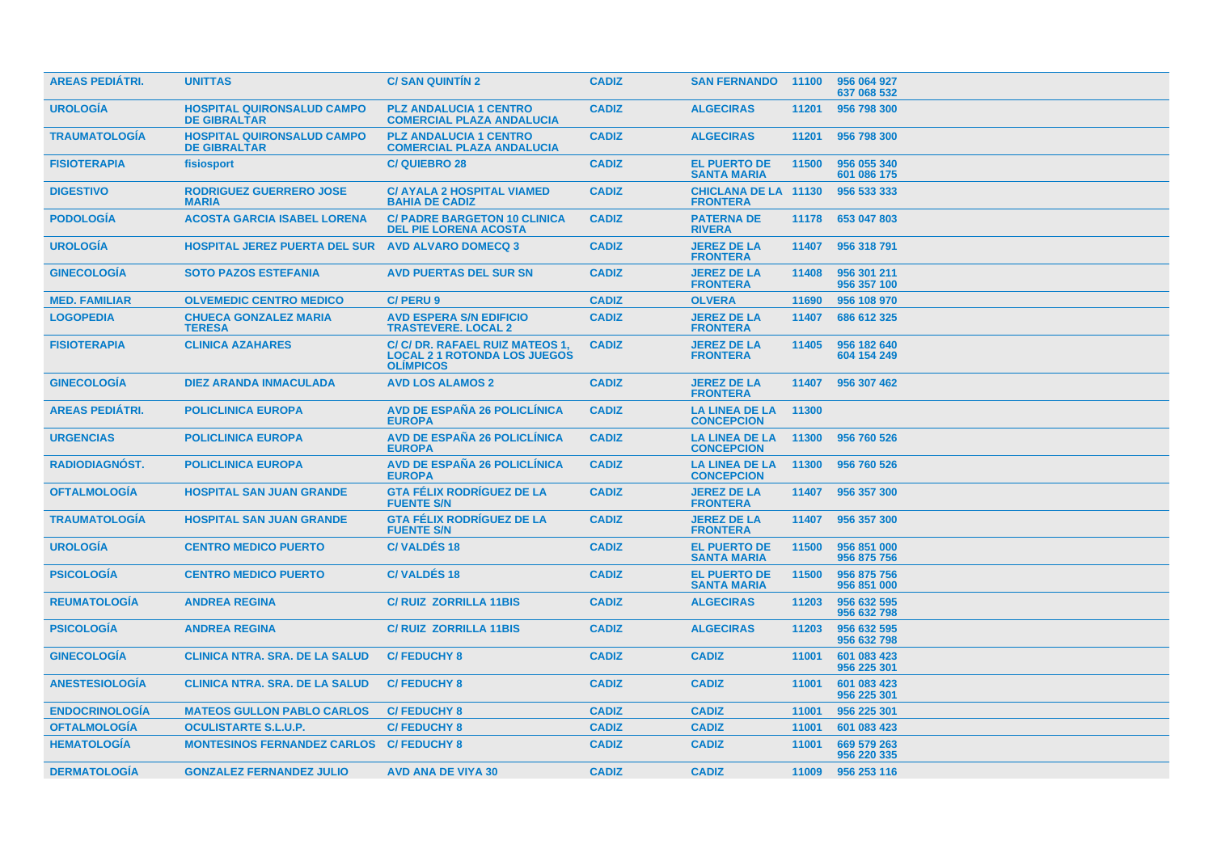| <b>AREAS PEDIÁTRI.</b> | <b>UNITTAS</b>                                           | <b>C/SAN QUINTIN 2</b>                                                                     | <b>CADIZ</b> | <b>SAN FERNANDO</b>                            | 11100 | 956 064 927<br>637 068 532 |
|------------------------|----------------------------------------------------------|--------------------------------------------------------------------------------------------|--------------|------------------------------------------------|-------|----------------------------|
| <b>UROLOGIA</b>        | <b>HOSPITAL QUIRONSALUD CAMPO</b><br><b>DE GIBRALTAR</b> | <b>PLZ ANDALUCIA 1 CENTRO</b><br><b>COMERCIAL PLAZA ANDALUCIA</b>                          | <b>CADIZ</b> | <b>ALGECIRAS</b>                               | 11201 | 956 798 300                |
| <b>TRAUMATOLOGÍA</b>   | <b>HOSPITAL QUIRONSALUD CAMPO</b><br><b>DE GIBRALTAR</b> | <b>PLZ ANDALUCIA 1 CENTRO</b><br><b>COMERCIAL PLAZA ANDALUCIA</b>                          | <b>CADIZ</b> | <b>ALGECIRAS</b>                               | 11201 | 956 798 300                |
| <b>FISIOTERAPIA</b>    | fisiosport                                               | <b>C/QUIEBRO 28</b>                                                                        | <b>CADIZ</b> | <b>EL PUERTO DE</b><br><b>SANTA MARIA</b>      | 11500 | 956 055 340<br>601 086 175 |
| <b>DIGESTIVO</b>       | <b>RODRIGUEZ GUERRERO JOSE</b><br><b>MARIA</b>           | <b>C/ AYALA 2 HOSPITAL VIAMED</b><br><b>BAHIA DE CADIZ</b>                                 | <b>CADIZ</b> | <b>CHICLANA DE LA 11130</b><br><b>FRONTERA</b> |       | 956 533 333                |
| <b>PODOLOGIA</b>       | <b>ACOSTA GARCIA ISABEL LORENA</b>                       | <b>C/ PADRE BARGETON 10 CLINICA</b><br><b>DEL PIE LORENA ACOSTA</b>                        | <b>CADIZ</b> | <b>PATERNA DE</b><br><b>RIVERA</b>             | 11178 | 653 047 803                |
| <b>UROLOGÍA</b>        | <b>HOSPITAL JEREZ PUERTA DEL SUR</b>                     | <b>AVD ALVARO DOMECQ 3</b>                                                                 | <b>CADIZ</b> | <b>JEREZ DE LA</b><br><b>FRONTERA</b>          | 11407 | 956 318 791                |
| <b>GINECOLOGÍA</b>     | <b>SOTO PAZOS ESTEFANIA</b>                              | <b>AVD PUERTAS DEL SUR SN</b>                                                              | <b>CADIZ</b> | <b>JEREZ DE LA</b><br><b>FRONTERA</b>          | 11408 | 956 301 211<br>956 357 100 |
| <b>MED. FAMILIAR</b>   | <b>OLVEMEDIC CENTRO MEDICO</b>                           | C/PERU9                                                                                    | <b>CADIZ</b> | <b>OLVERA</b>                                  | 11690 | 956 108 970                |
| <b>LOGOPEDIA</b>       | <b>CHUECA GONZALEZ MARIA</b><br><b>TERESA</b>            | <b>AVD ESPERA S/N EDIFICIO</b><br><b>TRASTEVERE, LOCAL 2</b>                               | <b>CADIZ</b> | <b>JEREZ DE LA</b><br><b>FRONTERA</b>          | 11407 | 686 612 325                |
| <b>FISIOTERAPIA</b>    | <b>CLINICA AZAHARES</b>                                  | C/ C/ DR. RAFAEL RUIZ MATEOS 1,<br><b>LOCAL 2 1 ROTONDA LOS JUEGOS</b><br><b>OLIMPICOS</b> | <b>CADIZ</b> | <b>JEREZ DE LA</b><br><b>FRONTERA</b>          | 11405 | 956 182 640<br>604 154 249 |
| <b>GINECOLOGIA</b>     | <b>DIEZ ARANDA INMACULADA</b>                            | <b>AVD LOS ALAMOS 2</b>                                                                    | <b>CADIZ</b> | <b>JEREZ DE LA</b><br><b>FRONTERA</b>          | 11407 | 956 307 462                |
| <b>AREAS PEDIATRI.</b> | <b>POLICLINICA EUROPA</b>                                | <b>AVD DE ESPAÑA 26 POLICLÍNICA</b><br><b>EUROPA</b>                                       | <b>CADIZ</b> | <b>LA LINEA DE LA</b><br><b>CONCEPCION</b>     | 11300 |                            |
| <b>URGENCIAS</b>       | <b>POLICLINICA EUROPA</b>                                | <b>AVD DE ESPAÑA 26 POLICLÍNICA</b><br><b>EUROPA</b>                                       | <b>CADIZ</b> | <b>LA LINEA DE LA</b><br><b>CONCEPCION</b>     | 11300 | 956 760 526                |
| <b>RADIODIAGNÓST.</b>  | <b>POLICLINICA EUROPA</b>                                | <b>AVD DE ESPAÑA 26 POLICLÍNICA</b><br><b>EUROPA</b>                                       | <b>CADIZ</b> | <b>LA LINEA DE LA</b><br><b>CONCEPCION</b>     | 11300 | 956 760 526                |
| <b>OFTALMOLOGIA</b>    | <b>HOSPITAL SAN JUAN GRANDE</b>                          | <b>GTA FÉLIX RODRIGUEZ DE LA</b><br><b>FUENTE S/N</b>                                      | <b>CADIZ</b> | <b>JEREZ DE LA</b><br><b>FRONTERA</b>          | 11407 | 956 357 300                |
| <b>TRAUMATOLOGIA</b>   | <b>HOSPITAL SAN JUAN GRANDE</b>                          | <b>GTA FÉLIX RODRÍGUEZ DE LA</b><br><b>FUENTE S/N</b>                                      | <b>CADIZ</b> | <b>JEREZ DE LA</b><br><b>FRONTERA</b>          |       | 11407 956 357 300          |
| <b>UROLOGIA</b>        | <b>CENTRO MEDICO PUERTO</b>                              | <b>C/VALDES 18</b>                                                                         | <b>CADIZ</b> | <b>EL PUERTO DE</b><br><b>SANTA MARIA</b>      | 11500 | 956 851 000<br>956 875 756 |
| <b>PSICOLOGIA</b>      | <b>CENTRO MEDICO PUERTO</b>                              | <b>C/VALDES 18</b>                                                                         | <b>CADIZ</b> | <b>EL PUERTO DE</b><br><b>SANTA MARIA</b>      | 11500 | 956 875 756<br>956 851 000 |
| <b>REUMATOLOGÍA</b>    | <b>ANDREA REGINA</b>                                     | <b>C/RUIZ ZORRILLA 11BIS</b>                                                               | <b>CADIZ</b> | <b>ALGECIRAS</b>                               | 11203 | 956 632 595<br>956 632 798 |
| <b>PSICOLOGIA</b>      | <b>ANDREA REGINA</b>                                     | <b>C/RUIZ ZORRILLA 11BIS</b>                                                               | <b>CADIZ</b> | <b>ALGECIRAS</b>                               | 11203 | 956 632 595<br>956 632 798 |
| <b>GINECOLOGIA</b>     | <b>CLINICA NTRA, SRA, DE LA SALUD</b>                    | <b>C/FEDUCHY 8</b>                                                                         | <b>CADIZ</b> | <b>CADIZ</b>                                   | 11001 | 601 083 423<br>956 225 301 |
| <b>ANESTESIOLOGIA</b>  | <b>CLINICA NTRA. SRA. DE LA SALUD</b>                    | <b>C/FEDUCHY 8</b>                                                                         | <b>CADIZ</b> | <b>CADIZ</b>                                   | 11001 | 601 083 423<br>956 225 301 |
| <b>ENDOCRINOLOGIA</b>  | <b>MATEOS GULLON PABLO CARLOS</b>                        | <b>C/FEDUCHY 8</b>                                                                         | <b>CADIZ</b> | <b>CADIZ</b>                                   | 11001 | 956 225 301                |
| <b>OFTALMOLOGIA</b>    | <b>OCULISTARTE S.L.U.P.</b>                              | <b>C/FEDUCHY 8</b>                                                                         | <b>CADIZ</b> | <b>CADIZ</b>                                   | 11001 | 601 083 423                |
| <b>HEMATOLOGIA</b>     | <b>MONTESINOS FERNANDEZ CARLOS</b>                       | <b>C/FEDUCHY 8</b>                                                                         | <b>CADIZ</b> | <b>CADIZ</b>                                   | 11001 | 669 579 263<br>956 220 335 |
| <b>DERMATOLOGIA</b>    | <b>GONZALEZ FERNANDEZ JULIO</b>                          | <b>AVD ANA DE VIYA 30</b>                                                                  | <b>CADIZ</b> | <b>CADIZ</b>                                   | 11009 | 956 253 116                |
|                        |                                                          |                                                                                            |              |                                                |       |                            |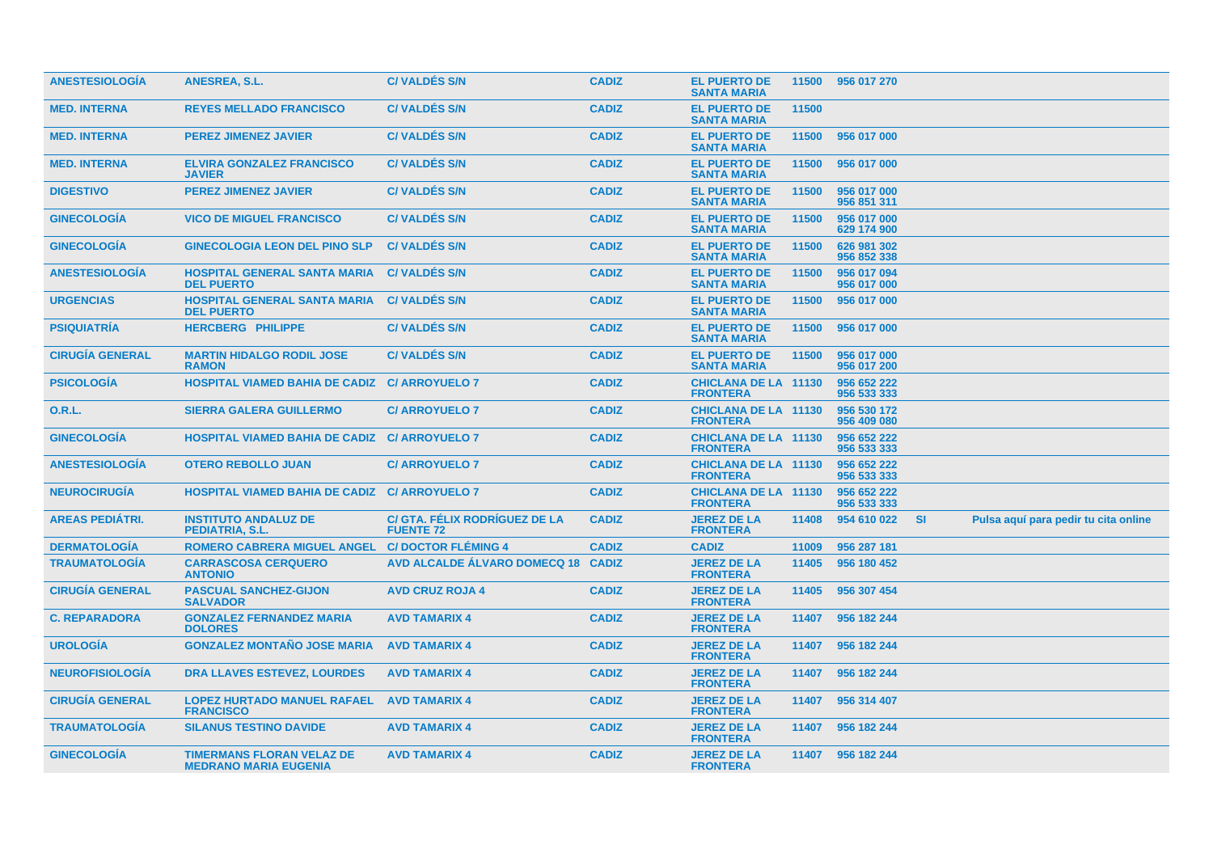| <b>ANESTESIOLOGIA</b>  | ANESREA, S.L.                                                    | <b>C/VALDES S/N</b>                               | <b>CADIZ</b> | <b>EL PUERTO DE</b><br><b>SANTA MARIA</b>      |       | 11500 956 017 270          |           |                                      |
|------------------------|------------------------------------------------------------------|---------------------------------------------------|--------------|------------------------------------------------|-------|----------------------------|-----------|--------------------------------------|
| <b>MED. INTERNA</b>    | <b>REYES MELLADO FRANCISCO</b>                                   | <b>C/VALDES S/N</b>                               | <b>CADIZ</b> | <b>EL PUERTO DE</b><br><b>SANTA MARIA</b>      | 11500 |                            |           |                                      |
| <b>MED. INTERNA</b>    | <b>PEREZ JIMENEZ JAVIER</b>                                      | <b>C/VALDES S/N</b>                               | <b>CADIZ</b> | <b>EL PUERTO DE</b><br><b>SANTA MARIA</b>      | 11500 | 956 017 000                |           |                                      |
| <b>MED. INTERNA</b>    | <b>ELVIRA GONZALEZ FRANCISCO</b><br><b>JAVIER</b>                | <b>C/VALDES S/N</b>                               | <b>CADIZ</b> | <b>EL PUERTO DE</b><br><b>SANTA MARIA</b>      | 11500 | 956 017 000                |           |                                      |
| <b>DIGESTIVO</b>       | <b>PEREZ JIMENEZ JAVIER</b>                                      | <b>C/VALDÉS S/N</b>                               | <b>CADIZ</b> | <b>EL PUERTO DE</b><br><b>SANTA MARIA</b>      | 11500 | 956 017 000<br>956 851 311 |           |                                      |
| <b>GINECOLOGÍA</b>     | <b>VICO DE MIGUEL FRANCISCO</b>                                  | <b>C/VALDÉS S/N</b>                               | <b>CADIZ</b> | <b>EL PUERTO DE</b><br><b>SANTA MARIA</b>      | 11500 | 956 017 000<br>629 174 900 |           |                                      |
| <b>GINECOLOGÍA</b>     | <b>GINECOLOGIA LEON DEL PINO SLP</b>                             | <b>C/VALDES S/N</b>                               | <b>CADIZ</b> | <b>EL PUERTO DE</b><br><b>SANTA MARIA</b>      | 11500 | 626 981 302<br>956 852 338 |           |                                      |
| <b>ANESTESIOLOGÍA</b>  | <b>HOSPITAL GENERAL SANTA MARIA</b><br><b>DEL PUERTO</b>         | <b>C/VALDES S/N</b>                               | <b>CADIZ</b> | <b>EL PUERTO DE</b><br><b>SANTA MARIA</b>      | 11500 | 956 017 094<br>956 017 000 |           |                                      |
| <b>URGENCIAS</b>       | <b>HOSPITAL GENERAL SANTA MARIA</b><br><b>DEL PUERTO</b>         | <b>C/VALDES S/N</b>                               | <b>CADIZ</b> | <b>EL PUERTO DE</b><br><b>SANTA MARIA</b>      | 11500 | 956 017 000                |           |                                      |
| <b>PSIQUIATRÍA</b>     | <b>HERCBERG PHILIPPE</b>                                         | <b>C/VALDÉS S/N</b>                               | <b>CADIZ</b> | <b>EL PUERTO DE</b><br><b>SANTA MARIA</b>      | 11500 | 956 017 000                |           |                                      |
| <b>CIRUGÍA GENERAL</b> | <b>MARTIN HIDALGO RODIL JOSE</b><br><b>RAMON</b>                 | <b>C/VALDÉS S/N</b>                               | <b>CADIZ</b> | <b>EL PUERTO DE</b><br><b>SANTA MARIA</b>      | 11500 | 956 017 000<br>956 017 200 |           |                                      |
| <b>PSICOLOGÍA</b>      | HOSPITAL VIAMED BAHIA DE CADIZ C/ ARROYUELO 7                    |                                                   | <b>CADIZ</b> | <b>CHICLANA DE LA 11130</b><br><b>FRONTERA</b> |       | 956 652 222<br>956 533 333 |           |                                      |
| <b>O.R.L.</b>          | <b>SIERRA GALERA GUILLERMO</b>                                   | <b>C/ ARROYUELO 7</b>                             | <b>CADIZ</b> | <b>CHICLANA DE LA 11130</b><br><b>FRONTERA</b> |       | 956 530 172<br>956 409 080 |           |                                      |
| <b>GINECOLOGÍA</b>     | <b>HOSPITAL VIAMED BAHIA DE CADIZ C/ ARROYUELO 7</b>             |                                                   | <b>CADIZ</b> | <b>CHICLANA DE LA 11130</b><br><b>FRONTERA</b> |       | 956 652 222<br>956 533 333 |           |                                      |
| <b>ANESTESIOLOGÍA</b>  | <b>OTERO REBOLLO JUAN</b>                                        | <b>C/ ARROYUELO 7</b>                             | <b>CADIZ</b> | <b>CHICLANA DE LA 11130</b><br><b>FRONTERA</b> |       | 956 652 222<br>956 533 333 |           |                                      |
| <b>NEUROCIRUGÍA</b>    | <b>HOSPITAL VIAMED BAHIA DE CADIZ C/ ARROYUELO 7</b>             |                                                   | <b>CADIZ</b> | <b>CHICLANA DE LA 11130</b><br><b>FRONTERA</b> |       | 956 652 222<br>956 533 333 |           |                                      |
| <b>AREAS PEDIÁTRI.</b> | <b>INSTITUTO ANDALUZ DE</b><br>PEDIATRIA, S.L.                   | C/ GTA. FÉLIX RODRÍGUEZ DE LA<br><b>FUENTE 72</b> | <b>CADIZ</b> | <b>JEREZ DE LA</b><br><b>FRONTERA</b>          | 11408 | 954 610 022                | <b>SI</b> | Pulsa aquí para pedir tu cita online |
| <b>DERMATOLOGÍA</b>    | <b>ROMERO CABRERA MIGUEL ANGEL</b>                               | <b>C/DOCTOR FLÉMING 4</b>                         | <b>CADIZ</b> | <b>CADIZ</b>                                   | 11009 | 956 287 181                |           |                                      |
| <b>TRAUMATOLOGIA</b>   | <b>CARRASCOSA CERQUERO</b><br><b>ANTONIO</b>                     | AVD ALCALDE ÁLVARO DOMECQ 18 CADIZ                |              | <b>JEREZ DE LA</b><br><b>FRONTERA</b>          | 11405 | 956 180 452                |           |                                      |
| <b>CIRUGÍA GENERAL</b> | <b>PASCUAL SANCHEZ-GIJON</b><br><b>SALVADOR</b>                  | <b>AVD CRUZ ROJA 4</b>                            | <b>CADIZ</b> | <b>JEREZ DE LA</b><br><b>FRONTERA</b>          | 11405 | 956 307 454                |           |                                      |
| <b>C. REPARADORA</b>   | <b>GONZALEZ FERNANDEZ MARIA</b><br><b>DOLORES</b>                | <b>AVD TAMARIX 4</b>                              | <b>CADIZ</b> | <b>JEREZ DE LA</b><br><b>FRONTERA</b>          | 11407 | 956 182 244                |           |                                      |
| <b>UROLOGÍA</b>        | <b>GONZALEZ MONTAÑO JOSE MARIA</b>                               | <b>AVD TAMARIX 4</b>                              | <b>CADIZ</b> | <b>JEREZ DE LA</b><br><b>FRONTERA</b>          | 11407 | 956 182 244                |           |                                      |
| <b>NEUROFISIOLOGÍA</b> | <b>DRA LLAVES ESTEVEZ, LOURDES</b>                               | <b>AVD TAMARIX 4</b>                              | <b>CADIZ</b> | <b>JEREZ DE LA</b><br><b>FRONTERA</b>          | 11407 | 956 182 244                |           |                                      |
| <b>CIRUGÍA GENERAL</b> | <b>LOPEZ HURTADO MANUEL RAFAEL</b><br><b>FRANCISCO</b>           | <b>AVD TAMARIX 4</b>                              | <b>CADIZ</b> | <b>JEREZ DE LA</b><br><b>FRONTERA</b>          |       | 11407 956 314 407          |           |                                      |
| <b>TRAUMATOLOGÍA</b>   | <b>SILANUS TESTINO DAVIDE</b>                                    | <b>AVD TAMARIX 4</b>                              | <b>CADIZ</b> | <b>JEREZ DE LA</b><br><b>FRONTERA</b>          | 11407 | 956 182 244                |           |                                      |
| <b>GINECOLOGÍA</b>     | <b>TIMERMANS FLORAN VELAZ DE</b><br><b>MEDRANO MARIA EUGENIA</b> | <b>AVD TAMARIX 4</b>                              | <b>CADIZ</b> | <b>JEREZ DE LA</b><br><b>FRONTERA</b>          |       | 11407 956 182 244          |           |                                      |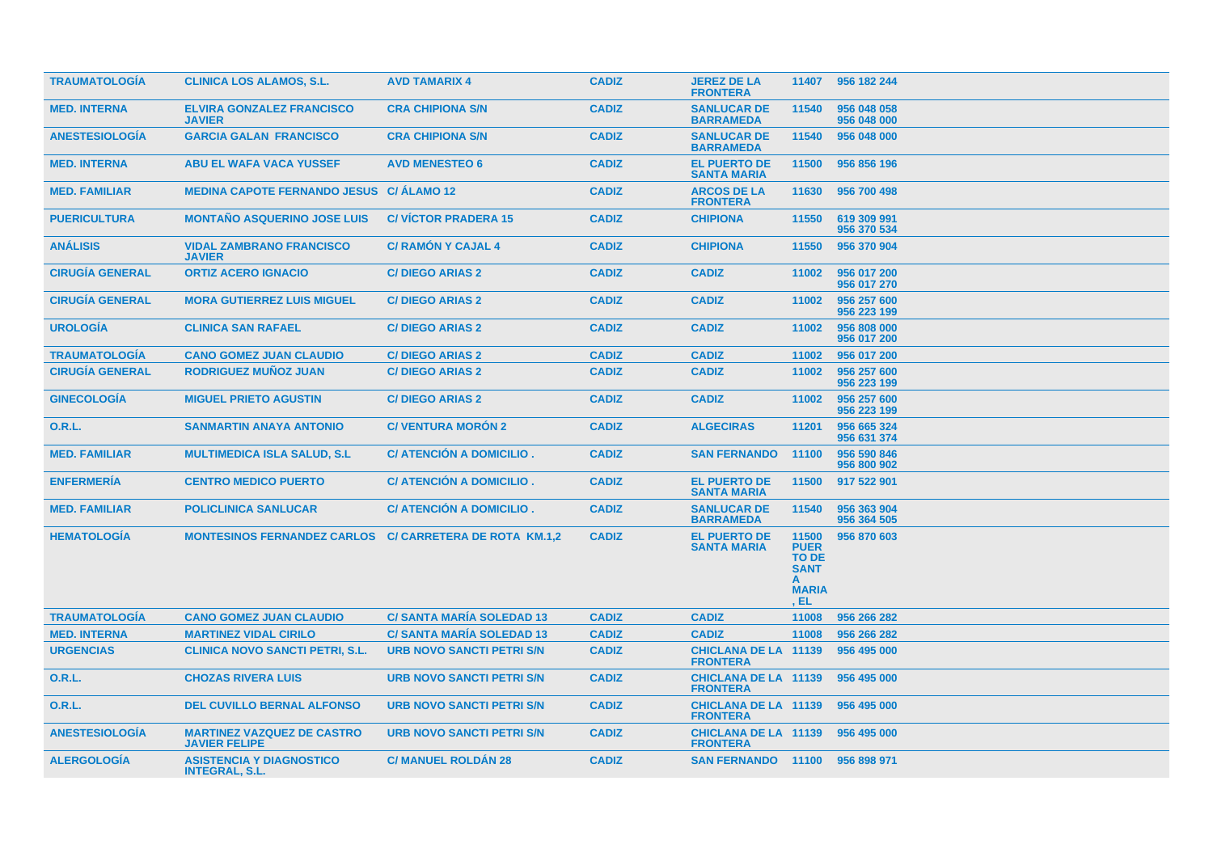| <b>TRAUMATOLOGIA</b>   | <b>CLINICA LOS ALAMOS, S.L.</b>                                | <b>AVD TAMARIX 4</b>             | <b>CADIZ</b> | <b>JEREZ DE LA</b><br><b>FRONTERA</b>          | 11407                                                                       | 956 182 244                |
|------------------------|----------------------------------------------------------------|----------------------------------|--------------|------------------------------------------------|-----------------------------------------------------------------------------|----------------------------|
| <b>MED. INTERNA</b>    | <b>ELVIRA GONZALEZ FRANCISCO</b><br><b>JAVIER</b>              | <b>CRA CHIPIONA S/N</b>          | <b>CADIZ</b> | <b>SANLUCAR DE</b><br><b>BARRAMEDA</b>         | 11540                                                                       | 956 048 058<br>956 048 000 |
| <b>ANESTESIOLOGIA</b>  | <b>GARCIA GALAN FRANCISCO</b>                                  | <b>CRA CHIPIONA S/N</b>          | <b>CADIZ</b> | <b>SANLUCAR DE</b><br><b>BARRAMEDA</b>         | 11540                                                                       | 956 048 000                |
| <b>MED. INTERNA</b>    | <b>ABU EL WAFA VACA YUSSEF</b>                                 | <b>AVD MENESTEO 6</b>            | <b>CADIZ</b> | <b>EL PUERTO DE</b><br><b>SANTA MARIA</b>      | 11500                                                                       | 956 856 196                |
| <b>MED. FAMILIAR</b>   | <b>MEDINA CAPOTE FERNANDO JESUS C/ ÁLAMO 12</b>                |                                  | <b>CADIZ</b> | <b>ARCOS DE LA</b><br><b>FRONTERA</b>          | 11630                                                                       | 956 700 498                |
| <b>PUERICULTURA</b>    | <b>MONTAÑO ASQUERINO JOSE LUIS</b>                             | <b>C/VICTOR PRADERA 15</b>       | <b>CADIZ</b> | <b>CHIPIONA</b>                                | 11550                                                                       | 619 309 991<br>956 370 534 |
| <b>ANÁLISIS</b>        | <b>VIDAL ZAMBRANO FRANCISCO</b><br><b>JAVIER</b>               | <b>C/ RAMON Y CAJAL 4</b>        | <b>CADIZ</b> | <b>CHIPIONA</b>                                | 11550                                                                       | 956 370 904                |
| <b>CIRUGÍA GENERAL</b> | <b>ORTIZ ACERO IGNACIO</b>                                     | <b>C/DIEGO ARIAS 2</b>           | <b>CADIZ</b> | <b>CADIZ</b>                                   | 11002                                                                       | 956 017 200<br>956 017 270 |
| <b>CIRUGÍA GENERAL</b> | <b>MORA GUTIERREZ LUIS MIGUEL</b>                              | <b>C/DIEGO ARIAS 2</b>           | <b>CADIZ</b> | <b>CADIZ</b>                                   | 11002                                                                       | 956 257 600<br>956 223 199 |
| <b>UROLOGIA</b>        | <b>CLINICA SAN RAFAEL</b>                                      | <b>C/DIEGO ARIAS 2</b>           | <b>CADIZ</b> | <b>CADIZ</b>                                   | 11002                                                                       | 956 808 000<br>956 017 200 |
| <b>TRAUMATOLOGIA</b>   | <b>CANO GOMEZ JUAN CLAUDIO</b>                                 | <b>C/DIEGO ARIAS 2</b>           | <b>CADIZ</b> | <b>CADIZ</b>                                   | 11002                                                                       | 956 017 200                |
| <b>CIRUGÍA GENERAL</b> | <b>RODRIGUEZ MUÑOZ JUAN</b>                                    | <b>C/DIEGO ARIAS 2</b>           | <b>CADIZ</b> | <b>CADIZ</b>                                   | 11002                                                                       | 956 257 600<br>956 223 199 |
| <b>GINECOLOGIA</b>     | <b>MIGUEL PRIETO AGUSTIN</b>                                   | <b>C/DIEGO ARIAS 2</b>           | <b>CADIZ</b> | <b>CADIZ</b>                                   | 11002                                                                       | 956 257 600<br>956 223 199 |
| 0.R.L.                 | <b>SANMARTIN ANAYA ANTONIO</b>                                 | <b>C/VENTURA MORON 2</b>         | <b>CADIZ</b> | <b>ALGECIRAS</b>                               | 11201                                                                       | 956 665 324<br>956 631 374 |
| <b>MED. FAMILIAR</b>   | <b>MULTIMEDICA ISLA SALUD, S.L.</b>                            | C/ ATENCIÓN A DOMICILIO.         | <b>CADIZ</b> | <b>SAN FERNANDO</b>                            | 11100                                                                       | 956 590 846<br>956 800 902 |
| <b>ENFERMERÍA</b>      | <b>CENTRO MEDICO PUERTO</b>                                    | C/ ATENCIÓN A DOMICILIO.         | <b>CADIZ</b> | <b>EL PUERTO DE</b><br><b>SANTA MARIA</b>      | 11500                                                                       | 917 522 901                |
| <b>MED. FAMILIAR</b>   | <b>POLICLINICA SANLUCAR</b>                                    | C/ ATENCIÓN A DOMICILIO.         | <b>CADIZ</b> | <b>SANLUCAR DE</b><br><b>BARRAMEDA</b>         | 11540                                                                       | 956 363 904<br>956 364 505 |
| <b>HEMATOLOGIA</b>     | <b>MONTESINOS FERNANDEZ CARLOS C/ CARRETERA DE ROTA KM.1.2</b> |                                  | <b>CADIZ</b> | <b>EL PUERTO DE</b><br><b>SANTA MARIA</b>      | 11500<br><b>PUER</b><br><b>TO DE</b><br><b>SANT</b><br><b>MARIA</b><br>, EL | 956 870 603                |
| <b>TRAUMATOLOGÍA</b>   | <b>CANO GOMEZ JUAN CLAUDIO</b>                                 | <b>C/ SANTA MARÍA SOLEDAD 13</b> | <b>CADIZ</b> | <b>CADIZ</b>                                   | 11008                                                                       | 956 266 282                |
| <b>MED. INTERNA</b>    | <b>MARTINEZ VIDAL CIRILO</b>                                   | <b>C/ SANTA MARIA SOLEDAD 13</b> | <b>CADIZ</b> | <b>CADIZ</b>                                   | 11008                                                                       | 956 266 282                |
| <b>URGENCIAS</b>       | <b>CLINICA NOVO SANCTI PETRI, S.L.</b>                         | <b>URB NOVO SANCTI PETRI S/N</b> | <b>CADIZ</b> | <b>CHICLANA DE LA 11139</b><br><b>FRONTERA</b> |                                                                             | 956 495 000                |
| 0.R.L.                 | <b>CHOZAS RIVERA LUIS</b>                                      | <b>URB NOVO SANCTI PETRI S/N</b> | <b>CADIZ</b> | <b>CHICLANA DE LA 11139</b><br><b>FRONTERA</b> |                                                                             | 956 495 000                |
| 0.R.L.                 | <b>DEL CUVILLO BERNAL ALFONSO</b>                              | <b>URB NOVO SANCTI PETRI S/N</b> | <b>CADIZ</b> | <b>CHICLANA DE LA 11139</b><br><b>FRONTERA</b> |                                                                             | 956 495 000                |
| <b>ANESTESIOLOGIA</b>  | <b>MARTINEZ VAZQUEZ DE CASTRO</b><br><b>JAVIER FELIPE</b>      | <b>URB NOVO SANCTI PETRI S/N</b> | <b>CADIZ</b> | <b>CHICLANA DE LA 11139</b><br><b>FRONTERA</b> |                                                                             | 956 495 000                |
| <b>ALERGOLOGÍA</b>     | <b>ASISTENCIA Y DIAGNOSTICO</b><br><b>INTEGRAL, S.L.</b>       | <b>C/MANUEL ROLDAN 28</b>        | <b>CADIZ</b> | SAN FERNANDO 11100 956 898 971                 |                                                                             |                            |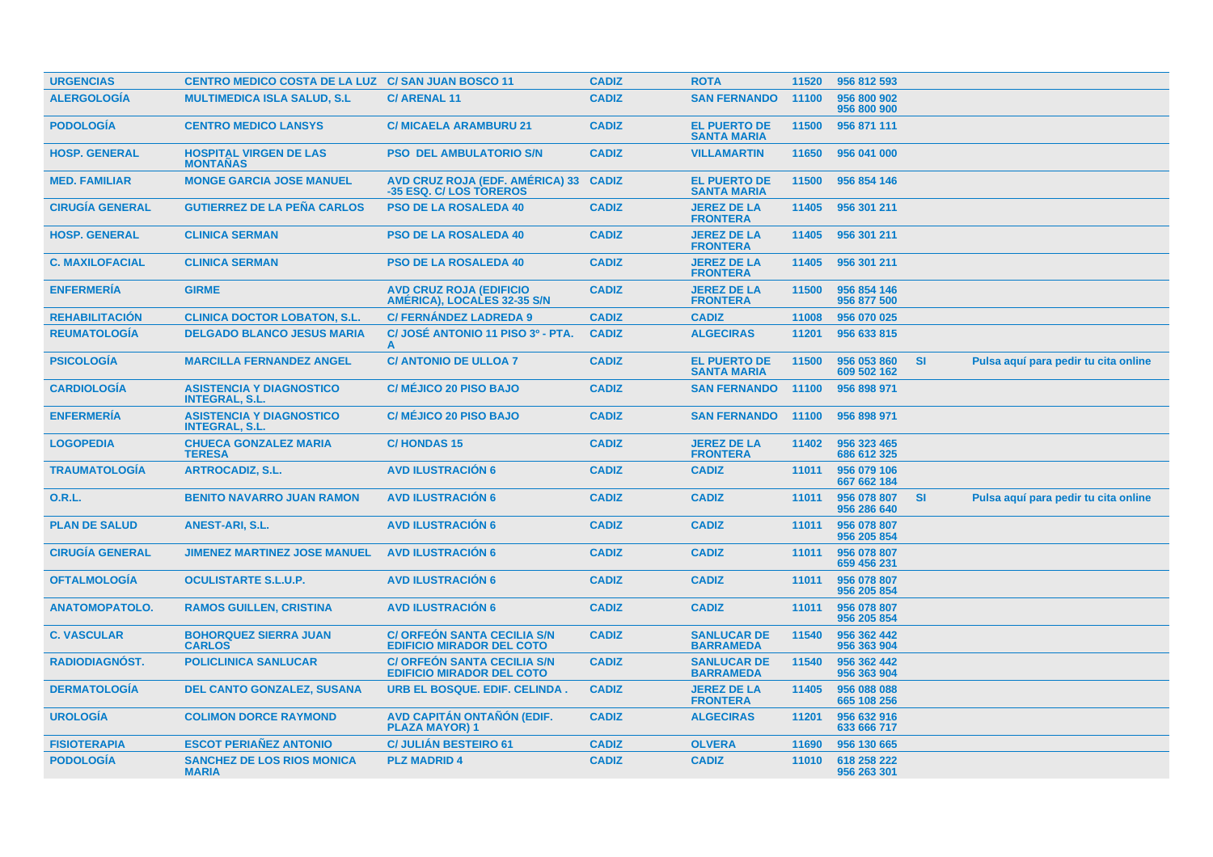| <b>URGENCIAS</b>       | <b>CENTRO MEDICO COSTA DE LA LUZ C/ SAN JUAN BOSCO 11</b> |                                                                        | <b>CADIZ</b> | <b>ROTA</b>                               | 11520 | 956 812 593                |           |                                      |  |
|------------------------|-----------------------------------------------------------|------------------------------------------------------------------------|--------------|-------------------------------------------|-------|----------------------------|-----------|--------------------------------------|--|
| <b>ALERGOLOGÍA</b>     | <b>MULTIMEDICA ISLA SALUD, S.L.</b>                       | <b>C/ARENAL11</b>                                                      | <b>CADIZ</b> | <b>SAN FERNANDO</b>                       | 11100 | 956 800 902<br>956 800 900 |           |                                      |  |
| <b>PODOLOGÍA</b>       | <b>CENTRO MEDICO LANSYS</b>                               | <b>C/ MICAELA ARAMBURU 21</b>                                          | <b>CADIZ</b> | <b>EL PUERTO DE</b><br><b>SANTA MARIA</b> | 11500 | 956 871 111                |           |                                      |  |
| <b>HOSP. GENERAL</b>   | <b>HOSPITAL VIRGEN DE LAS</b><br><b>MONTAÑAS</b>          | <b>PSO DEL AMBULATORIO S/N</b>                                         | <b>CADIZ</b> | <b>VILLAMARTIN</b>                        | 11650 | 956 041 000                |           |                                      |  |
| <b>MED. FAMILIAR</b>   | <b>MONGE GARCIA JOSE MANUEL</b>                           | <b>AVD CRUZ ROJA (EDF. AMÉRICA) 33</b><br>-35 ESQ. C/ LOS TOREROS      | <b>CADIZ</b> | <b>EL PUERTO DE</b><br><b>SANTA MARIA</b> | 11500 | 956 854 146                |           |                                      |  |
| <b>CIRUGÍA GENERAL</b> | <b>GUTIERREZ DE LA PEÑA CARLOS</b>                        | <b>PSO DE LA ROSALEDA 40</b>                                           | <b>CADIZ</b> | <b>JEREZ DE LA</b><br><b>FRONTERA</b>     | 11405 | 956 301 211                |           |                                      |  |
| <b>HOSP. GENERAL</b>   | <b>CLINICA SERMAN</b>                                     | <b>PSO DE LA ROSALEDA 40</b>                                           | <b>CADIZ</b> | <b>JEREZ DE LA</b><br><b>FRONTERA</b>     | 11405 | 956 301 211                |           |                                      |  |
| <b>C. MAXILOFACIAL</b> | <b>CLINICA SERMAN</b>                                     | <b>PSO DE LA ROSALEDA 40</b>                                           | <b>CADIZ</b> | <b>JEREZ DE LA</b><br><b>FRONTERA</b>     | 11405 | 956 301 211                |           |                                      |  |
| <b>ENFERMERÍA</b>      | <b>GIRME</b>                                              | <b>AVD CRUZ ROJA (EDIFICIO</b><br>AMÉRICA), LOCALES 32-35 S/N          | <b>CADIZ</b> | <b>JEREZ DE LA</b><br><b>FRONTERA</b>     | 11500 | 956 854 146<br>956 877 500 |           |                                      |  |
| <b>REHABILITACIÓN</b>  | <b>CLINICA DOCTOR LOBATON, S.L.</b>                       | <b>C/FERNANDEZ LADREDA 9</b>                                           | <b>CADIZ</b> | <b>CADIZ</b>                              | 11008 | 956 070 025                |           |                                      |  |
| <b>REUMATOLOGÍA</b>    | <b>DELGADO BLANCO JESUS MARIA</b>                         | C/ JOSÉ ANTONIO 11 PISO 3º - PTA.<br>A                                 | <b>CADIZ</b> | <b>ALGECIRAS</b>                          | 11201 | 956 633 815                |           |                                      |  |
| <b>PSICOLOGÍA</b>      | <b>MARCILLA FERNANDEZ ANGEL</b>                           | <b>C/ ANTONIO DE ULLOA 7</b>                                           | <b>CADIZ</b> | <b>EL PUERTO DE</b><br><b>SANTA MARIA</b> | 11500 | 956 053 860<br>609 502 162 | <b>SI</b> | Pulsa aquí para pedir tu cita online |  |
| <b>CARDIOLOGÍA</b>     | <b>ASISTENCIA Y DIAGNOSTICO</b><br><b>INTEGRAL, S.L.</b>  | <b>C/ MÉJICO 20 PISO BAJO</b>                                          | <b>CADIZ</b> | <b>SAN FERNANDO</b>                       | 11100 | 956 898 971                |           |                                      |  |
| <b>ENFERMERÍA</b>      | <b>ASISTENCIA Y DIAGNOSTICO</b><br><b>INTEGRAL, S.L.</b>  | <b>C/ MÉJICO 20 PISO BAJO</b>                                          | <b>CADIZ</b> | <b>SAN FERNANDO</b>                       | 11100 | 956 898 971                |           |                                      |  |
| <b>LOGOPEDIA</b>       | <b>CHUECA GONZALEZ MARIA</b><br><b>TERESA</b>             | <b>C/HONDAS15</b>                                                      | <b>CADIZ</b> | <b>JEREZ DE LA</b><br><b>FRONTERA</b>     | 11402 | 956 323 465<br>686 612 325 |           |                                      |  |
| <b>TRAUMATOLOGIA</b>   | <b>ARTROCADIZ, S.L.</b>                                   | <b>AVD ILUSTRACION 6</b>                                               | <b>CADIZ</b> | <b>CADIZ</b>                              | 11011 | 956 079 106<br>667 662 184 |           |                                      |  |
| 0.R.L.                 | <b>BENITO NAVARRO JUAN RAMON</b>                          | <b>AVD ILUSTRACIÓN 6</b>                                               | <b>CADIZ</b> | <b>CADIZ</b>                              | 11011 | 956 078 807<br>956 286 640 | <b>SI</b> | Pulsa aquí para pedir tu cita online |  |
| <b>PLAN DE SALUD</b>   | ANEST-ARI, S.L.                                           | <b>AVD ILUSTRACION 6</b>                                               | <b>CADIZ</b> | <b>CADIZ</b>                              | 11011 | 956 078 807<br>956 205 854 |           |                                      |  |
| <b>CIRUGÍA GENERAL</b> | <b>JIMENEZ MARTINEZ JOSE MANUEL</b>                       | <b>AVD ILUSTRACIÓN 6</b>                                               | <b>CADIZ</b> | <b>CADIZ</b>                              | 11011 | 956 078 807<br>659 456 231 |           |                                      |  |
| <b>OFTALMOLOGÍA</b>    | <b>OCULISTARTE S.L.U.P.</b>                               | <b>AVD ILUSTRACIÓN 6</b>                                               | <b>CADIZ</b> | <b>CADIZ</b>                              | 11011 | 956 078 807<br>956 205 854 |           |                                      |  |
| <b>ANATOMOPATOLO.</b>  | <b>RAMOS GUILLEN, CRISTINA</b>                            | <b>AVD ILUSTRACION 6</b>                                               | <b>CADIZ</b> | <b>CADIZ</b>                              | 11011 | 956 078 807<br>956 205 854 |           |                                      |  |
| <b>C. VASCULAR</b>     | <b>BOHORQUEZ SIERRA JUAN</b><br><b>CARLOS</b>             | <b>C/ ORFEÓN SANTA CECILIA S/N</b><br><b>EDIFICIO MIRADOR DEL COTO</b> | <b>CADIZ</b> | <b>SANLUCAR DE</b><br><b>BARRAMEDA</b>    | 11540 | 956 362 442<br>956 363 904 |           |                                      |  |
| <b>RADIODIAGNÓST.</b>  | <b>POLICLINICA SANLUCAR</b>                               | <b>C/ ORFEON SANTA CECILIA S/N</b><br><b>EDIFICIO MIRADOR DEL COTO</b> | <b>CADIZ</b> | <b>SANLUCAR DE</b><br><b>BARRAMEDA</b>    | 11540 | 956 362 442<br>956 363 904 |           |                                      |  |
| <b>DERMATOLOGÍA</b>    | <b>DEL CANTO GONZALEZ, SUSANA</b>                         | URB EL BOSQUE. EDIF. CELINDA.                                          | <b>CADIZ</b> | <b>JEREZ DE LA</b><br><b>FRONTERA</b>     | 11405 | 956 088 088<br>665 108 256 |           |                                      |  |
| <b>UROLOGIA</b>        | <b>COLIMON DORCE RAYMOND</b>                              | AVD CAPITÁN ONTAÑÓN (EDIF.<br><b>PLAZA MAYOR) 1</b>                    | <b>CADIZ</b> | <b>ALGECIRAS</b>                          | 11201 | 956 632 916<br>633 666 717 |           |                                      |  |
| <b>FISIOTERAPIA</b>    | <b>ESCOT PERIAÑEZ ANTONIO</b>                             | <b>C/ JULIÁN BESTEIRO 61</b>                                           | <b>CADIZ</b> | <b>OLVERA</b>                             | 11690 | 956 130 665                |           |                                      |  |
| <b>PODOLOGÍA</b>       | <b>SANCHEZ DE LOS RIOS MONICA</b><br><b>MARIA</b>         | <b>PLZ MADRID 4</b>                                                    | <b>CADIZ</b> | <b>CADIZ</b>                              | 11010 | 618 258 222<br>956 263 301 |           |                                      |  |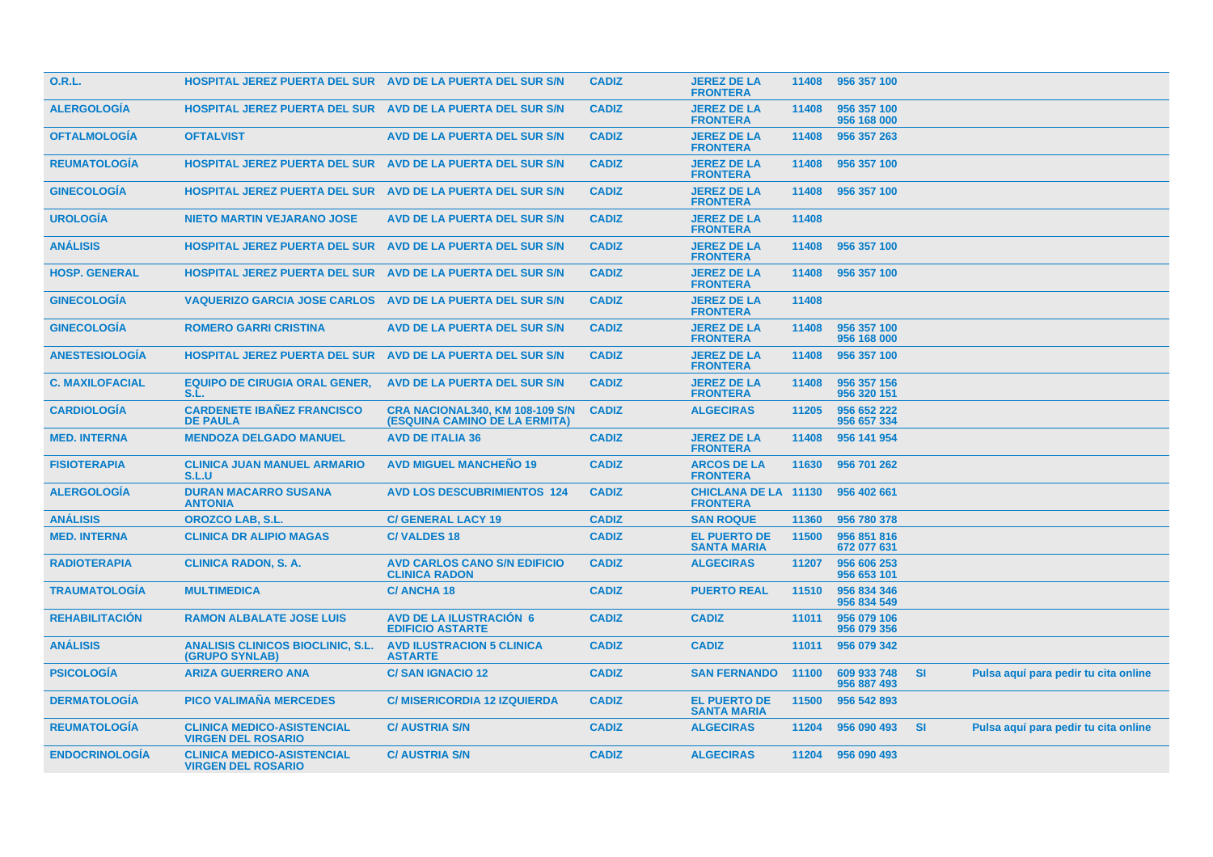| 0.R.L.                 | HOSPITAL JEREZ PUERTA DEL SUR AVD DE LA PUERTA DEL SUR S/N        |                                                                         | <b>CADIZ</b> | <b>JEREZ DE LA</b><br><b>FRONTERA</b>          | 11408 | 956 357 100                |           |                                      |  |
|------------------------|-------------------------------------------------------------------|-------------------------------------------------------------------------|--------------|------------------------------------------------|-------|----------------------------|-----------|--------------------------------------|--|
| <b>ALERGOLOGÍA</b>     | HOSPITAL JEREZ PUERTA DEL SUR AVD DE LA PUERTA DEL SUR S/N        |                                                                         | <b>CADIZ</b> | <b>JEREZ DE LA</b><br><b>FRONTERA</b>          | 11408 | 956 357 100<br>956 168 000 |           |                                      |  |
| <b>OFTALMOLOGÍA</b>    | <b>OFTALVIST</b>                                                  | <b>AVD DE LA PUERTA DEL SUR S/N</b>                                     | <b>CADIZ</b> | <b>JEREZ DE LA</b><br><b>FRONTERA</b>          | 11408 | 956 357 263                |           |                                      |  |
| <b>REUMATOLOGIA</b>    | <b>HOSPITAL JEREZ PUERTA DEL SUR</b>                              | AVD DE LA PUERTA DEL SUR S/N                                            | <b>CADIZ</b> | <b>JEREZ DE LA</b><br><b>FRONTERA</b>          | 11408 | 956 357 100                |           |                                      |  |
| <b>GINECOLOGÍA</b>     | <b>HOSPITAL JEREZ PUERTA DEL SUR AVD DE LA PUERTA DEL SUR S/N</b> |                                                                         | <b>CADIZ</b> | <b>JEREZ DE LA</b><br><b>FRONTERA</b>          | 11408 | 956 357 100                |           |                                      |  |
| <b>UROLOGÍA</b>        | <b>NIETO MARTIN VEJARANO JOSE</b>                                 | <b>AVD DE LA PUERTA DEL SUR S/N</b>                                     | <b>CADIZ</b> | <b>JEREZ DE LA</b><br><b>FRONTERA</b>          | 11408 |                            |           |                                      |  |
| <b>ANÁLISIS</b>        | <b>HOSPITAL JEREZ PUERTA DEL SUR</b>                              | AVD DE LA PUERTA DEL SUR S/N                                            | <b>CADIZ</b> | <b>JEREZ DE LA</b><br><b>FRONTERA</b>          | 11408 | 956 357 100                |           |                                      |  |
| <b>HOSP. GENERAL</b>   | <b>HOSPITAL JEREZ PUERTA DEL SUR AVD DE LA PUERTA DEL SUR S/N</b> |                                                                         | <b>CADIZ</b> | <b>JEREZ DE LA</b><br><b>FRONTERA</b>          | 11408 | 956 357 100                |           |                                      |  |
| <b>GINECOLOGIA</b>     | <b>VAQUERIZO GARCIA JOSE CARLOS</b>                               | AVD DE LA PUERTA DEL SUR S/N                                            | <b>CADIZ</b> | <b>JEREZ DE LA</b><br><b>FRONTERA</b>          | 11408 |                            |           |                                      |  |
| <b>GINECOLOGIA</b>     | <b>ROMERO GARRI CRISTINA</b>                                      | <b>AVD DE LA PUERTA DEL SUR S/N</b>                                     | <b>CADIZ</b> | <b>JEREZ DE LA</b><br><b>FRONTERA</b>          | 11408 | 956 357 100<br>956 168 000 |           |                                      |  |
| <b>ANESTESIOLOGIA</b>  | <b>HOSPITAL JEREZ PUERTA DEL SUR</b>                              | AVD DE LA PUERTA DEL SUR S/N                                            | <b>CADIZ</b> | <b>JEREZ DE LA</b><br><b>FRONTERA</b>          | 11408 | 956 357 100                |           |                                      |  |
| <b>C. MAXILOFACIAL</b> | <b>EQUIPO DE CIRUGIA ORAL GENER,</b><br>S.L.                      | AVD DE LA PUERTA DEL SUR S/N                                            | <b>CADIZ</b> | <b>JEREZ DE LA</b><br><b>FRONTERA</b>          | 11408 | 956 357 156<br>956 320 151 |           |                                      |  |
| <b>CARDIOLOGÍA</b>     | <b>CARDENETE IBAÑEZ FRANCISCO</b><br><b>DE PAULA</b>              | <b>CRA NACIONAL340, KM 108-109 S/N</b><br>(ESQUINA CAMINO DE LA ERMITA) | <b>CADIZ</b> | <b>ALGECIRAS</b>                               | 11205 | 956 652 222<br>956 657 334 |           |                                      |  |
| <b>MED. INTERNA</b>    | <b>MENDOZA DELGADO MANUEL</b>                                     | <b>AVD DE ITALIA 36</b>                                                 | <b>CADIZ</b> | <b>JEREZ DE LA</b><br><b>FRONTERA</b>          | 11408 | 956 141 954                |           |                                      |  |
| <b>FISIOTERAPIA</b>    | <b>CLINICA JUAN MANUEL ARMARIO</b><br>S.L.U                       | <b>AVD MIGUEL MANCHEÑO 19</b>                                           | <b>CADIZ</b> | <b>ARCOS DE LA</b><br><b>FRONTERA</b>          | 11630 | 956 701 262                |           |                                      |  |
| <b>ALERGOLOGIA</b>     | <b>DURAN MACARRO SUSANA</b><br><b>ANTONIA</b>                     | <b>AVD LOS DESCUBRIMIENTOS 124</b>                                      | <b>CADIZ</b> | <b>CHICLANA DE LA 11130</b><br><b>FRONTERA</b> |       | 956 402 661                |           |                                      |  |
| <b>ANÁLISIS</b>        | <b>OROZCO LAB, S.L.</b>                                           | <b>C/ GENERAL LACY 19</b>                                               | <b>CADIZ</b> | <b>SAN ROQUE</b>                               | 11360 | 956 780 378                |           |                                      |  |
| <b>MED. INTERNA</b>    | <b>CLINICA DR ALIPIO MAGAS</b>                                    | <b>C/VALDES 18</b>                                                      | <b>CADIZ</b> | <b>EL PUERTO DE</b><br><b>SANTA MARIA</b>      | 11500 | 956 851 816<br>672 077 631 |           |                                      |  |
| <b>RADIOTERAPIA</b>    | <b>CLINICA RADON, S. A.</b>                                       | <b>AVD CARLOS CANO S/N EDIFICIO</b><br><b>CLINICA RADON</b>             | <b>CADIZ</b> | <b>ALGECIRAS</b>                               | 11207 | 956 606 253<br>956 653 101 |           |                                      |  |
| <b>TRAUMATOLOGÍA</b>   | <b>MULTIMEDICA</b>                                                | <b>C/ANCHA18</b>                                                        | <b>CADIZ</b> | <b>PUERTO REAL</b>                             | 11510 | 956 834 346<br>956 834 549 |           |                                      |  |
| <b>REHABILITACIÓN</b>  | <b>RAMON ALBALATE JOSE LUIS</b>                                   | <b>AVD DE LA ILUSTRACIÓN 6</b><br><b>EDIFICIO ASTARTE</b>               | <b>CADIZ</b> | <b>CADIZ</b>                                   | 11011 | 956 079 106<br>956 079 356 |           |                                      |  |
| <b>ANÁLISIS</b>        | <b>ANALISIS CLINICOS BIOCLINIC, S.L.</b><br>(GRUPO SYNLAB)        | <b>AVD ILUSTRACION 5 CLINICA</b><br><b>ASTARTE</b>                      | <b>CADIZ</b> | <b>CADIZ</b>                                   | 11011 | 956 079 342                |           |                                      |  |
| <b>PSICOLOGIA</b>      | <b>ARIZA GUERRERO ANA</b>                                         | <b>C/SAN IGNACIO 12</b>                                                 | <b>CADIZ</b> | <b>SAN FERNANDO</b>                            | 11100 | 609 933 748<br>956 887 493 | -SI       | Pulsa aquí para pedir tu cita online |  |
| <b>DERMATOLOGIA</b>    | <b>PICO VALIMAÑA MERCEDES</b>                                     | <b>C/ MISERICORDIA 12 IZQUIERDA</b>                                     | <b>CADIZ</b> | <b>EL PUERTO DE</b><br><b>SANTA MARIA</b>      | 11500 | 956 542 893                |           |                                      |  |
| <b>REUMATOLOGIA</b>    | <b>CLINICA MEDICO-ASISTENCIAL</b><br><b>VIRGEN DEL ROSARIO</b>    | <b>C/AUSTRIA S/N</b>                                                    | <b>CADIZ</b> | <b>ALGECIRAS</b>                               | 11204 | 956 090 493                | <b>SI</b> | Pulsa aquí para pedir tu cita online |  |
| <b>ENDOCRINOLOGIA</b>  | <b>CLINICA MEDICO-ASISTENCIAL</b><br><b>VIRGEN DEL ROSARIO</b>    | <b>C/AUSTRIA S/N</b>                                                    | <b>CADIZ</b> | <b>ALGECIRAS</b>                               |       | 11204 956 090 493          |           |                                      |  |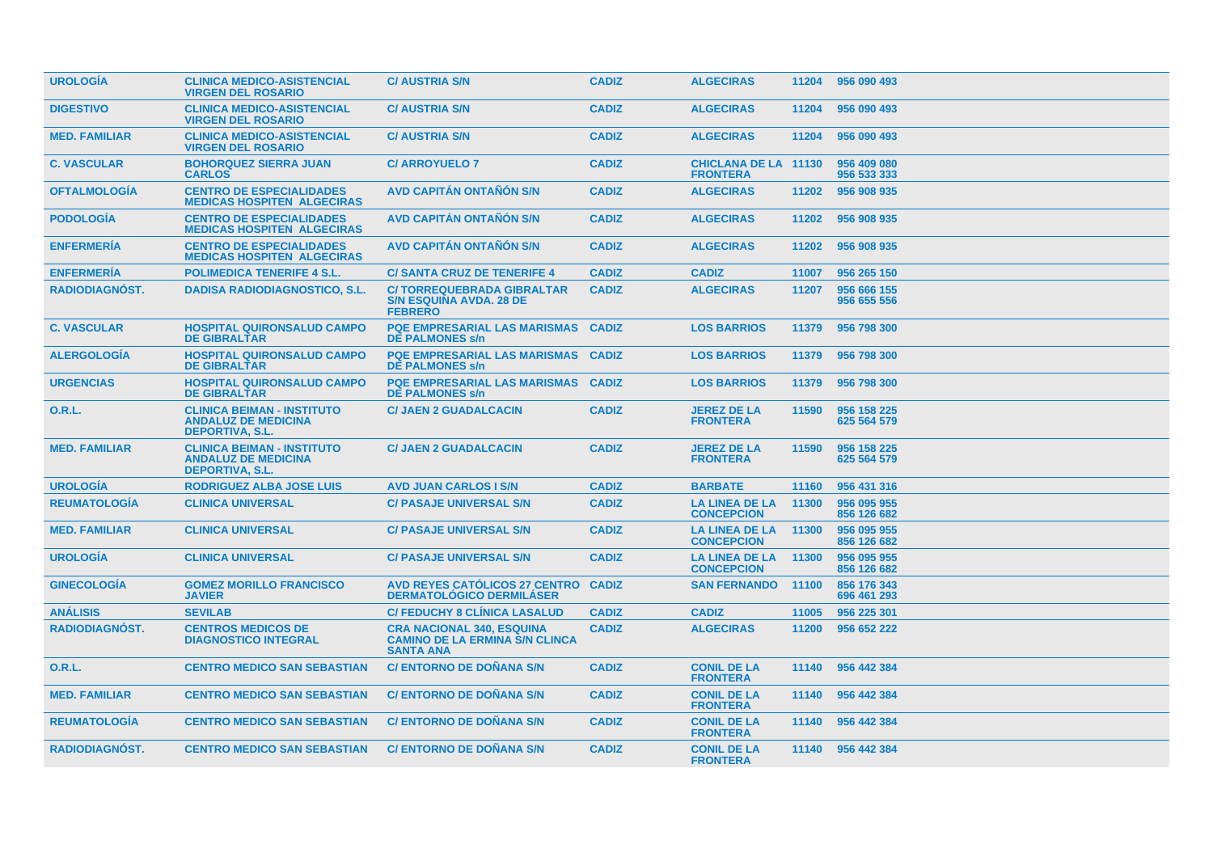| <b>UROLOGIA</b>       | <b>CLINICA MEDICO-ASISTENCIAL</b><br><b>VIRGEN DEL ROSARIO</b>                            | <b>C/ AUSTRIA S/N</b>                                                                         | <b>CADIZ</b> | <b>ALGECIRAS</b>                               | 11204 | 956 090 493                |
|-----------------------|-------------------------------------------------------------------------------------------|-----------------------------------------------------------------------------------------------|--------------|------------------------------------------------|-------|----------------------------|
| <b>DIGESTIVO</b>      | <b>CLINICA MEDICO-ASISTENCIAL</b><br><b>VIRGEN DEL ROSARIO</b>                            | <b>C/ AUSTRIA S/N</b>                                                                         | <b>CADIZ</b> | <b>ALGECIRAS</b>                               | 11204 | 956 090 493                |
| <b>MED. FAMILIAR</b>  | <b>CLINICA MEDICO-ASISTENCIAL</b><br><b>VIRGEN DEL ROSARIO</b>                            | <b>C/ AUSTRIA S/N</b>                                                                         | <b>CADIZ</b> | <b>ALGECIRAS</b>                               | 11204 | 956 090 493                |
| <b>C. VASCULAR</b>    | <b>BOHORQUEZ SIERRA JUAN</b><br><b>CARLOS</b>                                             | <b>C/ ARROYUELO 7</b>                                                                         | <b>CADIZ</b> | <b>CHICLANA DE LA 11130</b><br><b>FRONTERA</b> |       | 956 409 080<br>956 533 333 |
| <b>OFTALMOLOGÍA</b>   | <b>CENTRO DE ESPECIALIDADES</b><br><b>MEDICAS HOSPITEN ALGECIRAS</b>                      | <b>AVD CAPITÁN ONTAÑÓN S/N</b>                                                                | <b>CADIZ</b> | <b>ALGECIRAS</b>                               | 11202 | 956 908 935                |
| <b>PODOLOGIA</b>      | <b>CENTRO DE ESPECIALIDADES</b><br><b>MEDICAS HOSPITEN ALGECIRAS</b>                      | <b>AVD CAPITÁN ONTAÑÓN S/N</b>                                                                | <b>CADIZ</b> | <b>ALGECIRAS</b>                               | 11202 | 956 908 935                |
| <b>ENFERMERIA</b>     | <b>CENTRO DE ESPECIALIDADES</b><br><b>MEDICAS HOSPITEN ALGECIRAS</b>                      | <b>AVD CAPITAN ONTANON S/N</b>                                                                | <b>CADIZ</b> | <b>ALGECIRAS</b>                               | 11202 | 956 908 935                |
| <b>ENFERMERIA</b>     | <b>POLIMEDICA TENERIFE 4 S.L.</b>                                                         | <b>C/SANTA CRUZ DE TENERIFE 4</b>                                                             | <b>CADIZ</b> | <b>CADIZ</b>                                   | 11007 | 956 265 150                |
| <b>RADIODIAGNOST.</b> | <b>DADISA RADIODIAGNOSTICO, S.L.</b>                                                      | <b>C/TORREQUEBRADA GIBRALTAR</b><br><b>S/N ESQUINA AVDA, 28 DE</b><br><b>FEBRERO</b>          | <b>CADIZ</b> | <b>ALGECIRAS</b>                               | 11207 | 956 666 155<br>956 655 556 |
| <b>C. VASCULAR</b>    | <b>HOSPITAL QUIRONSALUD CAMPO</b><br><b>DE GIBRALTAR</b>                                  | <b>PQE EMPRESARIAL LAS MARISMAS</b><br><b>DE PALMONES s/n</b>                                 | <b>CADIZ</b> | <b>LOS BARRIOS</b>                             | 11379 | 956 798 300                |
| <b>ALERGOLOGIA</b>    | <b>HOSPITAL QUIRONSALUD CAMPO</b><br><b>DE GIBRALTAR</b>                                  | <b>PQE EMPRESARIAL LAS MARISMAS</b><br><b>DE PALMONES s/n</b>                                 | <b>CADIZ</b> | <b>LOS BARRIOS</b>                             | 11379 | 956 798 300                |
| <b>URGENCIAS</b>      | <b>HOSPITAL QUIRONSALUD CAMPO</b><br><b>DE GIBRALTAR</b>                                  | <b>PQE EMPRESARIAL LAS MARISMAS</b><br><b>DE PALMONES s/n</b>                                 | <b>CADIZ</b> | <b>LOS BARRIOS</b>                             | 11379 | 956 798 300                |
| 0.R.L.                | <b>CLINICA BEIMAN - INSTITUTO</b><br><b>ANDALUZ DE MEDICINA</b><br><b>DEPORTIVA, S.L.</b> | <b>C/ JAEN 2 GUADALCACIN</b>                                                                  | <b>CADIZ</b> | <b>JEREZ DE LA</b><br><b>FRONTERA</b>          | 11590 | 956 158 225<br>625 564 579 |
| <b>MED. FAMILIAR</b>  | <b>CLINICA BEIMAN - INSTITUTO</b><br><b>ANDALUZ DE MEDICINA</b><br><b>DEPORTIVA, S.L.</b> | <b>C/ JAEN 2 GUADALCACIN</b>                                                                  | <b>CADIZ</b> | <b>JEREZ DE LA</b><br><b>FRONTERA</b>          | 11590 | 956 158 225<br>625 564 579 |
| <b>UROLOGIA</b>       | <b>RODRIGUEZ ALBA JOSE LUIS</b>                                                           | <b>AVD JUAN CARLOS I S/N</b>                                                                  | <b>CADIZ</b> | <b>BARBATE</b>                                 | 11160 | 956 431 316                |
| <b>REUMATOLOGÍA</b>   | <b>CLINICA UNIVERSAL</b>                                                                  | <b>C/ PASAJE UNIVERSAL S/N</b>                                                                | <b>CADIZ</b> | <b>LA LINEA DE LA</b><br><b>CONCEPCION</b>     | 11300 | 956 095 955<br>856 126 682 |
| <b>MED. FAMILIAR</b>  | <b>CLINICA UNIVERSAL</b>                                                                  | <b>C/ PASAJE UNIVERSAL S/N</b>                                                                | <b>CADIZ</b> | <b>LA LINEA DE LA</b><br><b>CONCEPCION</b>     | 11300 | 956 095 955<br>856 126 682 |
| <b>UROLOGIA</b>       | <b>CLINICA UNIVERSAL</b>                                                                  | <b>C/ PASAJE UNIVERSAL S/N</b>                                                                | <b>CADIZ</b> | <b>LA LINEA DE LA</b><br><b>CONCEPCION</b>     | 11300 | 956 095 955<br>856 126 682 |
| <b>GINECOLOGÍA</b>    | <b>GOMEZ MORILLO FRANCISCO</b><br><b>JAVIER</b>                                           | <b>AVD REYES CATÓLICOS 27 CENTRO</b><br><b>DERMATOLÓGICO DERMILÁSER</b>                       | <b>CADIZ</b> | <b>SAN FERNANDO</b>                            | 11100 | 856 176 343<br>696 461 293 |
| <b>ANÁLISIS</b>       | <b>SEVILAB</b>                                                                            | <b>C/ FEDUCHY 8 CLINICA LASALUD</b>                                                           | <b>CADIZ</b> | <b>CADIZ</b>                                   | 11005 | 956 225 301                |
| RADIODIAGNÓST.        | <b>CENTROS MEDICOS DE</b><br><b>DIAGNOSTICO INTEGRAL</b>                                  | <b>CRA NACIONAL 340, ESQUINA</b><br><b>CAMINO DE LA ERMINA S/N CLINCA</b><br><b>SANTA ANA</b> | <b>CADIZ</b> | <b>ALGECIRAS</b>                               | 11200 | 956 652 222                |
| <b>O.R.L.</b>         | <b>CENTRO MEDICO SAN SEBASTIAN</b>                                                        | <b>C/ ENTORNO DE DOÑANA S/N</b>                                                               | <b>CADIZ</b> | <b>CONIL DE LA</b><br><b>FRONTERA</b>          | 11140 | 956 442 384                |
| <b>MED. FAMILIAR</b>  | <b>CENTRO MEDICO SAN SEBASTIAN</b>                                                        | <b>C/ ENTORNO DE DOÑANA S/N</b>                                                               | <b>CADIZ</b> | <b>CONIL DE LA</b><br><b>FRONTERA</b>          | 11140 | 956 442 384                |
| <b>REUMATOLOGÍA</b>   | <b>CENTRO MEDICO SAN SEBASTIAN</b>                                                        | <b>C/ ENTORNO DE DOÑANA S/N</b>                                                               | <b>CADIZ</b> | <b>CONIL DE LA</b><br><b>FRONTERA</b>          | 11140 | 956 442 384                |
| <b>RADIODIAGNOST.</b> | <b>CENTRO MEDICO SAN SEBASTIAN</b>                                                        | <b>C/ENTORNO DE DONANA S/N</b>                                                                | <b>CADIZ</b> | <b>CONIL DE LA</b><br><b>FRONTERA</b>          |       | 11140 956 442 384          |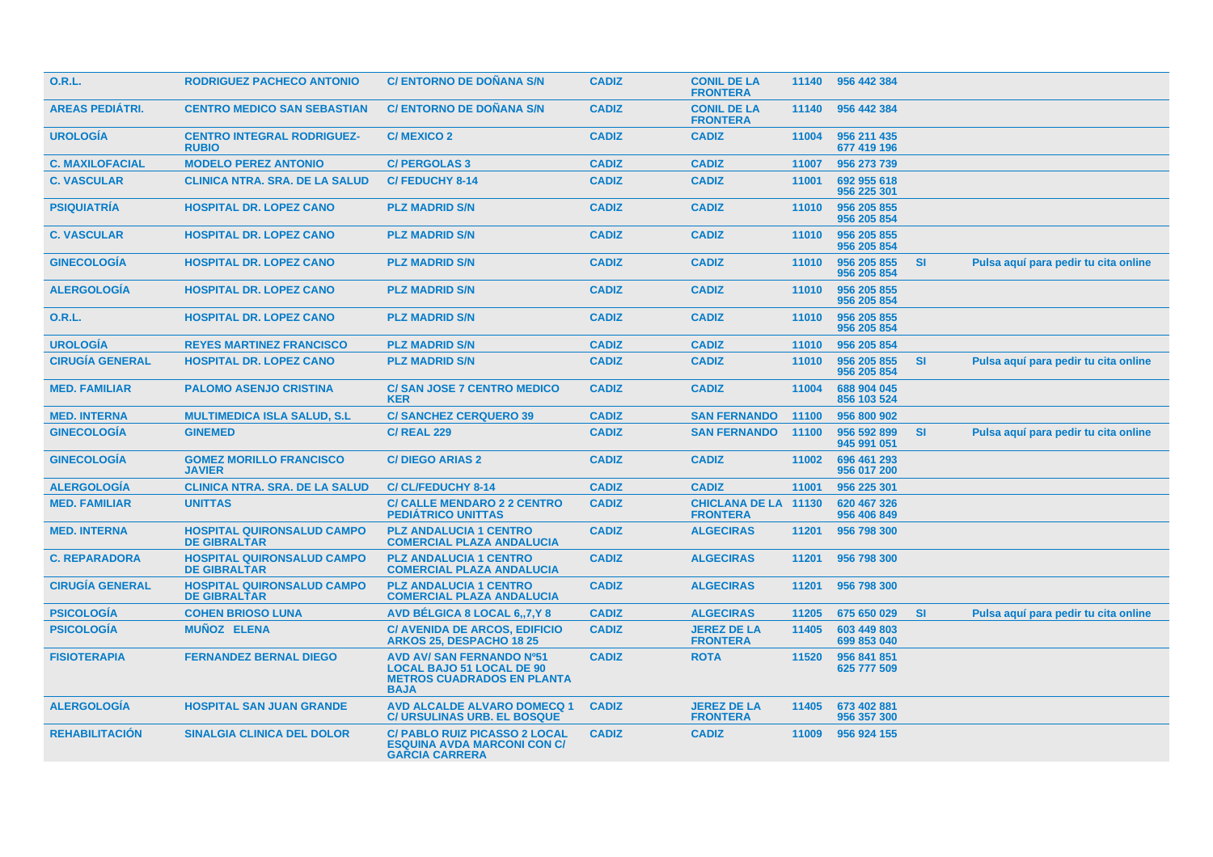| <b>O.R.L.</b>          | <b>RODRIGUEZ PACHECO ANTONIO</b>                         | <b>C/ ENTORNO DE DOÑANA S/N</b>                                                                                          | <b>CADIZ</b> | <b>CONIL DE LA</b><br><b>FRONTERA</b>          |       | 11140 956 442 384          |           |                                      |
|------------------------|----------------------------------------------------------|--------------------------------------------------------------------------------------------------------------------------|--------------|------------------------------------------------|-------|----------------------------|-----------|--------------------------------------|
| <b>AREAS PEDIÁTRI.</b> | <b>CENTRO MEDICO SAN SEBASTIAN</b>                       | <b>C/ ENTORNO DE DOÑANA S/N</b>                                                                                          | <b>CADIZ</b> | <b>CONIL DE LA</b><br><b>FRONTERA</b>          | 11140 | 956 442 384                |           |                                      |
| <b>UROLOGÍA</b>        | <b>CENTRO INTEGRAL RODRIGUEZ-</b><br><b>RUBIO</b>        | <b>C/MEXICO 2</b>                                                                                                        | <b>CADIZ</b> | <b>CADIZ</b>                                   | 11004 | 956 211 435<br>677 419 196 |           |                                      |
| <b>C. MAXILOFACIAL</b> | <b>MODELO PEREZ ANTONIO</b>                              | <b>C/ PERGOLAS 3</b>                                                                                                     | <b>CADIZ</b> | <b>CADIZ</b>                                   | 11007 | 956 273 739                |           |                                      |
| <b>C. VASCULAR</b>     | <b>CLINICA NTRA. SRA. DE LA SALUD</b>                    | <b>C/FEDUCHY 8-14</b>                                                                                                    | <b>CADIZ</b> | <b>CADIZ</b>                                   | 11001 | 692 955 618<br>956 225 301 |           |                                      |
| <b>PSIQUIATRÍA</b>     | <b>HOSPITAL DR. LOPEZ CANO</b>                           | <b>PLZ MADRID S/N</b>                                                                                                    | <b>CADIZ</b> | <b>CADIZ</b>                                   | 11010 | 956 205 855<br>956 205 854 |           |                                      |
| <b>C. VASCULAR</b>     | <b>HOSPITAL DR. LOPEZ CANO</b>                           | <b>PLZ MADRID S/N</b>                                                                                                    | <b>CADIZ</b> | <b>CADIZ</b>                                   | 11010 | 956 205 855<br>956 205 854 |           |                                      |
| <b>GINECOLOGIA</b>     | <b>HOSPITAL DR. LOPEZ CANO</b>                           | <b>PLZ MADRID S/N</b>                                                                                                    | <b>CADIZ</b> | <b>CADIZ</b>                                   | 11010 | 956 205 855<br>956 205 854 | <b>SI</b> | Pulsa aquí para pedir tu cita online |
| <b>ALERGOLOGIA</b>     | <b>HOSPITAL DR. LOPEZ CANO</b>                           | <b>PLZ MADRID S/N</b>                                                                                                    | <b>CADIZ</b> | <b>CADIZ</b>                                   | 11010 | 956 205 855<br>956 205 854 |           |                                      |
| <b>O.R.L.</b>          | <b>HOSPITAL DR. LOPEZ CANO</b>                           | <b>PLZ MADRID S/N</b>                                                                                                    | <b>CADIZ</b> | <b>CADIZ</b>                                   | 11010 | 956 205 855<br>956 205 854 |           |                                      |
| <b>UROLOGÍA</b>        | <b>REYES MARTINEZ FRANCISCO</b>                          | <b>PLZ MADRID S/N</b>                                                                                                    | <b>CADIZ</b> | <b>CADIZ</b>                                   | 11010 | 956 205 854                |           |                                      |
| <b>CIRUGÍA GENERAL</b> | <b>HOSPITAL DR. LOPEZ CANO</b>                           | <b>PLZ MADRID S/N</b>                                                                                                    | <b>CADIZ</b> | <b>CADIZ</b>                                   | 11010 | 956 205 855<br>956 205 854 | <b>SI</b> | Pulsa aquí para pedir tu cita online |
| <b>MED. FAMILIAR</b>   | <b>PALOMO ASENJO CRISTINA</b>                            | <b>C/SAN JOSE 7 CENTRO MEDICO</b><br><b>KER</b>                                                                          | <b>CADIZ</b> | <b>CADIZ</b>                                   | 11004 | 688 904 045<br>856 103 524 |           |                                      |
| <b>MED. INTERNA</b>    | <b>MULTIMEDICA ISLA SALUD, S.L.</b>                      | <b>C/SANCHEZ CERQUERO 39</b>                                                                                             | <b>CADIZ</b> | <b>SAN FERNANDO</b>                            | 11100 | 956 800 902                |           |                                      |
| <b>GINECOLOGÍA</b>     | <b>GINEMED</b>                                           | <b>C/ REAL 229</b>                                                                                                       | <b>CADIZ</b> | <b>SAN FERNANDO</b>                            | 11100 | 956 592 899<br>945 991 051 | <b>SI</b> | Pulsa aquí para pedir tu cita online |
| <b>GINECOLOGIA</b>     | <b>GOMEZ MORILLO FRANCISCO</b><br><b>JAVIER</b>          | <b>C/DIEGO ARIAS 2</b>                                                                                                   | <b>CADIZ</b> | <b>CADIZ</b>                                   | 11002 | 696 461 293<br>956 017 200 |           |                                      |
| <b>ALERGOLOGIA</b>     | <b>CLINICA NTRA. SRA. DE LA SALUD</b>                    | <b>C/CL/FEDUCHY 8-14</b>                                                                                                 | <b>CADIZ</b> | <b>CADIZ</b>                                   | 11001 | 956 225 301                |           |                                      |
| <b>MED. FAMILIAR</b>   | <b>UNITTAS</b>                                           | <b>C/ CALLE MENDARO 2 2 CENTRO</b><br><b>PEDIÁTRICO UNITTAS</b>                                                          | <b>CADIZ</b> | <b>CHICLANA DE LA 11130</b><br><b>FRONTERA</b> |       | 620 467 326<br>956 406 849 |           |                                      |
| <b>MED. INTERNA</b>    | <b>HOSPITAL QUIRONSALUD CAMPO</b><br><b>DE GIBRALTAR</b> | <b>PLZ ANDALUCIA 1 CENTRO</b><br><b>COMERCIAL PLAZA ANDALUCIA</b>                                                        | <b>CADIZ</b> | <b>ALGECIRAS</b>                               | 11201 | 956 798 300                |           |                                      |
| <b>C. REPARADORA</b>   | <b>HOSPITAL QUIRONSALUD CAMPO</b><br><b>DE GIBRALTAR</b> | <b>PLZ ANDALUCIA 1 CENTRO</b><br><b>COMERCIAL PLAZA ANDALUCIA</b>                                                        | <b>CADIZ</b> | <b>ALGECIRAS</b>                               | 11201 | 956 798 300                |           |                                      |
| <b>CIRUGÍA GENERAL</b> | <b>HOSPITAL QUIRONSALUD CAMPO</b><br><b>DE GIBRALTAR</b> | <b>PLZ ANDALUCIA 1 CENTRO</b><br><b>COMERCIAL PLAZA ANDALUCIA</b>                                                        | <b>CADIZ</b> | <b>ALGECIRAS</b>                               | 11201 | 956 798 300                |           |                                      |
| <b>PSICOLOGÍA</b>      | <b>COHEN BRIOSO LUNA</b>                                 | AVD BÉLGICA 8 LOCAL 6,,7,Y 8                                                                                             | <b>CADIZ</b> | <b>ALGECIRAS</b>                               | 11205 | 675 650 029                | <b>SI</b> | Pulsa aquí para pedir tu cita online |
| <b>PSICOLOGIA</b>      | <b>MUNOZ ELENA</b>                                       | <b>C/ AVENIDA DE ARCOS, EDIFICIO</b><br><b>ARKOS 25, DESPACHO 18 25</b>                                                  | <b>CADIZ</b> | <b>JEREZ DE LA</b><br><b>FRONTERA</b>          | 11405 | 603 449 803<br>699 853 040 |           |                                      |
| <b>FISIOTERAPIA</b>    | <b>FERNANDEZ BERNAL DIEGO</b>                            | <b>AVD AV/ SAN FERNANDO Nº51</b><br><b>LOCAL BAJO 51 LOCAL DE 90</b><br><b>METROS CUADRADOS EN PLANTA</b><br><b>BAJA</b> | <b>CADIZ</b> | <b>ROTA</b>                                    | 11520 | 956 841 851<br>625 777 509 |           |                                      |
| <b>ALERGOLOGIA</b>     | <b>HOSPITAL SAN JUAN GRANDE</b>                          | <b>AVD ALCALDE ALVARO DOMECQ 1</b><br><b>C/ URSULINAS URB. EL BOSQUE</b>                                                 | <b>CADIZ</b> | <b>JEREZ DE LA</b><br><b>FRONTERA</b>          | 11405 | 673 402 881<br>956 357 300 |           |                                      |
| <b>REHABILITACIÓN</b>  | <b>SINALGIA CLINICA DEL DOLOR</b>                        | <b>C/ PABLO RUIZ PICASSO 2 LOCAL</b><br><b>ESQUINA AVDA MARCONI CON C/</b><br><b>GARCIA CARRERA</b>                      | <b>CADIZ</b> | <b>CADIZ</b>                                   | 11009 | 956 924 155                |           |                                      |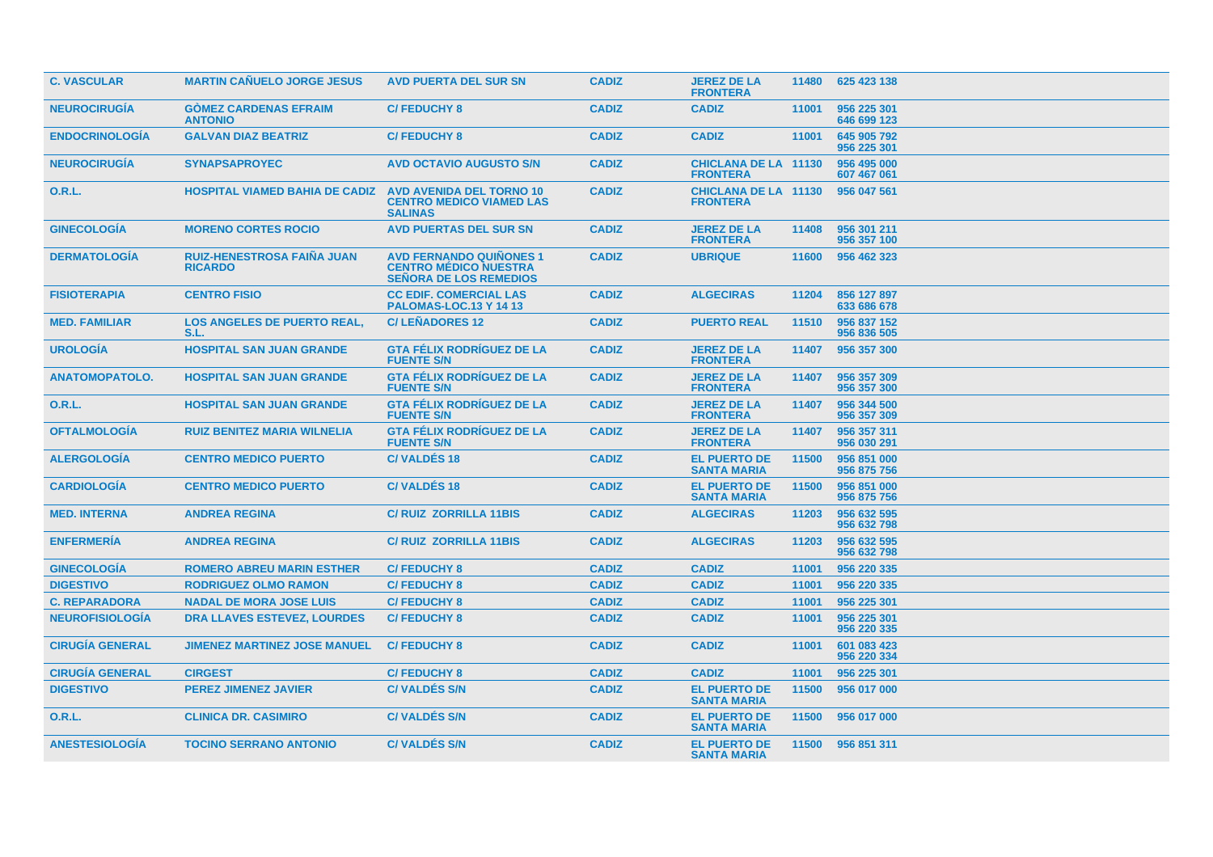| <b>C. VASCULAR</b>     | <b>MARTIN CANUELO JORGE JESUS</b>                   | <b>AVD PUERTA DEL SUR SN</b>                                                                    | <b>CADIZ</b> | <b>JEREZ DE LA</b><br><b>FRONTERA</b>          |       | 11480 625 423 138          |
|------------------------|-----------------------------------------------------|-------------------------------------------------------------------------------------------------|--------------|------------------------------------------------|-------|----------------------------|
| <b>NEUROCIRUGÍA</b>    | <b>GOMEZ CARDENAS EFRAIM</b><br><b>ANTONIO</b>      | <b>C/FEDUCHY 8</b>                                                                              | <b>CADIZ</b> | <b>CADIZ</b>                                   | 11001 | 956 225 301<br>646 699 123 |
| <b>ENDOCRINOLOGIA</b>  | <b>GALVAN DIAZ BEATRIZ</b>                          | <b>C/FEDUCHY 8</b>                                                                              | <b>CADIZ</b> | <b>CADIZ</b>                                   | 11001 | 645 905 792<br>956 225 301 |
| <b>NEUROCIRUGIA</b>    | <b>SYNAPSAPROYEC</b>                                | <b>AVD OCTAVIO AUGUSTO S/N</b>                                                                  | <b>CADIZ</b> | <b>CHICLANA DE LA 11130</b><br><b>FRONTERA</b> |       | 956 495 000<br>607 467 061 |
| 0.R.L.                 | <b>HOSPITAL VIAMED BAHIA DE CADIZ</b>               | <b>AVD AVENIDA DEL TORNO 10</b><br><b>CENTRO MEDICO VIAMED LAS</b><br><b>SALINAS</b>            | <b>CADIZ</b> | <b>CHICLANA DE LA 11130</b><br><b>FRONTERA</b> |       | 956 047 561                |
| <b>GINECOLOGIA</b>     | <b>MORENO CORTES ROCIO</b>                          | <b>AVD PUERTAS DEL SUR SN</b>                                                                   | <b>CADIZ</b> | <b>JEREZ DE LA</b><br><b>FRONTERA</b>          | 11408 | 956 301 211<br>956 357 100 |
| <b>DERMATOLOGIA</b>    | <b>RUIZ-HENESTROSA FAINA JUAN</b><br><b>RICARDO</b> | <b>AVD FERNANDO QUIÑONES 1</b><br><b>CENTRO MÉDICO NUESTRA</b><br><b>SEÑORA DE LOS REMEDIOS</b> | <b>CADIZ</b> | <b>UBRIQUE</b>                                 | 11600 | 956 462 323                |
| <b>FISIOTERAPIA</b>    | <b>CENTRO FISIO</b>                                 | <b>CC EDIF. COMERCIAL LAS</b><br><b>PALOMAS-LOC.13 Y 14 13</b>                                  | <b>CADIZ</b> | <b>ALGECIRAS</b>                               | 11204 | 856 127 897<br>633 686 678 |
| <b>MED. FAMILIAR</b>   | <b>LOS ANGELES DE PUERTO REAL.</b><br>S.L.          | <b>C/LEÑADORES 12</b>                                                                           | <b>CADIZ</b> | <b>PUERTO REAL</b>                             | 11510 | 956 837 152<br>956 836 505 |
| <b>UROLOGÍA</b>        | <b>HOSPITAL SAN JUAN GRANDE</b>                     | <b>GTA FÉLIX RODRÍGUEZ DE LA</b><br><b>FUENTE S/N</b>                                           | <b>CADIZ</b> | <b>JEREZ DE LA</b><br><b>FRONTERA</b>          | 11407 | 956 357 300                |
| <b>ANATOMOPATOLO.</b>  | <b>HOSPITAL SAN JUAN GRANDE</b>                     | <b>GTA FÉLIX RODRÍGUEZ DE LA</b><br><b>FUENTE S/N</b>                                           | <b>CADIZ</b> | <b>JEREZ DE LA</b><br><b>FRONTERA</b>          | 11407 | 956 357 309<br>956 357 300 |
| O.R.L.                 | <b>HOSPITAL SAN JUAN GRANDE</b>                     | <b>GTA FÉLIX RODRÍGUEZ DE LA</b><br><b>FUENTE S/N</b>                                           | <b>CADIZ</b> | <b>JEREZ DE LA</b><br><b>FRONTERA</b>          | 11407 | 956 344 500<br>956 357 309 |
| <b>OFTALMOLOGÍA</b>    | <b>RUIZ BENITEZ MARIA WILNELIA</b>                  | <b>GTA FÉLIX RODRÍGUEZ DE LA</b><br><b>FUENTE S/N</b>                                           | <b>CADIZ</b> | <b>JEREZ DE LA</b><br><b>FRONTERA</b>          | 11407 | 956 357 311<br>956 030 291 |
| <b>ALERGOLOGIA</b>     | <b>CENTRO MEDICO PUERTO</b>                         | <b>C/VALDÉS 18</b>                                                                              | <b>CADIZ</b> | <b>EL PUERTO DE</b><br><b>SANTA MARIA</b>      | 11500 | 956 851 000<br>956 875 756 |
| <b>CARDIOLOGIA</b>     | <b>CENTRO MEDICO PUERTO</b>                         | <b>C/VALDES18</b>                                                                               | <b>CADIZ</b> | <b>EL PUERTO DE</b><br><b>SANTA MARIA</b>      | 11500 | 956 851 000<br>956 875 756 |
| <b>MED. INTERNA</b>    | <b>ANDREA REGINA</b>                                | <b>C/RUIZ ZORRILLA 11BIS</b>                                                                    | <b>CADIZ</b> | <b>ALGECIRAS</b>                               | 11203 | 956 632 595<br>956 632 798 |
| <b>ENFERMERIA</b>      | <b>ANDREA REGINA</b>                                | <b>C/RUIZ ZORRILLA 11BIS</b>                                                                    | <b>CADIZ</b> | <b>ALGECIRAS</b>                               | 11203 | 956 632 595<br>956 632 798 |
| <b>GINECOLOGIA</b>     | <b>ROMERO ABREU MARIN ESTHER</b>                    | <b>C/FEDUCHY 8</b>                                                                              | <b>CADIZ</b> | <b>CADIZ</b>                                   | 11001 | 956 220 335                |
| <b>DIGESTIVO</b>       | <b>RODRIGUEZ OLMO RAMON</b>                         | <b>C/FEDUCHY 8</b>                                                                              | <b>CADIZ</b> | <b>CADIZ</b>                                   | 11001 | 956 220 335                |
| <b>C. REPARADORA</b>   | <b>NADAL DE MORA JOSE LUIS</b>                      | <b>C/FEDUCHY 8</b>                                                                              | <b>CADIZ</b> | <b>CADIZ</b>                                   | 11001 | 956 225 301                |
| <b>NEUROFISIOLOGÍA</b> | <b>DRA LLAVES ESTEVEZ, LOURDES</b>                  | <b>C/FEDUCHY 8</b>                                                                              | <b>CADIZ</b> | <b>CADIZ</b>                                   | 11001 | 956 225 301<br>956 220 335 |
| <b>CIRUGÍA GENERAL</b> | <b>JIMENEZ MARTINEZ JOSE MANUEL</b>                 | <b>C/FEDUCHY 8</b>                                                                              | <b>CADIZ</b> | <b>CADIZ</b>                                   | 11001 | 601 083 423<br>956 220 334 |
| <b>CIRUGÍA GENERAL</b> | <b>CIRGEST</b>                                      | <b>C/FEDUCHY 8</b>                                                                              | <b>CADIZ</b> | <b>CADIZ</b>                                   | 11001 | 956 225 301                |
| <b>DIGESTIVO</b>       | <b>PEREZ JIMENEZ JAVIER</b>                         | <b>C/VALDÉS S/N</b>                                                                             | <b>CADIZ</b> | <b>EL PUERTO DE</b><br><b>SANTA MARIA</b>      | 11500 | 956 017 000                |
| <b>O.R.L.</b>          | <b>CLINICA DR. CASIMIRO</b>                         | <b>C/VALDES S/N</b>                                                                             | <b>CADIZ</b> | <b>EL PUERTO DE</b><br><b>SANTA MARIA</b>      | 11500 | 956 017 000                |
| <b>ANESTESIOLOGÍA</b>  | <b>TOCINO SERRANO ANTONIO</b>                       | <b>C/VALDÉS S/N</b>                                                                             | <b>CADIZ</b> | <b>EL PUERTO DE</b><br><b>SANTA MARIA</b>      |       | 11500 956 851 311          |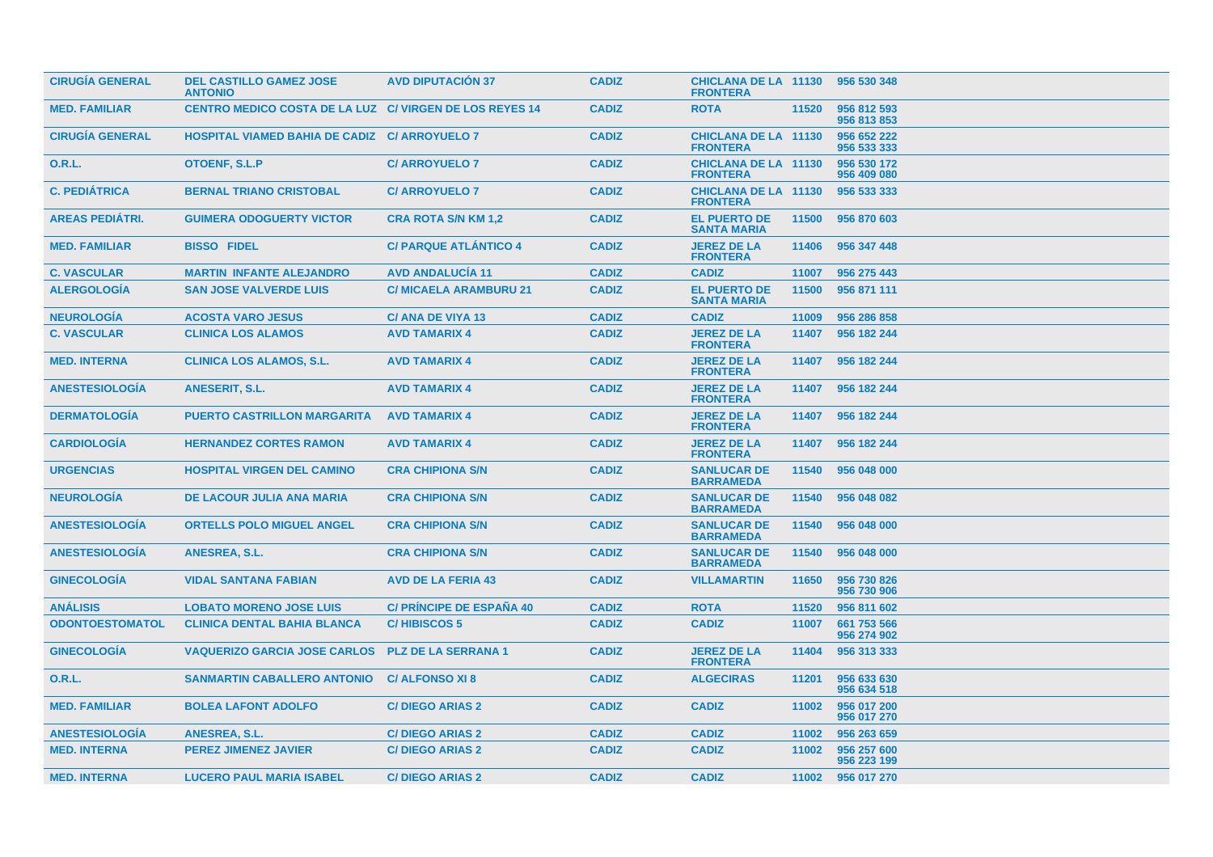| <b>CIRUGIA GENERAL</b> | <b>DEL CASTILLO GAMEZ JOSE</b><br><b>ANTONIO</b>               | <b>AVD DIPUTACION 37</b>        | <b>CADIZ</b> | CHICLANA DE LA 11130 956 530 348<br><b>FRONTERA</b> |       |                            |
|------------------------|----------------------------------------------------------------|---------------------------------|--------------|-----------------------------------------------------|-------|----------------------------|
| <b>MED. FAMILIAR</b>   | <b>CENTRO MEDICO COSTA DE LA LUZ C/ VIRGEN DE LOS REYES 14</b> |                                 | <b>CADIZ</b> | <b>ROTA</b>                                         | 11520 | 956 812 593<br>956 813 853 |
| <b>CIRUGÍA GENERAL</b> | <b>HOSPITAL VIAMED BAHIA DE CADIZ C/ ARROYUELO 7</b>           |                                 | <b>CADIZ</b> | <b>CHICLANA DE LA 11130</b><br><b>FRONTERA</b>      |       | 956 652 222<br>956 533 333 |
| 0.R.L.                 | <b>OTOENF, S.L.P</b>                                           | <b>C/ ARROYUELO 7</b>           | <b>CADIZ</b> | <b>CHICLANA DE LA 11130</b><br><b>FRONTERA</b>      |       | 956 530 172<br>956 409 080 |
| <b>C. PEDIÁTRICA</b>   | <b>BERNAL TRIANO CRISTOBAL</b>                                 | <b>C/ ARROYUELO 7</b>           | <b>CADIZ</b> | <b>CHICLANA DE LA 11130</b><br><b>FRONTERA</b>      |       | 956 533 333                |
| <b>AREAS PEDIÁTRI.</b> | <b>GUIMERA ODOGUERTY VICTOR</b>                                | <b>CRA ROTA S/N KM 1,2</b>      | <b>CADIZ</b> | <b>EL PUERTO DE</b><br><b>SANTA MARIA</b>           | 11500 | 956 870 603                |
| <b>MED. FAMILIAR</b>   | <b>BISSO FIDEL</b>                                             | <b>C/ PARQUE ATLANTICO 4</b>    | <b>CADIZ</b> | <b>JEREZ DE LA</b><br><b>FRONTERA</b>               | 11406 | 956 347 448                |
| <b>C. VASCULAR</b>     | <b>MARTIN INFANTE ALEJANDRO</b>                                | <b>AVD ANDALUCIA 11</b>         | <b>CADIZ</b> | <b>CADIZ</b>                                        | 11007 | 956 275 443                |
| <b>ALERGOLOGIA</b>     | <b>SAN JOSE VALVERDE LUIS</b>                                  | <b>C/ MICAELA ARAMBURU 21</b>   | <b>CADIZ</b> | <b>EL PUERTO DE</b><br><b>SANTA MARIA</b>           | 11500 | 956 871 111                |
| <b>NEUROLOGIA</b>      | <b>ACOSTA VARO JESUS</b>                                       | C/ ANA DE VIYA 13               | <b>CADIZ</b> | <b>CADIZ</b>                                        | 11009 | 956 286 858                |
| <b>C. VASCULAR</b>     | <b>CLINICA LOS ALAMOS</b>                                      | <b>AVD TAMARIX 4</b>            | <b>CADIZ</b> | <b>JEREZ DE LA</b><br><b>FRONTERA</b>               | 11407 | 956 182 244                |
| <b>MED. INTERNA</b>    | <b>CLINICA LOS ALAMOS, S.L.</b>                                | <b>AVD TAMARIX 4</b>            | <b>CADIZ</b> | <b>JEREZ DE LA</b><br><b>FRONTERA</b>               | 11407 | 956 182 244                |
| <b>ANESTESIOLOGIA</b>  | <b>ANESERIT, S.L.</b>                                          | <b>AVD TAMARIX 4</b>            | <b>CADIZ</b> | <b>JEREZ DE LA</b><br><b>FRONTERA</b>               |       | 11407 956 182 244          |
| <b>DERMATOLOGIA</b>    | <b>PUERTO CASTRILLON MARGARITA</b>                             | <b>AVD TAMARIX 4</b>            | <b>CADIZ</b> | <b>JEREZ DE LA</b><br><b>FRONTERA</b>               | 11407 | 956 182 244                |
| <b>CARDIOLOGIA</b>     | <b>HERNANDEZ CORTES RAMON</b>                                  | <b>AVD TAMARIX 4</b>            | <b>CADIZ</b> | <b>JEREZ DE LA</b><br><b>FRONTERA</b>               | 11407 | 956 182 244                |
| <b>URGENCIAS</b>       | <b>HOSPITAL VIRGEN DEL CAMINO</b>                              | <b>CRA CHIPIONA S/N</b>         | <b>CADIZ</b> | <b>SANLUCAR DE</b><br><b>BARRAMEDA</b>              | 11540 | 956 048 000                |
| <b>NEUROLOGIA</b>      | DE LACOUR JULIA ANA MARIA                                      | <b>CRA CHIPIONA S/N</b>         | <b>CADIZ</b> | <b>SANLUCAR DE</b><br><b>BARRAMEDA</b>              | 11540 | 956 048 082                |
| <b>ANESTESIOLOGIA</b>  | <b>ORTELLS POLO MIGUEL ANGEL</b>                               | <b>CRA CHIPIONA S/N</b>         | <b>CADIZ</b> | <b>SANLUCAR DE</b><br><b>BARRAMEDA</b>              | 11540 | 956 048 000                |
| <b>ANESTESIOLOGIA</b>  | ANESREA, S.L.                                                  | <b>CRA CHIPIONA S/N</b>         | <b>CADIZ</b> | <b>SANLUCAR DE</b><br><b>BARRAMEDA</b>              | 11540 | 956 048 000                |
| <b>GINECOLOGIA</b>     | <b>VIDAL SANTANA FABIAN</b>                                    | <b>AVD DE LA FERIA 43</b>       | <b>CADIZ</b> | <b>VILLAMARTIN</b>                                  | 11650 | 956 730 826<br>956 730 906 |
| <b>ANÁLISIS</b>        | <b>LOBATO MORENO JOSE LUIS</b>                                 | <b>C/ PRINCIPE DE ESPAÑA 40</b> | <b>CADIZ</b> | <b>ROTA</b>                                         | 11520 | 956 811 602                |
| <b>ODONTOESTOMATOL</b> | <b>CLINICA DENTAL BAHIA BLANCA</b>                             | <b>C/HIBISCOS 5</b>             | <b>CADIZ</b> | <b>CADIZ</b>                                        | 11007 | 661 753 566<br>956 274 902 |
| <b>GINECOLOGÍA</b>     | <b>VAQUERIZO GARCIA JOSE CARLOS</b>                            | <b>PLZ DE LA SERRANA 1</b>      | <b>CADIZ</b> | <b>JEREZ DE LA</b><br><b>FRONTERA</b>               | 11404 | 956 313 333                |
| 0.R.L.                 | <b>SANMARTIN CABALLERO ANTONIO</b>                             | <b>C/ALFONSO XI8</b>            | <b>CADIZ</b> | <b>ALGECIRAS</b>                                    | 11201 | 956 633 630<br>956 634 518 |
| <b>MED. FAMILIAR</b>   | <b>BOLEA LAFONT ADOLFO</b>                                     | <b>C/DIEGO ARIAS 2</b>          | <b>CADIZ</b> | <b>CADIZ</b>                                        | 11002 | 956 017 200<br>956 017 270 |
| <b>ANESTESIOLOGIA</b>  | ANESREA, S.L.                                                  | <b>C/DIEGO ARIAS 2</b>          | <b>CADIZ</b> | <b>CADIZ</b>                                        | 11002 | 956 263 659                |
| <b>MED. INTERNA</b>    | <b>PEREZ JIMENEZ JAVIER</b>                                    | <b>C/DIEGO ARIAS 2</b>          | <b>CADIZ</b> | <b>CADIZ</b>                                        | 11002 | 956 257 600<br>956 223 199 |
| <b>MED. INTERNA</b>    | <b>LUCERO PAUL MARIA ISABEL</b>                                | <b>C/DIEGO ARIAS 2</b>          | <b>CADIZ</b> | <b>CADIZ</b>                                        |       | 11002 956 017 270          |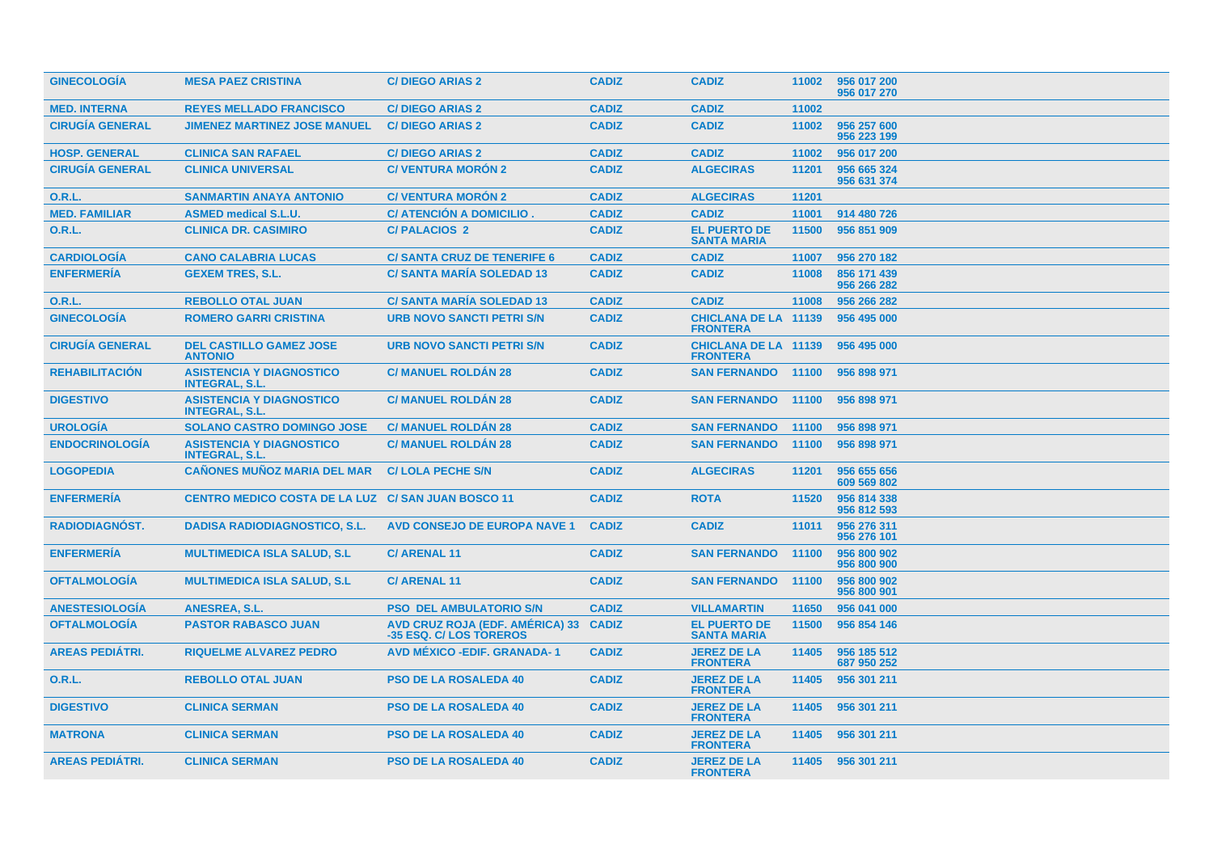| <b>GINECOLOGIA</b>     | <b>MESA PAEZ CRISTINA</b>                                | <b>C/DIEGO ARIAS 2</b>                                           | <b>CADIZ</b> | <b>CADIZ</b>                                   | 11002 | 956 017 200<br>956 017 270 |
|------------------------|----------------------------------------------------------|------------------------------------------------------------------|--------------|------------------------------------------------|-------|----------------------------|
| <b>MED. INTERNA</b>    | <b>REYES MELLADO FRANCISCO</b>                           | <b>C/DIEGO ARIAS 2</b>                                           | <b>CADIZ</b> | <b>CADIZ</b>                                   | 11002 |                            |
| <b>CIRUGÍA GENERAL</b> | <b>JIMENEZ MARTINEZ JOSE MANUEL</b>                      | <b>C/DIEGO ARIAS 2</b>                                           | <b>CADIZ</b> | <b>CADIZ</b>                                   | 11002 | 956 257 600<br>956 223 199 |
| <b>HOSP. GENERAL</b>   | <b>CLINICA SAN RAFAEL</b>                                | <b>C/DIEGO ARIAS 2</b>                                           | <b>CADIZ</b> | <b>CADIZ</b>                                   | 11002 | 956 017 200                |
| <b>CIRUGÍA GENERAL</b> | <b>CLINICA UNIVERSAL</b>                                 | <b>C/ VENTURA MORÓN 2</b>                                        | <b>CADIZ</b> | <b>ALGECIRAS</b>                               | 11201 | 956 665 324<br>956 631 374 |
| O.R.L.                 | <b>SANMARTIN ANAYA ANTONIO</b>                           | <b>C/VENTURA MORÓN 2</b>                                         | <b>CADIZ</b> | <b>ALGECIRAS</b>                               | 11201 |                            |
| <b>MED. FAMILIAR</b>   | <b>ASMED medical S.L.U.</b>                              | <b>C/ ATENCIÓN A DOMICILIO.</b>                                  | <b>CADIZ</b> | <b>CADIZ</b>                                   | 11001 | 914 480 726                |
| <b>O.R.L.</b>          | <b>CLINICA DR. CASIMIRO</b>                              | <b>C/PALACIOS 2</b>                                              | <b>CADIZ</b> | <b>EL PUERTO DE</b><br><b>SANTA MARIA</b>      | 11500 | 956 851 909                |
| <b>CARDIOLOGIA</b>     | <b>CANO CALABRIA LUCAS</b>                               | <b>C/SANTA CRUZ DE TENERIFE 6</b>                                | <b>CADIZ</b> | <b>CADIZ</b>                                   | 11007 | 956 270 182                |
| <b>ENFERMERIA</b>      | <b>GEXEM TRES, S.L.</b>                                  | <b>C/SANTA MARIA SOLEDAD 13</b>                                  | <b>CADIZ</b> | <b>CADIZ</b>                                   | 11008 | 856 171 439<br>956 266 282 |
| 0.R.L.                 | <b>REBOLLO OTAL JUAN</b>                                 | <b>C/SANTA MARIA SOLEDAD 13</b>                                  | <b>CADIZ</b> | <b>CADIZ</b>                                   | 11008 | 956 266 282                |
| <b>GINECOLOGÍA</b>     | <b>ROMERO GARRI CRISTINA</b>                             | <b>URB NOVO SANCTI PETRI S/N</b>                                 | <b>CADIZ</b> | <b>CHICLANA DE LA 11139</b><br><b>FRONTERA</b> |       | 956 495 000                |
| <b>CIRUGIA GENERAL</b> | <b>DEL CASTILLO GAMEZ JOSE</b><br><b>ANTONIO</b>         | <b>URB NOVO SANCTI PETRI S/N</b>                                 | <b>CADIZ</b> | <b>CHICLANA DE LA 11139</b><br><b>FRONTERA</b> |       | 956 495 000                |
| <b>REHABILITACIÓN</b>  | <b>ASISTENCIA Y DIAGNOSTICO</b><br><b>INTEGRAL, S.L.</b> | <b>C/ MANUEL ROLDAN 28</b>                                       | <b>CADIZ</b> | <b>SAN FERNANDO 11100</b>                      |       | 956 898 971                |
| <b>DIGESTIVO</b>       | <b>ASISTENCIA Y DIAGNOSTICO</b><br><b>INTEGRAL, S.L.</b> | <b>C/ MANUEL ROLDÁN 28</b>                                       | <b>CADIZ</b> | <b>SAN FERNANDO</b>                            | 11100 | 956 898 971                |
| <b>UROLOGIA</b>        | <b>SOLANO CASTRO DOMINGO JOSE</b>                        | <b>C/ MANUEL ROLDAN 28</b>                                       | <b>CADIZ</b> | <b>SAN FERNANDO</b>                            | 11100 | 956 898 971                |
| <b>ENDOCRINOLOGÍA</b>  | <b>ASISTENCIA Y DIAGNOSTICO</b><br><b>INTEGRAL, S.L.</b> | <b>C/ MANUEL ROLDAN 28</b>                                       | <b>CADIZ</b> | <b>SAN FERNANDO</b>                            | 11100 | 956 898 971                |
| <b>LOGOPEDIA</b>       | <b>CAÑONES MUÑOZ MARIA DEL MAR</b>                       | <b>C/LOLA PECHE S/N</b>                                          | <b>CADIZ</b> | <b>ALGECIRAS</b>                               | 11201 | 956 655 656<br>609 569 802 |
| <b>ENFERMERIA</b>      | CENTRO MEDICO COSTA DE LA LUZ C/ SAN JUAN BOSCO 11       |                                                                  | <b>CADIZ</b> | <b>ROTA</b>                                    | 11520 | 956 814 338<br>956 812 593 |
| <b>RADIODIAGNOST.</b>  | <b>DADISA RADIODIAGNOSTICO, S.L.</b>                     | <b>AVD CONSEJO DE EUROPA NAVE 1</b>                              | <b>CADIZ</b> | <b>CADIZ</b>                                   | 11011 | 956 276 311<br>956 276 101 |
| <b>ENFERMERÍA</b>      | <b>MULTIMEDICA ISLA SALUD, S.L.</b>                      | <b>C/ARENAL11</b>                                                | <b>CADIZ</b> | <b>SAN FERNANDO</b>                            | 11100 | 956 800 902<br>956 800 900 |
| <b>OFTALMOLOGIA</b>    | <b>MULTIMEDICA ISLA SALUD, S.L.</b>                      | <b>C/ARENAL11</b>                                                | <b>CADIZ</b> | <b>SAN FERNANDO</b>                            | 11100 | 956 800 902<br>956 800 901 |
| <b>ANESTESIOLOGIA</b>  | <b>ANESREA, S.L.</b>                                     | <b>PSO DEL AMBULATORIO S/N</b>                                   | <b>CADIZ</b> | <b>VILLAMARTIN</b>                             | 11650 | 956 041 000                |
| <b>OFTALMOLOGIA</b>    | <b>PASTOR RABASCO JUAN</b>                               | AVD CRUZ ROJA (EDF. AMÉRICA) 33 CADIZ<br>-35 ESQ. C/ LOS TOREROS |              | <b>EL PUERTO DE</b><br><b>SANTA MARIA</b>      | 11500 | 956 854 146                |
| <b>AREAS PEDIÁTRI.</b> | <b>RIQUELME ALVAREZ PEDRO</b>                            | <b>AVD MEXICO - EDIF. GRANADA-1</b>                              | <b>CADIZ</b> | <b>JEREZ DE LA</b><br><b>FRONTERA</b>          | 11405 | 956 185 512<br>687 950 252 |
| O.R.L.                 | <b>REBOLLO OTAL JUAN</b>                                 | <b>PSO DE LA ROSALEDA 40</b>                                     | <b>CADIZ</b> | <b>JEREZ DE LA</b><br><b>FRONTERA</b>          | 11405 | 956 301 211                |
| <b>DIGESTIVO</b>       | <b>CLINICA SERMAN</b>                                    | <b>PSO DE LA ROSALEDA 40</b>                                     | <b>CADIZ</b> | <b>JEREZ DE LA</b><br><b>FRONTERA</b>          | 11405 | 956 301 211                |
| <b>MATRONA</b>         | <b>CLINICA SERMAN</b>                                    | <b>PSO DE LA ROSALEDA 40</b>                                     | <b>CADIZ</b> | <b>JEREZ DE LA</b><br><b>FRONTERA</b>          | 11405 | 956 301 211                |
| <b>AREAS PEDIÁTRI.</b> | <b>CLINICA SERMAN</b>                                    | <b>PSO DE LA ROSALEDA 40</b>                                     | <b>CADIZ</b> | <b>JEREZ DE LA</b><br><b>FRONTERA</b>          |       | 11405 956 301 211          |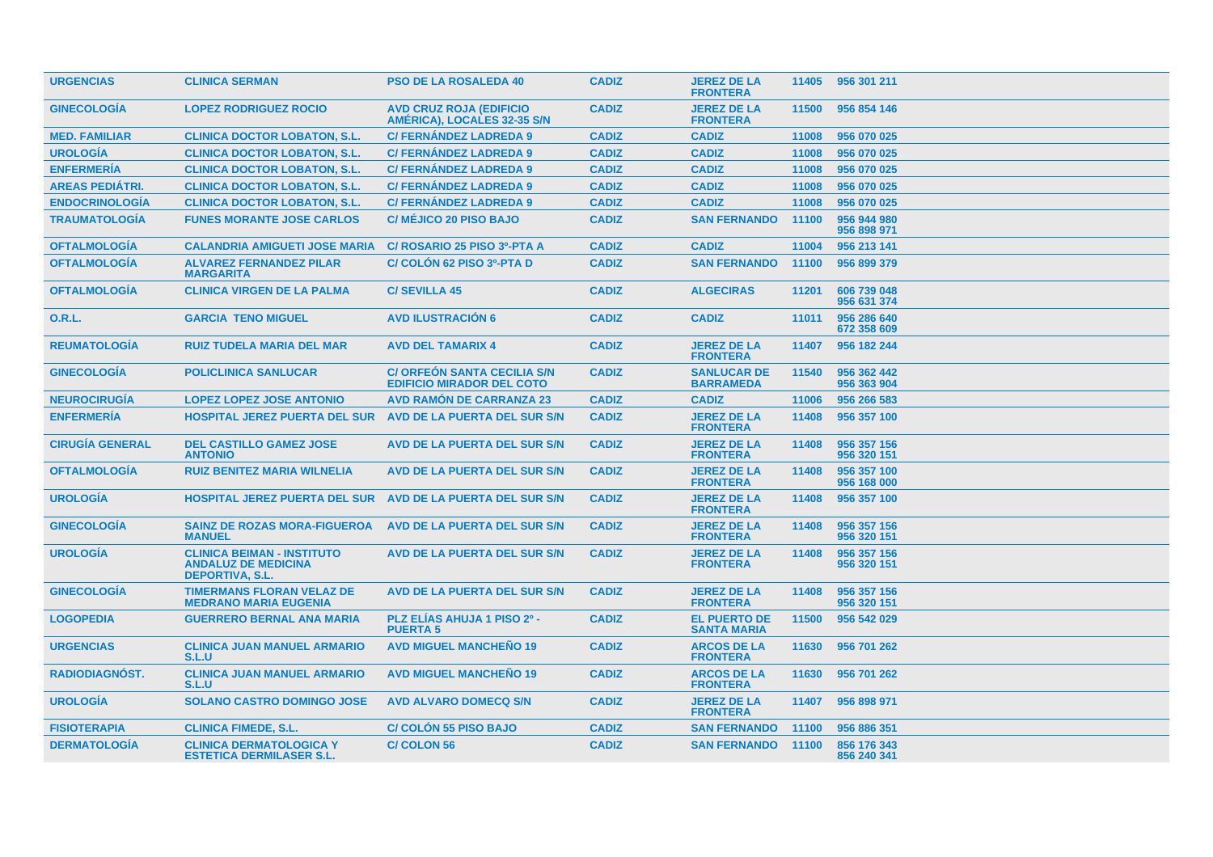| <b>URGENCIAS</b>       | <b>CLINICA SERMAN</b>                                                                     | <b>PSO DE LA ROSALEDA 40</b>                                           | <b>CADIZ</b> | <b>JEREZ DE LA</b><br><b>FRONTERA</b>     | 11405 | 956 301 211                |
|------------------------|-------------------------------------------------------------------------------------------|------------------------------------------------------------------------|--------------|-------------------------------------------|-------|----------------------------|
| <b>GINECOLOGIA</b>     | <b>LOPEZ RODRIGUEZ ROCIO</b>                                                              | <b>AVD CRUZ ROJA (EDIFICIO</b><br>AMERICA), LOCALES 32-35 S/N          | <b>CADIZ</b> | <b>JEREZ DE LA</b><br><b>FRONTERA</b>     | 11500 | 956 854 146                |
| <b>MED. FAMILIAR</b>   | <b>CLINICA DOCTOR LOBATON, S.L.</b>                                                       | <b>C/ FERNÁNDEZ LADREDA 9</b>                                          | <b>CADIZ</b> | <b>CADIZ</b>                              | 11008 | 956 070 025                |
| <b>UROLOGÍA</b>        | <b>CLINICA DOCTOR LOBATON, S.L.</b>                                                       | <b>C/ FERNÁNDEZ LADREDA 9</b>                                          | <b>CADIZ</b> | <b>CADIZ</b>                              | 11008 | 956 070 025                |
| <b>ENFERMERÍA</b>      | <b>CLINICA DOCTOR LOBATON, S.L.</b>                                                       | <b>C/ FERNÁNDEZ LADREDA 9</b>                                          | <b>CADIZ</b> | <b>CADIZ</b>                              | 11008 | 956 070 025                |
| <b>AREAS PEDIÁTRI.</b> | <b>CLINICA DOCTOR LOBATON, S.L.</b>                                                       | <b>C/ FERNÁNDEZ LADREDA 9</b>                                          | <b>CADIZ</b> | <b>CADIZ</b>                              | 11008 | 956 070 025                |
| <b>ENDOCRINOLOGÍA</b>  | <b>CLINICA DOCTOR LOBATON, S.L.</b>                                                       | <b>C/ FERNÁNDEZ LADREDA 9</b>                                          | <b>CADIZ</b> | <b>CADIZ</b>                              | 11008 | 956 070 025                |
| <b>TRAUMATOLOGIA</b>   | <b>FUNES MORANTE JOSE CARLOS</b>                                                          | <b>C/ MÉJICO 20 PISO BAJO</b>                                          | <b>CADIZ</b> | <b>SAN FERNANDO</b>                       | 11100 | 956 944 980<br>956 898 971 |
| <b>OFTALMOLOGIA</b>    | <b>CALANDRIA AMIGUETI JOSE MARIA</b>                                                      | C/ ROSARIO 25 PISO 3º-PTA A                                            | <b>CADIZ</b> | <b>CADIZ</b>                              | 11004 | 956 213 141                |
| <b>OFTALMOLOGÍA</b>    | <b>ALVAREZ FERNANDEZ PILAR</b><br><b>MARGARITA</b>                                        | C/ COLON 62 PISO 3º-PTA D                                              | <b>CADIZ</b> | <b>SAN FERNANDO</b>                       | 11100 | 956 899 379                |
| <b>OFTALMOLOGÍA</b>    | <b>CLINICA VIRGEN DE LA PALMA</b>                                                         | <b>C/SEVILLA 45</b>                                                    | <b>CADIZ</b> | <b>ALGECIRAS</b>                          | 11201 | 606 739 048<br>956 631 374 |
| <b>O.R.L.</b>          | <b>GARCIA TENO MIGUEL</b>                                                                 | <b>AVD ILUSTRACIÓN 6</b>                                               | <b>CADIZ</b> | <b>CADIZ</b>                              | 11011 | 956 286 640<br>672 358 609 |
| <b>REUMATOLOGÍA</b>    | <b>RUIZ TUDELA MARIA DEL MAR</b>                                                          | <b>AVD DEL TAMARIX 4</b>                                               | <b>CADIZ</b> | <b>JEREZ DE LA</b><br><b>FRONTERA</b>     | 11407 | 956 182 244                |
| <b>GINECOLOGIA</b>     | <b>POLICLINICA SANLUCAR</b>                                                               | <b>C/ ORFEON SANTA CECILIA S/N</b><br><b>EDIFICIO MIRADOR DEL COTO</b> | <b>CADIZ</b> | <b>SANLUCAR DE</b><br><b>BARRAMEDA</b>    | 11540 | 956 362 442<br>956 363 904 |
| <b>NEUROCIRUGÍA</b>    | <b>LOPEZ LOPEZ JOSE ANTONIO</b>                                                           | <b>AVD RAMÓN DE CARRANZA 23</b>                                        | <b>CADIZ</b> | <b>CADIZ</b>                              | 11006 | 956 266 583                |
| <b>ENFERMERÍA</b>      | <b>HOSPITAL JEREZ PUERTA DEL SUR</b>                                                      | AVD DE LA PUERTA DEL SUR S/N                                           | <b>CADIZ</b> | <b>JEREZ DE LA</b><br><b>FRONTERA</b>     | 11408 | 956 357 100                |
| <b>CIRUGÍA GENERAL</b> | <b>DEL CASTILLO GAMEZ JOSE</b><br><b>ANTONIO</b>                                          | <b>AVD DE LA PUERTA DEL SUR S/N</b>                                    | <b>CADIZ</b> | <b>JEREZ DE LA</b><br><b>FRONTERA</b>     | 11408 | 956 357 156<br>956 320 151 |
| <b>OFTALMOLOGIA</b>    | <b>RUIZ BENITEZ MARIA WILNELIA</b>                                                        | AVD DE LA PUERTA DEL SUR S/N                                           | <b>CADIZ</b> | <b>JEREZ DE LA</b><br><b>FRONTERA</b>     | 11408 | 956 357 100<br>956 168 000 |
| <b>UROLOGÍA</b>        | <b>HOSPITAL JEREZ PUERTA DEL SUR</b>                                                      | AVD DE LA PUERTA DEL SUR S/N                                           | <b>CADIZ</b> | <b>JEREZ DE LA</b><br><b>FRONTERA</b>     | 11408 | 956 357 100                |
| <b>GINECOLOGÍA</b>     | <b>SAINZ DE ROZAS MORA-FIGUEROA</b><br><b>MANUEL</b>                                      | AVD DE LA PUERTA DEL SUR S/N                                           | <b>CADIZ</b> | <b>JEREZ DE LA</b><br><b>FRONTERA</b>     | 11408 | 956 357 156<br>956 320 151 |
| <b>UROLOGÍA</b>        | <b>CLINICA BEIMAN - INSTITUTO</b><br><b>ANDALUZ DE MEDICINA</b><br><b>DEPORTIVA, S.L.</b> | <b>AVD DE LA PUERTA DEL SUR S/N</b>                                    | <b>CADIZ</b> | <b>JEREZ DE LA</b><br><b>FRONTERA</b>     | 11408 | 956 357 156<br>956 320 151 |
| <b>GINECOLOGIA</b>     | <b>TIMERMANS FLORAN VELAZ DE</b><br><b>MEDRANO MARIA EUGENIA</b>                          | <b>AVD DE LA PUERTA DEL SUR S/N</b>                                    | <b>CADIZ</b> | <b>JEREZ DE LA</b><br><b>FRONTERA</b>     | 11408 | 956 357 156<br>956 320 151 |
| <b>LOGOPEDIA</b>       | <b>GUERRERO BERNAL ANA MARIA</b>                                                          | PLZ ELÍAS AHUJA 1 PISO 2º -<br><b>PUERTA 5</b>                         | <b>CADIZ</b> | <b>EL PUERTO DE</b><br><b>SANTA MARIA</b> | 11500 | 956 542 029                |
| <b>URGENCIAS</b>       | <b>CLINICA JUAN MANUEL ARMARIO</b><br>S.L.U                                               | <b>AVD MIGUEL MANCHEÑO 19</b>                                          | <b>CADIZ</b> | <b>ARCOS DE LA</b><br><b>FRONTERA</b>     | 11630 | 956 701 262                |
| <b>RADIODIAGNOST.</b>  | <b>CLINICA JUAN MANUEL ARMARIO</b><br>S.L.U                                               | <b>AVD MIGUEL MANCHENO 19</b>                                          | <b>CADIZ</b> | <b>ARCOS DE LA</b><br><b>FRONTERA</b>     | 11630 | 956 701 262                |
| <b>UROLOGÍA</b>        | <b>SOLANO CASTRO DOMINGO JOSE</b>                                                         | <b>AVD ALVARO DOMECQ S/N</b>                                           | <b>CADIZ</b> | <b>JEREZ DE LA</b><br><b>FRONTERA</b>     | 11407 | 956 898 971                |
| <b>FISIOTERAPIA</b>    | <b>CLINICA FIMEDE, S.L.</b>                                                               | <b>C/ COLON 55 PISO BAJO</b>                                           | <b>CADIZ</b> | <b>SAN FERNANDO</b>                       | 11100 | 956 886 351                |
| <b>DERMATOLOGIA</b>    | <b>CLINICA DERMATOLOGICA Y</b><br><b>ESTETICA DERMILASER S.L.</b>                         | <b>C/COLON 56</b>                                                      | <b>CADIZ</b> | <b>SAN FERNANDO</b>                       | 11100 | 856 176 343<br>856 240 341 |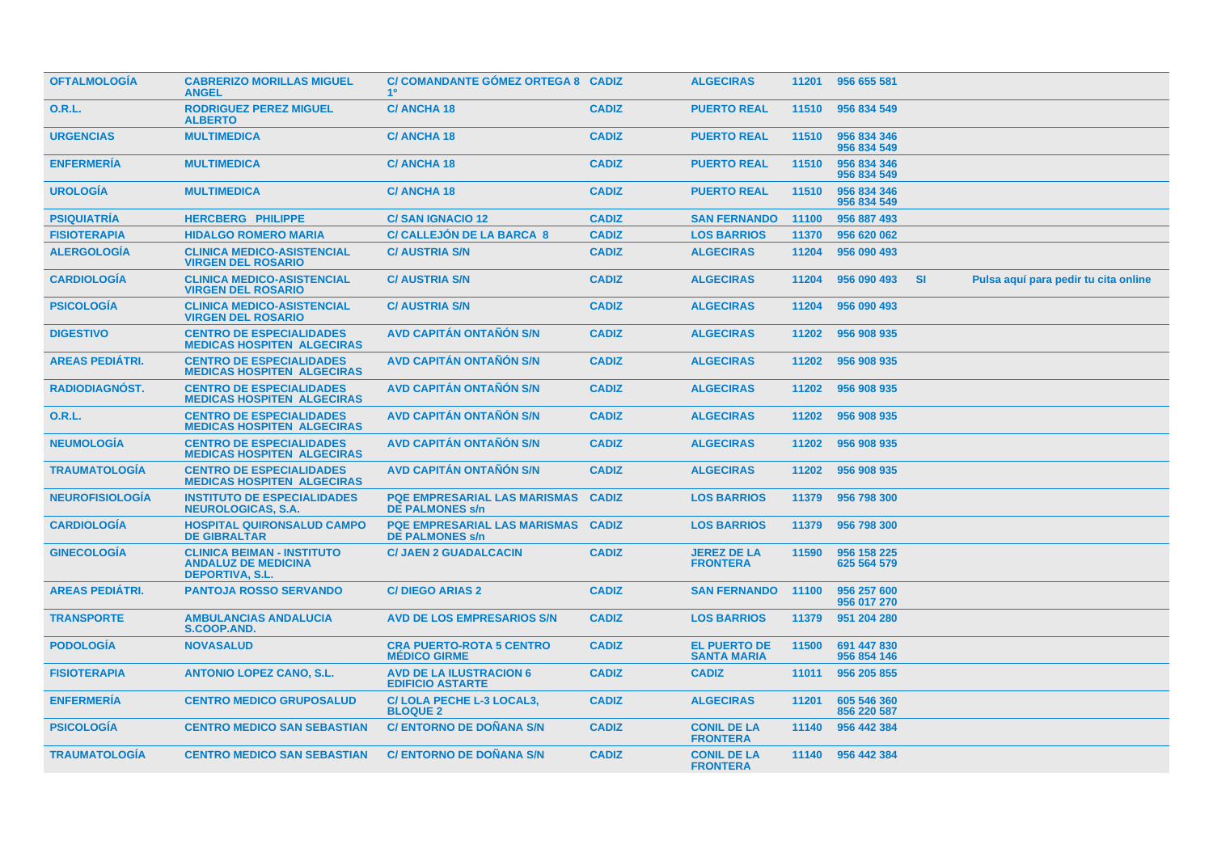| <b>OFTALMOLOGIA</b>    | <b>CABRERIZO MORILLAS MIGUEL</b><br><b>ANGEL</b>                                          | C/ COMANDANTE GOMEZ ORTEGA 8 CADIZ<br>10 <sup>°</sup>         |              | <b>ALGECIRAS</b>                          |       | 11201 956 655 581          |     |                                      |
|------------------------|-------------------------------------------------------------------------------------------|---------------------------------------------------------------|--------------|-------------------------------------------|-------|----------------------------|-----|--------------------------------------|
| <b>O.R.L.</b>          | <b>RODRIGUEZ PEREZ MIGUEL</b><br><b>ALBERTO</b>                                           | <b>C/ANCHA18</b>                                              | <b>CADIZ</b> | <b>PUERTO REAL</b>                        | 11510 | 956 834 549                |     |                                      |
| <b>URGENCIAS</b>       | <b>MULTIMEDICA</b>                                                                        | <b>C/ANCHA18</b>                                              | <b>CADIZ</b> | <b>PUERTO REAL</b>                        | 11510 | 956 834 346<br>956 834 549 |     |                                      |
| <b>ENFERMERIA</b>      | <b>MULTIMEDICA</b>                                                                        | <b>C/ANCHA18</b>                                              | <b>CADIZ</b> | <b>PUERTO REAL</b>                        | 11510 | 956 834 346<br>956 834 549 |     |                                      |
| <b>UROLOGÍA</b>        | <b>MULTIMEDICA</b>                                                                        | <b>C/ANCHA18</b>                                              | <b>CADIZ</b> | <b>PUERTO REAL</b>                        | 11510 | 956 834 346<br>956 834 549 |     |                                      |
| <b>PSIQUIATRÍA</b>     | <b>HERCBERG PHILIPPE</b>                                                                  | <b>C/SAN IGNACIO 12</b>                                       | <b>CADIZ</b> | <b>SAN FERNANDO</b>                       | 11100 | 956 887 493                |     |                                      |
| <b>FISIOTERAPIA</b>    | <b>HIDALGO ROMERO MARIA</b>                                                               | <b>C/ CALLEJON DE LA BARCA 8</b>                              | <b>CADIZ</b> | <b>LOS BARRIOS</b>                        | 11370 | 956 620 062                |     |                                      |
| <b>ALERGOLOGÍA</b>     | <b>CLINICA MEDICO-ASISTENCIAL</b><br><b>VIRGEN DEL ROSARIO</b>                            | <b>C/ AUSTRIA S/N</b>                                         | <b>CADIZ</b> | <b>ALGECIRAS</b>                          | 11204 | 956 090 493                |     |                                      |
| <b>CARDIOLOGÍA</b>     | <b>CLINICA MEDICO-ASISTENCIAL</b><br><b>VIRGEN DEL ROSARIO</b>                            | <b>C/ AUSTRIA S/N</b>                                         | <b>CADIZ</b> | <b>ALGECIRAS</b>                          | 11204 | 956 090 493                | -SI | Pulsa aquí para pedir tu cita online |
| <b>PSICOLOGIA</b>      | <b>CLINICA MEDICO-ASISTENCIAL</b><br><b>VIRGEN DEL ROSARIO</b>                            | <b>C/ AUSTRIA S/N</b>                                         | <b>CADIZ</b> | <b>ALGECIRAS</b>                          | 11204 | 956 090 493                |     |                                      |
| <b>DIGESTIVO</b>       | <b>CENTRO DE ESPECIALIDADES</b><br><b>MEDICAS HOSPITEN ALGECIRAS</b>                      | AVD CAPITÁN ONTAÑÓN S/N                                       | <b>CADIZ</b> | <b>ALGECIRAS</b>                          | 11202 | 956 908 935                |     |                                      |
| <b>AREAS PEDIÁTRI.</b> | <b>CENTRO DE ESPECIALIDADES</b><br><b>MEDICAS HOSPITEN ALGECIRAS</b>                      | <b>AVD CAPITAN ONTANON S/N</b>                                | <b>CADIZ</b> | <b>ALGECIRAS</b>                          | 11202 | 956 908 935                |     |                                      |
| <b>RADIODIAGNÓST.</b>  | <b>CENTRO DE ESPECIALIDADES</b><br><b>MEDICAS HOSPITEN ALGECIRAS</b>                      | <b>AVD CAPITAN ONTANON S/N</b>                                | <b>CADIZ</b> | <b>ALGECIRAS</b>                          | 11202 | 956 908 935                |     |                                      |
| 0.R.L.                 | <b>CENTRO DE ESPECIALIDADES</b><br><b>MEDICAS HOSPITEN ALGECIRAS</b>                      | <b>AVD CAPITAN ONTANON S/N</b>                                | <b>CADIZ</b> | <b>ALGECIRAS</b>                          | 11202 | 956 908 935                |     |                                      |
| <b>NEUMOLOGIA</b>      | <b>CENTRO DE ESPECIALIDADES</b><br><b>MEDICAS HOSPITEN ALGECIRAS</b>                      | <b>AVD CAPITAN ONTANON S/N</b>                                | <b>CADIZ</b> | <b>ALGECIRAS</b>                          | 11202 | 956 908 935                |     |                                      |
| <b>TRAUMATOLOGIA</b>   | <b>CENTRO DE ESPECIALIDADES</b><br><b>MEDICAS HOSPITEN ALGECIRAS</b>                      | <b>AVD CAPITÁN ONTAÑÓN S/N</b>                                | <b>CADIZ</b> | <b>ALGECIRAS</b>                          | 11202 | 956 908 935                |     |                                      |
| <b>NEUROFISIOLOGIA</b> | <b>INSTITUTO DE ESPECIALIDADES</b><br><b>NEUROLOGICAS, S.A.</b>                           | <b>PQE EMPRESARIAL LAS MARISMAS</b><br><b>DE PALMONES s/n</b> | <b>CADIZ</b> | <b>LOS BARRIOS</b>                        | 11379 | 956 798 300                |     |                                      |
| <b>CARDIOLOGÍA</b>     | <b>HOSPITAL QUIRONSALUD CAMPO</b><br><b>DE GIBRALTAR</b>                                  | <b>PQE EMPRESARIAL LAS MARISMAS</b><br><b>DE PALMONES s/n</b> | <b>CADIZ</b> | <b>LOS BARRIOS</b>                        | 11379 | 956 798 300                |     |                                      |
| <b>GINECOLOGÍA</b>     | <b>CLINICA BEIMAN - INSTITUTO</b><br><b>ANDALUZ DE MEDICINA</b><br><b>DEPORTIVA, S.L.</b> | <b>C/ JAEN 2 GUADALCACIN</b>                                  | <b>CADIZ</b> | <b>JEREZ DE LA</b><br><b>FRONTERA</b>     | 11590 | 956 158 225<br>625 564 579 |     |                                      |
| <b>AREAS PEDIÁTRI.</b> | <b>PANTOJA ROSSO SERVANDO</b>                                                             | <b>C/DIEGO ARIAS 2</b>                                        | <b>CADIZ</b> | <b>SAN FERNANDO</b>                       | 11100 | 956 257 600<br>956 017 270 |     |                                      |
| <b>TRANSPORTE</b>      | <b>AMBULANCIAS ANDALUCIA</b><br>S.COOP.AND.                                               | <b>AVD DE LOS EMPRESARIOS S/N</b>                             | <b>CADIZ</b> | <b>LOS BARRIOS</b>                        | 11379 | 951 204 280                |     |                                      |
| <b>PODOLOGIA</b>       | <b>NOVASALUD</b>                                                                          | <b>CRA PUERTO-ROTA 5 CENTRO</b><br><b>MÉDICO GIRME</b>        | <b>CADIZ</b> | <b>EL PUERTO DE</b><br><b>SANTA MARIA</b> | 11500 | 691 447 830<br>956 854 146 |     |                                      |
| <b>FISIOTERAPIA</b>    | <b>ANTONIO LOPEZ CANO, S.L.</b>                                                           | <b>AVD DE LA ILUSTRACION 6</b><br><b>EDIFICIO ASTARTE</b>     | <b>CADIZ</b> | <b>CADIZ</b>                              | 11011 | 956 205 855                |     |                                      |
| <b>ENFERMERIA</b>      | <b>CENTRO MEDICO GRUPOSALUD</b>                                                           | C/LOLA PECHE L-3 LOCAL3,<br><b>BLOQUE 2</b>                   | <b>CADIZ</b> | <b>ALGECIRAS</b>                          | 11201 | 605 546 360<br>856 220 587 |     |                                      |
| <b>PSICOLOGIA</b>      | <b>CENTRO MEDICO SAN SEBASTIAN</b>                                                        | <b>C/ ENTORNO DE DONANA S/N</b>                               | <b>CADIZ</b> | <b>CONIL DE LA</b><br><b>FRONTERA</b>     | 11140 | 956 442 384                |     |                                      |
| <b>TRAUMATOLOGIA</b>   | <b>CENTRO MEDICO SAN SEBASTIAN</b>                                                        | <b>C/ENTORNO DE DONANA S/N</b>                                | <b>CADIZ</b> | <b>CONIL DE LA</b><br><b>FRONTERA</b>     |       | 11140 956 442 384          |     |                                      |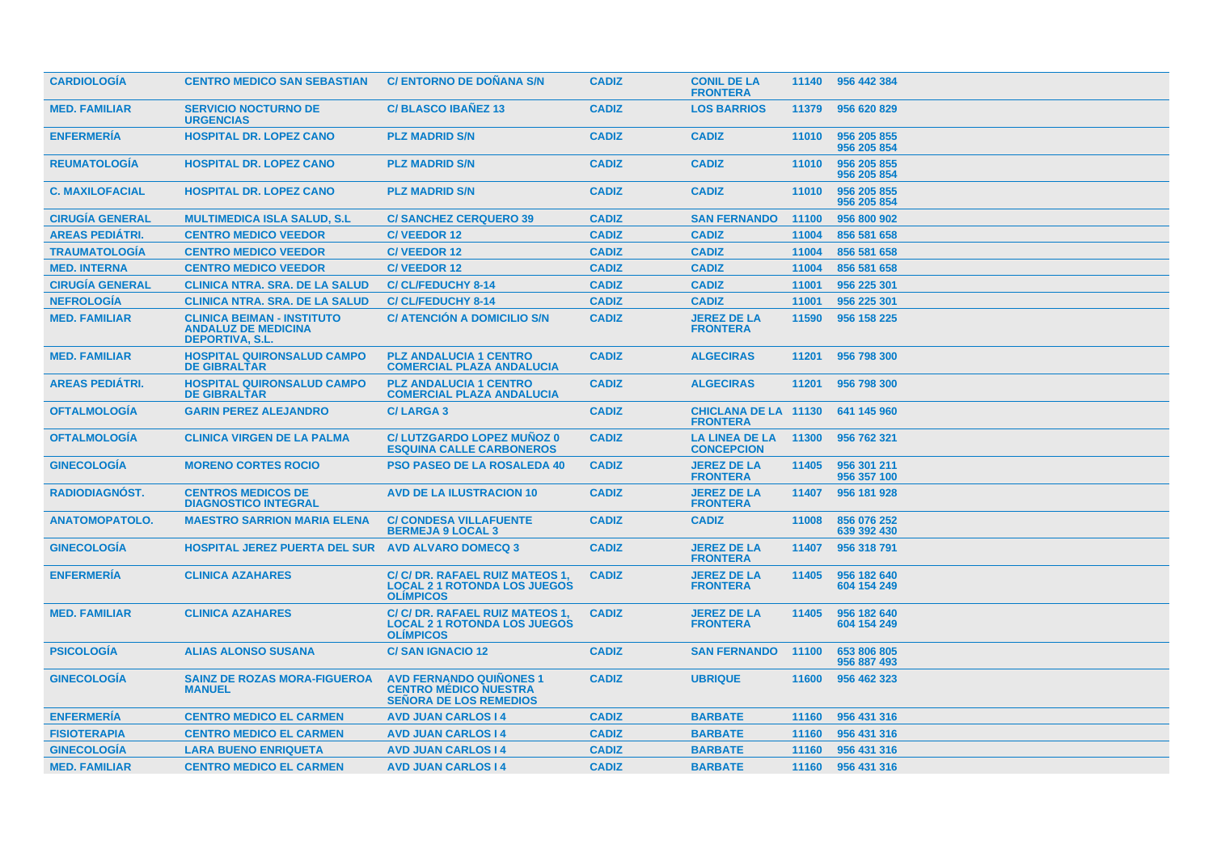| <b>CARDIOLOGIA</b>     | <b>CENTRO MEDICO SAN SEBASTIAN</b>                                                        | <b>C/ENTORNO DE DONANA S/N</b>                                                                  | <b>CADIZ</b> | <b>CONIL DE LA</b><br><b>FRONTERA</b>          |       | 11140 956 442 384          |
|------------------------|-------------------------------------------------------------------------------------------|-------------------------------------------------------------------------------------------------|--------------|------------------------------------------------|-------|----------------------------|
| <b>MED. FAMILIAR</b>   | <b>SERVICIO NOCTURNO DE</b><br><b>URGENCIAS</b>                                           | <b>C/BLASCO IBANEZ 13</b>                                                                       | <b>CADIZ</b> | <b>LOS BARRIOS</b>                             | 11379 | 956 620 829                |
| <b>ENFERMERIA</b>      | <b>HOSPITAL DR. LOPEZ CANO</b>                                                            | <b>PLZ MADRID S/N</b>                                                                           | <b>CADIZ</b> | <b>CADIZ</b>                                   | 11010 | 956 205 855<br>956 205 854 |
| <b>REUMATOLOGIA</b>    | <b>HOSPITAL DR. LOPEZ CANO</b>                                                            | <b>PLZ MADRID S/N</b>                                                                           | <b>CADIZ</b> | <b>CADIZ</b>                                   | 11010 | 956 205 855<br>956 205 854 |
| <b>C. MAXILOFACIAL</b> | <b>HOSPITAL DR. LOPEZ CANO</b>                                                            | <b>PLZ MADRID S/N</b>                                                                           | <b>CADIZ</b> | <b>CADIZ</b>                                   | 11010 | 956 205 855<br>956 205 854 |
| <b>CIRUGÍA GENERAL</b> | <b>MULTIMEDICA ISLA SALUD, S.L.</b>                                                       | <b>C/SANCHEZ CERQUERO 39</b>                                                                    | <b>CADIZ</b> | <b>SAN FERNANDO</b>                            | 11100 | 956 800 902                |
| <b>AREAS PEDIÁTRI.</b> | <b>CENTRO MEDICO VEEDOR</b>                                                               | <b>C/VEEDOR 12</b>                                                                              | <b>CADIZ</b> | <b>CADIZ</b>                                   | 11004 | 856 581 658                |
| <b>TRAUMATOLOGIA</b>   | <b>CENTRO MEDICO VEEDOR</b>                                                               | <b>C/VEEDOR12</b>                                                                               | <b>CADIZ</b> | <b>CADIZ</b>                                   | 11004 | 856 581 658                |
| <b>MED. INTERNA</b>    | <b>CENTRO MEDICO VEEDOR</b>                                                               | <b>C/VEEDOR12</b>                                                                               | <b>CADIZ</b> | <b>CADIZ</b>                                   | 11004 | 856 581 658                |
| <b>CIRUGÍA GENERAL</b> | <b>CLINICA NTRA. SRA. DE LA SALUD</b>                                                     | <b>C/CL/FEDUCHY 8-14</b>                                                                        | <b>CADIZ</b> | <b>CADIZ</b>                                   | 11001 | 956 225 301                |
| <b>NEFROLOGÍA</b>      | <b>CLINICA NTRA. SRA. DE LA SALUD</b>                                                     | <b>C/CL/FEDUCHY 8-14</b>                                                                        | <b>CADIZ</b> | <b>CADIZ</b>                                   | 11001 | 956 225 301                |
| <b>MED. FAMILIAR</b>   | <b>CLINICA BEIMAN - INSTITUTO</b><br><b>ANDALUZ DE MEDICINA</b><br><b>DEPORTIVA, S.L.</b> | <b>C/ ATENCIÓN A DOMICILIO S/N</b>                                                              | <b>CADIZ</b> | <b>JEREZ DE LA</b><br><b>FRONTERA</b>          | 11590 | 956 158 225                |
| <b>MED. FAMILIAR</b>   | <b>HOSPITAL QUIRONSALUD CAMPO</b><br><b>DE GIBRALTAR</b>                                  | <b>PLZ ANDALUCIA 1 CENTRO</b><br><b>COMERCIAL PLAZA ANDALUCIA</b>                               | <b>CADIZ</b> | <b>ALGECIRAS</b>                               | 11201 | 956 798 300                |
| <b>AREAS PEDIÁTRI.</b> | <b>HOSPITAL QUIRONSALUD CAMPO</b><br><b>DE GIBRALTAR</b>                                  | <b>PLZ ANDALUCIA 1 CENTRO</b><br><b>COMERCIAL PLAZA ANDALUCIA</b>                               | <b>CADIZ</b> | <b>ALGECIRAS</b>                               | 11201 | 956 798 300                |
| <b>OFTALMOLOGIA</b>    | <b>GARIN PEREZ ALEJANDRO</b>                                                              | <b>C/LARGA 3</b>                                                                                | <b>CADIZ</b> | <b>CHICLANA DE LA 11130</b><br><b>FRONTERA</b> |       | 641 145 960                |
| <b>OFTALMOLOGIA</b>    | <b>CLINICA VIRGEN DE LA PALMA</b>                                                         | <b>C/LUTZGARDO LOPEZ MUÑOZ 0</b><br><b>ESQUINA CALLE CARBONEROS</b>                             | <b>CADIZ</b> | <b>LA LINEA DE LA</b><br><b>CONCEPCION</b>     | 11300 | 956 762 321                |
| <b>GINECOLOGÍA</b>     | <b>MORENO CORTES ROCIO</b>                                                                | <b>PSO PASEO DE LA ROSALEDA 40</b>                                                              | <b>CADIZ</b> | <b>JEREZ DE LA</b><br><b>FRONTERA</b>          | 11405 | 956 301 211<br>956 357 100 |
| <b>RADIODIAGNOST.</b>  | <b>CENTROS MEDICOS DE</b><br><b>DIAGNOSTICO INTEGRAL</b>                                  | <b>AVD DE LA ILUSTRACION 10</b>                                                                 | <b>CADIZ</b> | <b>JEREZ DE LA</b><br><b>FRONTERA</b>          | 11407 | 956 181 928                |
| <b>ANATOMOPATOLO.</b>  | <b>MAESTRO SARRION MARIA ELENA</b>                                                        | <b>C/ CONDESA VILLAFUENTE</b><br><b>BERMEJA 9 LOCAL 3</b>                                       | <b>CADIZ</b> | <b>CADIZ</b>                                   | 11008 | 856 076 252<br>639 392 430 |
| <b>GINECOLOGÍA</b>     | <b>HOSPITAL JEREZ PUERTA DEL SUR</b>                                                      | <b>AVD ALVARO DOMECQ 3</b>                                                                      | <b>CADIZ</b> | <b>JEREZ DE LA</b><br><b>FRONTERA</b>          | 11407 | 956 318 791                |
| <b>ENFERMERIA</b>      | <b>CLINICA AZAHARES</b>                                                                   | C/ C/ DR. RAFAEL RUIZ MATEOS 1,<br><b>LOCAL 2 1 ROTONDA LOS JUEGOS</b><br><b>OLIMPICOS</b>      | <b>CADIZ</b> | <b>JEREZ DE LA</b><br><b>FRONTERA</b>          | 11405 | 956 182 640<br>604 154 249 |
| <b>MED. FAMILIAR</b>   | <b>CLINICA AZAHARES</b>                                                                   | C/ C/ DR. RAFAEL RUIZ MATEOS 1,<br><b>LOCAL 2 1 ROTONDA LOS JUEGOS</b><br><b>OLIMPICOS</b>      | <b>CADIZ</b> | <b>JEREZ DE LA</b><br><b>FRONTERA</b>          | 11405 | 956 182 640<br>604 154 249 |
| <b>PSICOLOGIA</b>      | <b>ALIAS ALONSO SUSANA</b>                                                                | <b>C/SAN IGNACIO 12</b>                                                                         | <b>CADIZ</b> | <b>SAN FERNANDO</b>                            | 11100 | 653 806 805<br>956 887 493 |
| <b>GINECOLOGIA</b>     | <b>SAINZ DE ROZAS MORA-FIGUEROA</b><br><b>MANUEL</b>                                      | <b>AVD FERNANDO QUIÑONES 1</b><br><b>CENTRO MÉDICO NUESTRA</b><br><b>SENORA DE LOS REMEDIOS</b> | <b>CADIZ</b> | <b>UBRIQUE</b>                                 | 11600 | 956 462 323                |
| <b>ENFERMERIA</b>      | <b>CENTRO MEDICO EL CARMEN</b>                                                            | <b>AVD JUAN CARLOS I 4</b>                                                                      | <b>CADIZ</b> | <b>BARBATE</b>                                 | 11160 | 956 431 316                |
| <b>FISIOTERAPIA</b>    | <b>CENTRO MEDICO EL CARMEN</b>                                                            | <b>AVD JUAN CARLOS 14</b>                                                                       | <b>CADIZ</b> | <b>BARBATE</b>                                 | 11160 | 956 431 316                |
| <b>GINECOLOGÍA</b>     | <b>LARA BUENO ENRIQUETA</b>                                                               | <b>AVD JUAN CARLOS I 4</b>                                                                      | <b>CADIZ</b> | <b>BARBATE</b>                                 | 11160 | 956 431 316                |
| <b>MED. FAMILIAR</b>   | <b>CENTRO MEDICO EL CARMEN</b>                                                            | <b>AVD JUAN CARLOS 14</b>                                                                       | <b>CADIZ</b> | <b>BARBATE</b>                                 | 11160 | 956 431 316                |
|                        |                                                                                           |                                                                                                 |              |                                                |       |                            |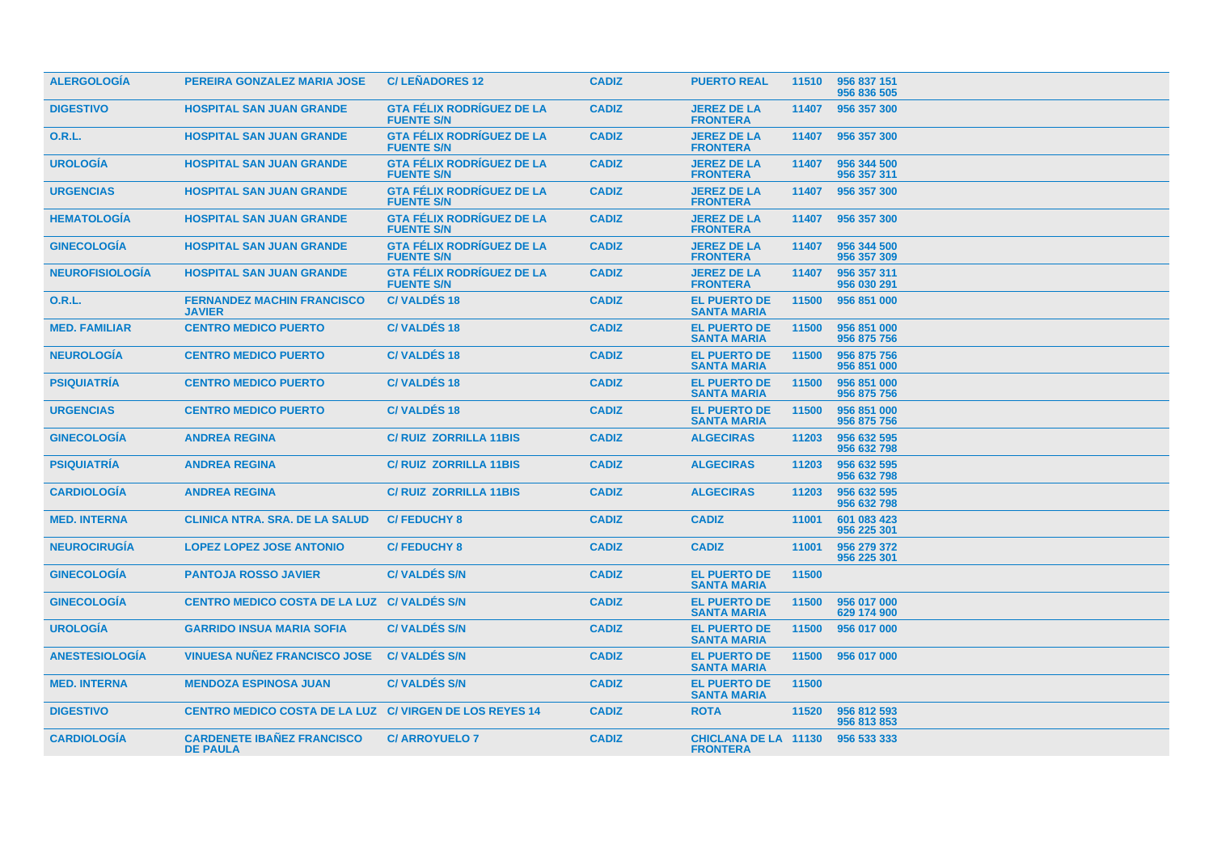| <b>ALERGOLOGÍA</b>     | PEREIRA GONZALEZ MARIA JOSE                             | <b>C/LEÑADORES 12</b>                                 | <b>CADIZ</b> | <b>PUERTO REAL</b>                             | 11510 | 956 837 151<br>956 836 505 |
|------------------------|---------------------------------------------------------|-------------------------------------------------------|--------------|------------------------------------------------|-------|----------------------------|
| <b>DIGESTIVO</b>       | <b>HOSPITAL SAN JUAN GRANDE</b>                         | <b>GTA FÉLIX RODRÍGUEZ DE LA</b><br><b>FUENTE S/N</b> | <b>CADIZ</b> | <b>JEREZ DE LA</b><br><b>FRONTERA</b>          | 11407 | 956 357 300                |
| <b>O.R.L.</b>          | <b>HOSPITAL SAN JUAN GRANDE</b>                         | <b>GTA FÉLIX RODRÍGUEZ DE LA</b><br><b>FUENTE S/N</b> | <b>CADIZ</b> | <b>JEREZ DE LA</b><br><b>FRONTERA</b>          |       | 11407 956 357 300          |
| <b>UROLOGIA</b>        | <b>HOSPITAL SAN JUAN GRANDE</b>                         | <b>GTA FÉLIX RODRIGUEZ DE LA</b><br><b>FUENTE S/N</b> | <b>CADIZ</b> | <b>JEREZ DE LA</b><br><b>FRONTERA</b>          | 11407 | 956 344 500<br>956 357 311 |
| <b>URGENCIAS</b>       | <b>HOSPITAL SAN JUAN GRANDE</b>                         | <b>GTA FÉLIX RODRÍGUEZ DE LA</b><br><b>FUENTE S/N</b> | <b>CADIZ</b> | <b>JEREZ DE LA</b><br><b>FRONTERA</b>          | 11407 | 956 357 300                |
| <b>HEMATOLOGIA</b>     | <b>HOSPITAL SAN JUAN GRANDE</b>                         | <b>GTA FÉLIX RODRÍGUEZ DE LA</b><br><b>FUENTE S/N</b> | <b>CADIZ</b> | <b>JEREZ DE LA</b><br><b>FRONTERA</b>          | 11407 | 956 357 300                |
| <b>GINECOLOGIA</b>     | <b>HOSPITAL SAN JUAN GRANDE</b>                         | <b>GTA FÉLIX RODRÍGUEZ DE LA</b><br><b>FUENTE S/N</b> | <b>CADIZ</b> | <b>JEREZ DE LA</b><br><b>FRONTERA</b>          | 11407 | 956 344 500<br>956 357 309 |
| <b>NEUROFISIOLOGIA</b> | <b>HOSPITAL SAN JUAN GRANDE</b>                         | <b>GTA FÉLIX RODRÍGUEZ DE LA</b><br><b>FUENTE S/N</b> | <b>CADIZ</b> | <b>JEREZ DE LA</b><br><b>FRONTERA</b>          | 11407 | 956 357 311<br>956 030 291 |
| <b>O.R.L.</b>          | <b>FERNANDEZ MACHIN FRANCISCO</b><br><b>JAVIER</b>      | <b>C/VALDES 18</b>                                    | <b>CADIZ</b> | <b>EL PUERTO DE</b><br><b>SANTA MARIA</b>      | 11500 | 956 851 000                |
| <b>MED. FAMILIAR</b>   | <b>CENTRO MEDICO PUERTO</b>                             | <b>C/VALDES 18</b>                                    | <b>CADIZ</b> | <b>EL PUERTO DE</b><br><b>SANTA MARIA</b>      | 11500 | 956 851 000<br>956 875 756 |
| <b>NEUROLOGIA</b>      | <b>CENTRO MEDICO PUERTO</b>                             | <b>C/VALDES 18</b>                                    | <b>CADIZ</b> | <b>EL PUERTO DE</b><br><b>SANTA MARIA</b>      | 11500 | 956 875 756<br>956 851 000 |
| <b>PSIQUIATRIA</b>     | <b>CENTRO MEDICO PUERTO</b>                             | <b>C/VALDES 18</b>                                    | <b>CADIZ</b> | <b>EL PUERTO DE</b><br><b>SANTA MARIA</b>      | 11500 | 956 851 000<br>956 875 756 |
| <b>URGENCIAS</b>       | <b>CENTRO MEDICO PUERTO</b>                             | <b>C/VALDES 18</b>                                    | <b>CADIZ</b> | <b>EL PUERTO DE</b><br><b>SANTA MARIA</b>      | 11500 | 956 851 000<br>956 875 756 |
| <b>GINECOLOGIA</b>     | <b>ANDREA REGINA</b>                                    | <b>C/ RUIZ ZORRILLA 11BIS</b>                         | <b>CADIZ</b> | <b>ALGECIRAS</b>                               | 11203 | 956 632 595<br>956 632 798 |
| <b>PSIQUIATRÍA</b>     | <b>ANDREA REGINA</b>                                    | C/RUIZ ZORRILLA 11BIS                                 | <b>CADIZ</b> | <b>ALGECIRAS</b>                               | 11203 | 956 632 595<br>956 632 798 |
| <b>CARDIOLOGIA</b>     | <b>ANDREA REGINA</b>                                    | <b>C/ RUIZ ZORRILLA 11BIS</b>                         | <b>CADIZ</b> | <b>ALGECIRAS</b>                               | 11203 | 956 632 595<br>956 632 798 |
| <b>MED. INTERNA</b>    | <b>CLINICA NTRA, SRA, DE LA SALUD</b>                   | <b>C/FEDUCHY 8</b>                                    | <b>CADIZ</b> | <b>CADIZ</b>                                   | 11001 | 601 083 423<br>956 225 301 |
| <b>NEUROCIRUGIA</b>    | <b>LOPEZ LOPEZ JOSE ANTONIO</b>                         | <b>C/FEDUCHY 8</b>                                    | <b>CADIZ</b> | <b>CADIZ</b>                                   | 11001 | 956 279 372<br>956 225 301 |
| <b>GINECOLOGIA</b>     | <b>PANTOJA ROSSO JAVIER</b>                             | <b>C/VALDES S/N</b>                                   | <b>CADIZ</b> | <b>EL PUERTO DE</b><br><b>SANTA MARIA</b>      | 11500 |                            |
| <b>GINECOLOGIA</b>     | CENTRO MEDICO COSTA DE LA LUZ C/ VALDES S/N             |                                                       | <b>CADIZ</b> | <b>EL PUERTO DE</b><br><b>SANTA MARIA</b>      | 11500 | 956 017 000<br>629 174 900 |
| <b>UROLOGÍA</b>        | <b>GARRIDO INSUA MARIA SOFIA</b>                        | <b>C/VALDES S/N</b>                                   | <b>CADIZ</b> | <b>EL PUERTO DE</b><br><b>SANTA MARIA</b>      | 11500 | 956 017 000                |
| <b>ANESTESIOLOGÍA</b>  | <b>VINUESA NUÑEZ FRANCISCO JOSE</b>                     | <b>C/VALDES S/N</b>                                   | <b>CADIZ</b> | <b>EL PUERTO DE</b><br><b>SANTA MARIA</b>      | 11500 | 956 017 000                |
| <b>MED. INTERNA</b>    | <b>MENDOZA ESPINOSA JUAN</b>                            | <b>C/VALDÉS S/N</b>                                   | <b>CADIZ</b> | <b>EL PUERTO DE</b><br><b>SANTA MARIA</b>      | 11500 |                            |
| <b>DIGESTIVO</b>       | CENTRO MEDICO COSTA DE LA LUZ C/ VIRGEN DE LOS REYES 14 |                                                       | <b>CADIZ</b> | <b>ROTA</b>                                    | 11520 | 956 812 593<br>956 813 853 |
| <b>CARDIOLOGÍA</b>     | <b>CARDENETE IBAÑEZ FRANCISCO</b><br><b>DE PAULA</b>    | <b>C/ARROYUELO 7</b>                                  | <b>CADIZ</b> | <b>CHICLANA DE LA 11130</b><br><b>FRONTERA</b> |       | 956 533 333                |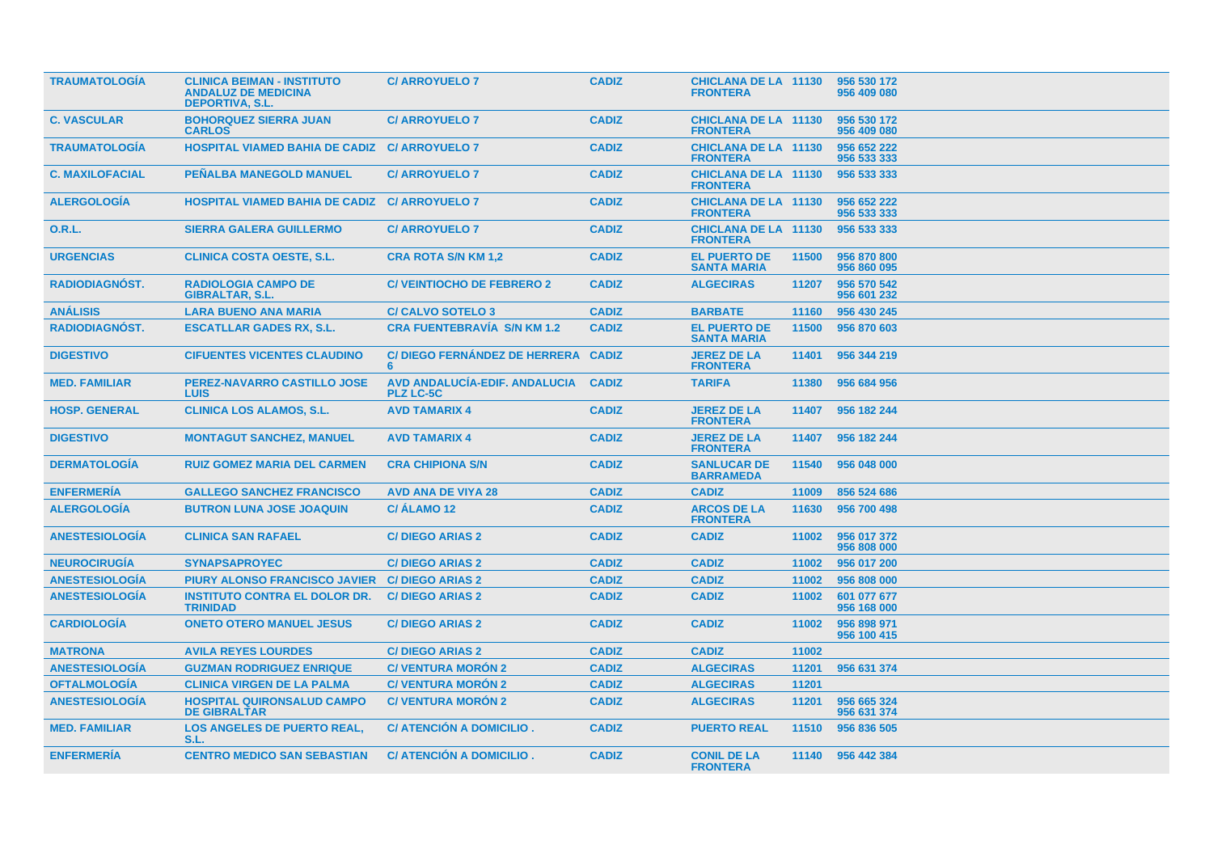| <b>TRAUMATOLOGIA</b>   | <b>CLINICA BEIMAN - INSTITUTO</b><br><b>ANDALUZ DE MEDICINA</b><br><b>DEPORTIVA, S.L.</b> | <b>C/ ARROYUELO 7</b>                             | <b>CADIZ</b> | <b>CHICLANA DE LA 11130</b><br><b>FRONTERA</b> |       | 956 530 172<br>956 409 080 |
|------------------------|-------------------------------------------------------------------------------------------|---------------------------------------------------|--------------|------------------------------------------------|-------|----------------------------|
| <b>C. VASCULAR</b>     | <b>BOHORQUEZ SIERRA JUAN</b><br><b>CARLOS</b>                                             | <b>C/ ARROYUELO 7</b>                             | <b>CADIZ</b> | <b>CHICLANA DE LA 11130</b><br><b>FRONTERA</b> |       | 956 530 172<br>956 409 080 |
| <b>TRAUMATOLOGÍA</b>   | <b>HOSPITAL VIAMED BAHIA DE CADIZ C/ ARROYUELO 7</b>                                      |                                                   | <b>CADIZ</b> | <b>CHICLANA DE LA 11130</b><br><b>FRONTERA</b> |       | 956 652 222<br>956 533 333 |
| <b>C. MAXILOFACIAL</b> | <b>PENALBA MANEGOLD MANUEL</b>                                                            | <b>C/ ARROYUELO 7</b>                             | <b>CADIZ</b> | <b>CHICLANA DE LA 11130</b><br><b>FRONTERA</b> |       | 956 533 333                |
| <b>ALERGOLOGIA</b>     | <b>HOSPITAL VIAMED BAHIA DE CADIZ C/ ARROYUELO 7</b>                                      |                                                   | <b>CADIZ</b> | <b>CHICLANA DE LA 11130</b><br><b>FRONTERA</b> |       | 956 652 222<br>956 533 333 |
| <b>O.R.L.</b>          | <b>SIERRA GALERA GUILLERMO</b>                                                            | <b>C/ ARROYUELO 7</b>                             | <b>CADIZ</b> | <b>CHICLANA DE LA 11130</b><br><b>FRONTERA</b> |       | 956 533 333                |
| <b>URGENCIAS</b>       | <b>CLINICA COSTA OESTE, S.L.</b>                                                          | <b>CRA ROTA S/N KM 1,2</b>                        | <b>CADIZ</b> | <b>EL PUERTO DE</b><br><b>SANTA MARIA</b>      | 11500 | 956 870 800<br>956 860 095 |
| <b>RADIODIAGNOST.</b>  | <b>RADIOLOGIA CAMPO DE</b><br><b>GIBRALTAR, S.L.</b>                                      | <b>C/VEINTIOCHO DE FEBRERO 2</b>                  | <b>CADIZ</b> | <b>ALGECIRAS</b>                               | 11207 | 956 570 542<br>956 601 232 |
| <b>ANÁLISIS</b>        | <b>LARA BUENO ANA MARIA</b>                                                               | <b>C/CALVO SOTELO 3</b>                           | <b>CADIZ</b> | <b>BARBATE</b>                                 | 11160 | 956 430 245                |
| RADIODIAGNÓST.         | <b>ESCATLLAR GADES RX, S.L.</b>                                                           | <b>CRA FUENTEBRAVÍA S/N KM 1.2</b>                | <b>CADIZ</b> | <b>EL PUERTO DE</b><br><b>SANTA MARIA</b>      | 11500 | 956 870 603                |
| <b>DIGESTIVO</b>       | <b>CIFUENTES VICENTES CLAUDINO</b>                                                        | C/ DIEGO FERNÁNDEZ DE HERRERA<br>6                | <b>CADIZ</b> | <b>JEREZ DE LA</b><br><b>FRONTERA</b>          | 11401 | 956 344 219                |
| <b>MED. FAMILIAR</b>   | PEREZ-NAVARRO CASTILLO JOSE<br><b>LUIS</b>                                                | AVD ANDALUCIA-EDIF. ANDALUCIA<br><b>PLZ LC-5C</b> | <b>CADIZ</b> | <b>TARIFA</b>                                  | 11380 | 956 684 956                |
| <b>HOSP. GENERAL</b>   | <b>CLINICA LOS ALAMOS, S.L.</b>                                                           | <b>AVD TAMARIX 4</b>                              | <b>CADIZ</b> | <b>JEREZ DE LA</b><br><b>FRONTERA</b>          | 11407 | 956 182 244                |
| <b>DIGESTIVO</b>       | <b>MONTAGUT SANCHEZ, MANUEL</b>                                                           | <b>AVD TAMARIX 4</b>                              | <b>CADIZ</b> | <b>JEREZ DE LA</b><br><b>FRONTERA</b>          |       | 11407 956 182 244          |
| <b>DERMATOLOGIA</b>    | <b>RUIZ GOMEZ MARIA DEL CARMEN</b>                                                        | <b>CRA CHIPIONA S/N</b>                           | <b>CADIZ</b> | <b>SANLUCAR DE</b><br><b>BARRAMEDA</b>         | 11540 | 956 048 000                |
| <b>ENFERMERÍA</b>      | <b>GALLEGO SANCHEZ FRANCISCO</b>                                                          | <b>AVD ANA DE VIYA 28</b>                         | <b>CADIZ</b> | <b>CADIZ</b>                                   | 11009 | 856 524 686                |
| <b>ALERGOLOGÍA</b>     | <b>BUTRON LUNA JOSE JOAQUIN</b>                                                           | C/ALAMO <sub>12</sub>                             | <b>CADIZ</b> | <b>ARCOS DE LA</b><br><b>FRONTERA</b>          | 11630 | 956 700 498                |
| <b>ANESTESIOLOGIA</b>  | <b>CLINICA SAN RAFAEL</b>                                                                 | <b>C/DIEGO ARIAS 2</b>                            | <b>CADIZ</b> | <b>CADIZ</b>                                   | 11002 | 956 017 372<br>956 808 000 |
| <b>NEUROCIRUGIA</b>    | <b>SYNAPSAPROYEC</b>                                                                      | <b>C/DIEGO ARIAS 2</b>                            | <b>CADIZ</b> | <b>CADIZ</b>                                   | 11002 | 956 017 200                |
| <b>ANESTESIOLOGÍA</b>  | <b>PIURY ALONSO FRANCISCO JAVIER</b>                                                      | <b>C/DIEGO ARIAS 2</b>                            | <b>CADIZ</b> | <b>CADIZ</b>                                   | 11002 | 956 808 000                |
| <b>ANESTESIOLOGIA</b>  | <b>INSTITUTO CONTRA EL DOLOR DR.</b><br><b>TRINIDAD</b>                                   | <b>C/DIEGO ARIAS 2</b>                            | <b>CADIZ</b> | <b>CADIZ</b>                                   | 11002 | 601 077 677<br>956 168 000 |
| <b>CARDIOLOGÍA</b>     | <b>ONETO OTERO MANUEL JESUS</b>                                                           | <b>C/DIEGO ARIAS 2</b>                            | <b>CADIZ</b> | <b>CADIZ</b>                                   | 11002 | 956 898 971<br>956 100 415 |
| <b>MATRONA</b>         | <b>AVILA REYES LOURDES</b>                                                                | <b>C/DIEGO ARIAS 2</b>                            | <b>CADIZ</b> | <b>CADIZ</b>                                   | 11002 |                            |
| <b>ANESTESIOLOGIA</b>  | <b>GUZMAN RODRIGUEZ ENRIQUE</b>                                                           | <b>C/VENTURA MORON 2</b>                          | <b>CADIZ</b> | <b>ALGECIRAS</b>                               | 11201 | 956 631 374                |
| <b>OFTALMOLOGÍA</b>    | <b>CLINICA VIRGEN DE LA PALMA</b>                                                         | <b>C/VENTURA MORÓN 2</b>                          | <b>CADIZ</b> | <b>ALGECIRAS</b>                               | 11201 |                            |
| <b>ANESTESIOLOGÍA</b>  | <b>HOSPITAL QUIRONSALUD CAMPO</b><br><b>DE GIBRALTAR</b>                                  | <b>C/VENTURA MORÓN 2</b>                          | <b>CADIZ</b> | <b>ALGECIRAS</b>                               | 11201 | 956 665 324<br>956 631 374 |
| <b>MED. FAMILIAR</b>   | <b>LOS ANGELES DE PUERTO REAL,</b><br>S.L.                                                | <b>C/ ATENCION A DOMICILIO.</b>                   | <b>CADIZ</b> | <b>PUERTO REAL</b>                             | 11510 | 956 836 505                |
| <b>ENFERMERIA</b>      | <b>CENTRO MEDICO SAN SEBASTIAN</b>                                                        | C/ ATENCION A DOMICILIO.                          | <b>CADIZ</b> | <b>CONIL DE LA</b><br><b>FRONTERA</b>          |       | 11140 956 442 384          |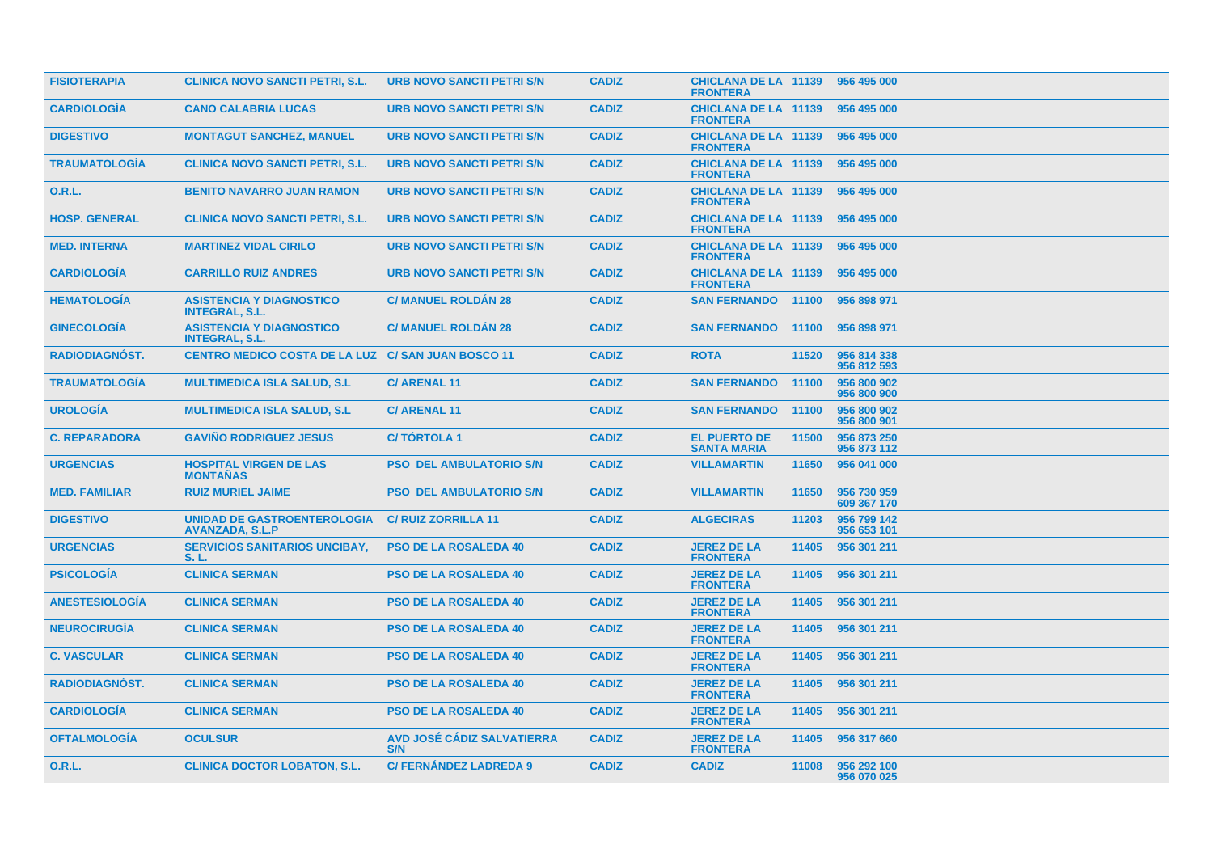| <b>FISIOTERAPIA</b>   | <b>CLINICA NOVO SANCTI PETRI, S.L.</b>                       | <b>URB NOVO SANCTI PETRI S/N</b>  | <b>CADIZ</b> | <b>CHICLANA DE LA 11139</b><br><b>FRONTERA</b> |       | 956 495 000                |
|-----------------------|--------------------------------------------------------------|-----------------------------------|--------------|------------------------------------------------|-------|----------------------------|
| <b>CARDIOLOGÍA</b>    | <b>CANO CALABRIA LUCAS</b>                                   | <b>URB NOVO SANCTI PETRI S/N</b>  | <b>CADIZ</b> | <b>CHICLANA DE LA 11139</b><br><b>FRONTERA</b> |       | 956 495 000                |
| <b>DIGESTIVO</b>      | <b>MONTAGUT SANCHEZ, MANUEL</b>                              | <b>URB NOVO SANCTI PETRI S/N</b>  | <b>CADIZ</b> | <b>CHICLANA DE LA 11139</b><br><b>FRONTERA</b> |       | 956 495 000                |
| <b>TRAUMATOLOGIA</b>  | <b>CLINICA NOVO SANCTI PETRI, S.L.</b>                       | <b>URB NOVO SANCTI PETRI S/N</b>  | <b>CADIZ</b> | <b>CHICLANA DE LA 11139</b><br><b>FRONTERA</b> |       | 956 495 000                |
| 0.R.L.                | <b>BENITO NAVARRO JUAN RAMON</b>                             | <b>URB NOVO SANCTI PETRI S/N</b>  | <b>CADIZ</b> | <b>CHICLANA DE LA 11139</b><br><b>FRONTERA</b> |       | 956 495 000                |
| <b>HOSP. GENERAL</b>  | <b>CLINICA NOVO SANCTI PETRI, S.L.</b>                       | <b>URB NOVO SANCTI PETRI S/N</b>  | <b>CADIZ</b> | <b>CHICLANA DE LA 11139</b><br><b>FRONTERA</b> |       | 956 495 000                |
| <b>MED. INTERNA</b>   | <b>MARTINEZ VIDAL CIRILO</b>                                 | <b>URB NOVO SANCTI PETRI S/N</b>  | <b>CADIZ</b> | <b>CHICLANA DE LA 11139</b><br><b>FRONTERA</b> |       | 956 495 000                |
| <b>CARDIOLOGIA</b>    | <b>CARRILLO RUIZ ANDRES</b>                                  | <b>URB NOVO SANCTI PETRI S/N</b>  | <b>CADIZ</b> | <b>CHICLANA DE LA 11139</b><br><b>FRONTERA</b> |       | 956 495 000                |
| <b>HEMATOLOGIA</b>    | <b>ASISTENCIA Y DIAGNOSTICO</b><br><b>INTEGRAL, S.L.</b>     | <b>C/ MANUEL ROLDAN 28</b>        | <b>CADIZ</b> | <b>SAN FERNANDO 11100</b>                      |       | 956 898 971                |
| <b>GINECOLOGIA</b>    | <b>ASISTENCIA Y DIAGNOSTICO</b><br><b>INTEGRAL, S.L.</b>     | <b>C/ MANUEL ROLDAN 28</b>        | <b>CADIZ</b> | <b>SAN FERNANDO 11100</b>                      |       | 956 898 971                |
| <b>RADIODIAGNOST.</b> | <b>CENTRO MEDICO COSTA DE LA LUZ C/ SAN JUAN BOSCO 11</b>    |                                   | <b>CADIZ</b> | <b>ROTA</b>                                    | 11520 | 956 814 338<br>956 812 593 |
| <b>TRAUMATOLOGÍA</b>  | <b>MULTIMEDICA ISLA SALUD, S.L.</b>                          | <b>C/ARENAL11</b>                 | <b>CADIZ</b> | <b>SAN FERNANDO</b>                            | 11100 | 956 800 902<br>956 800 900 |
| <b>UROLOGIA</b>       | <b>MULTIMEDICA ISLA SALUD, S.L.</b>                          | <b>C/ARENAL11</b>                 | <b>CADIZ</b> | <b>SAN FERNANDO</b>                            | 11100 | 956 800 902<br>956 800 901 |
| <b>C. REPARADORA</b>  | <b>GAVIÑO RODRIGUEZ JESUS</b>                                | <b>C/TORTOLA1</b>                 | <b>CADIZ</b> | <b>EL PUERTO DE</b><br><b>SANTA MARIA</b>      | 11500 | 956 873 250<br>956 873 112 |
| <b>URGENCIAS</b>      | <b>HOSPITAL VIRGEN DE LAS</b><br><b>MONTAÑAS</b>             | <b>PSO DEL AMBULATORIO S/N</b>    | <b>CADIZ</b> | <b>VILLAMARTIN</b>                             | 11650 | 956 041 000                |
| <b>MED. FAMILIAR</b>  | <b>RUIZ MURIEL JAIME</b>                                     | <b>PSO DEL AMBULATORIO S/N</b>    | <b>CADIZ</b> | <b>VILLAMARTIN</b>                             | 11650 | 956 730 959<br>609 367 170 |
| <b>DIGESTIVO</b>      | <b>UNIDAD DE GASTROENTEROLOGIA</b><br><b>AVANZADA, S.L.P</b> | <b>C/ RUIZ ZORRILLA 11</b>        | <b>CADIZ</b> | <b>ALGECIRAS</b>                               | 11203 | 956 799 142<br>956 653 101 |
| <b>URGENCIAS</b>      | <b>SERVICIOS SANITARIOS UNCIBAY,</b><br>S. L.                | <b>PSO DE LA ROSALEDA 40</b>      | <b>CADIZ</b> | <b>JEREZ DE LA</b><br><b>FRONTERA</b>          | 11405 | 956 301 211                |
| <b>PSICOLOGIA</b>     | <b>CLINICA SERMAN</b>                                        | <b>PSO DE LA ROSALEDA 40</b>      | <b>CADIZ</b> | <b>JEREZ DE LA</b><br><b>FRONTERA</b>          | 11405 | 956 301 211                |
| <b>ANESTESIOLOGIA</b> | <b>CLINICA SERMAN</b>                                        | <b>PSO DE LA ROSALEDA 40</b>      | <b>CADIZ</b> | <b>JEREZ DE LA</b><br><b>FRONTERA</b>          | 11405 | 956 301 211                |
| <b>NEUROCIRUGÍA</b>   | <b>CLINICA SERMAN</b>                                        | <b>PSO DE LA ROSALEDA 40</b>      | <b>CADIZ</b> | <b>JEREZ DE LA</b><br><b>FRONTERA</b>          | 11405 | 956 301 211                |
| <b>C. VASCULAR</b>    | <b>CLINICA SERMAN</b>                                        | <b>PSO DE LA ROSALEDA 40</b>      | <b>CADIZ</b> | <b>JEREZ DE LA</b><br><b>FRONTERA</b>          | 11405 | 956 301 211                |
| <b>RADIODIAGNOST.</b> | <b>CLINICA SERMAN</b>                                        | <b>PSO DE LA ROSALEDA 40</b>      | <b>CADIZ</b> | <b>JEREZ DE LA</b><br><b>FRONTERA</b>          | 11405 | 956 301 211                |
| <b>CARDIOLOGIA</b>    | <b>CLINICA SERMAN</b>                                        | <b>PSO DE LA ROSALEDA 40</b>      | <b>CADIZ</b> | <b>JEREZ DE LA</b><br><b>FRONTERA</b>          | 11405 | 956 301 211                |
| <b>OFTALMOLOGIA</b>   | <b>OCULSUR</b>                                               | AVD JOSÉ CÁDIZ SALVATIERRA<br>S/N | <b>CADIZ</b> | <b>JEREZ DE LA</b><br><b>FRONTERA</b>          | 11405 | 956 317 660                |
| <b>O.R.L.</b>         | <b>CLINICA DOCTOR LOBATON, S.L.</b>                          | <b>C/FERNANDEZ LADREDA 9</b>      | <b>CADIZ</b> | <b>CADIZ</b>                                   | 11008 | 956 292 100<br>956 070 025 |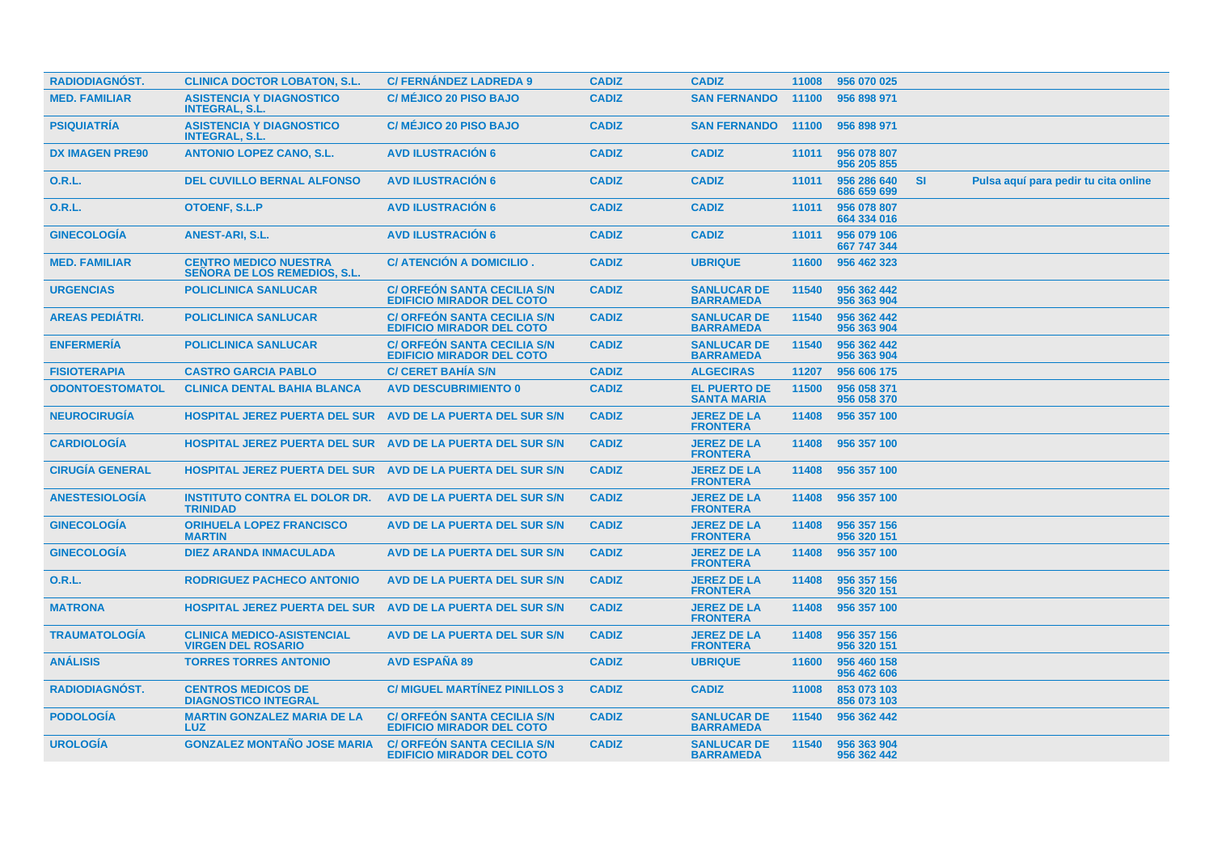| <b>RADIODIAGNÓST.</b>  | <b>CLINICA DOCTOR LOBATON, S.L.</b>                                 | <b>C/FERNANDEZ LADREDA 9</b>                                           | <b>CADIZ</b> | <b>CADIZ</b>                              | 11008 | 956 070 025                |           |                                      |  |
|------------------------|---------------------------------------------------------------------|------------------------------------------------------------------------|--------------|-------------------------------------------|-------|----------------------------|-----------|--------------------------------------|--|
| <b>MED. FAMILIAR</b>   | <b>ASISTENCIA Y DIAGNOSTICO</b><br><b>INTEGRAL, S.L.</b>            | <b>C/ MÉJICO 20 PISO BAJO</b>                                          | <b>CADIZ</b> | <b>SAN FERNANDO</b>                       | 11100 | 956 898 971                |           |                                      |  |
| <b>PSIQUIATRIA</b>     | <b>ASISTENCIA Y DIAGNOSTICO</b><br><b>INTEGRAL, S.L.</b>            | C/ MÉJICO 20 PISO BAJO                                                 | <b>CADIZ</b> | <b>SAN FERNANDO</b>                       | 11100 | 956 898 971                |           |                                      |  |
| <b>DX IMAGEN PRE90</b> | <b>ANTONIO LOPEZ CANO, S.L.</b>                                     | <b>AVD ILUSTRACIÓN 6</b>                                               | <b>CADIZ</b> | <b>CADIZ</b>                              | 11011 | 956 078 807<br>956 205 855 |           |                                      |  |
| 0.R.L.                 | <b>DEL CUVILLO BERNAL ALFONSO</b>                                   | <b>AVD ILUSTRACIÓN 6</b>                                               | <b>CADIZ</b> | <b>CADIZ</b>                              | 11011 | 956 286 640<br>686 659 699 | <b>SI</b> | Pulsa aquí para pedir tu cita online |  |
| <b>O.R.L.</b>          | OTOENF, S.L.P                                                       | <b>AVD ILUSTRACIÓN 6</b>                                               | <b>CADIZ</b> | <b>CADIZ</b>                              | 11011 | 956 078 807<br>664 334 016 |           |                                      |  |
| <b>GINECOLOGIA</b>     | <b>ANEST-ARI, S.L.</b>                                              | <b>AVD ILUSTRACION 6</b>                                               | <b>CADIZ</b> | <b>CADIZ</b>                              | 11011 | 956 079 106<br>667 747 344 |           |                                      |  |
| <b>MED. FAMILIAR</b>   | <b>CENTRO MEDICO NUESTRA</b><br><b>SEÑORA DE LOS REMEDIOS, S.L.</b> | C/ ATENCIÓN A DOMICILIO.                                               | <b>CADIZ</b> | <b>UBRIQUE</b>                            | 11600 | 956 462 323                |           |                                      |  |
| <b>URGENCIAS</b>       | <b>POLICLINICA SANLUCAR</b>                                         | <b>C/ ORFEON SANTA CECILIA S/N</b><br><b>EDIFICIO MIRADOR DEL COTO</b> | <b>CADIZ</b> | <b>SANLUCAR DE</b><br><b>BARRAMEDA</b>    | 11540 | 956 362 442<br>956 363 904 |           |                                      |  |
| <b>AREAS PEDIÁTRI.</b> | <b>POLICLINICA SANLUCAR</b>                                         | <b>C/ ORFEON SANTA CECILIA S/N</b><br><b>EDIFICIO MIRADOR DEL COTO</b> | <b>CADIZ</b> | <b>SANLUCAR DE</b><br><b>BARRAMEDA</b>    | 11540 | 956 362 442<br>956 363 904 |           |                                      |  |
| <b>ENFERMERÍA</b>      | <b>POLICLINICA SANLUCAR</b>                                         | <b>C/ORFEON SANTA CECILIA S/N</b><br><b>EDIFICIO MIRADOR DEL COTO</b>  | <b>CADIZ</b> | <b>SANLUCAR DE</b><br><b>BARRAMEDA</b>    | 11540 | 956 362 442<br>956 363 904 |           |                                      |  |
| <b>FISIOTERAPIA</b>    | <b>CASTRO GARCIA PABLO</b>                                          | <b>C/ CERET BAHIA S/N</b>                                              | <b>CADIZ</b> | <b>ALGECIRAS</b>                          | 11207 | 956 606 175                |           |                                      |  |
| <b>ODONTOESTOMATOL</b> | <b>CLINICA DENTAL BAHIA BLANCA</b>                                  | <b>AVD DESCUBRIMIENTO 0</b>                                            | <b>CADIZ</b> | <b>EL PUERTO DE</b><br><b>SANTA MARIA</b> | 11500 | 956 058 371<br>956 058 370 |           |                                      |  |
| <b>NEUROCIRUGÍA</b>    | <b>HOSPITAL JEREZ PUERTA DEL SUR AVD DE LA PUERTA DEL SUR S/N</b>   |                                                                        | <b>CADIZ</b> | <b>JEREZ DE LA</b><br><b>FRONTERA</b>     | 11408 | 956 357 100                |           |                                      |  |
| <b>CARDIOLOGÍA</b>     | <b>HOSPITAL JEREZ PUERTA DEL SUR AVD DE LA PUERTA DEL SUR S/N</b>   |                                                                        | <b>CADIZ</b> | <b>JEREZ DE LA</b><br><b>FRONTERA</b>     | 11408 | 956 357 100                |           |                                      |  |
| <b>CIRUGÍA GENERAL</b> | <b>HOSPITAL JEREZ PUERTA DEL SUR AVD DE LA PUERTA DEL SUR S/N</b>   |                                                                        | <b>CADIZ</b> | <b>JEREZ DE LA</b><br><b>FRONTERA</b>     | 11408 | 956 357 100                |           |                                      |  |
| <b>ANESTESIOLOGIA</b>  | <b>INSTITUTO CONTRA EL DOLOR DR.</b><br><b>TRINIDAD</b>             | AVD DE LA PUERTA DEL SUR S/N                                           | <b>CADIZ</b> | <b>JEREZ DE LA</b><br><b>FRONTERA</b>     | 11408 | 956 357 100                |           |                                      |  |
| <b>GINECOLOGIA</b>     | <b>ORIHUELA LOPEZ FRANCISCO</b><br><b>MARTIN</b>                    | AVD DE LA PUERTA DEL SUR S/N                                           | <b>CADIZ</b> | <b>JEREZ DE LA</b><br><b>FRONTERA</b>     | 11408 | 956 357 156<br>956 320 151 |           |                                      |  |
| <b>GINECOLOGIA</b>     | <b>DIEZ ARANDA INMACULADA</b>                                       | AVD DE LA PUERTA DEL SUR S/N                                           | <b>CADIZ</b> | <b>JEREZ DE LA</b><br><b>FRONTERA</b>     | 11408 | 956 357 100                |           |                                      |  |
| <b>O.R.L.</b>          | <b>RODRIGUEZ PACHECO ANTONIO</b>                                    | AVD DE LA PUERTA DEL SUR S/N                                           | <b>CADIZ</b> | <b>JEREZ DE LA</b><br><b>FRONTERA</b>     | 11408 | 956 357 156<br>956 320 151 |           |                                      |  |
| <b>MATRONA</b>         | <b>HOSPITAL JEREZ PUERTA DEL SUR</b>                                | AVD DE LA PUERTA DEL SUR S/N                                           | <b>CADIZ</b> | <b>JEREZ DE LA</b><br><b>FRONTERA</b>     | 11408 | 956 357 100                |           |                                      |  |
| <b>TRAUMATOLOGÍA</b>   | <b>CLINICA MEDICO-ASISTENCIAL</b><br><b>VIRGEN DEL ROSARIO</b>      | AVD DE LA PUERTA DEL SUR S/N                                           | <b>CADIZ</b> | <b>JEREZ DE LA</b><br><b>FRONTERA</b>     | 11408 | 956 357 156<br>956 320 151 |           |                                      |  |
| <b>ANÁLISIS</b>        | <b>TORRES TORRES ANTONIO</b>                                        | <b>AVD ESPAÑA 89</b>                                                   | <b>CADIZ</b> | <b>UBRIQUE</b>                            | 11600 | 956 460 158<br>956 462 606 |           |                                      |  |
| <b>RADIODIAGNOST.</b>  | <b>CENTROS MEDICOS DE</b><br><b>DIAGNOSTICO INTEGRAL</b>            | <b>C/ MIGUEL MARTÍNEZ PINILLOS 3</b>                                   | <b>CADIZ</b> | <b>CADIZ</b>                              | 11008 | 853 073 103<br>856 073 103 |           |                                      |  |
| <b>PODOLOGIA</b>       | <b>MARTIN GONZALEZ MARIA DE LA</b><br><b>LUZ</b>                    | <b>C/ ORFEON SANTA CECILIA S/N</b><br><b>EDIFICIO MIRADOR DEL COTO</b> | <b>CADIZ</b> | <b>SANLUCAR DE</b><br><b>BARRAMEDA</b>    | 11540 | 956 362 442                |           |                                      |  |
| <b>UROLOGIA</b>        | <b>GONZALEZ MONTAÑO JOSE MARIA</b>                                  | <b>C/ ORFEON SANTA CECILIA S/N</b><br><b>EDIFICIO MIRADOR DEL COTO</b> | <b>CADIZ</b> | <b>SANLUCAR DE</b><br><b>BARRAMEDA</b>    | 11540 | 956 363 904<br>956 362 442 |           |                                      |  |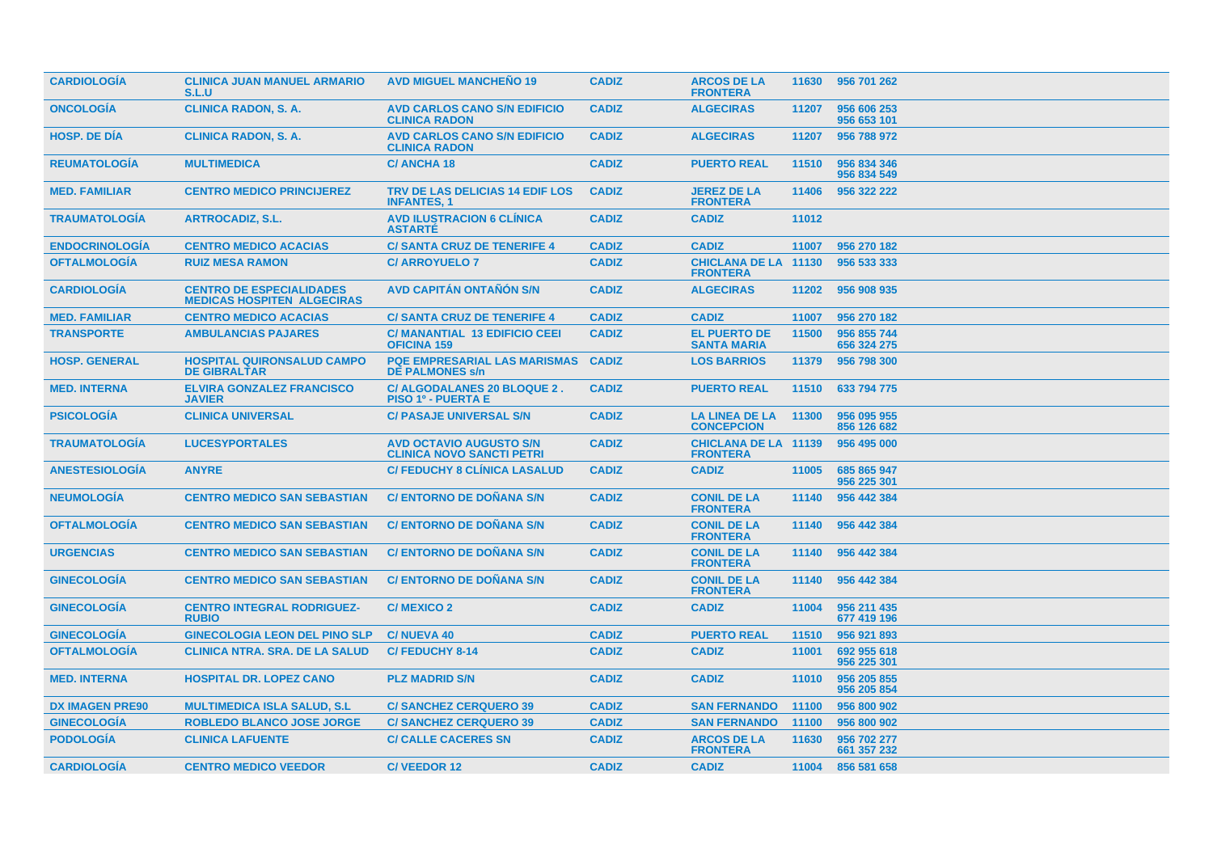| <b>CARDIOLOGIA</b>     | <b>CLINICA JUAN MANUEL ARMARIO</b><br>S.L.U                          | <b>AVD MIGUEL MANCHEÑO 19</b>                                      | <b>CADIZ</b> | <b>ARCOS DE LA</b><br><b>FRONTERA</b>          |       | 11630 956 701 262          |
|------------------------|----------------------------------------------------------------------|--------------------------------------------------------------------|--------------|------------------------------------------------|-------|----------------------------|
| <b>ONCOLOGIA</b>       | <b>CLINICA RADON, S. A.</b>                                          | <b>AVD CARLOS CANO S/N EDIFICIO</b><br><b>CLINICA RADON</b>        | <b>CADIZ</b> | <b>ALGECIRAS</b>                               | 11207 | 956 606 253<br>956 653 101 |
| <b>HOSP, DE DIA</b>    | <b>CLINICA RADON, S. A.</b>                                          | <b>AVD CARLOS CANO S/N EDIFICIO</b><br><b>CLINICA RADON</b>        | <b>CADIZ</b> | <b>ALGECIRAS</b>                               | 11207 | 956 788 972                |
| <b>REUMATOLOGIA</b>    | <b>MULTIMEDICA</b>                                                   | <b>C/ANCHA18</b>                                                   | <b>CADIZ</b> | <b>PUERTO REAL</b>                             | 11510 | 956 834 346<br>956 834 549 |
| <b>MED. FAMILIAR</b>   | <b>CENTRO MEDICO PRINCIJEREZ</b>                                     | TRV DE LAS DELICIAS 14 EDIF LOS<br><b>INFANTES, 1</b>              | <b>CADIZ</b> | <b>JEREZ DE LA</b><br><b>FRONTERA</b>          | 11406 | 956 322 222                |
| <b>TRAUMATOLOGIA</b>   | <b>ARTROCADIZ, S.L.</b>                                              | <b>AVD ILUSTRACION 6 CLINICA</b><br><b>ASTARTE</b>                 | <b>CADIZ</b> | <b>CADIZ</b>                                   | 11012 |                            |
| <b>ENDOCRINOLOGÍA</b>  | <b>CENTRO MEDICO ACACIAS</b>                                         | <b>C/ SANTA CRUZ DE TENERIFE 4</b>                                 | <b>CADIZ</b> | <b>CADIZ</b>                                   | 11007 | 956 270 182                |
| <b>OFTALMOLOGIA</b>    | <b>RUIZ MESA RAMON</b>                                               | <b>C/ ARROYUELO 7</b>                                              | <b>CADIZ</b> | <b>CHICLANA DE LA 11130</b><br><b>FRONTERA</b> |       | 956 533 333                |
| <b>CARDIOLOGÍA</b>     | <b>CENTRO DE ESPECIALIDADES</b><br><b>MEDICAS HOSPITEN ALGECIRAS</b> | <b>AVD CAPITAN ONTANON S/N</b>                                     | <b>CADIZ</b> | <b>ALGECIRAS</b>                               | 11202 | 956 908 935                |
| <b>MED. FAMILIAR</b>   | <b>CENTRO MEDICO ACACIAS</b>                                         | <b>C/ SANTA CRUZ DE TENERIFE 4</b>                                 | <b>CADIZ</b> | <b>CADIZ</b>                                   | 11007 | 956 270 182                |
| <b>TRANSPORTE</b>      | <b>AMBULANCIAS PAJARES</b>                                           | <b>C/MANANTIAL 13 EDIFICIO CEEI</b><br><b>OFICINA 159</b>          | <b>CADIZ</b> | <b>EL PUERTO DE</b><br><b>SANTA MARIA</b>      | 11500 | 956 855 744<br>656 324 275 |
| <b>HOSP. GENERAL</b>   | <b>HOSPITAL QUIRONSALUD CAMPO</b><br><b>DE GIBRALTAR</b>             | <b>PQE EMPRESARIAL LAS MARISMAS</b><br><b>DE PALMONES s/n</b>      | <b>CADIZ</b> | <b>LOS BARRIOS</b>                             | 11379 | 956 798 300                |
| <b>MED. INTERNA</b>    | <b>ELVIRA GONZALEZ FRANCISCO</b><br><b>JAVIER</b>                    | C/ ALGODALANES 20 BLOQUE 2.<br><b>PISO 1º - PUERTA E</b>           | <b>CADIZ</b> | <b>PUERTO REAL</b>                             | 11510 | 633 794 775                |
| <b>PSICOLOGÍA</b>      | <b>CLINICA UNIVERSAL</b>                                             | <b>C/ PASAJE UNIVERSAL S/N</b>                                     | <b>CADIZ</b> | <b>LA LINEA DE LA</b><br><b>CONCEPCION</b>     | 11300 | 956 095 955<br>856 126 682 |
| <b>TRAUMATOLOGÍA</b>   | <b>LUCESYPORTALES</b>                                                | <b>AVD OCTAVIO AUGUSTO S/N</b><br><b>CLINICA NOVO SANCTI PETRI</b> | <b>CADIZ</b> | <b>CHICLANA DE LA 11139</b><br><b>FRONTERA</b> |       | 956 495 000                |
| <b>ANESTESIOLOGIA</b>  | <b>ANYRE</b>                                                         | <b>C/ FEDUCHY 8 CLINICA LASALUD</b>                                | <b>CADIZ</b> | <b>CADIZ</b>                                   | 11005 | 685 865 947<br>956 225 301 |
| <b>NEUMOLOGÍA</b>      | <b>CENTRO MEDICO SAN SEBASTIAN</b>                                   | <b>C/ ENTORNO DE DOÑANA S/N</b>                                    | <b>CADIZ</b> | <b>CONIL DE LA</b><br><b>FRONTERA</b>          | 11140 | 956 442 384                |
| <b>OFTALMOLOGIA</b>    | <b>CENTRO MEDICO SAN SEBASTIAN</b>                                   | <b>C/ENTORNO DE DONANA S/N</b>                                     | <b>CADIZ</b> | <b>CONIL DE LA</b><br><b>FRONTERA</b>          | 11140 | 956 442 384                |
| <b>URGENCIAS</b>       | <b>CENTRO MEDICO SAN SEBASTIAN</b>                                   | <b>C/ ENTORNO DE DOÑANA S/N</b>                                    | <b>CADIZ</b> | <b>CONIL DE LA</b><br><b>FRONTERA</b>          | 11140 | 956 442 384                |
| <b>GINECOLOGÍA</b>     | <b>CENTRO MEDICO SAN SEBASTIAN</b>                                   | <b>C/ ENTORNO DE DOÑANA S/N</b>                                    | <b>CADIZ</b> | <b>CONIL DE LA</b><br><b>FRONTERA</b>          | 11140 | 956 442 384                |
| <b>GINECOLOGIA</b>     | <b>CENTRO INTEGRAL RODRIGUEZ-</b><br><b>RUBIO</b>                    | <b>C/MEXICO 2</b>                                                  | <b>CADIZ</b> | <b>CADIZ</b>                                   | 11004 | 956 211 435<br>677 419 196 |
| <b>GINECOLOGIA</b>     | <b>GINECOLOGIA LEON DEL PINO SLP</b>                                 | <b>C/NUEVA 40</b>                                                  | <b>CADIZ</b> | <b>PUERTO REAL</b>                             | 11510 | 956 921 893                |
| <b>OFTALMOLOGIA</b>    | <b>CLINICA NTRA, SRA, DE LA SALUD</b>                                | <b>C/FEDUCHY 8-14</b>                                              | <b>CADIZ</b> | <b>CADIZ</b>                                   | 11001 | 692 955 618<br>956 225 301 |
| <b>MED. INTERNA</b>    | <b>HOSPITAL DR. LOPEZ CANO</b>                                       | <b>PLZ MADRID S/N</b>                                              | <b>CADIZ</b> | <b>CADIZ</b>                                   | 11010 | 956 205 855<br>956 205 854 |
| <b>DX IMAGEN PRE90</b> | <b>MULTIMEDICA ISLA SALUD, S.L.</b>                                  | <b>C/SANCHEZ CERQUERO 39</b>                                       | <b>CADIZ</b> | <b>SAN FERNANDO</b>                            | 11100 | 956 800 902                |
| <b>GINECOLOGÍA</b>     | <b>ROBLEDO BLANCO JOSE JORGE</b>                                     | <b>C/SANCHEZ CERQUERO 39</b>                                       | <b>CADIZ</b> | <b>SAN FERNANDO</b>                            | 11100 | 956 800 902                |
| <b>PODOLOGIA</b>       | <b>CLINICA LAFUENTE</b>                                              | <b>C/ CALLE CACERES SN</b>                                         | <b>CADIZ</b> | <b>ARCOS DE LA</b><br><b>FRONTERA</b>          | 11630 | 956 702 277<br>661 357 232 |
| <b>CARDIOLOGIA</b>     | <b>CENTRO MEDICO VEEDOR</b>                                          | <b>C/VEEDOR 12</b>                                                 | <b>CADIZ</b> | <b>CADIZ</b>                                   |       | 11004 856 581 658          |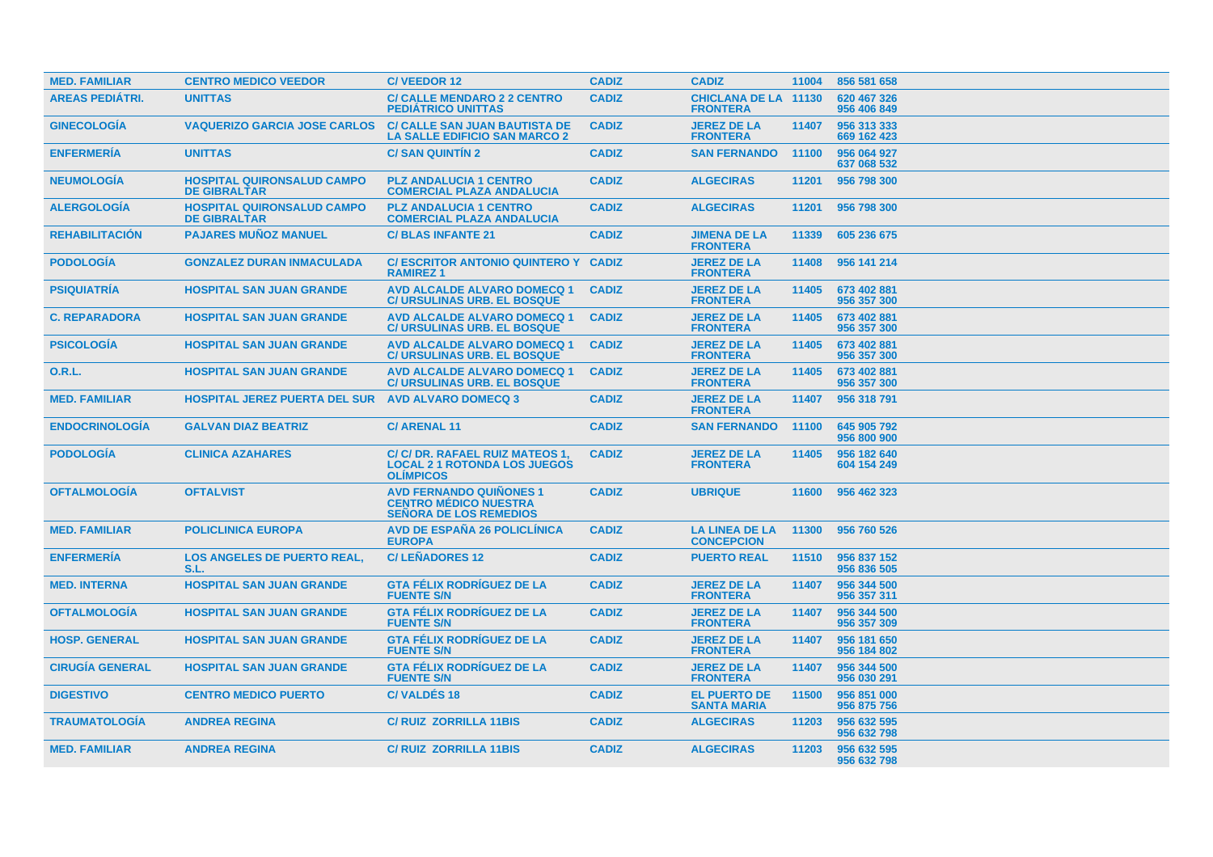| <b>MED. FAMILIAR</b>   | <b>CENTRO MEDICO VEEDOR</b>                              | <b>C/VEEDOR12</b>                                                                               | <b>CADIZ</b> | <b>CADIZ</b>                                   | 11004 | 856 581 658                |
|------------------------|----------------------------------------------------------|-------------------------------------------------------------------------------------------------|--------------|------------------------------------------------|-------|----------------------------|
| <b>AREAS PEDIATRI.</b> | <b>UNITTAS</b>                                           | <b>C/ CALLE MENDARO 2 2 CENTRO</b><br><b>PEDIÁTRICO UNITTAS</b>                                 | <b>CADIZ</b> | <b>CHICLANA DE LA 11130</b><br><b>FRONTERA</b> |       | 620 467 326<br>956 406 849 |
| <b>GINECOLOGIA</b>     | <b>VAQUERIZO GARCIA JOSE CARLOS</b>                      | <b>C/ CALLE SAN JUAN BAUTISTA DE</b><br><b>LA SALLE EDIFICIO SAN MARCO 2</b>                    | <b>CADIZ</b> | <b>JEREZ DE LA</b><br><b>FRONTERA</b>          | 11407 | 956 313 333<br>669 162 423 |
| <b>ENFERMERIA</b>      | <b>UNITTAS</b>                                           | <b>C/SAN QUINTIN 2</b>                                                                          | <b>CADIZ</b> | <b>SAN FERNANDO</b>                            | 11100 | 956 064 927<br>637 068 532 |
| <b>NEUMOLOGIA</b>      | <b>HOSPITAL QUIRONSALUD CAMPO</b><br><b>DE GIBRALTAR</b> | <b>PLZ ANDALUCIA 1 CENTRO</b><br><b>COMERCIAL PLAZA ANDALUCIA</b>                               | <b>CADIZ</b> | <b>ALGECIRAS</b>                               | 11201 | 956 798 300                |
| <b>ALERGOLOGÍA</b>     | <b>HOSPITAL QUIRONSALUD CAMPO</b><br><b>DE GIBRALTAR</b> | <b>PLZ ANDALUCIA 1 CENTRO</b><br><b>COMERCIAL PLAZA ANDALUCIA</b>                               | <b>CADIZ</b> | <b>ALGECIRAS</b>                               | 11201 | 956 798 300                |
| <b>REHABILITACION</b>  | <b>PAJARES MUÑOZ MANUEL</b>                              | <b>C/BLAS INFANTE 21</b>                                                                        | <b>CADIZ</b> | <b>JIMENA DE LA</b><br><b>FRONTERA</b>         | 11339 | 605 236 675                |
| <b>PODOLOGIA</b>       | <b>GONZALEZ DURAN INMACULADA</b>                         | <b>C/ESCRITOR ANTONIO QUINTERO Y</b><br><b>RAMIREZ1</b>                                         | <b>CADIZ</b> | <b>JEREZ DE LA</b><br><b>FRONTERA</b>          | 11408 | 956 141 214                |
| <b>PSIQUIATRIA</b>     | <b>HOSPITAL SAN JUAN GRANDE</b>                          | <b>AVD ALCALDE ALVARO DOMECQ 1</b><br><b>C/ URSULINAS URB. EL BOSQUE</b>                        | <b>CADIZ</b> | <b>JEREZ DE LA</b><br><b>FRONTERA</b>          | 11405 | 673 402 881<br>956 357 300 |
| <b>C. REPARADORA</b>   | <b>HOSPITAL SAN JUAN GRANDE</b>                          | <b>AVD ALCALDE ALVARO DOMECQ 1</b><br><b>C/ URSULINAS URB. EL BOSQUE</b>                        | <b>CADIZ</b> | <b>JEREZ DE LA</b><br><b>FRONTERA</b>          | 11405 | 673 402 881<br>956 357 300 |
| <b>PSICOLOGÍA</b>      | <b>HOSPITAL SAN JUAN GRANDE</b>                          | <b>AVD ALCALDE ALVARO DOMECQ 1</b><br><b>C/ URSULINAS URB. EL BOSQUE</b>                        | <b>CADIZ</b> | <b>JEREZ DE LA</b><br><b>FRONTERA</b>          | 11405 | 673 402 881<br>956 357 300 |
| <b>O.R.L.</b>          | <b>HOSPITAL SAN JUAN GRANDE</b>                          | <b>AVD ALCALDE ALVARO DOMECQ 1</b><br><b>C/ URSULINAS URB. EL BOSQUE</b>                        | <b>CADIZ</b> | <b>JEREZ DE LA</b><br><b>FRONTERA</b>          | 11405 | 673 402 881<br>956 357 300 |
| <b>MED. FAMILIAR</b>   | <b>HOSPITAL JEREZ PUERTA DEL SUR</b>                     | <b>AVD ALVARO DOMECQ 3</b>                                                                      | <b>CADIZ</b> | <b>JEREZ DE LA</b><br><b>FRONTERA</b>          | 11407 | 956 318 791                |
| <b>ENDOCRINOLOGIA</b>  | <b>GALVAN DIAZ BEATRIZ</b>                               | <b>C/ARENAL11</b>                                                                               | <b>CADIZ</b> | <b>SAN FERNANDO</b>                            | 11100 | 645 905 792<br>956 800 900 |
| <b>PODOLOGIA</b>       | <b>CLINICA AZAHARES</b>                                  | C/ C/ DR. RAFAEL RUIZ MATEOS 1,<br><b>LOCAL 2 1 ROTONDA LOS JUEGOS</b><br><b>OLIMPICOS</b>      | <b>CADIZ</b> | <b>JEREZ DE LA</b><br><b>FRONTERA</b>          | 11405 | 956 182 640<br>604 154 249 |
| <b>OFTALMOLOGÍA</b>    | <b>OFTALVIST</b>                                         | <b>AVD FERNANDO QUIÑONES 1</b><br><b>CENTRO MÉDICO NUESTRA</b><br><b>SEÑORA DE LOS REMEDIOS</b> | <b>CADIZ</b> | <b>UBRIQUE</b>                                 | 11600 | 956 462 323                |
| <b>MED. FAMILIAR</b>   | <b>POLICLINICA EUROPA</b>                                | <b>AVD DE ESPAÑA 26 POLICLÍNICA</b><br><b>EUROPA</b>                                            | <b>CADIZ</b> | <b>LA LINEA DE LA</b><br><b>CONCEPCION</b>     | 11300 | 956 760 526                |
| <b>ENFERMERIA</b>      | <b>LOS ANGELES DE PUERTO REAL,</b><br>S.L.               | <b>C/LEÑADORES 12</b>                                                                           | <b>CADIZ</b> | <b>PUERTO REAL</b>                             | 11510 | 956 837 152<br>956 836 505 |
| <b>MED. INTERNA</b>    | <b>HOSPITAL SAN JUAN GRANDE</b>                          | <b>GTA FÉLIX RODRÍGUEZ DE LA</b><br><b>FUENTE S/N</b>                                           | <b>CADIZ</b> | <b>JEREZ DE LA</b><br><b>FRONTERA</b>          | 11407 | 956 344 500<br>956 357 311 |
| <b>OFTALMOLOGIA</b>    | <b>HOSPITAL SAN JUAN GRANDE</b>                          | <b>GTA FÉLIX RODRIGUEZ DE LA</b><br><b>FUENTE S/N</b>                                           | <b>CADIZ</b> | <b>JEREZ DE LA</b><br><b>FRONTERA</b>          | 11407 | 956 344 500<br>956 357 309 |
| <b>HOSP. GENERAL</b>   | <b>HOSPITAL SAN JUAN GRANDE</b>                          | <b>GTA FÉLIX RODRIGUEZ DE LA</b><br><b>FUENTE S/N</b>                                           | <b>CADIZ</b> | <b>JEREZ DE LA</b><br><b>FRONTERA</b>          | 11407 | 956 181 650<br>956 184 802 |
| <b>CIRUGÍA GENERAL</b> | <b>HOSPITAL SAN JUAN GRANDE</b>                          | <b>GTA FÉLIX RODRÍGUEZ DE LA</b><br><b>FUENTE S/N</b>                                           | <b>CADIZ</b> | <b>JEREZ DE LA</b><br><b>FRONTERA</b>          | 11407 | 956 344 500<br>956 030 291 |
| <b>DIGESTIVO</b>       | <b>CENTRO MEDICO PUERTO</b>                              | <b>C/VALDES 18</b>                                                                              | <b>CADIZ</b> | <b>EL PUERTO DE</b><br><b>SANTA MARIA</b>      | 11500 | 956 851 000<br>956 875 756 |
| <b>TRAUMATOLOGÍA</b>   | <b>ANDREA REGINA</b>                                     | <b>C/RUIZ ZORRILLA 11BIS</b>                                                                    | <b>CADIZ</b> | <b>ALGECIRAS</b>                               | 11203 | 956 632 595<br>956 632 798 |
| <b>MED. FAMILIAR</b>   | <b>ANDREA REGINA</b>                                     | <b>C/RUIZ ZORRILLA 11BIS</b>                                                                    | <b>CADIZ</b> | <b>ALGECIRAS</b>                               | 11203 | 956 632 595<br>956 632 798 |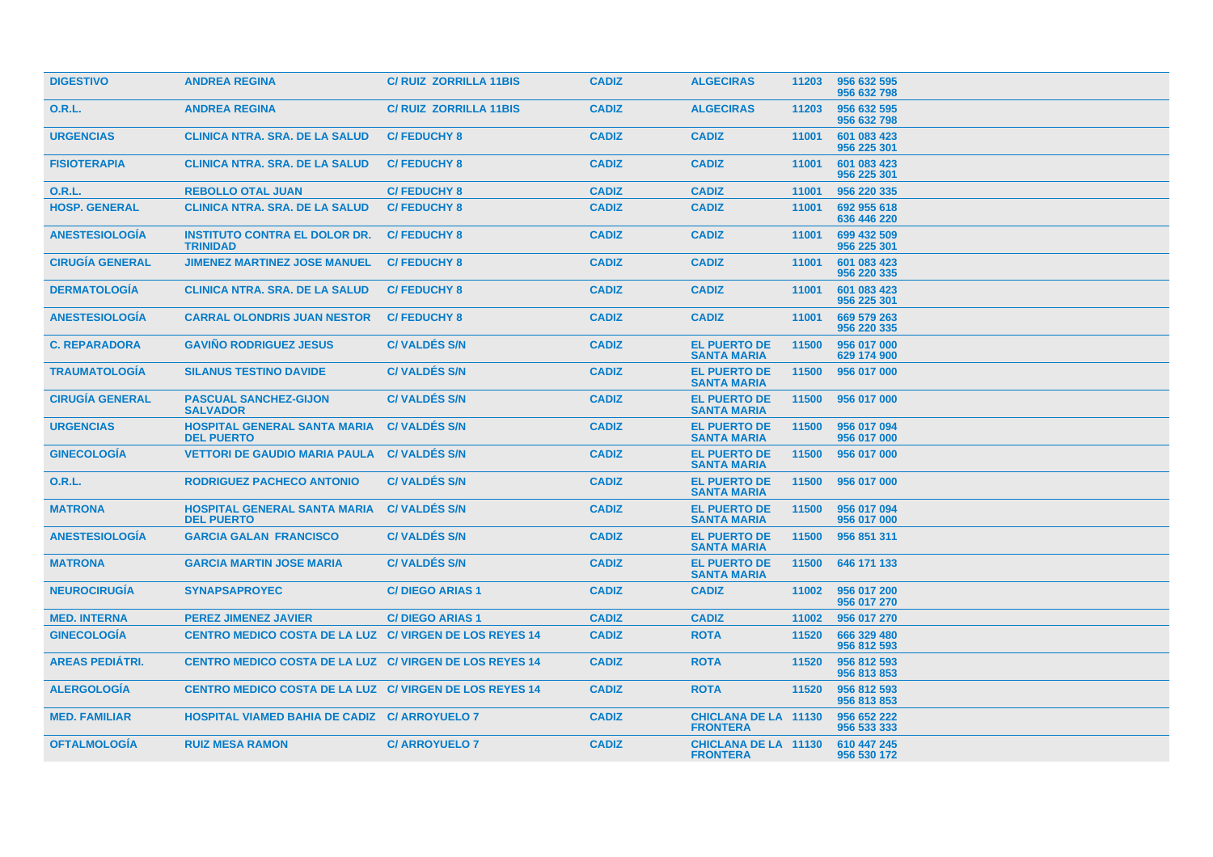| <b>DIGESTIVO</b>       | <b>ANDREA REGINA</b>                                     | <b>C/ RUIZ ZORRILLA 11BIS</b> | <b>CADIZ</b> | <b>ALGECIRAS</b>                               | 11203 | 956 632 595<br>956 632 798 |
|------------------------|----------------------------------------------------------|-------------------------------|--------------|------------------------------------------------|-------|----------------------------|
| 0.R.L.                 | <b>ANDREA REGINA</b>                                     | <b>C/RUIZ ZORRILLA 11BIS</b>  | <b>CADIZ</b> | <b>ALGECIRAS</b>                               | 11203 | 956 632 595<br>956 632 798 |
| <b>URGENCIAS</b>       | <b>CLINICA NTRA. SRA. DE LA SALUD</b>                    | <b>C/FEDUCHY 8</b>            | <b>CADIZ</b> | <b>CADIZ</b>                                   | 11001 | 601 083 423<br>956 225 301 |
| <b>FISIOTERAPIA</b>    | <b>CLINICA NTRA, SRA, DE LA SALUD</b>                    | <b>C/FEDUCHY 8</b>            | <b>CADIZ</b> | <b>CADIZ</b>                                   | 11001 | 601 083 423<br>956 225 301 |
| <b>O.R.L.</b>          | <b>REBOLLO OTAL JUAN</b>                                 | <b>C/FEDUCHY 8</b>            | <b>CADIZ</b> | <b>CADIZ</b>                                   | 11001 | 956 220 335                |
| <b>HOSP. GENERAL</b>   | <b>CLINICA NTRA. SRA. DE LA SALUD</b>                    | <b>C/FEDUCHY 8</b>            | <b>CADIZ</b> | <b>CADIZ</b>                                   | 11001 | 692 955 618<br>636 446 220 |
| <b>ANESTESIOLOGIA</b>  | <b>INSTITUTO CONTRA EL DOLOR DR.</b><br><b>TRINIDAD</b>  | <b>C/FEDUCHY 8</b>            | <b>CADIZ</b> | <b>CADIZ</b>                                   | 11001 | 699 432 509<br>956 225 301 |
| <b>CIRUGIA GENERAL</b> | <b>JIMENEZ MARTINEZ JOSE MANUEL</b>                      | <b>C/FEDUCHY 8</b>            | <b>CADIZ</b> | <b>CADIZ</b>                                   | 11001 | 601 083 423<br>956 220 335 |
| <b>DERMATOLOGIA</b>    | <b>CLINICA NTRA. SRA. DE LA SALUD</b>                    | <b>C/FEDUCHY 8</b>            | <b>CADIZ</b> | <b>CADIZ</b>                                   | 11001 | 601 083 423<br>956 225 301 |
| <b>ANESTESIOLOGIA</b>  | <b>CARRAL OLONDRIS JUAN NESTOR</b>                       | <b>C/FEDUCHY 8</b>            | <b>CADIZ</b> | <b>CADIZ</b>                                   | 11001 | 669 579 263<br>956 220 335 |
| <b>C. REPARADORA</b>   | <b>GAVINO RODRIGUEZ JESUS</b>                            | <b>C/VALDES S/N</b>           | <b>CADIZ</b> | <b>EL PUERTO DE</b><br><b>SANTA MARIA</b>      | 11500 | 956 017 000<br>629 174 900 |
| <b>TRAUMATOLOGIA</b>   | <b>SILANUS TESTINO DAVIDE</b>                            | <b>C/VALDES S/N</b>           | <b>CADIZ</b> | <b>EL PUERTO DE</b><br><b>SANTA MARIA</b>      | 11500 | 956 017 000                |
| <b>CIRUGÍA GENERAL</b> | <b>PASCUAL SANCHEZ-GIJON</b><br><b>SALVADOR</b>          | <b>C/VALDES S/N</b>           | <b>CADIZ</b> | <b>EL PUERTO DE</b><br><b>SANTA MARIA</b>      | 11500 | 956 017 000                |
| <b>URGENCIAS</b>       | <b>HOSPITAL GENERAL SANTA MARIA</b><br><b>DEL PUERTO</b> | <b>C/VALDES S/N</b>           | <b>CADIZ</b> | <b>EL PUERTO DE</b><br><b>SANTA MARIA</b>      | 11500 | 956 017 094<br>956 017 000 |
| <b>GINECOLOGÍA</b>     | <b>VETTORI DE GAUDIO MARIA PAULA</b>                     | <b>C/VALDES S/N</b>           | <b>CADIZ</b> | <b>EL PUERTO DE</b><br><b>SANTA MARIA</b>      | 11500 | 956 017 000                |
| O.R.L.                 | <b>RODRIGUEZ PACHECO ANTONIO</b>                         | <b>C/VALDÉS S/N</b>           | <b>CADIZ</b> | <b>EL PUERTO DE</b><br><b>SANTA MARIA</b>      | 11500 | 956 017 000                |
| <b>MATRONA</b>         | <b>HOSPITAL GENERAL SANTA MARIA</b><br><b>DEL PUERTO</b> | <b>C/VALDES S/N</b>           | <b>CADIZ</b> | <b>EL PUERTO DE</b><br><b>SANTA MARIA</b>      | 11500 | 956 017 094<br>956 017 000 |
| <b>ANESTESIOLOGIA</b>  | <b>GARCIA GALAN FRANCISCO</b>                            | <b>C/VALDES S/N</b>           | <b>CADIZ</b> | <b>EL PUERTO DE</b><br><b>SANTA MARIA</b>      | 11500 | 956 851 311                |
| <b>MATRONA</b>         | <b>GARCIA MARTIN JOSE MARIA</b>                          | <b>C/VALDES S/N</b>           | <b>CADIZ</b> | <b>EL PUERTO DE</b><br><b>SANTA MARIA</b>      | 11500 | 646 171 133                |
| <b>NEUROCIRUGÍA</b>    | <b>SYNAPSAPROYEC</b>                                     | <b>C/DIEGO ARIAS 1</b>        | <b>CADIZ</b> | <b>CADIZ</b>                                   | 11002 | 956 017 200<br>956 017 270 |
| <b>MED. INTERNA</b>    | <b>PEREZ JIMENEZ JAVIER</b>                              | <b>C/DIEGO ARIAS 1</b>        | <b>CADIZ</b> | <b>CADIZ</b>                                   | 11002 | 956 017 270                |
| <b>GINECOLOGÍA</b>     | CENTRO MEDICO COSTA DE LA LUZ C/ VIRGEN DE LOS REYES 14  |                               | <b>CADIZ</b> | <b>ROTA</b>                                    | 11520 | 666 329 480<br>956 812 593 |
| <b>AREAS PEDIÁTRI.</b> | CENTRO MEDICO COSTA DE LA LUZ C/ VIRGEN DE LOS REYES 14  |                               | <b>CADIZ</b> | <b>ROTA</b>                                    | 11520 | 956 812 593<br>956 813 853 |
| <b>ALERGOLOGIA</b>     | CENTRO MEDICO COSTA DE LA LUZ C/ VIRGEN DE LOS REYES 14  |                               | <b>CADIZ</b> | <b>ROTA</b>                                    | 11520 | 956 812 593<br>956 813 853 |
| <b>MED. FAMILIAR</b>   | <b>HOSPITAL VIAMED BAHIA DE CADIZ C/ ARROYUELO 7</b>     |                               | <b>CADIZ</b> | <b>CHICLANA DE LA 11130</b><br><b>FRONTERA</b> |       | 956 652 222<br>956 533 333 |
| <b>OFTALMOLOGIA</b>    | <b>RUIZ MESA RAMON</b>                                   | <b>C/ ARROYUELO 7</b>         | <b>CADIZ</b> | <b>CHICLANA DE LA 11130</b><br><b>FRONTERA</b> |       | 610 447 245<br>956 530 172 |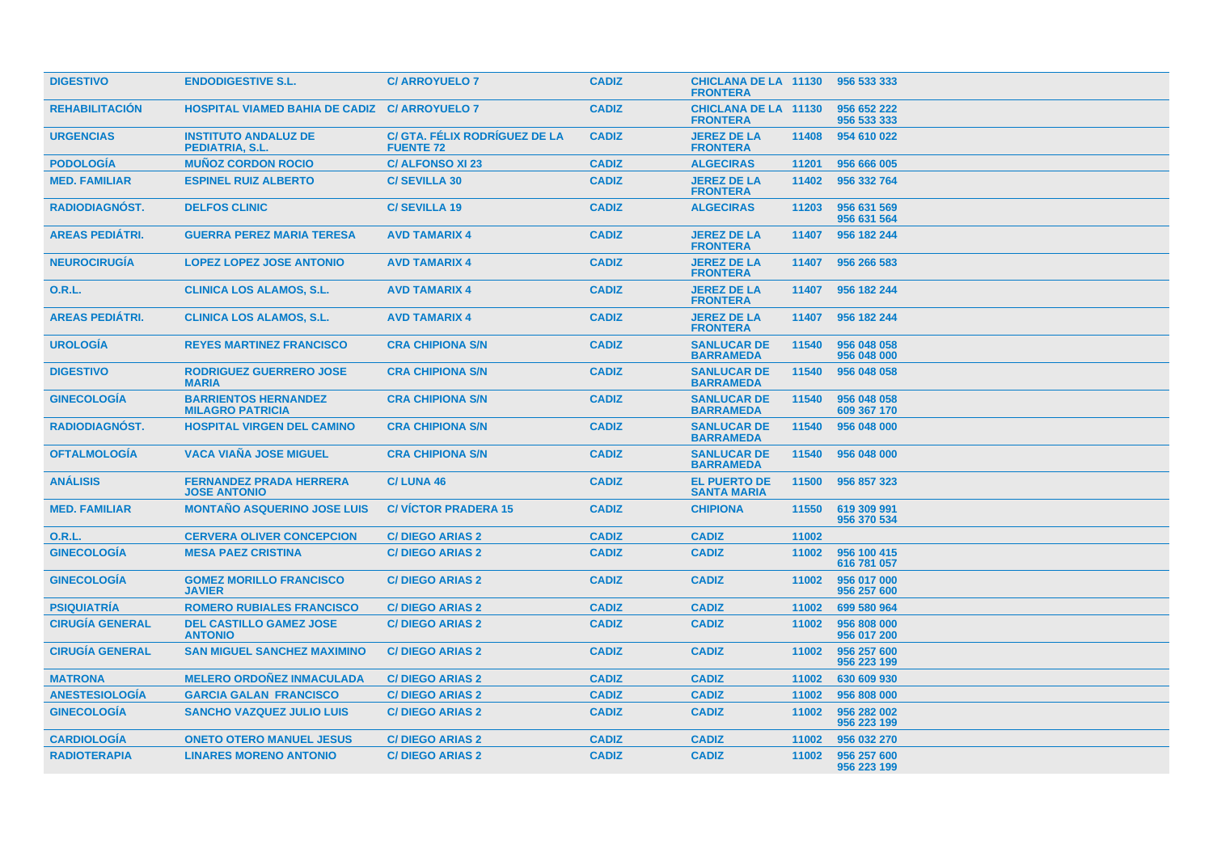| <b>DIGESTIVO</b>       | <b>ENDODIGESTIVE S.L.</b>                              | <b>C/ ARROYUELO 7</b>                             | <b>CADIZ</b> | <b>CHICLANA DE LA 11130</b><br><b>FRONTERA</b> |       | 956 533 333                |
|------------------------|--------------------------------------------------------|---------------------------------------------------|--------------|------------------------------------------------|-------|----------------------------|
| <b>REHABILITACION</b>  | <b>HOSPITAL VIAMED BAHIA DE CADIZ C/ ARROYUELO 7</b>   |                                                   | <b>CADIZ</b> | <b>CHICLANA DE LA 11130</b><br><b>FRONTERA</b> |       | 956 652 222<br>956 533 333 |
| <b>URGENCIAS</b>       | <b>INSTITUTO ANDALUZ DE</b><br><b>PEDIATRIA, S.L.</b>  | C/ GTA. FÉLIX RODRÍGUEZ DE LA<br><b>FUENTE 72</b> | <b>CADIZ</b> | <b>JEREZ DE LA</b><br><b>FRONTERA</b>          | 11408 | 954 610 022                |
| <b>PODOLOGIA</b>       | <b>MUNOZ CORDON ROCIO</b>                              | <b>C/ ALFONSO XI 23</b>                           | <b>CADIZ</b> | <b>ALGECIRAS</b>                               | 11201 | 956 666 005                |
| <b>MED. FAMILIAR</b>   | <b>ESPINEL RUIZ ALBERTO</b>                            | <b>C/SEVILLA 30</b>                               | <b>CADIZ</b> | <b>JEREZ DE LA</b><br><b>FRONTERA</b>          | 11402 | 956 332 764                |
| <b>RADIODIAGNOST.</b>  | <b>DELFOS CLINIC</b>                                   | <b>C/SEVILLA 19</b>                               | <b>CADIZ</b> | <b>ALGECIRAS</b>                               | 11203 | 956 631 569<br>956 631 564 |
| <b>AREAS PEDIÁTRI.</b> | <b>GUERRA PEREZ MARIA TERESA</b>                       | <b>AVD TAMARIX 4</b>                              | <b>CADIZ</b> | <b>JEREZ DE LA</b><br><b>FRONTERA</b>          | 11407 | 956 182 244                |
| <b>NEUROCIRUGÍA</b>    | <b>LOPEZ LOPEZ JOSE ANTONIO</b>                        | <b>AVD TAMARIX 4</b>                              | <b>CADIZ</b> | <b>JEREZ DE LA</b><br><b>FRONTERA</b>          | 11407 | 956 266 583                |
| 0.R.L.                 | <b>CLINICA LOS ALAMOS, S.L.</b>                        | <b>AVD TAMARIX 4</b>                              | <b>CADIZ</b> | <b>JEREZ DE LA</b><br><b>FRONTERA</b>          | 11407 | 956 182 244                |
| <b>AREAS PEDIÁTRI.</b> | <b>CLINICA LOS ALAMOS, S.L.</b>                        | <b>AVD TAMARIX 4</b>                              | <b>CADIZ</b> | <b>JEREZ DE LA</b><br><b>FRONTERA</b>          | 11407 | 956 182 244                |
| <b>UROLOGÍA</b>        | <b>REYES MARTINEZ FRANCISCO</b>                        | <b>CRA CHIPIONA S/N</b>                           | <b>CADIZ</b> | <b>SANLUCAR DE</b><br><b>BARRAMEDA</b>         | 11540 | 956 048 058<br>956 048 000 |
| <b>DIGESTIVO</b>       | <b>RODRIGUEZ GUERRERO JOSE</b><br><b>MARIA</b>         | <b>CRA CHIPIONA S/N</b>                           | <b>CADIZ</b> | <b>SANLUCAR DE</b><br><b>BARRAMEDA</b>         | 11540 | 956 048 058                |
| <b>GINECOLOGIA</b>     | <b>BARRIENTOS HERNANDEZ</b><br><b>MILAGRO PATRICIA</b> | <b>CRA CHIPIONA S/N</b>                           | <b>CADIZ</b> | <b>SANLUCAR DE</b><br><b>BARRAMEDA</b>         | 11540 | 956 048 058<br>609 367 170 |
| <b>RADIODIAGNÓST.</b>  | <b>HOSPITAL VIRGEN DEL CAMINO</b>                      | <b>CRA CHIPIONA S/N</b>                           | <b>CADIZ</b> | <b>SANLUCAR DE</b><br><b>BARRAMEDA</b>         | 11540 | 956 048 000                |
| <b>OFTALMOLOGIA</b>    | <b>VACA VIAÑA JOSE MIGUEL</b>                          | <b>CRA CHIPIONA S/N</b>                           | <b>CADIZ</b> | <b>SANLUCAR DE</b><br><b>BARRAMEDA</b>         | 11540 | 956 048 000                |
| <b>ANÁLISIS</b>        | <b>FERNANDEZ PRADA HERRERA</b><br><b>JOSE ANTONIO</b>  | C/LUNA 46                                         | <b>CADIZ</b> | <b>EL PUERTO DE</b><br><b>SANTA MARIA</b>      | 11500 | 956 857 323                |
| <b>MED. FAMILIAR</b>   | <b>MONTAÑO ASQUERINO JOSE LUIS</b>                     | <b>C/VICTOR PRADERA 15</b>                        | <b>CADIZ</b> | <b>CHIPIONA</b>                                | 11550 | 619 309 991<br>956 370 534 |
| 0.R.L.                 | <b>CERVERA OLIVER CONCEPCION</b>                       | <b>C/DIEGO ARIAS 2</b>                            | <b>CADIZ</b> | <b>CADIZ</b>                                   | 11002 |                            |
| <b>GINECOLOGÍA</b>     | <b>MESA PAEZ CRISTINA</b>                              | <b>C/DIEGO ARIAS 2</b>                            | <b>CADIZ</b> | <b>CADIZ</b>                                   | 11002 | 956 100 415<br>616 781 057 |
| <b>GINECOLOGÍA</b>     | <b>GOMEZ MORILLO FRANCISCO</b><br><b>JAVIER</b>        | <b>C/DIEGO ARIAS 2</b>                            | <b>CADIZ</b> | <b>CADIZ</b>                                   | 11002 | 956 017 000<br>956 257 600 |
| <b>PSIQUIATRÍA</b>     | <b>ROMERO RUBIALES FRANCISCO</b>                       | <b>C/DIEGO ARIAS 2</b>                            | <b>CADIZ</b> | <b>CADIZ</b>                                   | 11002 | 699 580 964                |
| <b>CIRUGÍA GENERAL</b> | <b>DEL CASTILLO GAMEZ JOSE</b><br><b>ANTONIO</b>       | <b>C/DIEGO ARIAS 2</b>                            | <b>CADIZ</b> | <b>CADIZ</b>                                   | 11002 | 956 808 000<br>956 017 200 |
| <b>CIRUGÍA GENERAL</b> | <b>SAN MIGUEL SANCHEZ MAXIMINO</b>                     | <b>C/DIEGO ARIAS 2</b>                            | <b>CADIZ</b> | <b>CADIZ</b>                                   | 11002 | 956 257 600<br>956 223 199 |
| <b>MATRONA</b>         | <b>MELERO ORDOÑEZ INMACULADA</b>                       | <b>C/DIEGO ARIAS 2</b>                            | <b>CADIZ</b> | <b>CADIZ</b>                                   | 11002 | 630 609 930                |
| <b>ANESTESIOLOGÍA</b>  | <b>GARCIA GALAN FRANCISCO</b>                          | <b>C/DIEGO ARIAS 2</b>                            | <b>CADIZ</b> | <b>CADIZ</b>                                   | 11002 | 956 808 000                |
| <b>GINECOLOGÍA</b>     | <b>SANCHO VAZQUEZ JULIO LUIS</b>                       | <b>C/DIEGO ARIAS 2</b>                            | <b>CADIZ</b> | <b>CADIZ</b>                                   | 11002 | 956 282 002<br>956 223 199 |
| <b>CARDIOLOGÍA</b>     | <b>ONETO OTERO MANUEL JESUS</b>                        | <b>C/DIEGO ARIAS 2</b>                            | <b>CADIZ</b> | <b>CADIZ</b>                                   | 11002 | 956 032 270                |
| <b>RADIOTERAPIA</b>    | <b>LINARES MORENO ANTONIO</b>                          | <b>C/DIEGO ARIAS 2</b>                            | <b>CADIZ</b> | <b>CADIZ</b>                                   | 11002 | 956 257 600<br>956 223 199 |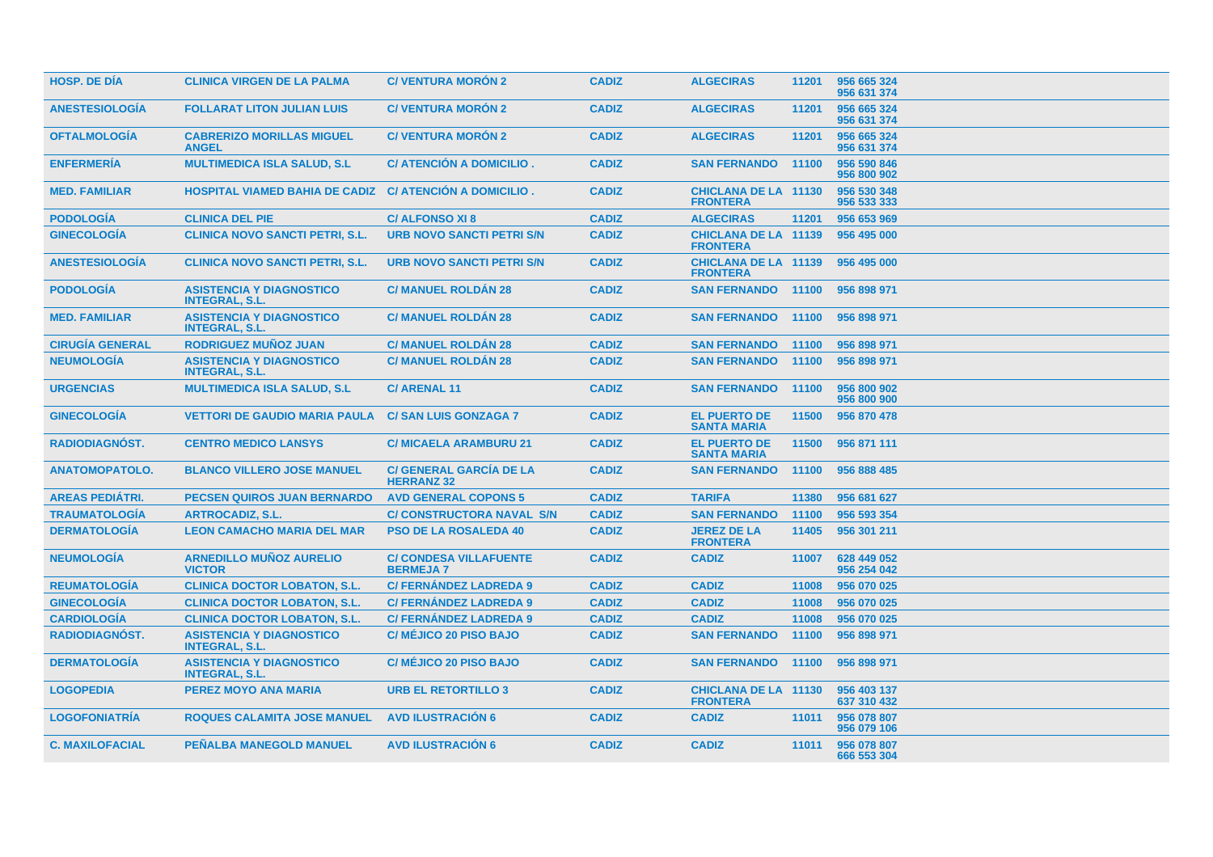| <b>HOSP. DE DÍA</b>    | <b>CLINICA VIRGEN DE LA PALMA</b>                        | <b>C/VENTURA MORÓN 2</b>                            | <b>CADIZ</b> | <b>ALGECIRAS</b>                               | 11201 | 956 665 324<br>956 631 374 |
|------------------------|----------------------------------------------------------|-----------------------------------------------------|--------------|------------------------------------------------|-------|----------------------------|
| <b>ANESTESIOLOGÍA</b>  | <b>FOLLARAT LITON JULIAN LUIS</b>                        | <b>C/VENTURA MORÓN 2</b>                            | <b>CADIZ</b> | <b>ALGECIRAS</b>                               | 11201 | 956 665 324<br>956 631 374 |
| <b>OFTALMOLOGIA</b>    | <b>CABRERIZO MORILLAS MIGUEL</b><br><b>ANGEL</b>         | <b>C/ VENTURA MORON 2</b>                           | <b>CADIZ</b> | <b>ALGECIRAS</b>                               | 11201 | 956 665 324<br>956 631 374 |
| <b>ENFERMERIA</b>      | <b>MULTIMEDICA ISLA SALUD, S.L.</b>                      | C/ ATENCIÓN A DOMICILIO.                            | <b>CADIZ</b> | <b>SAN FERNANDO</b>                            | 11100 | 956 590 846<br>956 800 902 |
| <b>MED. FAMILIAR</b>   | <b>HOSPITAL VIAMED BAHIA DE CADIZ</b>                    | C/ ATENCIÓN A DOMICILIO.                            | <b>CADIZ</b> | <b>CHICLANA DE LA 11130</b><br><b>FRONTERA</b> |       | 956 530 348<br>956 533 333 |
| <b>PODOLOGÍA</b>       | <b>CLINICA DEL PIE</b>                                   | <b>C/ALFONSO XI8</b>                                | <b>CADIZ</b> | <b>ALGECIRAS</b>                               | 11201 | 956 653 969                |
| <b>GINECOLOGIA</b>     | <b>CLINICA NOVO SANCTI PETRI, S.L.</b>                   | <b>URB NOVO SANCTI PETRI S/N</b>                    | <b>CADIZ</b> | <b>CHICLANA DE LA 11139</b><br><b>FRONTERA</b> |       | 956 495 000                |
| <b>ANESTESIOLOGIA</b>  | <b>CLINICA NOVO SANCTI PETRI, S.L.</b>                   | <b>URB NOVO SANCTI PETRI S/N</b>                    | <b>CADIZ</b> | <b>CHICLANA DE LA 11139</b><br><b>FRONTERA</b> |       | 956 495 000                |
| <b>PODOLOGIA</b>       | <b>ASISTENCIA Y DIAGNOSTICO</b><br><b>INTEGRAL, S.L.</b> | <b>C/ MANUEL ROLDAN 28</b>                          | <b>CADIZ</b> | <b>SAN FERNANDO</b>                            | 11100 | 956 898 971                |
| <b>MED. FAMILIAR</b>   | <b>ASISTENCIA Y DIAGNOSTICO</b><br><b>INTEGRAL, S.L.</b> | <b>C/ MANUEL ROLDAN 28</b>                          | <b>CADIZ</b> | <b>SAN FERNANDO</b>                            | 11100 | 956 898 971                |
| <b>CIRUGÍA GENERAL</b> | <b>RODRIGUEZ MUÑOZ JUAN</b>                              | <b>C/ MANUEL ROLDÁN 28</b>                          | <b>CADIZ</b> | <b>SAN FERNANDO</b>                            | 11100 | 956 898 971                |
| <b>NEUMOLOGÍA</b>      | <b>ASISTENCIA Y DIAGNOSTICO</b><br><b>INTEGRAL, S.L.</b> | <b>C/ MANUEL ROLDÁN 28</b>                          | <b>CADIZ</b> | <b>SAN FERNANDO</b>                            | 11100 | 956 898 971                |
| <b>URGENCIAS</b>       | <b>MULTIMEDICA ISLA SALUD, S.L.</b>                      | <b>C/ARENAL11</b>                                   | <b>CADIZ</b> | <b>SAN FERNANDO</b>                            | 11100 | 956 800 902<br>956 800 900 |
| <b>GINECOLOGÍA</b>     | <b>VETTORI DE GAUDIO MARIA PAULA</b>                     | <b>C/SAN LUIS GONZAGA 7</b>                         | <b>CADIZ</b> | <b>EL PUERTO DE</b><br><b>SANTA MARIA</b>      | 11500 | 956 870 478                |
| <b>RADIODIAGNOST.</b>  | <b>CENTRO MEDICO LANSYS</b>                              | <b>C/ MICAELA ARAMBURU 21</b>                       | <b>CADIZ</b> | <b>EL PUERTO DE</b><br><b>SANTA MARIA</b>      | 11500 | 956 871 111                |
| <b>ANATOMOPATOLO.</b>  | <b>BLANCO VILLERO JOSE MANUEL</b>                        | <b>C/ GENERAL GARCIA DE LA</b><br><b>HERRANZ 32</b> | <b>CADIZ</b> | <b>SAN FERNANDO</b>                            | 11100 | 956 888 485                |
| <b>AREAS PEDIATRI.</b> | <b>PECSEN QUIROS JUAN BERNARDO</b>                       | <b>AVD GENERAL COPONS 5</b>                         | <b>CADIZ</b> | <b>TARIFA</b>                                  | 11380 | 956 681 627                |
| <b>TRAUMATOLOGÍA</b>   | <b>ARTROCADIZ, S.L.</b>                                  | <b>C/ CONSTRUCTORA NAVAL S/N</b>                    | <b>CADIZ</b> | <b>SAN FERNANDO</b>                            | 11100 | 956 593 354                |
| <b>DERMATOLOGÍA</b>    | <b>LEON CAMACHO MARIA DEL MAR</b>                        | <b>PSO DE LA ROSALEDA 40</b>                        | <b>CADIZ</b> | <b>JEREZ DE LA</b><br><b>FRONTERA</b>          | 11405 | 956 301 211                |
| <b>NEUMOLOGÍA</b>      | <b>ARNEDILLO MUÑOZ AURELIO</b><br><b>VICTOR</b>          | <b>C/ CONDESA VILLAFUENTE</b><br><b>BERMEJA7</b>    | <b>CADIZ</b> | <b>CADIZ</b>                                   | 11007 | 628 449 052<br>956 254 042 |
| <b>REUMATOLOGÍA</b>    | <b>CLINICA DOCTOR LOBATON, S.L.</b>                      | <b>C/ FERNÁNDEZ LADREDA 9</b>                       | <b>CADIZ</b> | <b>CADIZ</b>                                   | 11008 | 956 070 025                |
| <b>GINECOLOGÍA</b>     | <b>CLINICA DOCTOR LOBATON, S.L.</b>                      | <b>C/ FERNÁNDEZ LADREDA 9</b>                       | <b>CADIZ</b> | <b>CADIZ</b>                                   | 11008 | 956 070 025                |
| <b>CARDIOLOGÍA</b>     | <b>CLINICA DOCTOR LOBATON, S.L.</b>                      | <b>C/ FERNÁNDEZ LADREDA 9</b>                       | <b>CADIZ</b> | <b>CADIZ</b>                                   | 11008 | 956 070 025                |
| <b>RADIODIAGNÓST.</b>  | <b>ASISTENCIA Y DIAGNOSTICO</b><br><b>INTEGRAL, S.L.</b> | <b>C/ MÉJICO 20 PISO BAJO</b>                       | <b>CADIZ</b> | <b>SAN FERNANDO</b>                            | 11100 | 956 898 971                |
| <b>DERMATOLOGIA</b>    | <b>ASISTENCIA Y DIAGNOSTICO</b><br><b>INTEGRAL, S.L.</b> | <b>C/ MÉJICO 20 PISO BAJO</b>                       | <b>CADIZ</b> | <b>SAN FERNANDO</b>                            | 11100 | 956 898 971                |
| <b>LOGOPEDIA</b>       | PEREZ MOYO ANA MARIA                                     | <b>URB EL RETORTILLO 3</b>                          | <b>CADIZ</b> | <b>CHICLANA DE LA 11130</b><br><b>FRONTERA</b> |       | 956 403 137<br>637 310 432 |
| <b>LOGOFONIATRIA</b>   | <b>ROQUES CALAMITA JOSE MANUEL</b>                       | <b>AVD ILUSTRACION 6</b>                            | <b>CADIZ</b> | <b>CADIZ</b>                                   | 11011 | 956 078 807<br>956 079 106 |
| <b>C. MAXILOFACIAL</b> | <b>PEÑALBA MANEGOLD MANUEL</b>                           | <b>AVD ILUSTRACIÓN 6</b>                            | <b>CADIZ</b> | <b>CADIZ</b>                                   | 11011 | 956 078 807<br>666 553 304 |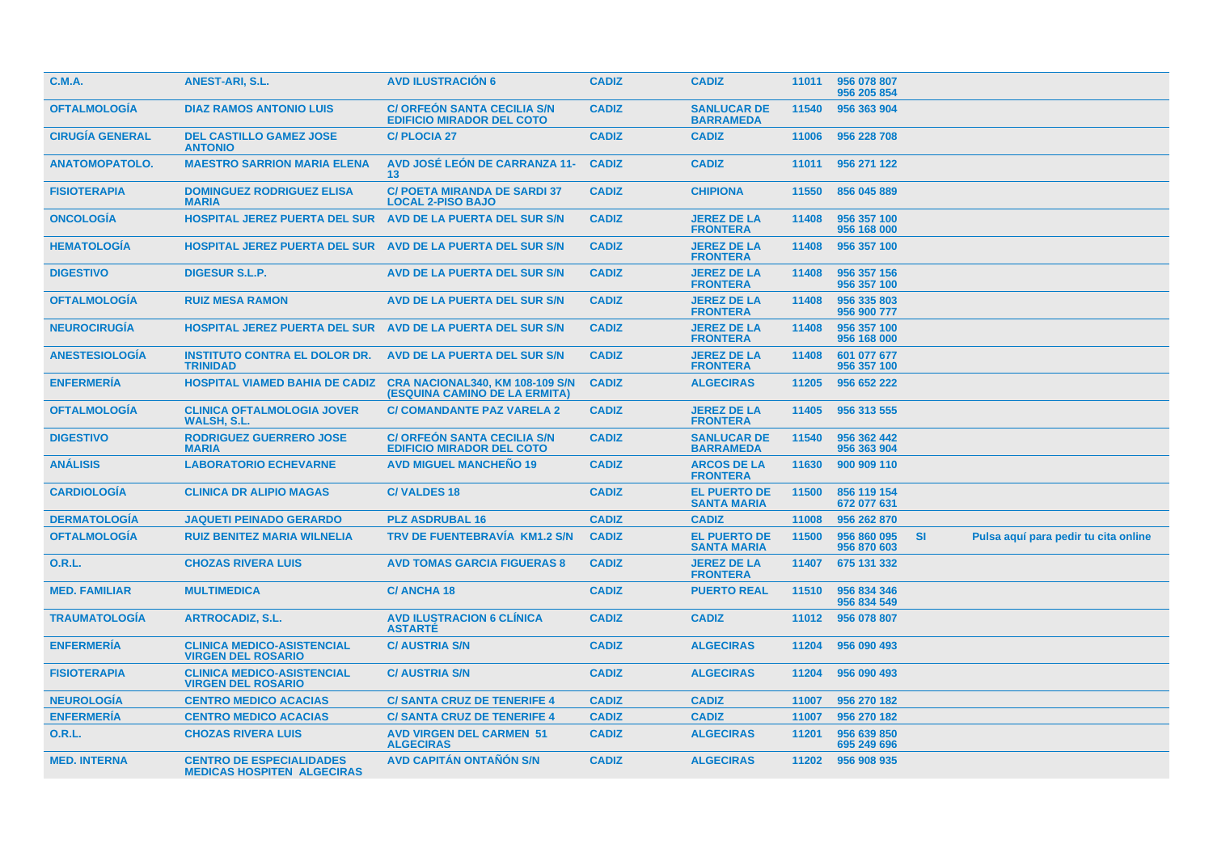| <b>C.M.A.</b>          | <b>ANEST-ARI, S.L.</b>                                               | <b>AVD ILUSTRACION 6</b>                                               | <b>CADIZ</b> | <b>CADIZ</b>                              | 11011 | 956 078 807<br>956 205 854 |           |                                      |  |
|------------------------|----------------------------------------------------------------------|------------------------------------------------------------------------|--------------|-------------------------------------------|-------|----------------------------|-----------|--------------------------------------|--|
| <b>OFTALMOLOGÍA</b>    | <b>DIAZ RAMOS ANTONIO LUIS</b>                                       | <b>C/ ORFEON SANTA CECILIA S/N</b><br><b>EDIFICIO MIRADOR DEL COTO</b> | <b>CADIZ</b> | <b>SANLUCAR DE</b><br><b>BARRAMEDA</b>    | 11540 | 956 363 904                |           |                                      |  |
| <b>CIRUGÍA GENERAL</b> | <b>DEL CASTILLO GAMEZ JOSE</b><br><b>ANTONIO</b>                     | <b>C/PLOCIA 27</b>                                                     | <b>CADIZ</b> | <b>CADIZ</b>                              | 11006 | 956 228 708                |           |                                      |  |
| <b>ANATOMOPATOLO.</b>  | <b>MAESTRO SARRION MARIA ELENA</b>                                   | <b>AVD JOSÉ LEÓN DE CARRANZA 11-</b><br>13                             | <b>CADIZ</b> | <b>CADIZ</b>                              | 11011 | 956 271 122                |           |                                      |  |
| <b>FISIOTERAPIA</b>    | <b>DOMINGUEZ RODRIGUEZ ELISA</b><br><b>MARIA</b>                     | <b>C/ POETA MIRANDA DE SARDI 37</b><br><b>LOCAL 2-PISO BAJO</b>        | <b>CADIZ</b> | <b>CHIPIONA</b>                           | 11550 | 856 045 889                |           |                                      |  |
| <b>ONCOLOGIA</b>       | <b>HOSPITAL JEREZ PUERTA DEL SUR</b>                                 | AVD DE LA PUERTA DEL SUR S/N                                           | <b>CADIZ</b> | <b>JEREZ DE LA</b><br><b>FRONTERA</b>     | 11408 | 956 357 100<br>956 168 000 |           |                                      |  |
| <b>HEMATOLOGIA</b>     | <b>HOSPITAL JEREZ PUERTA DEL SUR AVD DE LA PUERTA DEL SUR S/N</b>    |                                                                        | <b>CADIZ</b> | <b>JEREZ DE LA</b><br><b>FRONTERA</b>     | 11408 | 956 357 100                |           |                                      |  |
| <b>DIGESTIVO</b>       | <b>DIGESUR S.L.P.</b>                                                | AVD DE LA PUERTA DEL SUR S/N                                           | <b>CADIZ</b> | <b>JEREZ DE LA</b><br><b>FRONTERA</b>     | 11408 | 956 357 156<br>956 357 100 |           |                                      |  |
| <b>OFTALMOLOGIA</b>    | <b>RUIZ MESA RAMON</b>                                               | <b>AVD DE LA PUERTA DEL SUR S/N</b>                                    | <b>CADIZ</b> | <b>JEREZ DE LA</b><br><b>FRONTERA</b>     | 11408 | 956 335 803<br>956 900 777 |           |                                      |  |
| <b>NEUROCIRUGIA</b>    | <b>HOSPITAL JEREZ PUERTA DEL SUR AVD DE LA PUERTA DEL SUR S/N</b>    |                                                                        | <b>CADIZ</b> | <b>JEREZ DE LA</b><br><b>FRONTERA</b>     | 11408 | 956 357 100<br>956 168 000 |           |                                      |  |
| <b>ANESTESIOLOGÍA</b>  | <b>INSTITUTO CONTRA EL DOLOR DR.</b><br><b>TRINIDAD</b>              | AVD DE LA PUERTA DEL SUR S/N                                           | <b>CADIZ</b> | <b>JEREZ DE LA</b><br><b>FRONTERA</b>     | 11408 | 601 077 677<br>956 357 100 |           |                                      |  |
| <b>ENFERMERIA</b>      | <b>HOSPITAL VIAMED BAHIA DE CADIZ</b>                                | CRA NACIONAL340, KM 108-109 S/N<br>(ESQUINA CAMINO DE LA ERMITA)       | <b>CADIZ</b> | <b>ALGECIRAS</b>                          | 11205 | 956 652 222                |           |                                      |  |
| <b>OFTALMOLOGÍA</b>    | <b>CLINICA OFTALMOLOGIA JOVER</b><br><b>WALSH, S.L.</b>              | <b>C/ COMANDANTE PAZ VARELA 2</b>                                      | <b>CADIZ</b> | <b>JEREZ DE LA</b><br><b>FRONTERA</b>     | 11405 | 956 313 555                |           |                                      |  |
| <b>DIGESTIVO</b>       | <b>RODRIGUEZ GUERRERO JOSE</b><br><b>MARIA</b>                       | <b>C/ ORFEON SANTA CECILIA S/N</b><br><b>EDIFICIO MIRADOR DEL COTO</b> | <b>CADIZ</b> | <b>SANLUCAR DE</b><br><b>BARRAMEDA</b>    | 11540 | 956 362 442<br>956 363 904 |           |                                      |  |
| <b>ANÁLISIS</b>        | <b>LABORATORIO ECHEVARNE</b>                                         | <b>AVD MIGUEL MANCHENO 19</b>                                          | <b>CADIZ</b> | <b>ARCOS DE LA</b><br><b>FRONTERA</b>     | 11630 | 900 909 110                |           |                                      |  |
| <b>CARDIOLOGÍA</b>     | <b>CLINICA DR ALIPIO MAGAS</b>                                       | <b>C/VALDES 18</b>                                                     | <b>CADIZ</b> | <b>EL PUERTO DE</b><br><b>SANTA MARIA</b> | 11500 | 856 119 154<br>672 077 631 |           |                                      |  |
| <b>DERMATOLOGIA</b>    | <b>JAQUETI PEINADO GERARDO</b>                                       | <b>PLZ ASDRUBAL 16</b>                                                 | <b>CADIZ</b> | <b>CADIZ</b>                              | 11008 | 956 262 870                |           |                                      |  |
| <b>OFTALMOLOGÍA</b>    | <b>RUIZ BENITEZ MARIA WILNELIA</b>                                   | <b>TRV DE FUENTEBRAVÍA KM1.2 S/N</b>                                   | <b>CADIZ</b> | <b>EL PUERTO DE</b><br><b>SANTA MARIA</b> | 11500 | 956 860 095<br>956 870 603 | <b>SI</b> | Pulsa aquí para pedir tu cita online |  |
| <b>O.R.L.</b>          | <b>CHOZAS RIVERA LUIS</b>                                            | <b>AVD TOMAS GARCIA FIGUERAS 8</b>                                     | <b>CADIZ</b> | <b>JEREZ DE LA</b><br><b>FRONTERA</b>     | 11407 | 675 131 332                |           |                                      |  |
| <b>MED. FAMILIAR</b>   | <b>MULTIMEDICA</b>                                                   | <b>C/ANCHA18</b>                                                       | <b>CADIZ</b> | <b>PUERTO REAL</b>                        | 11510 | 956 834 346<br>956 834 549 |           |                                      |  |
| <b>TRAUMATOLOGIA</b>   | <b>ARTROCADIZ, S.L.</b>                                              | <b>AVD ILUSTRACION 6 CLINICA</b><br><b>ASTARTE</b>                     | <b>CADIZ</b> | <b>CADIZ</b>                              | 11012 | 956 078 807                |           |                                      |  |
| <b>ENFERMERIA</b>      | <b>CLINICA MEDICO-ASISTENCIAL</b><br><b>VIRGEN DEL ROSARIO</b>       | <b>C/ AUSTRIA S/N</b>                                                  | <b>CADIZ</b> | <b>ALGECIRAS</b>                          | 11204 | 956 090 493                |           |                                      |  |
| <b>FISIOTERAPIA</b>    | <b>CLINICA MEDICO-ASISTENCIAL</b><br><b>VIRGEN DEL ROSARIO</b>       | <b>C/ AUSTRIA S/N</b>                                                  | <b>CADIZ</b> | <b>ALGECIRAS</b>                          | 11204 | 956 090 493                |           |                                      |  |
| <b>NEUROLOGÍA</b>      | <b>CENTRO MEDICO ACACIAS</b>                                         | <b>C/SANTA CRUZ DE TENERIFE 4</b>                                      | <b>CADIZ</b> | <b>CADIZ</b>                              | 11007 | 956 270 182                |           |                                      |  |
| <b>ENFERMERÍA</b>      | <b>CENTRO MEDICO ACACIAS</b>                                         | <b>C/SANTA CRUZ DE TENERIFE 4</b>                                      | <b>CADIZ</b> | <b>CADIZ</b>                              | 11007 | 956 270 182                |           |                                      |  |
| O.R.L.                 | <b>CHOZAS RIVERA LUIS</b>                                            | <b>AVD VIRGEN DEL CARMEN 51</b><br><b>ALGECIRAS</b>                    | <b>CADIZ</b> | <b>ALGECIRAS</b>                          | 11201 | 956 639 850<br>695 249 696 |           |                                      |  |
| <b>MED. INTERNA</b>    | <b>CENTRO DE ESPECIALIDADES</b><br><b>MEDICAS HOSPITEN ALGECIRAS</b> | <b>AVD CAPITAN ONTANON S/N</b>                                         | <b>CADIZ</b> | <b>ALGECIRAS</b>                          | 11202 | 956 908 935                |           |                                      |  |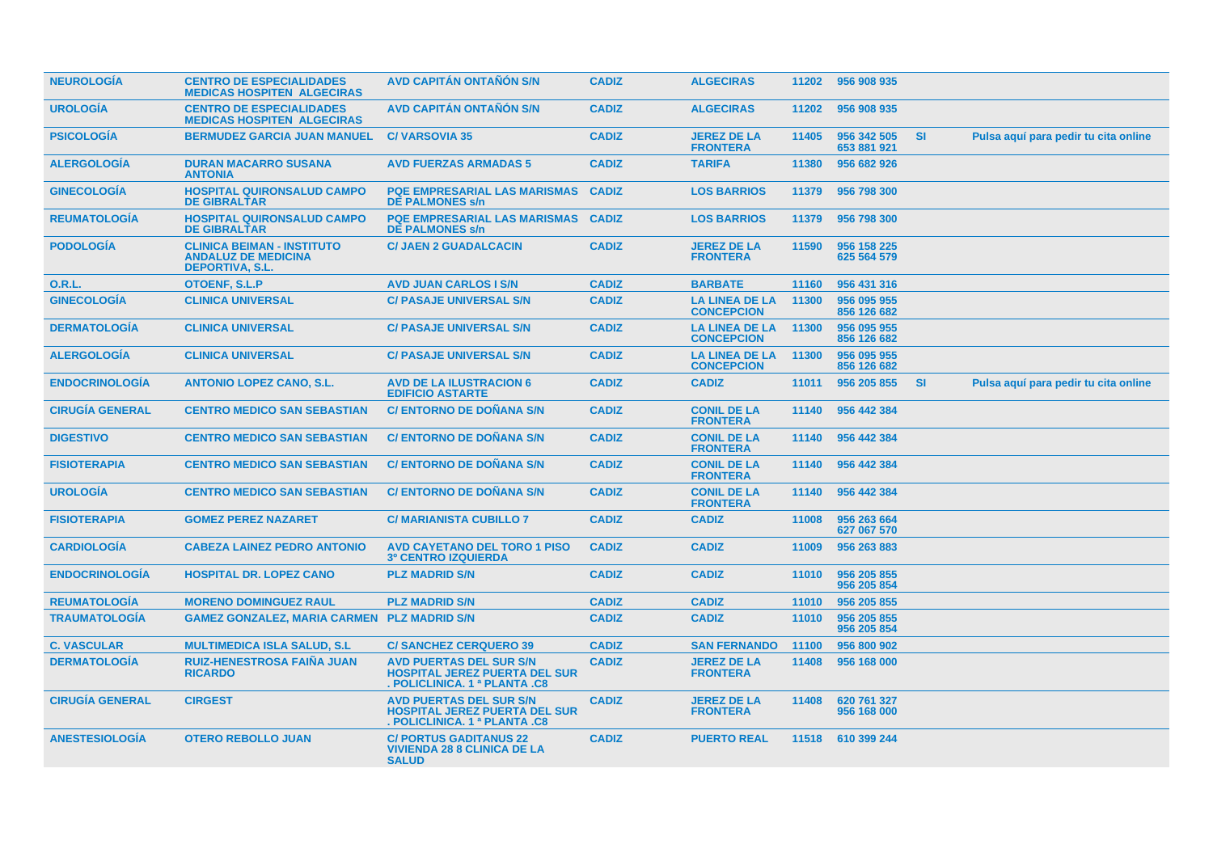| <b>NEUROLOGIA</b>      | <b>CENTRO DE ESPECIALIDADES</b><br><b>MEDICAS HOSPITEN ALGECIRAS</b>                      | AVD CAPITÁN ONTAÑÓN S/N                                                                                                | <b>CADIZ</b> | <b>ALGECIRAS</b>                           |       | 11202 956 908 935          |           |                                      |
|------------------------|-------------------------------------------------------------------------------------------|------------------------------------------------------------------------------------------------------------------------|--------------|--------------------------------------------|-------|----------------------------|-----------|--------------------------------------|
| <b>UROLOGÍA</b>        | <b>CENTRO DE ESPECIALIDADES</b><br><b>MEDICAS HOSPITEN ALGECIRAS</b>                      | <b>AVD CAPITÁN ONTAÑÓN S/N</b>                                                                                         | <b>CADIZ</b> | <b>ALGECIRAS</b>                           | 11202 | 956 908 935                |           |                                      |
| <b>PSICOLOGIA</b>      | <b>BERMUDEZ GARCIA JUAN MANUEL</b>                                                        | <b>C/VARSOVIA 35</b>                                                                                                   | <b>CADIZ</b> | <b>JEREZ DE LA</b><br><b>FRONTERA</b>      | 11405 | 956 342 505<br>653 881 921 | SI        | Pulsa aquí para pedir tu cita online |
| <b>ALERGOLOGÍA</b>     | <b>DURAN MACARRO SUSANA</b><br><b>ANTONIA</b>                                             | <b>AVD FUERZAS ARMADAS 5</b>                                                                                           | <b>CADIZ</b> | <b>TARIFA</b>                              | 11380 | 956 682 926                |           |                                      |
| <b>GINECOLOGÍA</b>     | <b>HOSPITAL QUIRONSALUD CAMPO</b><br><b>DE GIBRALTAR</b>                                  | <b>PQE EMPRESARIAL LAS MARISMAS</b><br><b>DE PALMONES s/n</b>                                                          | <b>CADIZ</b> | <b>LOS BARRIOS</b>                         | 11379 | 956 798 300                |           |                                      |
| <b>REUMATOLOGÍA</b>    | <b>HOSPITAL QUIRONSALUD CAMPO</b><br><b>DE GIBRALTAR</b>                                  | <b>PQE EMPRESARIAL LAS MARISMAS</b><br><b>DE PALMONES s/n</b>                                                          | <b>CADIZ</b> | <b>LOS BARRIOS</b>                         | 11379 | 956 798 300                |           |                                      |
| <b>PODOLOGÍA</b>       | <b>CLINICA BEIMAN - INSTITUTO</b><br><b>ANDALUZ DE MEDICINA</b><br><b>DEPORTIVA, S.L.</b> | <b>C/ JAEN 2 GUADALCACIN</b>                                                                                           | <b>CADIZ</b> | <b>JEREZ DE LA</b><br><b>FRONTERA</b>      | 11590 | 956 158 225<br>625 564 579 |           |                                      |
| <b>O.R.L.</b>          | <b>OTOENF, S.L.P</b>                                                                      | <b>AVD JUAN CARLOS I S/N</b>                                                                                           | <b>CADIZ</b> | <b>BARBATE</b>                             | 11160 | 956 431 316                |           |                                      |
| <b>GINECOLOGÍA</b>     | <b>CLINICA UNIVERSAL</b>                                                                  | <b>C/ PASAJE UNIVERSAL S/N</b>                                                                                         | <b>CADIZ</b> | <b>LA LINEA DE LA</b><br><b>CONCEPCION</b> | 11300 | 956 095 955<br>856 126 682 |           |                                      |
| <b>DERMATOLOGÍA</b>    | <b>CLINICA UNIVERSAL</b>                                                                  | <b>C/ PASAJE UNIVERSAL S/N</b>                                                                                         | <b>CADIZ</b> | <b>LA LINEA DE LA</b><br><b>CONCEPCION</b> | 11300 | 956 095 955<br>856 126 682 |           |                                      |
| <b>ALERGOLOGÍA</b>     | <b>CLINICA UNIVERSAL</b>                                                                  | <b>C/ PASAJE UNIVERSAL S/N</b>                                                                                         | <b>CADIZ</b> | <b>LA LINEA DE LA</b><br><b>CONCEPCION</b> | 11300 | 956 095 955<br>856 126 682 |           |                                      |
| <b>ENDOCRINOLOGÍA</b>  | <b>ANTONIO LOPEZ CANO, S.L.</b>                                                           | <b>AVD DE LA ILUSTRACION 6</b><br><b>EDIFICIO ASTARTE</b>                                                              | <b>CADIZ</b> | <b>CADIZ</b>                               | 11011 | 956 205 855                | <b>SI</b> | Pulsa aquí para pedir tu cita online |
| <b>CIRUGÍA GENERAL</b> | <b>CENTRO MEDICO SAN SEBASTIAN</b>                                                        | <b>C/ ENTORNO DE DOÑANA S/N</b>                                                                                        | <b>CADIZ</b> | <b>CONIL DE LA</b><br><b>FRONTERA</b>      | 11140 | 956 442 384                |           |                                      |
| <b>DIGESTIVO</b>       | <b>CENTRO MEDICO SAN SEBASTIAN</b>                                                        | <b>C/ ENTORNO DE DOÑANA S/N</b>                                                                                        | <b>CADIZ</b> | <b>CONIL DE LA</b><br><b>FRONTERA</b>      | 11140 | 956 442 384                |           |                                      |
| <b>FISIOTERAPIA</b>    | <b>CENTRO MEDICO SAN SEBASTIAN</b>                                                        | <b>C/ ENTORNO DE DOÑANA S/N</b>                                                                                        | <b>CADIZ</b> | <b>CONIL DE LA</b><br><b>FRONTERA</b>      | 11140 | 956 442 384                |           |                                      |
| <b>UROLOGÍA</b>        | <b>CENTRO MEDICO SAN SEBASTIAN</b>                                                        | <b>C/ ENTORNO DE DOÑANA S/N</b>                                                                                        | <b>CADIZ</b> | <b>CONIL DE LA</b><br><b>FRONTERA</b>      | 11140 | 956 442 384                |           |                                      |
| <b>FISIOTERAPIA</b>    | <b>GOMEZ PEREZ NAZARET</b>                                                                | <b>C/ MARIANISTA CUBILLO 7</b>                                                                                         | <b>CADIZ</b> | <b>CADIZ</b>                               | 11008 | 956 263 664<br>627 067 570 |           |                                      |
| <b>CARDIOLOGÍA</b>     | <b>CABEZA LAINEZ PEDRO ANTONIO</b>                                                        | <b>AVD CAYETANO DEL TORO 1 PISO</b><br><b>3º CENTRO IZQUIERDA</b>                                                      | <b>CADIZ</b> | <b>CADIZ</b>                               | 11009 | 956 263 883                |           |                                      |
| <b>ENDOCRINOLOGÍA</b>  | <b>HOSPITAL DR. LOPEZ CANO</b>                                                            | <b>PLZ MADRID S/N</b>                                                                                                  | <b>CADIZ</b> | <b>CADIZ</b>                               | 11010 | 956 205 855<br>956 205 854 |           |                                      |
| <b>REUMATOLOGIA</b>    | <b>MORENO DOMINGUEZ RAUL</b>                                                              | <b>PLZ MADRID S/N</b>                                                                                                  | <b>CADIZ</b> | <b>CADIZ</b>                               | 11010 | 956 205 855                |           |                                      |
| <b>TRAUMATOLOGIA</b>   | <b>GAMEZ GONZALEZ, MARIA CARMEN PLZ MADRID S/N</b>                                        |                                                                                                                        | <b>CADIZ</b> | <b>CADIZ</b>                               | 11010 | 956 205 855<br>956 205 854 |           |                                      |
| <b>C. VASCULAR</b>     | <b>MULTIMEDICA ISLA SALUD, S.L.</b>                                                       | <b>C/SANCHEZ CERQUERO 39</b>                                                                                           | <b>CADIZ</b> | <b>SAN FERNANDO</b>                        | 11100 | 956 800 902                |           |                                      |
| <b>DERMATOLOGÍA</b>    | <b>RUIZ-HENESTROSA FAIÑA JUAN</b><br><b>RICARDO</b>                                       | <b>AVD PUERTAS DEL SUR S/N</b><br><b>HOSPITAL JEREZ PUERTA DEL SUR</b><br><b>POLICLINICA, 1ª PLANTA .C8</b>            | <b>CADIZ</b> | <b>JEREZ DE LA</b><br><b>FRONTERA</b>      | 11408 | 956 168 000                |           |                                      |
| <b>CIRUGÍA GENERAL</b> | <b>CIRGEST</b>                                                                            | <b>AVD PUERTAS DEL SUR S/N</b><br><b>HOSPITAL JEREZ PUERTA DEL SUR</b><br><b>POLICLINICA, 1<sup>a</sup> PLANTA .C8</b> | <b>CADIZ</b> | <b>JEREZ DE LA</b><br><b>FRONTERA</b>      | 11408 | 620 761 327<br>956 168 000 |           |                                      |
| <b>ANESTESIOLOGÍA</b>  | <b>OTERO REBOLLO JUAN</b>                                                                 | <b>C/ PORTUS GADITANUS 22</b><br><b>VIVIENDA 28 8 CLINICA DE LA</b><br><b>SALUD</b>                                    | <b>CADIZ</b> | <b>PUERTO REAL</b>                         | 11518 | 610 399 244                |           |                                      |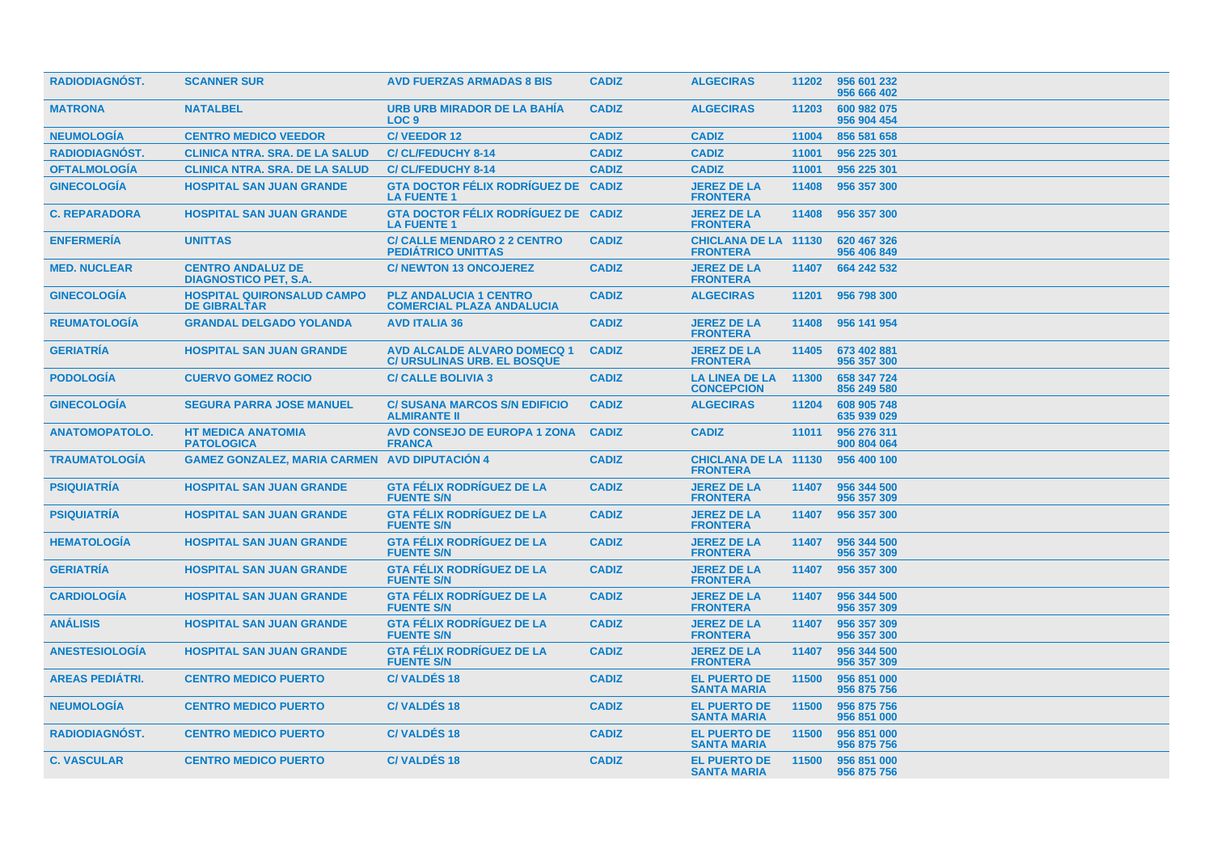| <b>RADIODIAGNOST.</b>  | <b>SCANNER SUR</b>                                       | <b>AVD FUERZAS ARMADAS 8 BIS</b>                                         | <b>CADIZ</b> | <b>ALGECIRAS</b>                               | 11202 | 956 601 232<br>956 666 402 |
|------------------------|----------------------------------------------------------|--------------------------------------------------------------------------|--------------|------------------------------------------------|-------|----------------------------|
| <b>MATRONA</b>         | <b>NATALBEL</b>                                          | URB URB MIRADOR DE LA BAHIA<br>LOC <sub>9</sub>                          | <b>CADIZ</b> | <b>ALGECIRAS</b>                               | 11203 | 600 982 075<br>956 904 454 |
| <b>NEUMOLOGÍA</b>      | <b>CENTRO MEDICO VEEDOR</b>                              | <b>C/VEEDOR12</b>                                                        | <b>CADIZ</b> | <b>CADIZ</b>                                   | 11004 | 856 581 658                |
| <b>RADIODIAGNÓST.</b>  | <b>CLINICA NTRA. SRA. DE LA SALUD</b>                    | <b>C/CL/FEDUCHY 8-14</b>                                                 | <b>CADIZ</b> | <b>CADIZ</b>                                   | 11001 | 956 225 301                |
| <b>OFTALMOLOGÍA</b>    | <b>CLINICA NTRA, SRA, DE LA SALUD</b>                    | <b>C/CL/FEDUCHY 8-14</b>                                                 | <b>CADIZ</b> | <b>CADIZ</b>                                   | 11001 | 956 225 301                |
| <b>GINECOLOGÍA</b>     | <b>HOSPITAL SAN JUAN GRANDE</b>                          | <b>GTA DOCTOR FÉLIX RODRÍGUEZ DE CADIZ</b><br><b>LA FUENTE 1</b>         |              | <b>JEREZ DE LA</b><br><b>FRONTERA</b>          | 11408 | 956 357 300                |
| <b>C. REPARADORA</b>   | <b>HOSPITAL SAN JUAN GRANDE</b>                          | <b>GTA DOCTOR FÉLIX RODRÍGUEZ DE CADIZ</b><br><b>LA FUENTE 1</b>         |              | <b>JEREZ DE LA</b><br><b>FRONTERA</b>          | 11408 | 956 357 300                |
| <b>ENFERMERÍA</b>      | <b>UNITTAS</b>                                           | <b>C/ CALLE MENDARO 2 2 CENTRO</b><br><b>PEDIATRICO UNITTAS</b>          | <b>CADIZ</b> | <b>CHICLANA DE LA 11130</b><br><b>FRONTERA</b> |       | 620 467 326<br>956 406 849 |
| <b>MED. NUCLEAR</b>    | <b>CENTRO ANDALUZ DE</b><br><b>DIAGNOSTICO PET. S.A.</b> | <b>C/NEWTON 13 ONCOJEREZ</b>                                             | <b>CADIZ</b> | <b>JEREZ DE LA</b><br><b>FRONTERA</b>          | 11407 | 664 242 532                |
| <b>GINECOLOGIA</b>     | <b>HOSPITAL QUIRONSALUD CAMPO</b><br><b>DE GIBRALTAR</b> | <b>PLZ ANDALUCIA 1 CENTRO</b><br><b>COMERCIAL PLAZA ANDALUCIA</b>        | <b>CADIZ</b> | <b>ALGECIRAS</b>                               | 11201 | 956 798 300                |
| <b>REUMATOLOGIA</b>    | <b>GRANDAL DELGADO YOLANDA</b>                           | <b>AVD ITALIA 36</b>                                                     | <b>CADIZ</b> | <b>JEREZ DE LA</b><br><b>FRONTERA</b>          | 11408 | 956 141 954                |
| <b>GERIATRÍA</b>       | <b>HOSPITAL SAN JUAN GRANDE</b>                          | <b>AVD ALCALDE ALVARO DOMECQ 1</b><br><b>C/ URSULINAS URB. EL BOSQUE</b> | <b>CADIZ</b> | <b>JEREZ DE LA</b><br><b>FRONTERA</b>          | 11405 | 673 402 881<br>956 357 300 |
| <b>PODOLOGIA</b>       | <b>CUERVO GOMEZ ROCIO</b>                                | <b>C/ CALLE BOLIVIA 3</b>                                                | <b>CADIZ</b> | <b>LA LINEA DE LA</b><br><b>CONCEPCION</b>     | 11300 | 658 347 724<br>856 249 580 |
| <b>GINECOLOGIA</b>     | <b>SEGURA PARRA JOSE MANUEL</b>                          | <b>C/SUSANA MARCOS S/N EDIFICIO</b><br><b>ALMIRANTE II</b>               | <b>CADIZ</b> | <b>ALGECIRAS</b>                               | 11204 | 608 905 748<br>635 939 029 |
| <b>ANATOMOPATOLO.</b>  | <b>HT MEDICA ANATOMIA</b><br><b>PATOLOGICA</b>           | <b>AVD CONSEJO DE EUROPA 1 ZONA</b><br><b>FRANCA</b>                     | <b>CADIZ</b> | <b>CADIZ</b>                                   | 11011 | 956 276 311<br>900 804 064 |
| <b>TRAUMATOLOGIA</b>   | <b>GAMEZ GONZALEZ, MARIA CARMEN AVD DIPUTACION 4</b>     |                                                                          | <b>CADIZ</b> | <b>CHICLANA DE LA 11130</b><br><b>FRONTERA</b> |       | 956 400 100                |
| <b>PSIQUIATRIA</b>     | <b>HOSPITAL SAN JUAN GRANDE</b>                          | <b>GTA FÉLIX RODRIGUEZ DE LA</b><br><b>FUENTE S/N</b>                    | <b>CADIZ</b> | <b>JEREZ DE LA</b><br><b>FRONTERA</b>          | 11407 | 956 344 500<br>956 357 309 |
| <b>PSIQUIATRÍA</b>     | <b>HOSPITAL SAN JUAN GRANDE</b>                          | <b>GTA FÉLIX RODRÍGUEZ DE LA</b><br><b>FUENTE S/N</b>                    | <b>CADIZ</b> | <b>JEREZ DE LA</b><br><b>FRONTERA</b>          | 11407 | 956 357 300                |
| <b>HEMATOLOGIA</b>     | <b>HOSPITAL SAN JUAN GRANDE</b>                          | <b>GTA FELIX RODRIGUEZ DE LA</b><br><b>FUENTE S/N</b>                    | <b>CADIZ</b> | <b>JEREZ DE LA</b><br><b>FRONTERA</b>          | 11407 | 956 344 500<br>956 357 309 |
| <b>GERIATRÍA</b>       | <b>HOSPITAL SAN JUAN GRANDE</b>                          | <b>GTA FÉLIX RODRÍGUEZ DE LA</b><br><b>FUENTE S/N</b>                    | <b>CADIZ</b> | <b>JEREZ DE LA</b><br><b>FRONTERA</b>          | 11407 | 956 357 300                |
| <b>CARDIOLOGIA</b>     | <b>HOSPITAL SAN JUAN GRANDE</b>                          | <b>GTA FÉLIX RODRÍGUEZ DE LA</b><br><b>FUENTE S/N</b>                    | <b>CADIZ</b> | <b>JEREZ DE LA</b><br><b>FRONTERA</b>          | 11407 | 956 344 500<br>956 357 309 |
| <b>ANALISIS</b>        | <b>HOSPITAL SAN JUAN GRANDE</b>                          | <b>GTA FÉLIX RODRÍGUEZ DE LA</b><br><b>FUENTE S/N</b>                    | <b>CADIZ</b> | <b>JEREZ DE LA</b><br><b>FRONTERA</b>          | 11407 | 956 357 309<br>956 357 300 |
| <b>ANESTESIOLOGÍA</b>  | <b>HOSPITAL SAN JUAN GRANDE</b>                          | <b>GTA FÉLIX RODRÍGUEZ DE LA</b><br><b>FUENTE S/N</b>                    | <b>CADIZ</b> | <b>JEREZ DE LA</b><br><b>FRONTERA</b>          | 11407 | 956 344 500<br>956 357 309 |
| <b>AREAS PEDIATRI.</b> | <b>CENTRO MEDICO PUERTO</b>                              | <b>C/VALDÉS 18</b>                                                       | <b>CADIZ</b> | <b>EL PUERTO DE</b><br><b>SANTA MARIA</b>      | 11500 | 956 851 000<br>956 875 756 |
| <b>NEUMOLOGIA</b>      | <b>CENTRO MEDICO PUERTO</b>                              | <b>C/VALDÉS 18</b>                                                       | <b>CADIZ</b> | <b>EL PUERTO DE</b><br><b>SANTA MARIA</b>      | 11500 | 956 875 756<br>956 851 000 |
| <b>RADIODIAGNOST.</b>  | <b>CENTRO MEDICO PUERTO</b>                              | <b>C/VALDES 18</b>                                                       | <b>CADIZ</b> | <b>EL PUERTO DE</b><br><b>SANTA MARIA</b>      | 11500 | 956 851 000<br>956 875 756 |
| <b>C. VASCULAR</b>     | <b>CENTRO MEDICO PUERTO</b>                              | <b>C/VALDES 18</b>                                                       | <b>CADIZ</b> | <b>EL PUERTO DE</b><br><b>SANTA MARIA</b>      | 11500 | 956 851 000<br>956 875 756 |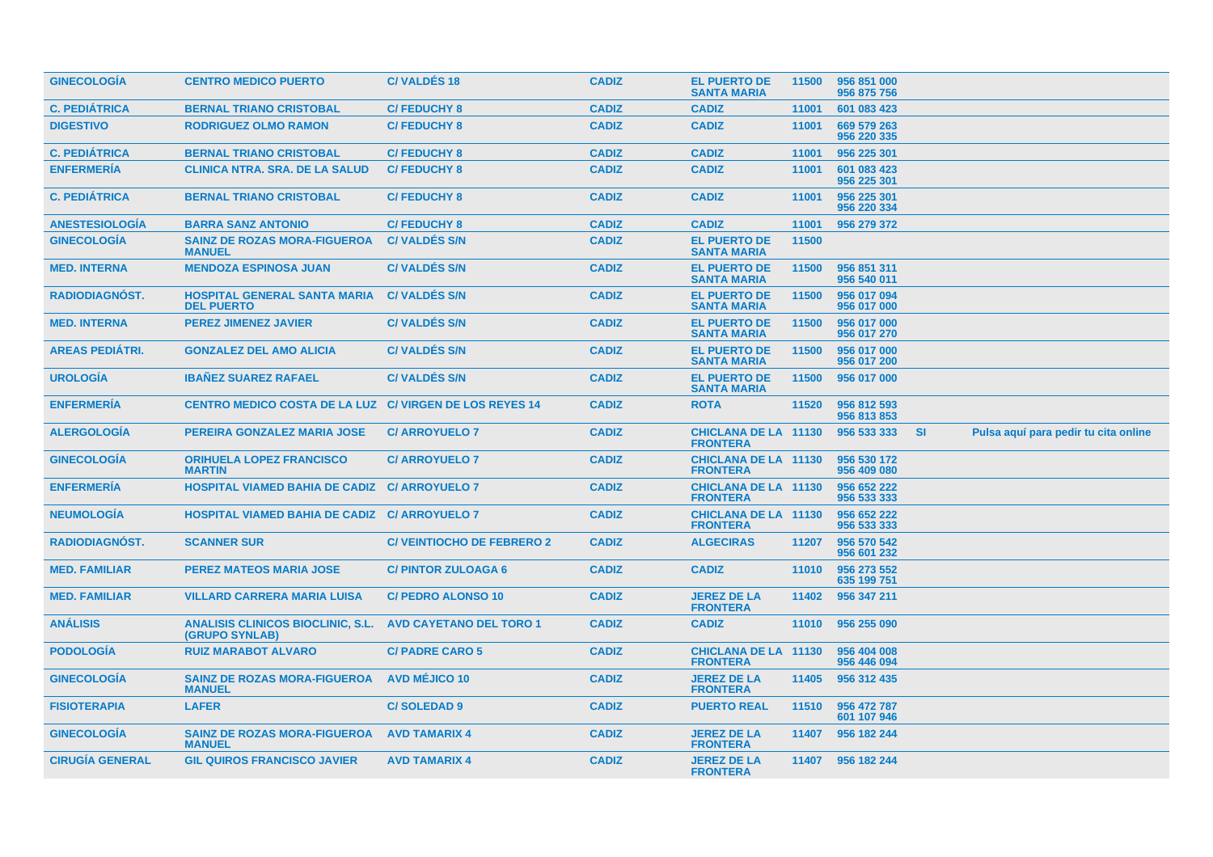| <b>GINECOLOGIA</b>     | <b>CENTRO MEDICO PUERTO</b>                                | <b>C/VALDES 18</b>               | <b>CADIZ</b> | <b>EL PUERTO DE</b><br><b>SANTA MARIA</b>      | 11500 | 956 851 000<br>956 875 756 |     |                                      |
|------------------------|------------------------------------------------------------|----------------------------------|--------------|------------------------------------------------|-------|----------------------------|-----|--------------------------------------|
| <b>C. PEDIÁTRICA</b>   | <b>BERNAL TRIANO CRISTOBAL</b>                             | <b>C/FEDUCHY 8</b>               | <b>CADIZ</b> | <b>CADIZ</b>                                   | 11001 | 601 083 423                |     |                                      |
| <b>DIGESTIVO</b>       | <b>RODRIGUEZ OLMO RAMON</b>                                | <b>C/FEDUCHY 8</b>               | <b>CADIZ</b> | <b>CADIZ</b>                                   | 11001 | 669 579 263<br>956 220 335 |     |                                      |
| <b>C. PEDIÁTRICA</b>   | <b>BERNAL TRIANO CRISTOBAL</b>                             | <b>C/FEDUCHY 8</b>               | <b>CADIZ</b> | <b>CADIZ</b>                                   | 11001 | 956 225 301                |     |                                      |
| <b>ENFERMERÍA</b>      | <b>CLINICA NTRA. SRA. DE LA SALUD</b>                      | <b>C/FEDUCHY 8</b>               | <b>CADIZ</b> | <b>CADIZ</b>                                   | 11001 | 601 083 423<br>956 225 301 |     |                                      |
| <b>C. PEDIÁTRICA</b>   | <b>BERNAL TRIANO CRISTOBAL</b>                             | <b>C/FEDUCHY 8</b>               | <b>CADIZ</b> | <b>CADIZ</b>                                   | 11001 | 956 225 301<br>956 220 334 |     |                                      |
| <b>ANESTESIOLOGIA</b>  | <b>BARRA SANZ ANTONIO</b>                                  | <b>C/FEDUCHY 8</b>               | <b>CADIZ</b> | <b>CADIZ</b>                                   | 11001 | 956 279 372                |     |                                      |
| <b>GINECOLOGIA</b>     | <b>SAINZ DE ROZAS MORA-FIGUEROA</b><br><b>MANUEL</b>       | <b>C/VALDÉS S/N</b>              | <b>CADIZ</b> | <b>EL PUERTO DE</b><br><b>SANTA MARIA</b>      | 11500 |                            |     |                                      |
| <b>MED. INTERNA</b>    | <b>MENDOZA ESPINOSA JUAN</b>                               | <b>C/VALDÉS S/N</b>              | <b>CADIZ</b> | <b>EL PUERTO DE</b><br><b>SANTA MARIA</b>      | 11500 | 956 851 311<br>956 540 011 |     |                                      |
| <b>RADIODIAGNOST.</b>  | <b>HOSPITAL GENERAL SANTA MARIA</b><br><b>DEL PUERTO</b>   | <b>C/VALDÉS S/N</b>              | <b>CADIZ</b> | <b>EL PUERTO DE</b><br><b>SANTA MARIA</b>      | 11500 | 956 017 094<br>956 017 000 |     |                                      |
| <b>MED. INTERNA</b>    | <b>PEREZ JIMENEZ JAVIER</b>                                | <b>C/VALDES S/N</b>              | <b>CADIZ</b> | <b>EL PUERTO DE</b><br><b>SANTA MARIA</b>      | 11500 | 956 017 000<br>956 017 270 |     |                                      |
| <b>AREAS PEDIÁTRI.</b> | <b>GONZALEZ DEL AMO ALICIA</b>                             | <b>C/VALDES S/N</b>              | <b>CADIZ</b> | <b>EL PUERTO DE</b><br><b>SANTA MARIA</b>      | 11500 | 956 017 000<br>956 017 200 |     |                                      |
| <b>UROLOGÍA</b>        | <b>IBANEZ SUAREZ RAFAEL</b>                                | <b>C/VALDES S/N</b>              | <b>CADIZ</b> | <b>EL PUERTO DE</b><br><b>SANTA MARIA</b>      | 11500 | 956 017 000                |     |                                      |
| <b>ENFERMERIA</b>      | CENTRO MEDICO COSTA DE LA LUZ C/ VIRGEN DE LOS REYES 14    |                                  | <b>CADIZ</b> | <b>ROTA</b>                                    | 11520 | 956 812 593                |     |                                      |
|                        |                                                            |                                  |              |                                                |       | 956 813 853                |     |                                      |
| <b>ALERGOLOGIA</b>     | PEREIRA GONZALEZ MARIA JOSE                                | <b>C/ ARROYUELO 7</b>            | <b>CADIZ</b> | <b>CHICLANA DE LA 11130</b><br><b>FRONTERA</b> |       | 956 533 333                | -SI | Pulsa aquí para pedir tu cita online |
| <b>GINECOLOGÍA</b>     | <b>ORIHUELA LOPEZ FRANCISCO</b><br><b>MARTIN</b>           | <b>C/ ARROYUELO 7</b>            | <b>CADIZ</b> | <b>CHICLANA DE LA 11130</b><br><b>FRONTERA</b> |       | 956 530 172<br>956 409 080 |     |                                      |
| <b>ENFERMERÍA</b>      | HOSPITAL VIAMED BAHIA DE CADIZ C/ ARROYUELO 7              |                                  | <b>CADIZ</b> | <b>CHICLANA DE LA 11130</b><br><b>FRONTERA</b> |       | 956 652 222<br>956 533 333 |     |                                      |
| <b>NEUMOLOGIA</b>      | <b>HOSPITAL VIAMED BAHIA DE CADIZ C/ ARROYUELO 7</b>       |                                  | <b>CADIZ</b> | <b>CHICLANA DE LA 11130</b><br><b>FRONTERA</b> |       | 956 652 222<br>956 533 333 |     |                                      |
| <b>RADIODIAGNOST.</b>  | <b>SCANNER SUR</b>                                         | <b>C/VEINTIOCHO DE FEBRERO 2</b> | <b>CADIZ</b> | <b>ALGECIRAS</b>                               | 11207 | 956 570 542<br>956 601 232 |     |                                      |
| <b>MED. FAMILIAR</b>   | <b>PEREZ MATEOS MARIA JOSE</b>                             | <b>C/PINTOR ZULOAGA 6</b>        | <b>CADIZ</b> | <b>CADIZ</b>                                   | 11010 | 956 273 552<br>635 199 751 |     |                                      |
| <b>MED. FAMILIAR</b>   | <b>VILLARD CARRERA MARIA LUISA</b>                         | <b>C/ PEDRO ALONSO 10</b>        | <b>CADIZ</b> | <b>JEREZ DE LA</b><br><b>FRONTERA</b>          | 11402 | 956 347 211                |     |                                      |
| <b>ANÁLISIS</b>        | <b>ANALISIS CLINICOS BIOCLINIC, S.L.</b><br>(GRUPO SYNLAB) | <b>AVD CAYETANO DEL TORO 1</b>   | <b>CADIZ</b> | <b>CADIZ</b>                                   | 11010 | 956 255 090                |     |                                      |
| <b>PODOLOGIA</b>       | <b>RUIZ MARABOT ALVARO</b>                                 | <b>C/ PADRE CARO 5</b>           | <b>CADIZ</b> | <b>CHICLANA DE LA 11130</b><br><b>FRONTERA</b> |       | 956 404 008<br>956 446 094 |     |                                      |
| <b>GINECOLOGIA</b>     | <b>SAINZ DE ROZAS MORA-FIGUEROA</b><br><b>MANUEL</b>       | <b>AVD MÉJICO 10</b>             | <b>CADIZ</b> | <b>JEREZ DE LA</b><br><b>FRONTERA</b>          | 11405 | 956 312 435                |     |                                      |
| <b>FISIOTERAPIA</b>    | <b>LAFER</b>                                               | <b>C/SOLEDAD9</b>                | <b>CADIZ</b> | <b>PUERTO REAL</b>                             | 11510 | 956 472 787<br>601 107 946 |     |                                      |
| <b>GINECOLOGÍA</b>     | <b>SAINZ DE ROZAS MORA-FIGUEROA</b><br><b>MANUEL</b>       | <b>AVD TAMARIX 4</b>             | <b>CADIZ</b> | <b>JEREZ DE LA</b><br><b>FRONTERA</b>          | 11407 | 956 182 244                |     |                                      |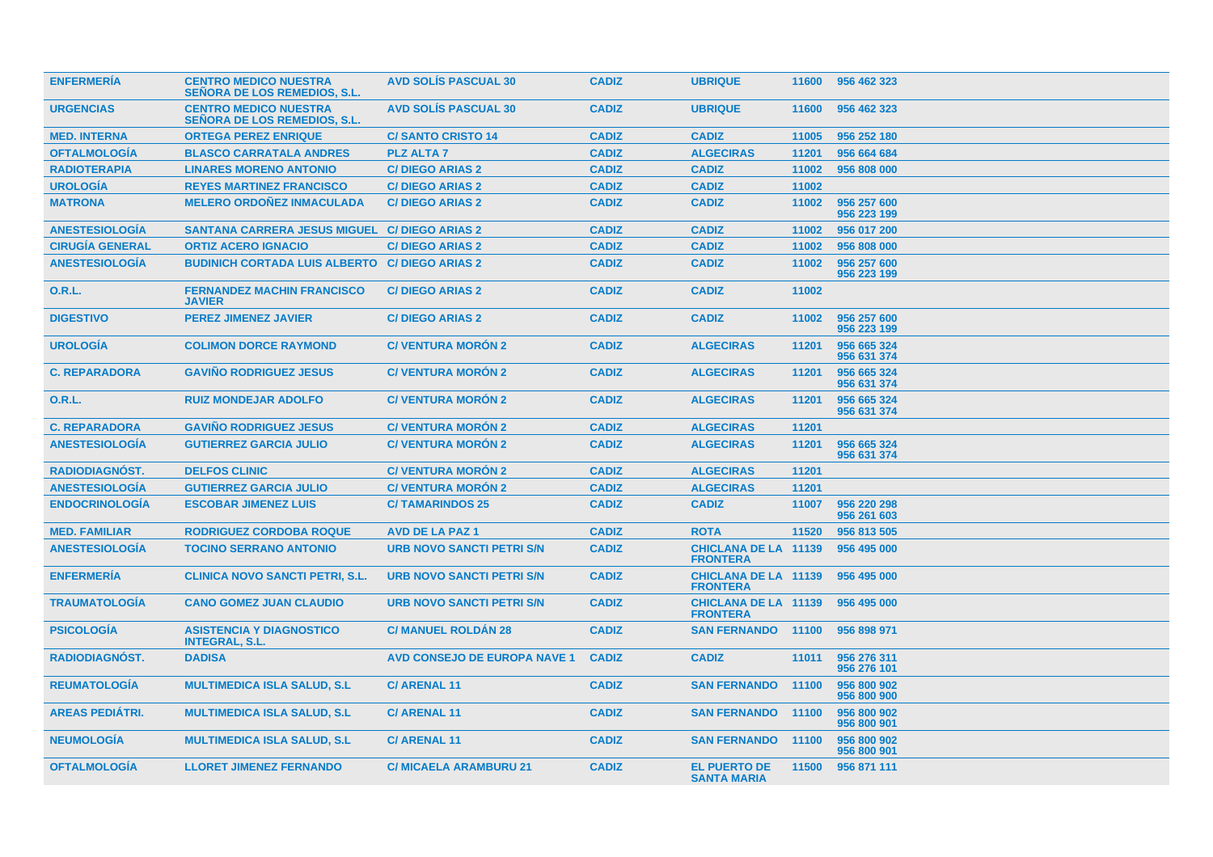| <b>ENFERMERIA</b>      | <b>CENTRO MEDICO NUESTRA</b><br><b>SENORA DE LOS REMEDIOS, S.L.</b> | <b>AVD SOLIS PASCUAL 30</b>         | <b>CADIZ</b> | <b>UBRIQUE</b>                                 | 11600 | 956 462 323                |
|------------------------|---------------------------------------------------------------------|-------------------------------------|--------------|------------------------------------------------|-------|----------------------------|
| <b>URGENCIAS</b>       | <b>CENTRO MEDICO NUESTRA</b><br><b>SEÑORA DE LOS REMEDIOS, S.L.</b> | <b>AVD SOLIS PASCUAL 30</b>         | <b>CADIZ</b> | <b>UBRIQUE</b>                                 | 11600 | 956 462 323                |
| <b>MED. INTERNA</b>    | <b>ORTEGA PEREZ ENRIQUE</b>                                         | <b>C/SANTO CRISTO 14</b>            | <b>CADIZ</b> | <b>CADIZ</b>                                   | 11005 | 956 252 180                |
| <b>OFTALMOLOGÍA</b>    | <b>BLASCO CARRATALA ANDRES</b>                                      | <b>PLZ ALTA 7</b>                   | <b>CADIZ</b> | <b>ALGECIRAS</b>                               | 11201 | 956 664 684                |
| <b>RADIOTERAPIA</b>    | <b>LINARES MORENO ANTONIO</b>                                       | <b>C/DIEGO ARIAS 2</b>              | <b>CADIZ</b> | <b>CADIZ</b>                                   | 11002 | 956 808 000                |
| <b>UROLOGIA</b>        | <b>REYES MARTINEZ FRANCISCO</b>                                     | <b>C/DIEGO ARIAS 2</b>              | <b>CADIZ</b> | <b>CADIZ</b>                                   | 11002 |                            |
| <b>MATRONA</b>         | <b>MELERO ORDOÑEZ INMACULADA</b>                                    | <b>C/DIEGO ARIAS 2</b>              | <b>CADIZ</b> | <b>CADIZ</b>                                   | 11002 | 956 257 600<br>956 223 199 |
| <b>ANESTESIOLOGÍA</b>  | <b>SANTANA CARRERA JESUS MIGUEL</b>                                 | <b>C/DIEGO ARIAS 2</b>              | <b>CADIZ</b> | <b>CADIZ</b>                                   | 11002 | 956 017 200                |
| <b>CIRUGÍA GENERAL</b> | <b>ORTIZ ACERO IGNACIO</b>                                          | <b>C/DIEGO ARIAS 2</b>              | <b>CADIZ</b> | <b>CADIZ</b>                                   | 11002 | 956 808 000                |
| <b>ANESTESIOLOGÍA</b>  | <b>BUDINICH CORTADA LUIS ALBERTO</b>                                | <b>C/DIEGO ARIAS 2</b>              | <b>CADIZ</b> | <b>CADIZ</b>                                   | 11002 | 956 257 600<br>956 223 199 |
| 0.R.L.                 | <b>FERNANDEZ MACHIN FRANCISCO</b><br><b>JAVIER</b>                  | <b>C/DIEGO ARIAS 2</b>              | <b>CADIZ</b> | <b>CADIZ</b>                                   | 11002 |                            |
| <b>DIGESTIVO</b>       | <b>PEREZ JIMENEZ JAVIER</b>                                         | <b>C/DIEGO ARIAS 2</b>              | <b>CADIZ</b> | <b>CADIZ</b>                                   | 11002 | 956 257 600<br>956 223 199 |
| <b>UROLOGIA</b>        | <b>COLIMON DORCE RAYMOND</b>                                        | <b>C/VENTURA MORON 2</b>            | <b>CADIZ</b> | <b>ALGECIRAS</b>                               | 11201 | 956 665 324<br>956 631 374 |
| <b>C. REPARADORA</b>   | <b>GAVINO RODRIGUEZ JESUS</b>                                       | <b>C/VENTURA MORON 2</b>            | <b>CADIZ</b> | <b>ALGECIRAS</b>                               | 11201 | 956 665 324<br>956 631 374 |
| <b>O.R.L.</b>          | <b>RUIZ MONDEJAR ADOLFO</b>                                         | <b>C/ VENTURA MORON 2</b>           | <b>CADIZ</b> | <b>ALGECIRAS</b>                               | 11201 | 956 665 324<br>956 631 374 |
| <b>C. REPARADORA</b>   | <b>GAVIÑO RODRIGUEZ JESUS</b>                                       | <b>C/ VENTURA MORÓN 2</b>           | <b>CADIZ</b> | <b>ALGECIRAS</b>                               | 11201 |                            |
| <b>ANESTESIOLOGÍA</b>  | <b>GUTIERREZ GARCIA JULIO</b>                                       | <b>C/VENTURA MORÓN 2</b>            | <b>CADIZ</b> | <b>ALGECIRAS</b>                               | 11201 | 956 665 324<br>956 631 374 |
| <b>RADIODIAGNOST.</b>  | <b>DELFOS CLINIC</b>                                                | <b>C/ VENTURA MORON 2</b>           | <b>CADIZ</b> | <b>ALGECIRAS</b>                               | 11201 |                            |
| <b>ANESTESIOLOGÍA</b>  | <b>GUTIERREZ GARCIA JULIO</b>                                       | <b>C/ VENTURA MORÓN 2</b>           | <b>CADIZ</b> | <b>ALGECIRAS</b>                               | 11201 |                            |
| <b>ENDOCRINOLOGÍA</b>  | <b>ESCOBAR JIMENEZ LUIS</b>                                         | <b>C/TAMARINDOS 25</b>              | <b>CADIZ</b> | <b>CADIZ</b>                                   | 11007 | 956 220 298<br>956 261 603 |
| <b>MED. FAMILIAR</b>   | <b>RODRIGUEZ CORDOBA ROQUE</b>                                      | <b>AVD DE LA PAZ 1</b>              | <b>CADIZ</b> | <b>ROTA</b>                                    | 11520 | 956 813 505                |
| <b>ANESTESIOLOGIA</b>  | <b>TOCINO SERRANO ANTONIO</b>                                       | <b>URB NOVO SANCTI PETRI S/N</b>    | <b>CADIZ</b> | <b>CHICLANA DE LA 11139</b><br><b>FRONTERA</b> |       | 956 495 000                |
| <b>ENFERMERIA</b>      | <b>CLINICA NOVO SANCTI PETRI, S.L.</b>                              | <b>URB NOVO SANCTI PETRI S/N</b>    | <b>CADIZ</b> | <b>CHICLANA DE LA 11139</b><br><b>FRONTERA</b> |       | 956 495 000                |
| <b>TRAUMATOLOGIA</b>   | <b>CANO GOMEZ JUAN CLAUDIO</b>                                      | <b>URB NOVO SANCTI PETRI S/N</b>    | <b>CADIZ</b> | <b>CHICLANA DE LA 11139</b><br><b>FRONTERA</b> |       | 956 495 000                |
| <b>PSICOLOGIA</b>      | <b>ASISTENCIA Y DIAGNOSTICO</b><br><b>INTEGRAL, S.L.</b>            | <b>C/ MANUEL ROLDAN 28</b>          | <b>CADIZ</b> | <b>SAN FERNANDO</b>                            | 11100 | 956 898 971                |
| RADIODIAGNÓST.         | <b>DADISA</b>                                                       | <b>AVD CONSEJO DE EUROPA NAVE 1</b> | <b>CADIZ</b> | <b>CADIZ</b>                                   | 11011 | 956 276 311<br>956 276 101 |
| <b>REUMATOLOGIA</b>    | <b>MULTIMEDICA ISLA SALUD, S.L.</b>                                 | <b>C/ ARENAL 11</b>                 | <b>CADIZ</b> | <b>SAN FERNANDO</b>                            | 11100 | 956 800 902<br>956 800 900 |
| <b>AREAS PEDIÁTRI.</b> | <b>MULTIMEDICA ISLA SALUD, S.L.</b>                                 | <b>C/ARENAL11</b>                   | <b>CADIZ</b> | <b>SAN FERNANDO</b>                            | 11100 | 956 800 902<br>956 800 901 |
| <b>NEUMOLOGÍA</b>      | <b>MULTIMEDICA ISLA SALUD, S.L.</b>                                 | <b>C/ ARENAL 11</b>                 | <b>CADIZ</b> | <b>SAN FERNANDO</b>                            | 11100 | 956 800 902<br>956 800 901 |
| <b>OFTALMOLOGIA</b>    | <b>LLORET JIMENEZ FERNANDO</b>                                      | <b>C/ MICAELA ARAMBURU 21</b>       | <b>CADIZ</b> | <b>EL PUERTO DE</b><br><b>SANTA MARIA</b>      | 11500 | 956 871 111                |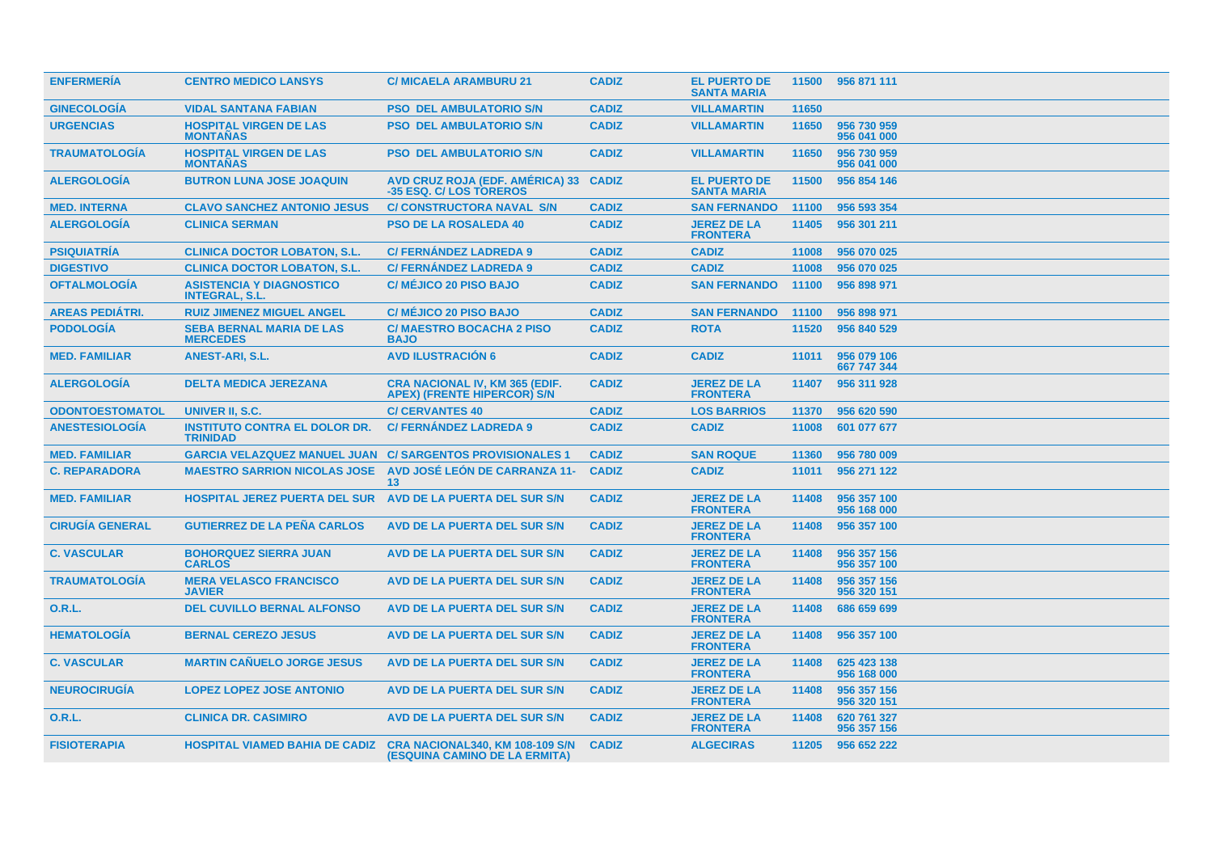| <b>ENFERMERÍA</b>      | <b>CENTRO MEDICO LANSYS</b>                                      | <b>C/ MICAELA ARAMBURU 21</b>                                                  | <b>CADIZ</b> | <b>EL PUERTO DE</b><br><b>SANTA MARIA</b> |       | 11500 956 871 111          |
|------------------------|------------------------------------------------------------------|--------------------------------------------------------------------------------|--------------|-------------------------------------------|-------|----------------------------|
| <b>GINECOLOGIA</b>     | <b>VIDAL SANTANA FABIAN</b>                                      | <b>PSO DEL AMBULATORIO S/N</b>                                                 | <b>CADIZ</b> | <b>VILLAMARTIN</b>                        | 11650 |                            |
| <b>URGENCIAS</b>       | <b>HOSPITAL VIRGEN DE LAS</b><br><b>MONTAÑAS</b>                 | <b>PSO DEL AMBULATORIO S/N</b>                                                 | <b>CADIZ</b> | <b>VILLAMARTIN</b>                        | 11650 | 956 730 959<br>956 041 000 |
| <b>TRAUMATOLOGÍA</b>   | <b>HOSPITAL VIRGEN DE LAS</b><br><b>MONTAÑAS</b>                 | <b>PSO DEL AMBULATORIO S/N</b>                                                 | <b>CADIZ</b> | <b>VILLAMARTIN</b>                        | 11650 | 956 730 959<br>956 041 000 |
| <b>ALERGOLOGÍA</b>     | <b>BUTRON LUNA JOSE JOAQUIN</b>                                  | AVD CRUZ ROJA (EDF. AMÉRICA) 33 CADIZ<br>-35 ESQ. C/ LOS TOREROS               |              | <b>EL PUERTO DE</b><br><b>SANTA MARIA</b> | 11500 | 956 854 146                |
| <b>MED. INTERNA</b>    | <b>CLAVO SANCHEZ ANTONIO JESUS</b>                               | <b>C/ CONSTRUCTORA NAVAL S/N</b>                                               | <b>CADIZ</b> | <b>SAN FERNANDO</b>                       | 11100 | 956 593 354                |
| <b>ALERGOLOGIA</b>     | <b>CLINICA SERMAN</b>                                            | <b>PSO DE LA ROSALEDA 40</b>                                                   | <b>CADIZ</b> | <b>JEREZ DE LA</b><br><b>FRONTERA</b>     | 11405 | 956 301 211                |
| <b>PSIQUIATRÍA</b>     | <b>CLINICA DOCTOR LOBATON, S.L.</b>                              | <b>C/FERNANDEZ LADREDA 9</b>                                                   | <b>CADIZ</b> | <b>CADIZ</b>                              | 11008 | 956 070 025                |
| <b>DIGESTIVO</b>       | <b>CLINICA DOCTOR LOBATON, S.L.</b>                              | <b>C/FERNÁNDEZ LADREDA 9</b>                                                   | <b>CADIZ</b> | <b>CADIZ</b>                              | 11008 | 956 070 025                |
| <b>OFTALMOLOGÍA</b>    | <b>ASISTENCIA Y DIAGNOSTICO</b><br><b>INTEGRAL, S.L.</b>         | <b>C/ MÉJICO 20 PISO BAJO</b>                                                  | <b>CADIZ</b> | <b>SAN FERNANDO</b>                       | 11100 | 956 898 971                |
| <b>AREAS PEDIÁTRI.</b> | <b>RUIZ JIMENEZ MIGUEL ANGEL</b>                                 | <b>C/ MÉJICO 20 PISO BAJO</b>                                                  | <b>CADIZ</b> | <b>SAN FERNANDO</b>                       | 11100 | 956 898 971                |
| <b>PODOLOGÍA</b>       | <b>SEBA BERNAL MARIA DE LAS</b><br><b>MERCEDES</b>               | <b>C/MAESTRO BOCACHA 2 PISO</b><br><b>BAJO</b>                                 | <b>CADIZ</b> | <b>ROTA</b>                               | 11520 | 956 840 529                |
| <b>MED. FAMILIAR</b>   | <b>ANEST-ARI, S.L.</b>                                           | <b>AVD ILUSTRACIÓN 6</b>                                                       | <b>CADIZ</b> | <b>CADIZ</b>                              | 11011 | 956 079 106<br>667 747 344 |
| <b>ALERGOLOGIA</b>     | <b>DELTA MEDICA JEREZANA</b>                                     | <b>CRA NACIONAL IV, KM 365 (EDIF.</b><br><b>APEX) (FRENTE HIPERCOR) S/N</b>    | <b>CADIZ</b> | <b>JEREZ DE LA</b><br><b>FRONTERA</b>     | 11407 | 956 311 928                |
| <b>ODONTOESTOMATOL</b> | UNIVER II, S.C.                                                  | <b>C/ CERVANTES 40</b>                                                         | <b>CADIZ</b> | <b>LOS BARRIOS</b>                        | 11370 | 956 620 590                |
| <b>ANESTESIOLOGIA</b>  | <b>INSTITUTO CONTRA EL DOLOR DR.</b><br><b>TRINIDAD</b>          | <b>C/FERNANDEZ LADREDA 9</b>                                                   | <b>CADIZ</b> | <b>CADIZ</b>                              | 11008 | 601 077 677                |
| <b>MED. FAMILIAR</b>   | <b>GARCIA VELAZQUEZ MANUEL JUAN C/ SARGENTOS PROVISIONALES 1</b> |                                                                                | <b>CADIZ</b> | <b>SAN ROQUE</b>                          | 11360 | 956 780 009                |
| <b>C. REPARADORA</b>   | <b>MAESTRO SARRION NICOLAS JOSE</b>                              | <b>AVD JOSÉ LEÓN DE CARRANZA 11-</b><br>13                                     | <b>CADIZ</b> | <b>CADIZ</b>                              | 11011 | 956 271 122                |
| <b>MED. FAMILIAR</b>   | <b>HOSPITAL JEREZ PUERTA DEL SUR</b>                             | AVD DE LA PUERTA DEL SUR S/N                                                   | <b>CADIZ</b> | <b>JEREZ DE LA</b><br><b>FRONTERA</b>     | 11408 | 956 357 100<br>956 168 000 |
| <b>CIRUGÍA GENERAL</b> | <b>GUTIERREZ DE LA PEÑA CARLOS</b>                               | AVD DE LA PUERTA DEL SUR S/N                                                   | <b>CADIZ</b> | <b>JEREZ DE LA</b><br><b>FRONTERA</b>     | 11408 | 956 357 100                |
| <b>C. VASCULAR</b>     | <b>BOHORQUEZ SIERRA JUAN</b><br><b>CARLOS</b>                    | AVD DE LA PUERTA DEL SUR S/N                                                   | <b>CADIZ</b> | <b>JEREZ DE LA</b><br><b>FRONTERA</b>     | 11408 | 956 357 156<br>956 357 100 |
| <b>TRAUMATOLOGÍA</b>   | <b>MERA VELASCO FRANCISCO</b><br><b>JAVIER</b>                   | AVD DE LA PUERTA DEL SUR S/N                                                   | <b>CADIZ</b> | <b>JEREZ DE LA</b><br><b>FRONTERA</b>     | 11408 | 956 357 156<br>956 320 151 |
| 0.R.L.                 | <b>DEL CUVILLO BERNAL ALFONSO</b>                                | AVD DE LA PUERTA DEL SUR S/N                                                   | <b>CADIZ</b> | <b>JEREZ DE LA</b><br><b>FRONTERA</b>     | 11408 | 686 659 699                |
| <b>HEMATOLOGIA</b>     | <b>BERNAL CEREZO JESUS</b>                                       | AVD DE LA PUERTA DEL SUR S/N                                                   | <b>CADIZ</b> | <b>JEREZ DE LA</b><br><b>FRONTERA</b>     | 11408 | 956 357 100                |
| <b>C. VASCULAR</b>     | <b>MARTIN CANUELO JORGE JESUS</b>                                | AVD DE LA PUERTA DEL SUR S/N                                                   | <b>CADIZ</b> | <b>JEREZ DE LA</b><br><b>FRONTERA</b>     | 11408 | 625 423 138<br>956 168 000 |
| <b>NEUROCIRUGÍA</b>    | <b>LOPEZ LOPEZ JOSE ANTONIO</b>                                  | AVD DE LA PUERTA DEL SUR S/N                                                   | <b>CADIZ</b> | <b>JEREZ DE LA</b><br><b>FRONTERA</b>     | 11408 | 956 357 156<br>956 320 151 |
| 0.R.L.                 | <b>CLINICA DR. CASIMIRO</b>                                      | AVD DE LA PUERTA DEL SUR S/N                                                   | <b>CADIZ</b> | <b>JEREZ DE LA</b><br><b>FRONTERA</b>     | 11408 | 620 761 327<br>956 357 156 |
| <b>FISIOTERAPIA</b>    | <b>HOSPITAL VIAMED BAHIA DE CADIZ</b>                            | <b>CRA NACIONAL340, KM 108-109 S/N</b><br><b>(ESQUINA CAMINO DE LA ERMITA)</b> | <b>CADIZ</b> | <b>ALGECIRAS</b>                          | 11205 | 956 652 222                |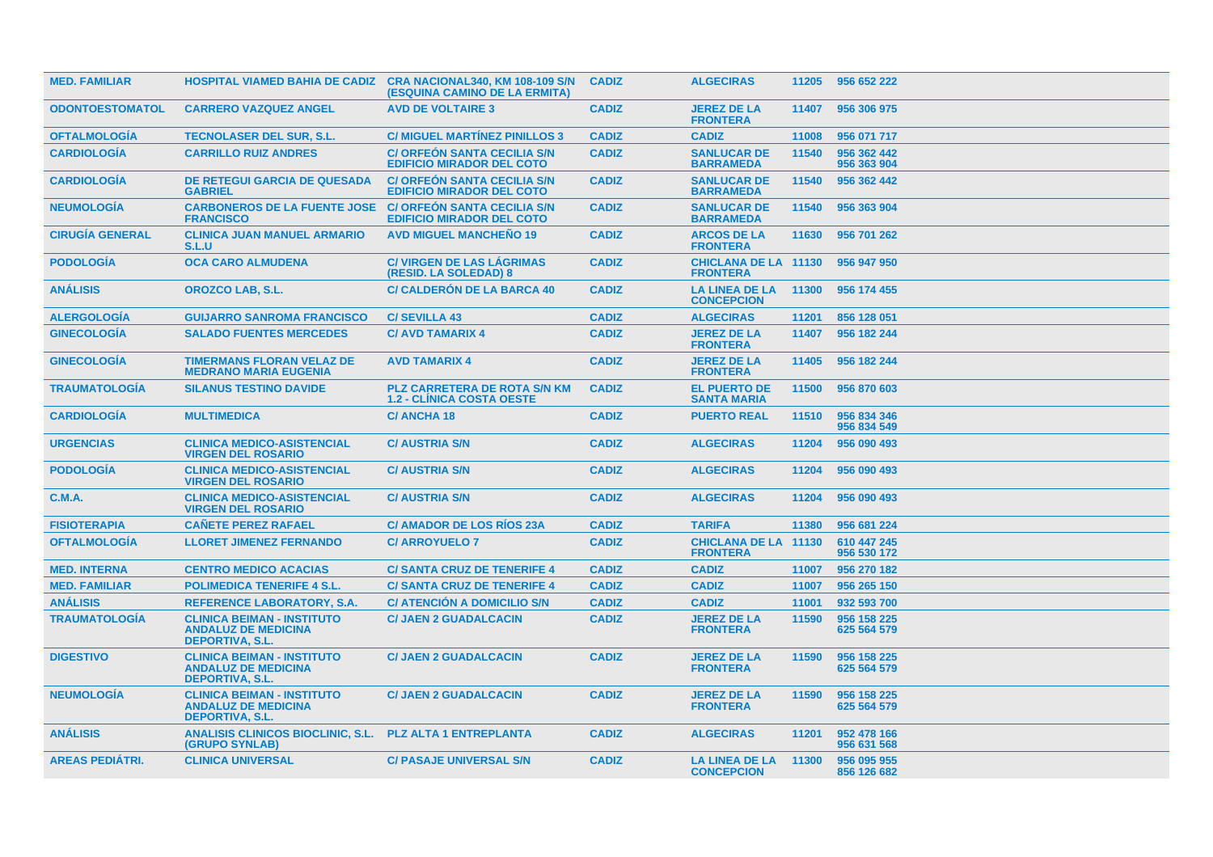| <b>MED. FAMILIAR</b>   |                                                                                           | <b>HOSPITAL VIAMED BAHIA DE CADIZ CRA NACIONAL340, KM 108-109 S/N</b><br>(ESQUINA CAMINO DE LA ERMITA) | <b>CADIZ</b> | <b>ALGECIRAS</b>                               | 11205 | 956 652 222                |
|------------------------|-------------------------------------------------------------------------------------------|--------------------------------------------------------------------------------------------------------|--------------|------------------------------------------------|-------|----------------------------|
| <b>ODONTOESTOMATOL</b> | <b>CARRERO VAZQUEZ ANGEL</b>                                                              | <b>AVD DE VOLTAIRE 3</b>                                                                               | <b>CADIZ</b> | <b>JEREZ DE LA</b><br><b>FRONTERA</b>          | 11407 | 956 306 975                |
| <b>OFTALMOLOGIA</b>    | <b>TECNOLASER DEL SUR, S.L.</b>                                                           | <b>C/ MIGUEL MARTINEZ PINILLOS 3</b>                                                                   | <b>CADIZ</b> | <b>CADIZ</b>                                   | 11008 | 956 071 717                |
| <b>CARDIOLOGÍA</b>     | <b>CARRILLO RUIZ ANDRES</b>                                                               | <b>C/ ORFEON SANTA CECILIA S/N</b><br><b>EDIFICIO MIRADOR DEL COTO</b>                                 | <b>CADIZ</b> | <b>SANLUCAR DE</b><br><b>BARRAMEDA</b>         | 11540 | 956 362 442<br>956 363 904 |
| <b>CARDIOLOGÍA</b>     | <b>DE RETEGUI GARCIA DE QUESADA</b><br><b>GABRIEL</b>                                     | <b>C/ ORFEON SANTA CECILIA S/N</b><br><b>EDIFICIO MIRADOR DEL COTO</b>                                 | <b>CADIZ</b> | <b>SANLUCAR DE</b><br><b>BARRAMEDA</b>         | 11540 | 956 362 442                |
| <b>NEUMOLOGIA</b>      | <b>CARBONEROS DE LA FUENTE JOSE</b><br><b>FRANCISCO</b>                                   | <b>C/ ORFEON SANTA CECILIA S/N</b><br><b>EDIFICIO MIRADOR DEL COTO</b>                                 | <b>CADIZ</b> | <b>SANLUCAR DE</b><br><b>BARRAMEDA</b>         | 11540 | 956 363 904                |
| <b>CIRUGÍA GENERAL</b> | <b>CLINICA JUAN MANUEL ARMARIO</b><br>S.L.U                                               | <b>AVD MIGUEL MANCHENO 19</b>                                                                          | <b>CADIZ</b> | <b>ARCOS DE LA</b><br><b>FRONTERA</b>          | 11630 | 956 701 262                |
| <b>PODOLOGÍA</b>       | <b>OCA CARO ALMUDENA</b>                                                                  | <b>C/ VIRGEN DE LAS LÁGRIMAS</b><br>(RESID. LA SOLEDAD) 8                                              | <b>CADIZ</b> | <b>CHICLANA DE LA 11130</b><br><b>FRONTERA</b> |       | 956 947 950                |
| <b>ANÁLISIS</b>        | <b>OROZCO LAB, S.L.</b>                                                                   | <b>C/ CALDERÓN DE LA BARCA 40</b>                                                                      | <b>CADIZ</b> | LA LINEA DE LA 11300<br><b>CONCEPCION</b>      |       | 956 174 455                |
| <b>ALERGOLOGIA</b>     | <b>GUIJARRO SANROMA FRANCISCO</b>                                                         | <b>C/SEVILLA 43</b>                                                                                    | <b>CADIZ</b> | <b>ALGECIRAS</b>                               | 11201 | 856 128 051                |
| <b>GINECOLOGÍA</b>     | <b>SALADO FUENTES MERCEDES</b>                                                            | <b>C/ AVD TAMARIX 4</b>                                                                                | <b>CADIZ</b> | <b>JEREZ DE LA</b><br><b>FRONTERA</b>          | 11407 | 956 182 244                |
| <b>GINECOLOGIA</b>     | <b>TIMERMANS FLORAN VELAZ DE</b><br><b>MEDRANO MARIA EUGENIA</b>                          | <b>AVD TAMARIX 4</b>                                                                                   | <b>CADIZ</b> | <b>JEREZ DE LA</b><br><b>FRONTERA</b>          | 11405 | 956 182 244                |
| <b>TRAUMATOLOGIA</b>   | <b>SILANUS TESTINO DAVIDE</b>                                                             | <b>PLZ CARRETERA DE ROTA S/N KM</b><br><b>1.2 - CLINICA COSTA OESTE</b>                                | <b>CADIZ</b> | <b>EL PUERTO DE</b><br><b>SANTA MARIA</b>      | 11500 | 956 870 603                |
| <b>CARDIOLOGIA</b>     | <b>MULTIMEDICA</b>                                                                        | <b>C/ANCHA18</b>                                                                                       | <b>CADIZ</b> | <b>PUERTO REAL</b>                             | 11510 | 956 834 346<br>956 834 549 |
| <b>URGENCIAS</b>       | <b>CLINICA MEDICO-ASISTENCIAL</b><br><b>VIRGEN DEL ROSARIO</b>                            | <b>C/ AUSTRIA S/N</b>                                                                                  | <b>CADIZ</b> | <b>ALGECIRAS</b>                               | 11204 | 956 090 493                |
| <b>PODOLOGIA</b>       | <b>CLINICA MEDICO-ASISTENCIAL</b><br><b>VIRGEN DEL ROSARIO</b>                            | <b>C/ AUSTRIA S/N</b>                                                                                  | <b>CADIZ</b> | <b>ALGECIRAS</b>                               | 11204 | 956 090 493                |
| <b>C.M.A.</b>          | <b>CLINICA MEDICO-ASISTENCIAL</b><br><b>VIRGEN DEL ROSARIO</b>                            | <b>C/ AUSTRIA S/N</b>                                                                                  | <b>CADIZ</b> | <b>ALGECIRAS</b>                               | 11204 | 956 090 493                |
| <b>FISIOTERAPIA</b>    | <b>CAÑETE PEREZ RAFAEL</b>                                                                | <b>C/ AMADOR DE LOS RÍOS 23A</b>                                                                       | <b>CADIZ</b> | <b>TARIFA</b>                                  | 11380 | 956 681 224                |
| <b>OFTALMOLOGÍA</b>    | <b>LLORET JIMENEZ FERNANDO</b>                                                            | <b>C/ ARROYUELO 7</b>                                                                                  | <b>CADIZ</b> | <b>CHICLANA DE LA 11130</b><br><b>FRONTERA</b> |       | 610 447 245<br>956 530 172 |
| <b>MED. INTERNA</b>    | <b>CENTRO MEDICO ACACIAS</b>                                                              | <b>C/ SANTA CRUZ DE TENERIFE 4</b>                                                                     | <b>CADIZ</b> | <b>CADIZ</b>                                   | 11007 | 956 270 182                |
| <b>MED. FAMILIAR</b>   | <b>POLIMEDICA TENERIFE 4 S.L.</b>                                                         | <b>C/SANTA CRUZ DE TENERIFE 4</b>                                                                      | <b>CADIZ</b> | <b>CADIZ</b>                                   | 11007 | 956 265 150                |
| <b>ANÁLISIS</b>        | <b>REFERENCE LABORATORY, S.A.</b>                                                         | <b>C/ ATENCION A DOMICILIO S/N</b>                                                                     | <b>CADIZ</b> | <b>CADIZ</b>                                   | 11001 | 932 593 700                |
| <b>TRAUMATOLOGÍA</b>   | <b>CLINICA BEIMAN - INSTITUTO</b><br><b>ANDALUZ DE MEDICINA</b><br><b>DEPORTIVA, S.L.</b> | <b>C/ JAEN 2 GUADALCACIN</b>                                                                           | <b>CADIZ</b> | <b>JEREZ DE LA</b><br><b>FRONTERA</b>          | 11590 | 956 158 225<br>625 564 579 |
| <b>DIGESTIVO</b>       | <b>CLINICA BEIMAN - INSTITUTO</b><br><b>ANDALUZ DE MEDICINA</b><br><b>DEPORTIVA, S.L.</b> | <b>C/ JAEN 2 GUADALCACIN</b>                                                                           | <b>CADIZ</b> | <b>JEREZ DE LA</b><br><b>FRONTERA</b>          | 11590 | 956 158 225<br>625 564 579 |
| <b>NEUMOLOGIA</b>      | <b>CLINICA BEIMAN - INSTITUTO</b><br><b>ANDALUZ DE MEDICINA</b><br><b>DEPORTIVA, S.L.</b> | <b>C/ JAEN 2 GUADALCACIN</b>                                                                           | <b>CADIZ</b> | <b>JEREZ DE LA</b><br><b>FRONTERA</b>          | 11590 | 956 158 225<br>625 564 579 |
| <b>ANÁLISIS</b>        | <b>ANALISIS CLINICOS BIOCLINIC, S.L.</b><br>(GRUPO SYNLAB)                                | <b>PLZ ALTA 1 ENTREPLANTA</b>                                                                          | <b>CADIZ</b> | <b>ALGECIRAS</b>                               | 11201 | 952 478 166<br>956 631 568 |
| <b>AREAS PEDIÁTRI.</b> | <b>CLINICA UNIVERSAL</b>                                                                  | <b>C/ PASAJE UNIVERSAL S/N</b>                                                                         | <b>CADIZ</b> | <b>LA LINEA DE LA</b><br><b>CONCEPCION</b>     | 11300 | 956 095 955<br>856 126 682 |